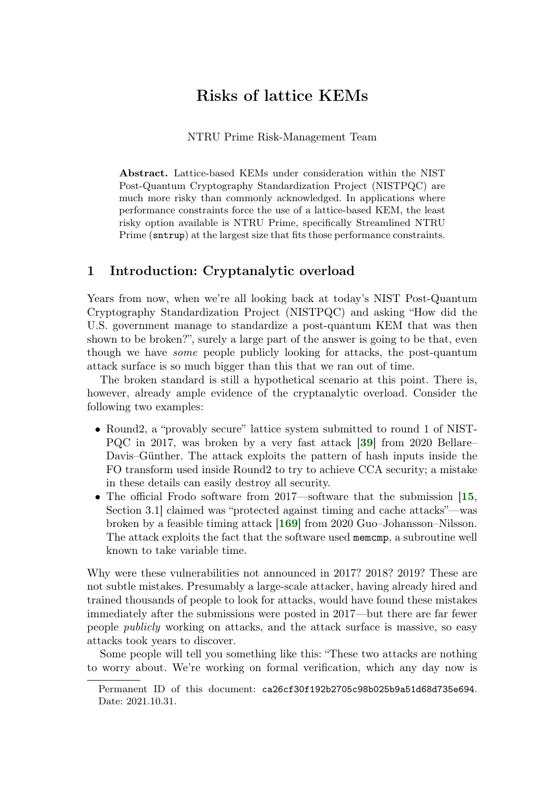# Risks of lattice KEMs

### NTRU Prime Risk-Management Team

<span id="page-0-0"></span>Abstract. Lattice-based KEMs under consideration within the NIST Post-Quantum Cryptography Standardization Project (NISTPQC) are much more risky than commonly acknowledged. In applications where performance constraints force the use of a lattice-based KEM, the least risky option available is NTRU Prime, specifically Streamlined NTRU Prime (sntrup) at the largest size that fits those performance constraints.

# <span id="page-0-1"></span>1 Introduction: Cryptanalytic overload

Years from now, when we're all looking back at today's NIST Post-Quantum Cryptography Standardization Project (NISTPQC) and asking "How did the U.S. government manage to standardize a post-quantum KEM that was then shown to be broken?", surely a large part of the answer is going to be that, even though we have some people publicly looking for attacks, the post-quantum attack surface is so much bigger than this that we ran out of time.

The broken standard is still a hypothetical scenario at this point. There is, however, already ample evidence of the cryptanalytic overload. Consider the following two examples:

- Round2, a "provably secure" lattice system submitted to round 1 of NIST-PQC in 2017, was broken by a very fast attack [[39](#page-55-0)] from 2020 Bellare– Davis–Günther. The attack exploits the pattern of hash inputs inside the FO transform used inside Round2 to try to achieve CCA security; a mistake in these details can easily destroy all security.
- The official Frodo software from 2017—software that the submission [[15](#page-53-0), Section 3.1] claimed was "protected against timing and cache attacks"—was broken by a feasible timing attack [[169](#page-65-0)] from 2020 Guo–Johansson–Nilsson. The attack exploits the fact that the software used memcmp, a subroutine well known to take variable time.

Why were these vulnerabilities not announced in 2017? 2018? 2019? These are not subtle mistakes. Presumably a large-scale attacker, having already hired and trained thousands of people to look for attacks, would have found these mistakes immediately after the submissions were posted in 2017—but there are far fewer people publicly working on attacks, and the attack surface is massive, so easy attacks took years to discover.

Some people will tell you something like this: "These two attacks are nothing to worry about. We're working on formal verification, which any day now is

Permanent ID of this document: ca26cf30f192b2705c98b025b9a51d68d735e694. Date: 2021.10.31.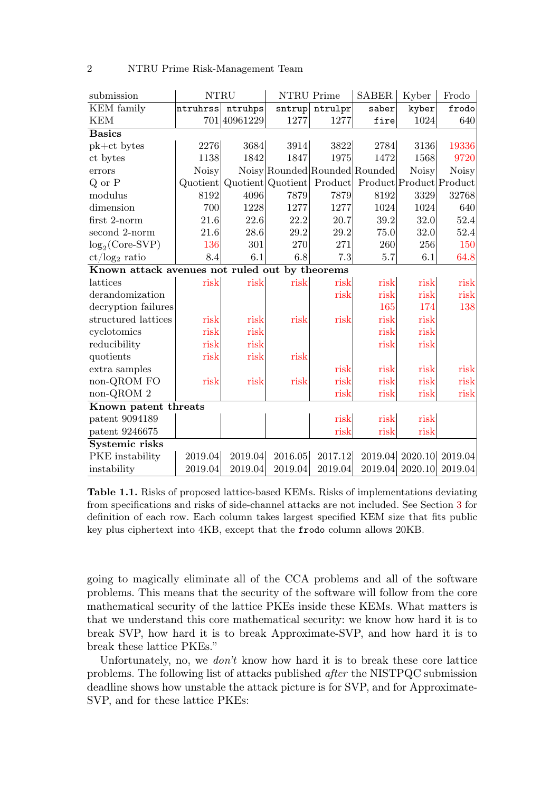| submission                                     | <b>NTRU</b>  |              |                               | NTRU Prime | <b>SABER</b>            | Kyber        | Frodo           |
|------------------------------------------------|--------------|--------------|-------------------------------|------------|-------------------------|--------------|-----------------|
| KEM family                                     | ntruhrss     | ntruhps      | sntrup                        | ntrulpr    | saber                   | kyber        | frodo           |
| <b>KEM</b>                                     |              | 701 40961229 | 1277                          | 1277       | fire                    | 1024         | 640             |
| <b>Basics</b>                                  |              |              |                               |            |                         |              |                 |
| $pk+ct$ bytes                                  | 2276         | 3684         | 3914                          | 3822       | 2784                    | 3136         | 19336           |
| ct bytes                                       | 1138         | 1842         | 1847                          | 1975       | 1472                    | 1568         | 9720            |
| errors                                         | <b>Noisy</b> |              | Noisy Rounded Rounded Rounded |            |                         | <b>Noisy</b> | <b>Noisy</b>    |
| $Q$ or $P$                                     | Quotient     |              | Quotient Quotient             | Product    | Product Product Product |              |                 |
| modulus                                        | 8192         | 4096         | 7879                          | 7879       | 8192                    | 3329         | 32768           |
| dimension                                      | 700          | 1228         | 1277                          | 1277       | 1024                    | 1024         | 640             |
| first 2-norm                                   | 21.6         | 22.6         | 22.2                          | 20.7       | 39.2                    | 32.0         | 52.4            |
| second 2-norm                                  | 21.6         | 28.6         | 29.2                          | 29.2       | 75.0                    | 32.0         | 52.4            |
| $log_2(Core-SVP)$                              | 136          | 301          | 270                           | 271        | 260                     | 256          | 150             |
| $ct/log_2$ ratio                               | 8.4          | 6.1          | 6.8                           | 7.3        | 5.7                     | 6.1          | 64.8            |
| Known attack avenues not ruled out by theorems |              |              |                               |            |                         |              |                 |
| lattices                                       | risk         | risk         | risk                          | risk       | risk                    | risk         | risk            |
| derandomization                                |              |              |                               | risk       | risk                    | risk         | risk            |
| decryption failures                            |              |              |                               |            | 165                     | 174          | 138             |
| structured lattices                            | risk         | risk         | risk                          | risk       | risk                    | risk         |                 |
| cyclotomics                                    | risk         | risk         |                               |            | risk                    | risk         |                 |
| reducibility                                   | risk         | risk         |                               |            | risk                    | risk         |                 |
| quotients                                      | risk         | risk         | risk                          |            |                         |              |                 |
| extra samples                                  |              |              |                               | risk       | risk                    | risk         | risk            |
| non-QROM FO                                    | risk         | risk         | risk                          | risk       | risk                    | risk         | risk            |
| non-QROM 2                                     |              |              |                               | risk       | risk                    | risk         | risk            |
| Known patent threats                           |              |              |                               |            |                         |              |                 |
| patent 9094189                                 |              |              |                               | risk       | risk                    | risk         |                 |
| patent 9246675                                 |              |              |                               | risk       | risk                    | risk         |                 |
| Systemic risks                                 |              |              |                               |            |                         |              |                 |
| PKE instability                                | 2019.04      | 2019.04      | 2016.05                       | 2017.12    | 2019.04                 |              | 2020.10 2019.04 |
| instability                                    | 2019.04      | 2019.04      | 2019.04                       | 2019.04    | 2019.04                 | 2020.10      | 2019.04         |

2 NTRU Prime Risk-Management Team

<span id="page-1-0"></span>Table 1.1. Risks of proposed lattice-based KEMs. Risks of implementations deviating from specifications and risks of side-channel attacks are not included. See Section [3](#page-11-0) for definition of each row. Each column takes largest specified KEM size that fits public key plus ciphertext into 4KB, except that the frodo column allows 20KB.

going to magically eliminate all of the CCA problems and all of the software problems. This means that the security of the software will follow from the core mathematical security of the lattice PKEs inside these KEMs. What matters is that we understand this core mathematical security: we know how hard it is to break SVP, how hard it is to break Approximate-SVP, and how hard it is to break these lattice PKEs."

Unfortunately, no, we *don't* know how hard it is to break these core lattice problems. The following list of attacks published after the NISTPQC submission deadline shows how unstable the attack picture is for SVP, and for Approximate-SVP, and for these lattice PKEs: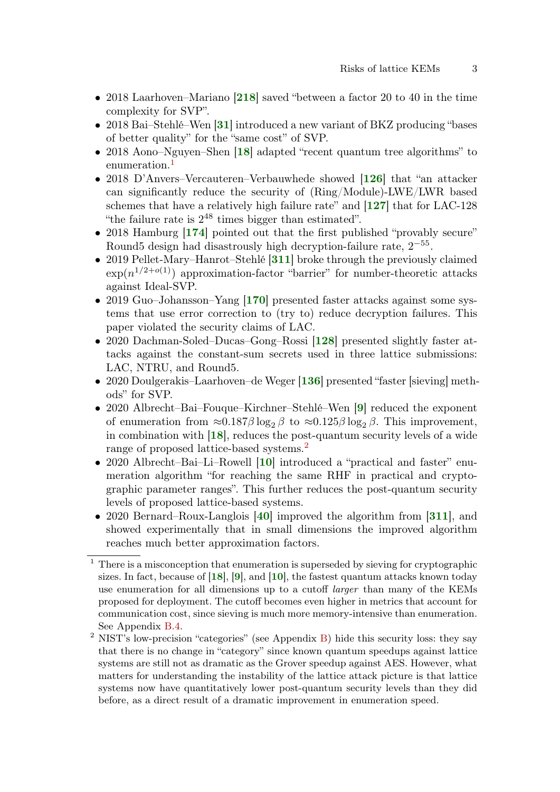- 2018 Laarhoven–Mariano [[218](#page-68-0)] saved "between a factor 20 to 40 in the time complexity for SVP".
- 2018 Bai–Stehlé–Wen [[31](#page-55-1)] introduced a new variant of BKZ producing "bases" of better quality" for the "same cost" of SVP.
- 20[18](#page-54-0) Aono–Nguyen–Shen [18] adapted "recent quantum tree algorithms" to enumeration.<sup>[1](#page-0-0)</sup>
- 2018 D'Anvers–Vercauteren–Verbauwhede showed [[126](#page-62-0)] that "an attacker can significantly reduce the security of (Ring/Module)-LWE/LWR based schemes that have a relatively high failure rate" and [[127](#page-62-1)] that for LAC-128 "the failure rate is  $2^{48}$  times bigger than estimated".
- 2018 Hamburg [[174](#page-65-1)] pointed out that the first published "provably secure" Round5 design had disastrously high decryption-failure rate,  $2^{-55}$ .
- 2019 Pellet-Mary–Hanrot–Stehlé [[311](#page-75-0)] broke through the previously claimed  $\exp(n^{1/2+o(1)})$  approximation-factor "barrier" for number-theoretic attacks against Ideal-SVP.
- 2019 Guo–Johansson–Yang [[170](#page-65-2)] presented faster attacks against some systems that use error correction to (try to) reduce decryption failures. This paper violated the security claims of LAC.
- 2020 Dachman-Soled–Ducas–Gong–Rossi [[128](#page-62-2)] presented slightly faster attacks against the constant-sum secrets used in three lattice submissions: LAC, NTRU, and Round5.
- 2020 Doulgerakis–Laarhoven–de Weger [[136](#page-62-3)] presented "faster [sieving] methods" for SVP.
- 2020 Albrecht–Bai–Fouque–Kirchner–Stehlé–Wen [[9](#page-53-1)] reduced the exponent of enumeration from  $\approx 0.187 \beta \log_2 \beta$  to  $\approx 0.125 \beta \log_2 \beta$ . This improvement, in combination with [[18](#page-54-0)], reduces the post-quantum security levels of a wide range of proposed lattice-based systems.<sup>[2](#page-0-0)</sup>
- 2020 Albrecht–Bai–Li–Rowell [[10](#page-53-2)] introduced a "practical and faster" enumeration algorithm "for reaching the same RHF in practical and cryptographic parameter ranges". This further reduces the post-quantum security levels of proposed lattice-based systems.
- 2020 Bernard–Roux-Langlois [[40](#page-55-2)] improved the algorithm from [[311](#page-75-0)], and showed experimentally that in small dimensions the improved algorithm reaches much better approximation factors.

<sup>1</sup> There is a misconception that enumeration is superseded by sieving for cryptographic sizes. In fact, because of  $[18]$  $[18]$  $[18]$ ,  $[9]$  $[9]$  $[9]$ , and  $[10]$  $[10]$  $[10]$ , the fastest quantum attacks known today use enumeration for all dimensions up to a cutoff larger than many of the KEMs proposed for deployment. The cutoff becomes even higher in metrics that account for communication cost, since sieving is much more memory-intensive than enumeration. See Appendix [B.4.](#page-93-0)

<sup>&</sup>lt;sup>2</sup> NIST's low-precision "categories" (see Appendix [B\)](#page-91-0) hide this security loss: they say that there is no change in "category" since known quantum speedups against lattice systems are still not as dramatic as the Grover speedup against AES. However, what matters for understanding the instability of the lattice attack picture is that lattice systems now have quantitatively lower post-quantum security levels than they did before, as a direct result of a dramatic improvement in enumeration speed.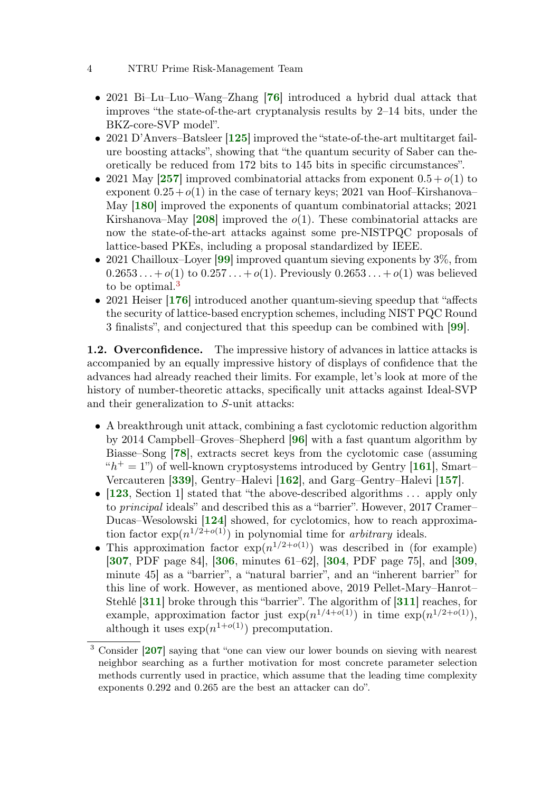- 2021 Bi–Lu–Luo–Wang–Zhang [[76](#page-58-0)] introduced a hybrid dual attack that improves "the state-of-the-art cryptanalysis results by 2–14 bits, under the BKZ-core-SVP model".
- 2021 D'Anvers–Batsleer [[125](#page-62-4)] improved the "state-of-the-art multitarget failure boosting attacks", showing that "the quantum security of Saber can theoretically be reduced from 172 bits to 145 bits in specific circumstances".
- 2021 May [[257](#page-71-0)] improved combinatorial attacks from exponent  $0.5 + o(1)$  to exponent  $0.25+o(1)$  in the case of ternary keys; 2021 van Hoof–Kirshanova– May [[180](#page-66-0)] improved the exponents of quantum combinatorial attacks; 2021 Kirshanova–May [[208](#page-68-1)] improved the  $o(1)$ . These combinatorial attacks are now the state-of-the-art attacks against some pre-NISTPQC proposals of lattice-based PKEs, including a proposal standardized by IEEE.
- 2021 Chailloux–Loyer [[99](#page-60-0)] improved quantum sieving exponents by 3\%, from  $0.2653...+o(1)$  to  $0.257...+o(1)$ . Previously  $0.2653...+o(1)$  was believed to be optimal.<sup>[3](#page-0-0)</sup>
- 2021 Heiser [[176](#page-65-3)] introduced another quantum-sieving speedup that "affects" the security of lattice-based encryption schemes, including NIST PQC Round 3 finalists", and conjectured that this speedup can be combined with [[99](#page-60-0)].

<span id="page-3-0"></span>1.2. Overconfidence. The impressive history of advances in lattice attacks is accompanied by an equally impressive history of displays of confidence that the advances had already reached their limits. For example, let's look at more of the history of number-theoretic attacks, specifically unit attacks against Ideal-SVP and their generalization to S-unit attacks:

- A breakthrough unit attack, combining a fast cyclotomic reduction algorithm by 2014 Campbell–Groves–Shepherd [[96](#page-59-0)] with a fast quantum algorithm by Biasse–Song [[78](#page-58-1)], extracts secret keys from the cyclotomic case (assuming " $h^+ = 1$ ") of well-known cryptosystems introduced by Gentry [[161](#page-64-0)], Smart-Vercauteren [[339](#page-77-0)], Gentry–Halevi [[162](#page-64-1)], and Garg–Gentry–Halevi [[157](#page-64-2)].
- [[123](#page-62-5), Section 1] stated that "the above-described algorithms ... apply only to principal ideals" and described this as a "barrier". However, 2017 Cramer– Ducas–Wesolowski [[124](#page-62-6)] showed, for cyclotomics, how to reach approximation factor  $\exp(n^{1/2+o(1)})$  in polynomial time for *arbitrary* ideals.
- This approximation factor  $\exp(n^{1/2+o(1)})$  was described in (for example) [[307](#page-75-1), PDF page 84], [[306](#page-75-2), minutes 61–62], [[304](#page-75-3), PDF page 75], and [[309](#page-75-4), minute 45] as a "barrier", a "natural barrier", and an "inherent barrier" for this line of work. However, as mentioned above, 2019 Pellet-Mary–Hanrot– Stehlé [[311](#page-75-0)] broke through this "barrier". The algorithm of [[311](#page-75-0)] reaches, for example, approximation factor just  $\exp(n^{1/4+o(1)})$  in time  $\exp(n^{1/2+o(1)})$ , although it uses  $\exp(n^{1+o(1)})$  precomputation.

<sup>3</sup> Consider [[207](#page-68-2)] saying that "one can view our lower bounds on sieving with nearest neighbor searching as a further motivation for most concrete parameter selection methods currently used in practice, which assume that the leading time complexity exponents 0.292 and 0.265 are the best an attacker can do".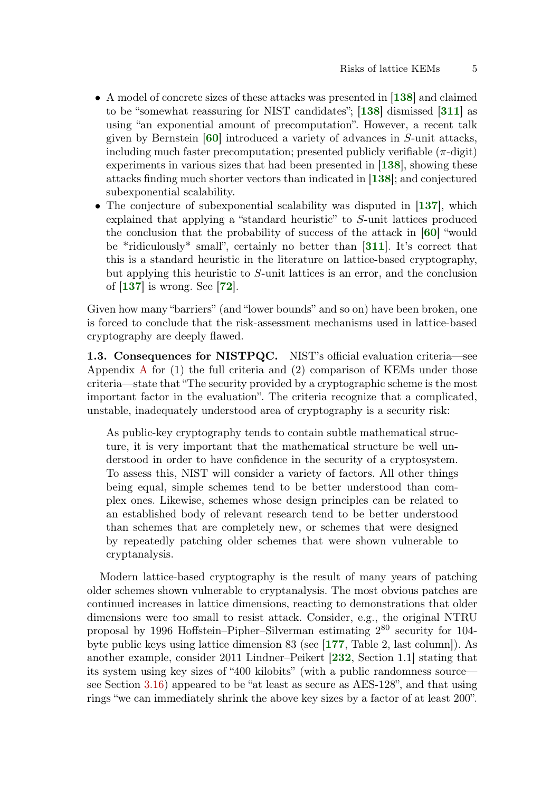- A model of concrete sizes of these attacks was presented in [[138](#page-63-0)] and claimed to be "somewhat reassuring for NIST candidates"; [[138](#page-63-0)] dismissed [[311](#page-75-0)] as using "an exponential amount of precomputation". However, a recent talk given by Bernstein [[60](#page-57-0)] introduced a variety of advances in S-unit attacks, including much faster precomputation; presented publicly verifiable  $(\pi$ -digit) experiments in various sizes that had been presented in  $[138]$  $[138]$  $[138]$ , showing these attacks finding much shorter vectors than indicated in [[138](#page-63-0)]; and conjectured subexponential scalability.
- The conjecture of subexponential scalability was disputed in [[137](#page-63-1)], which explained that applying a "standard heuristic" to S-unit lattices produced the conclusion that the probability of success of the attack in [[60](#page-57-0)] "would be \*ridiculously\* small", certainly no better than [[311](#page-75-0)]. It's correct that this is a standard heuristic in the literature on lattice-based cryptography, but applying this heuristic to S-unit lattices is an error, and the conclusion of [[137](#page-63-1)] is wrong. See [[72](#page-58-2)].

Given how many "barriers" (and "lower bounds" and so on) have been broken, one is forced to conclude that the risk-assessment mechanisms used in lattice-based cryptography are deeply flawed.

1.3. Consequences for NISTPQC. NIST's official evaluation criteria—see [A](#page-79-0)ppendix A for  $(1)$  the full criteria and  $(2)$  comparison of KEMs under those criteria—state that "The security provided by a cryptographic scheme is the most important factor in the evaluation". The criteria recognize that a complicated, unstable, inadequately understood area of cryptography is a security risk:

As public-key cryptography tends to contain subtle mathematical structure, it is very important that the mathematical structure be well understood in order to have confidence in the security of a cryptosystem. To assess this, NIST will consider a variety of factors. All other things being equal, simple schemes tend to be better understood than complex ones. Likewise, schemes whose design principles can be related to an established body of relevant research tend to be better understood than schemes that are completely new, or schemes that were designed by repeatedly patching older schemes that were shown vulnerable to cryptanalysis.

Modern lattice-based cryptography is the result of many years of patching older schemes shown vulnerable to cryptanalysis. The most obvious patches are continued increases in lattice dimensions, reacting to demonstrations that older dimensions were too small to resist attack. Consider, e.g., the original NTRU proposal by 1996 Hoffstein–Pipher–Silverman estimating 2 <sup>80</sup> security for 104 byte public keys using lattice dimension 83 (see [[177](#page-65-4), Table 2, last column]). As another example, consider 2011 Lindner–Peikert [[232](#page-69-0), Section 1.1] stating that its system using key sizes of "400 kilobits" (with a public randomness source see Section [3.16\)](#page-18-0) appeared to be "at least as secure as AES-128", and that using rings "we can immediately shrink the above key sizes by a factor of at least 200".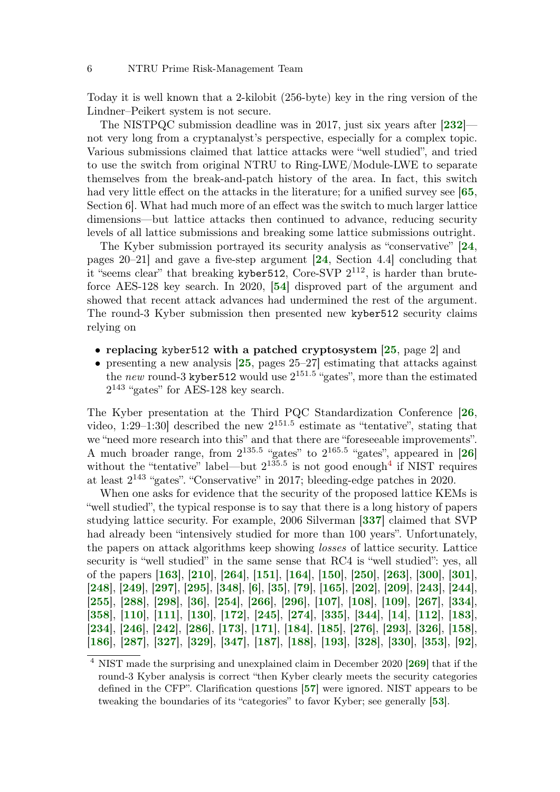Today it is well known that a 2-kilobit (256-byte) key in the ring version of the Lindner–Peikert system is not secure.

The NISTPQC submission deadline was in 2017, just six years after [[232](#page-69-0)] not very long from a cryptanalyst's perspective, especially for a complex topic. Various submissions claimed that lattice attacks were "well studied", and tried to use the switch from original NTRU to Ring-LWE/Module-LWE to separate themselves from the break-and-patch history of the area. In fact, this switch had very little effect on the attacks in the literature; for a unified survey see  $\ket{65}$  $\ket{65}$  $\ket{65}$ , Section 6]. What had much more of an effect was the switch to much larger lattice dimensions—but lattice attacks then continued to advance, reducing security levels of all lattice submissions and breaking some lattice submissions outright.

The Kyber submission portrayed its security analysis as "conservative" [[24](#page-54-1), pages 20–21] and gave a five-step argument [[24](#page-54-1), Section 4.4] concluding that it "seems clear" that breaking kyber 512, Core-SVP  $2^{112}$ , is harder than bruteforce AES-128 key search. In 2020, [[54](#page-56-0)] disproved part of the argument and showed that recent attack advances had undermined the rest of the argument. The round-3 Kyber submission then presented new kyber512 security claims relying on

- replacing kyber512 with a patched cryptosystem [[25](#page-54-2), page 2] and
- presenting a new analysis [[25](#page-54-2), pages 25–27] estimating that attacks against the new round-3 kyber512 would use  $2^{151.5}$  "gates", more than the estimated  $2^{143}$  "gates" for AES-128 key search.

The Kyber presentation at the Third PQC Standardization Conference [[26](#page-54-3), video, 1:29–1:30 described the new  $2^{151.5}$  estimate as "tentative", stating that we "need more research into this" and that there are "foreseeable improvements". A much broader range, from  $2^{135.5}$  "gates" to  $2^{165.5}$  "gates", appeared in [[26](#page-54-3)] without the "tentative" label—but  $2^{135.5}$  is not good enough<sup>[4](#page-0-0)</sup> if NIST requires at least 2 <sup>143</sup> "gates". "Conservative" in 2017; bleeding-edge patches in 2020.

When one asks for evidence that the security of the proposed lattice KEMs is "well studied", the typical response is to say that there is a long history of papers studying lattice security. For example, 2006 Silverman [[337](#page-77-1)] claimed that SVP had already been "intensively studied for more than 100 years". Unfortunately, the papers on attack algorithms keep showing losses of lattice security. Lattice security is "well studied" in the same sense that RC4 is "well studied": yes, all of the papers [[163](#page-64-3)], [[210](#page-68-3)], [[264](#page-72-0)], [[151](#page-64-4)], [[164](#page-65-5)], [[150](#page-64-5)], [[250](#page-71-1)], [[263](#page-72-1)], [[300](#page-75-5)], [[301](#page-75-6)], [[248](#page-71-2)], [[249](#page-71-3)], [[297](#page-74-0)], [[295](#page-74-1)], [[348](#page-78-0)], [[6](#page-52-0)], [[35](#page-55-3)], [[79](#page-58-3)], [[165](#page-65-6)], [[202](#page-67-0)], [[209](#page-68-4)], [[243](#page-70-0)], [[244](#page-70-1)], [[255](#page-71-4)], [[288](#page-74-2)], [[298](#page-74-3)], [[36](#page-55-4)], [[254](#page-71-5)], [[266](#page-72-2)], [[296](#page-74-4)], [[107](#page-60-1)], [[108](#page-60-2)], [[109](#page-60-3)], [[267](#page-72-3)], [[334](#page-77-2)], [[358](#page-79-1)], [[110](#page-61-0)], [[111](#page-61-1)], [[130](#page-62-7)], [[172](#page-65-7)], [[245](#page-70-2)], [[274](#page-72-4)], [[335](#page-77-3)], [[344](#page-78-1)], [[14](#page-53-3)], [[112](#page-61-2)], [[183](#page-66-1)], [[234](#page-70-3)], [[246](#page-70-4)], [[242](#page-70-5)], [[286](#page-73-0)], [[173](#page-65-8)], [[171](#page-65-9)], [[184](#page-66-2)], [[185](#page-66-3)], [[276](#page-73-1)], [[293](#page-74-5)], [[326](#page-76-0)], [[158](#page-64-6)], [[186](#page-66-4)], [[287](#page-74-6)], [[327](#page-77-4)], [[329](#page-77-5)], [[347](#page-78-2)], [[187](#page-66-5)], [[188](#page-66-6)], [[193](#page-67-1)], [[328](#page-77-6)], [[330](#page-77-7)], [[353](#page-78-3)], [[92](#page-59-1)],

NIST made the surprising and unexplained claim in December 2020 [[269](#page-72-5)] that if the round-3 Kyber analysis is correct "then Kyber clearly meets the security categories defined in the CFP". Clarification questions [[57](#page-57-2)] were ignored. NIST appears to be tweaking the boundaries of its "categories" to favor Kyber; see generally [[53](#page-56-1)].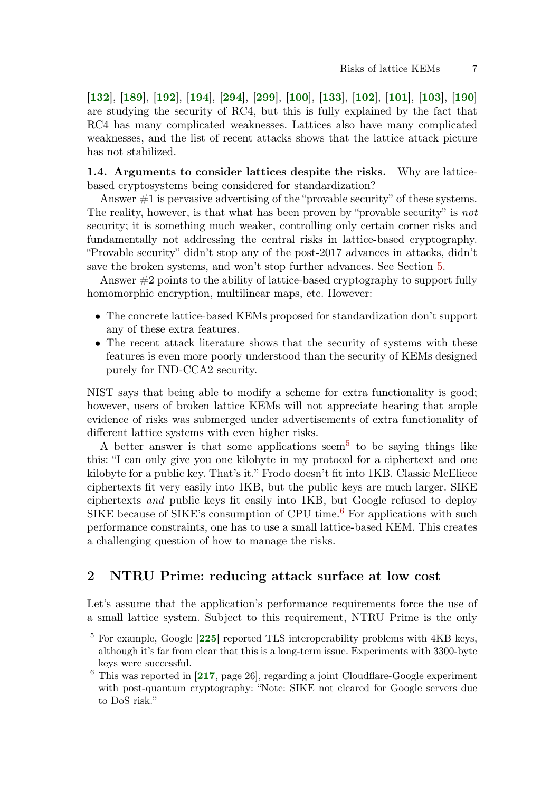[[132](#page-62-8)], [[189](#page-66-7)], [[192](#page-67-2)], [[194](#page-67-3)], [[294](#page-74-7)], [[299](#page-75-7)], [[100](#page-60-4)], [[133](#page-62-9)], [[102](#page-60-5)], [[101](#page-60-6)], [[103](#page-60-7)], [[190](#page-66-8)] are studying the security of RC4, but this is fully explained by the fact that RC4 has many complicated weaknesses. Lattices also have many complicated weaknesses, and the list of recent attacks shows that the lattice attack picture has not stabilized.

<span id="page-6-0"></span>1.4. Arguments to consider lattices despite the risks. Why are latticebased cryptosystems being considered for standardization?

Answer  $\#1$  is pervasive advertising of the "provable security" of these systems. The reality, however, is that what has been proven by "provable security" is not security; it is something much weaker, controlling only certain corner risks and fundamentally not addressing the central risks in lattice-based cryptography. "Provable security" didn't stop any of the post-2017 advances in attacks, didn't save the broken systems, and won't stop further advances. See Section [5.](#page-23-0)

Answer #2 points to the ability of lattice-based cryptography to support fully homomorphic encryption, multilinear maps, etc. However:

- The concrete lattice-based KEMs proposed for standardization don't support any of these extra features.
- The recent attack literature shows that the security of systems with these features is even more poorly understood than the security of KEMs designed purely for IND-CCA2 security.

NIST says that being able to modify a scheme for extra functionality is good; however, users of broken lattice KEMs will not appreciate hearing that ample evidence of risks was submerged under advertisements of extra functionality of different lattice systems with even higher risks.

A better answer is that some applications seem<sup>[5](#page-0-0)</sup> to be saying things like this: "I can only give you one kilobyte in my protocol for a ciphertext and one kilobyte for a public key. That's it." Frodo doesn't fit into 1KB. Classic McEliece ciphertexts fit very easily into 1KB, but the public keys are much larger. SIKE ciphertexts and public keys fit easily into 1KB, but Google refused to deploy SIKE because of SIKE's consumption of CPU time.<sup>[6](#page-0-0)</sup> For applications with such performance constraints, one has to use a small lattice-based KEM. This creates a challenging question of how to manage the risks.

# 2 NTRU Prime: reducing attack surface at low cost

Let's assume that the application's performance requirements force the use of a small lattice system. Subject to this requirement, NTRU Prime is the only

 $5$  For example, Google  $[225]$  $[225]$  $[225]$  reported TLS interoperability problems with 4KB keys, although it's far from clear that this is a long-term issue. Experiments with 3300-byte keys were successful.

 $6$  This was reported in [[217](#page-68-5), page 26], regarding a joint Cloudflare-Google experiment with post-quantum cryptography: "Note: SIKE not cleared for Google servers due to DoS risk."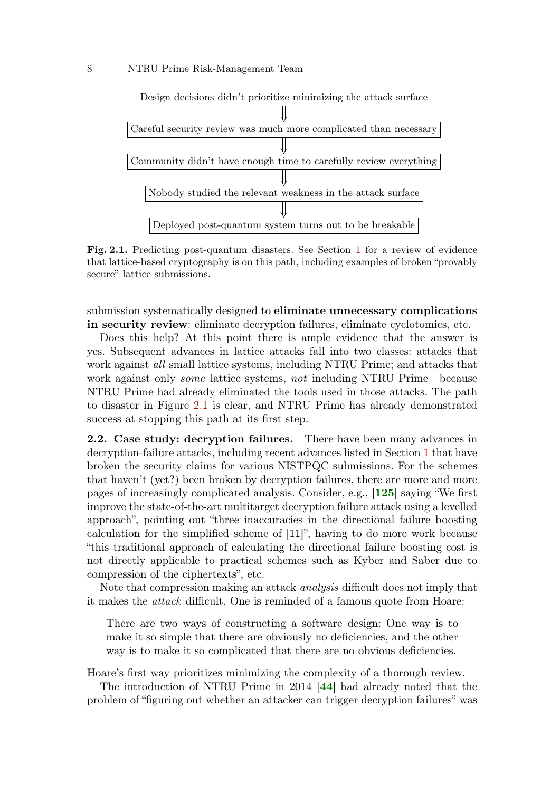

<span id="page-7-0"></span>Fig. 2.1. Predicting post-quantum disasters. See Section [1](#page-0-1) for a review of evidence that lattice-based cryptography is on this path, including examples of broken "provably secure" lattice submissions.

submission systematically designed to eliminate unnecessary complications in security review: eliminate decryption failures, eliminate cyclotomics, etc.

Does this help? At this point there is ample evidence that the answer is yes. Subsequent advances in lattice attacks fall into two classes: attacks that work against *all* small lattice systems, including NTRU Prime; and attacks that work against only some lattice systems, not including NTRU Prime—because NTRU Prime had already eliminated the tools used in those attacks. The path to disaster in Figure [2.1](#page-7-0) is clear, and NTRU Prime has already demonstrated success at stopping this path at its first step.

2.2. Case study: decryption failures. There have been many advances in decryption-failure attacks, including recent advances listed in Section [1](#page-0-1) that have broken the security claims for various NISTPQC submissions. For the schemes that haven't (yet?) been broken by decryption failures, there are more and more pages of increasingly complicated analysis. Consider, e.g., [[125](#page-62-4)] saying "We first improve the state-of-the-art multitarget decryption failure attack using a levelled approach", pointing out "three inaccuracies in the directional failure boosting calculation for the simplified scheme of [11]", having to do more work because "this traditional approach of calculating the directional failure boosting cost is not directly applicable to practical schemes such as Kyber and Saber due to compression of the ciphertexts", etc.

Note that compression making an attack analysis difficult does not imply that it makes the attack difficult. One is reminded of a famous quote from Hoare:

There are two ways of constructing a software design: One way is to make it so simple that there are obviously no deficiencies, and the other way is to make it so complicated that there are no obvious deficiencies.

Hoare's first way prioritizes minimizing the complexity of a thorough review.

The introduction of NTRU Prime in 2014 [[44](#page-56-2)] had already noted that the problem of "figuring out whether an attacker can trigger decryption failures" was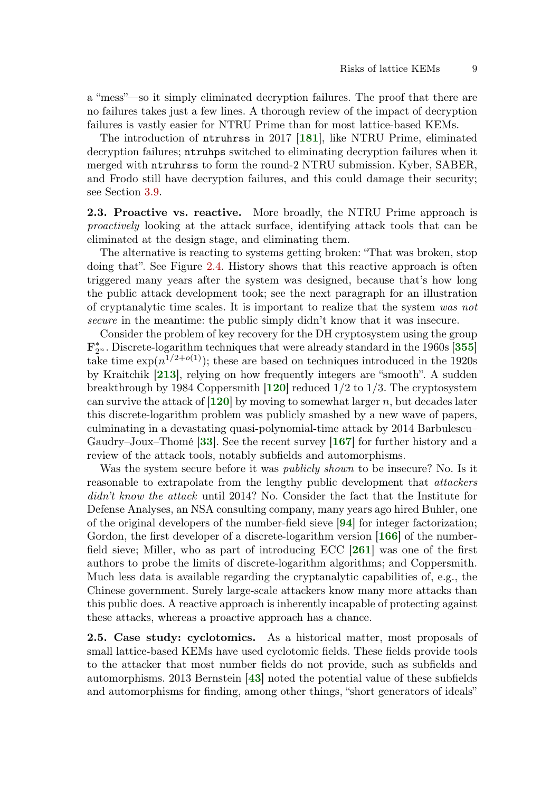a "mess"—so it simply eliminated decryption failures. The proof that there are no failures takes just a few lines. A thorough review of the impact of decryption failures is vastly easier for NTRU Prime than for most lattice-based KEMs.

The introduction of ntruhrss in 2017 [[181](#page-66-9)], like NTRU Prime, eliminated decryption failures; ntruhps switched to eliminating decryption failures when it merged with ntruhrss to form the round-2 NTRU submission. Kyber, SABER, and Frodo still have decryption failures, and this could damage their security; see Section [3.9.](#page-15-0)

<span id="page-8-0"></span>2.3. Proactive vs. reactive. More broadly, the NTRU Prime approach is proactively looking at the attack surface, identifying attack tools that can be eliminated at the design stage, and eliminating them.

The alternative is reacting to systems getting broken: "That was broken, stop doing that". See Figure [2.4.](#page-9-0) History shows that this reactive approach is often triggered many years after the system was designed, because that's how long the public attack development took; see the next paragraph for an illustration of cryptanalytic time scales. It is important to realize that the system was not secure in the meantime: the public simply didn't know that it was insecure.

Consider the problem of key recovery for the DH cryptosystem using the group  $\mathbf{F}_2^*$  $\frac{k}{2^n}$ . Discrete-logarithm techniques that were already standard in the 1960s [[355](#page-79-2)] take time  $\exp(n^{1/2+o(1)})$ ; these are based on techniques introduced in the 1920s by Kraitchik [[213](#page-68-6)], relying on how frequently integers are "smooth". A sudden breakthrough by 1984 Coppersmith  $[120]$  $[120]$  $[120]$  reduced  $1/2$  to  $1/3$ . The cryptosystem can survive the attack of  $[120]$  $[120]$  $[120]$  by moving to somewhat larger n, but decades later this discrete-logarithm problem was publicly smashed by a new wave of papers, culminating in a devastating quasi-polynomial-time attack by 2014 Barbulescu– Gaudry–Joux–Thomé  $[33]$  $[33]$  $[33]$ . See the recent survey  $[167]$  $[167]$  $[167]$  for further history and a review of the attack tools, notably subfields and automorphisms.

Was the system secure before it was *publicly shown* to be insecure? No. Is it reasonable to extrapolate from the lengthy public development that attackers didn't know the attack until 2014? No. Consider the fact that the Institute for Defense Analyses, an NSA consulting company, many years ago hired Buhler, one of the original developers of the number-field sieve [[94](#page-59-2)] for integer factorization; Gordon, the first developer of a discrete-logarithm version [[166](#page-65-11)] of the numberfield sieve; Miller, who as part of introducing ECC [[261](#page-71-6)] was one of the first authors to probe the limits of discrete-logarithm algorithms; and Coppersmith. Much less data is available regarding the cryptanalytic capabilities of, e.g., the Chinese government. Surely large-scale attackers know many more attacks than this public does. A reactive approach is inherently incapable of protecting against these attacks, whereas a proactive approach has a chance.

2.5. Case study: cyclotomics. As a historical matter, most proposals of small lattice-based KEMs have used cyclotomic fields. These fields provide tools to the attacker that most number fields do not provide, such as subfields and automorphisms. 2013 Bernstein [[43](#page-56-3)] noted the potential value of these subfields and automorphisms for finding, among other things, "short generators of ideals"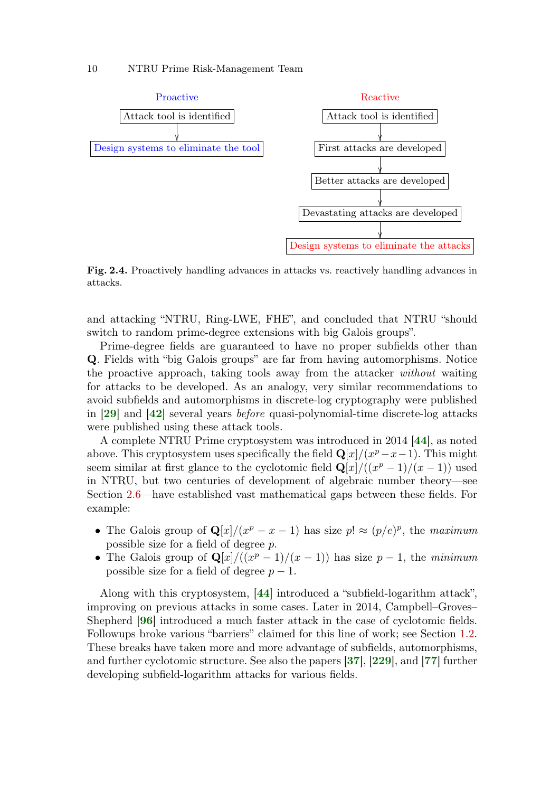

<span id="page-9-0"></span>Fig. 2.4. Proactively handling advances in attacks vs. reactively handling advances in attacks.

and attacking "NTRU, Ring-LWE, FHE", and concluded that NTRU "should switch to random prime-degree extensions with big Galois groups".

Prime-degree fields are guaranteed to have no proper subfields other than Q. Fields with "big Galois groups" are far from having automorphisms. Notice the proactive approach, taking tools away from the attacker without waiting for attacks to be developed. As an analogy, very similar recommendations to avoid subfields and automorphisms in discrete-log cryptography were published in [[29](#page-54-4)] and [[42](#page-56-4)] several years before quasi-polynomial-time discrete-log attacks were published using these attack tools.

A complete NTRU Prime cryptosystem was introduced in 2014 [[44](#page-56-2)], as noted above. This cryptosystem uses specifically the field  $\mathbf{Q}[x]/(x^p - x - 1)$ . This might seem similar at first glance to the cyclotomic field  $\mathbf{Q}[x]/((x^p-1)/(x-1))$  used in NTRU, but two centuries of development of algebraic number theory—see Section [2.6—](#page-10-0)have established vast mathematical gaps between these fields. For example:

- The Galois group of  $\mathbf{Q}[x]/(x^p x 1)$  has size  $p! \approx (p/e)^p$ , the maximum possible size for a field of degree p.
- The Galois group of  $\mathbf{Q}[x]/((x^p-1)/(x-1))$  has size  $p-1$ , the minimum possible size for a field of degree  $p - 1$ .

Along with this cryptosystem, [[44](#page-56-2)] introduced a "subfield-logarithm attack", improving on previous attacks in some cases. Later in 2014, Campbell–Groves– Shepherd [[96](#page-59-0)] introduced a much faster attack in the case of cyclotomic fields. Followups broke various "barriers" claimed for this line of work; see Section [1.2.](#page-3-0) These breaks have taken more and more advantage of subfields, automorphisms, and further cyclotomic structure. See also the papers [[37](#page-55-6)], [[229](#page-69-2)], and [[77](#page-58-4)] further developing subfield-logarithm attacks for various fields.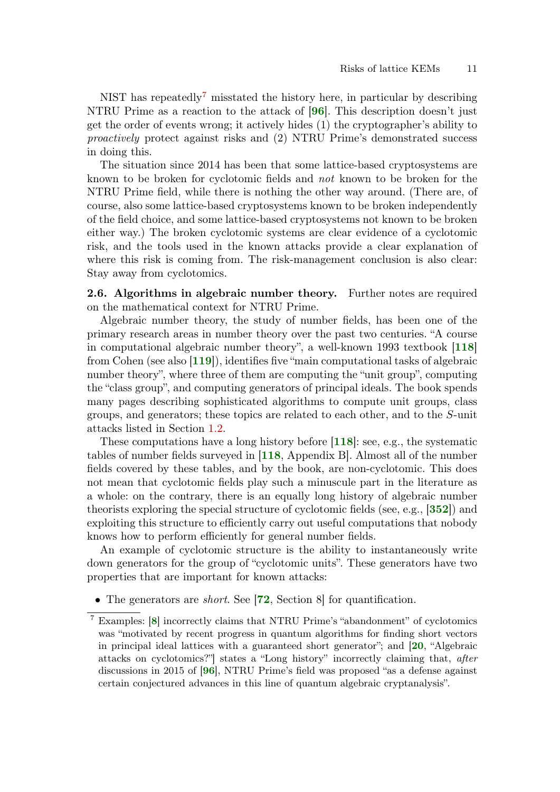NIST has repeatedly<sup>[7](#page-0-0)</sup> misstated the history here, in particular by describing NTRU Prime as a reaction to the attack of [[96](#page-59-0)]. This description doesn't just get the order of events wrong; it actively hides (1) the cryptographer's ability to proactively protect against risks and (2) NTRU Prime's demonstrated success in doing this.

The situation since 2014 has been that some lattice-based cryptosystems are known to be broken for cyclotomic fields and not known to be broken for the NTRU Prime field, while there is nothing the other way around. (There are, of course, also some lattice-based cryptosystems known to be broken independently of the field choice, and some lattice-based cryptosystems not known to be broken either way.) The broken cyclotomic systems are clear evidence of a cyclotomic risk, and the tools used in the known attacks provide a clear explanation of where this risk is coming from. The risk-management conclusion is also clear: Stay away from cyclotomics.

<span id="page-10-0"></span>2.6. Algorithms in algebraic number theory. Further notes are required on the mathematical context for NTRU Prime.

Algebraic number theory, the study of number fields, has been one of the primary research areas in number theory over the past two centuries. "A course in computational algebraic number theory", a well-known 1993 textbook [[118](#page-61-4)] from Cohen (see also [[119](#page-61-5)]), identifies five "main computational tasks of algebraic number theory", where three of them are computing the "unit group", computing the "class group", and computing generators of principal ideals. The book spends many pages describing sophisticated algorithms to compute unit groups, class groups, and generators; these topics are related to each other, and to the S-unit attacks listed in Section [1.2.](#page-3-0)

These computations have a long history before [[118](#page-61-4)]: see, e.g., the systematic tables of number fields surveyed in [[118](#page-61-4), Appendix B]. Almost all of the number fields covered by these tables, and by the book, are non-cyclotomic. This does not mean that cyclotomic fields play such a minuscule part in the literature as a whole: on the contrary, there is an equally long history of algebraic number theorists exploring the special structure of cyclotomic fields (see, e.g., [[352](#page-78-4)]) and exploiting this structure to efficiently carry out useful computations that nobody knows how to perform efficiently for general number fields.

An example of cyclotomic structure is the ability to instantaneously write down generators for the group of "cyclotomic units". These generators have two properties that are important for known attacks:

• The generators are *short*. See [[72](#page-58-2), Section 8] for quantification.

Examples: [[8](#page-53-4)] incorrectly claims that NTRU Prime's "abandonment" of cyclotomics was "motivated by recent progress in quantum algorithms for finding short vectors in principal ideal lattices with a guaranteed short generator"; and [[20](#page-54-5), "Algebraic attacks on cyclotomics?"] states a "Long history" incorrectly claiming that, after discussions in 2015 of [[96](#page-59-0)], NTRU Prime's field was proposed "as a defense against certain conjectured advances in this line of quantum algebraic cryptanalysis".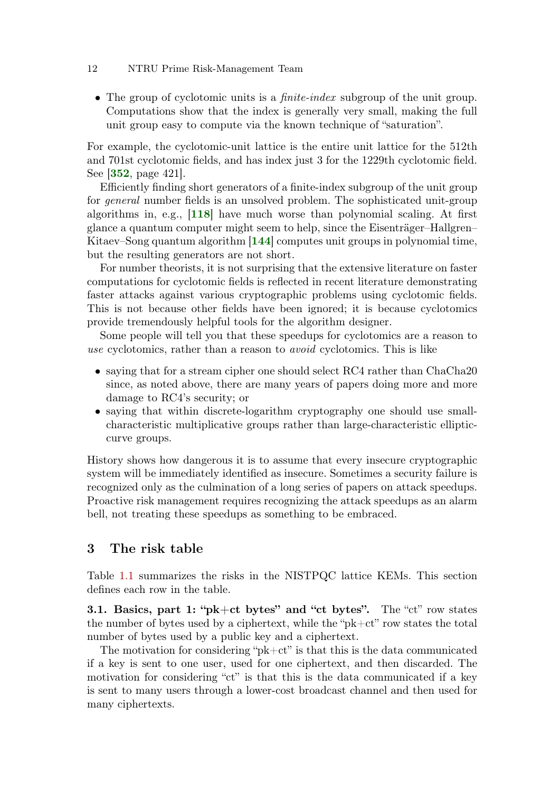• The group of cyclotomic units is a *finite-index* subgroup of the unit group. Computations show that the index is generally very small, making the full unit group easy to compute via the known technique of "saturation".

For example, the cyclotomic-unit lattice is the entire unit lattice for the 512th and 701st cyclotomic fields, and has index just 3 for the 1229th cyclotomic field. See [[352](#page-78-4), page 421].

Efficiently finding short generators of a finite-index subgroup of the unit group for general number fields is an unsolved problem. The sophisticated unit-group algorithms in, e.g., [[118](#page-61-4)] have much worse than polynomial scaling. At first glance a quantum computer might seem to help, since the Eisenträger–Hallgren– Kitaev–Song quantum algorithm [[144](#page-63-2)] computes unit groups in polynomial time, but the resulting generators are not short.

For number theorists, it is not surprising that the extensive literature on faster computations for cyclotomic fields is reflected in recent literature demonstrating faster attacks against various cryptographic problems using cyclotomic fields. This is not because other fields have been ignored; it is because cyclotomics provide tremendously helpful tools for the algorithm designer.

Some people will tell you that these speedups for cyclotomics are a reason to use cyclotomics, rather than a reason to avoid cyclotomics. This is like

- saying that for a stream cipher one should select RC4 rather than ChaCha20 since, as noted above, there are many years of papers doing more and more damage to RC4's security; or
- saying that within discrete-logarithm cryptography one should use smallcharacteristic multiplicative groups rather than large-characteristic ellipticcurve groups.

History shows how dangerous it is to assume that every insecure cryptographic system will be immediately identified as insecure. Sometimes a security failure is recognized only as the culmination of a long series of papers on attack speedups. Proactive risk management requires recognizing the attack speedups as an alarm bell, not treating these speedups as something to be embraced.

## <span id="page-11-0"></span>3 The risk table

Table [1.1](#page-1-0) summarizes the risks in the NISTPQC lattice KEMs. This section defines each row in the table.

**3.1. Basics, part 1: "pk+ct bytes" and "ct bytes".** The "ct" row states the number of bytes used by a ciphertext, while the "pk+ct" row states the total number of bytes used by a public key and a ciphertext.

The motivation for considering " $pk+ct$ " is that this is the data communicated if a key is sent to one user, used for one ciphertext, and then discarded. The motivation for considering "ct" is that this is the data communicated if a key is sent to many users through a lower-cost broadcast channel and then used for many ciphertexts.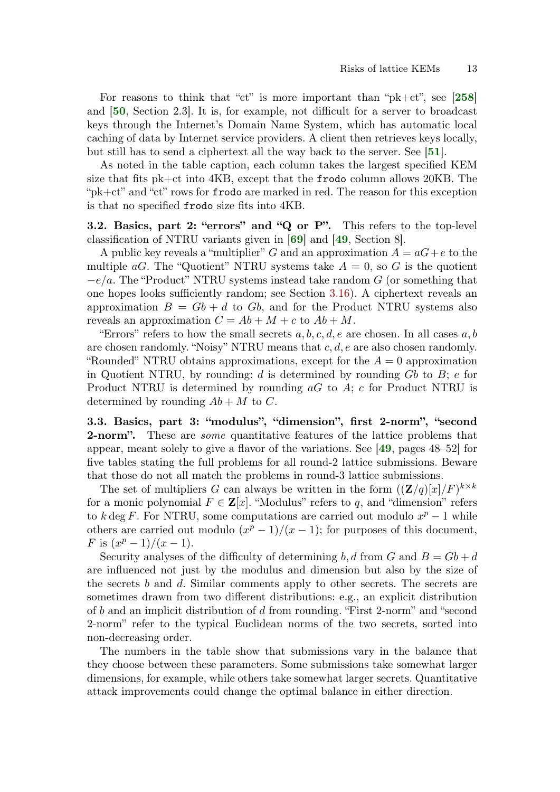For reasons to think that "ct" is more important than " $pk+ct$ ", see [[258](#page-71-7)] and [[50](#page-56-5), Section 2.3]. It is, for example, not difficult for a server to broadcast keys through the Internet's Domain Name System, which has automatic local caching of data by Internet service providers. A client then retrieves keys locally, but still has to send a ciphertext all the way back to the server. See [[51](#page-56-6)].

As noted in the table caption, each column takes the largest specified KEM size that fits pk+ct into 4KB, except that the frodo column allows 20KB. The "pk+ct" and "ct" rows for frodo are marked in red. The reason for this exception is that no specified frodo size fits into 4KB.

3.2. Basics, part 2: "errors" and "Q or P". This refers to the top-level classification of NTRU variants given in [[69](#page-57-3)] and [[49](#page-56-7), Section 8].

A public key reveals a "multiplier" G and an approximation  $A = aG + e$  to the multiple aG. The "Quotient" NTRU systems take  $A = 0$ , so G is the quotient  $-e/a$ . The "Product" NTRU systems instead take random G (or something that one hopes looks sufficiently random; see Section [3.16\)](#page-18-0). A ciphertext reveals an approximation  $B = Gb + d$  to Gb, and for the Product NTRU systems also reveals an approximation  $C = Ab + M + c$  to  $Ab + M$ .

"Errors" refers to how the small secrets  $a, b, c, d, e$  are chosen. In all cases  $a, b$ are chosen randomly. "Noisy" NTRU means that  $c, d, e$  are also chosen randomly. "Rounded" NTRU obtains approximations, except for the  $A = 0$  approximation in Quotient NTRU, by rounding:  $d$  is determined by rounding  $Gb$  to  $B$ ;  $e$  for Product NTRU is determined by rounding  $aG$  to  $A$ ; c for Product NTRU is determined by rounding  $Ab + M$  to C.

3.3. Basics, part 3: "modulus", "dimension", first 2-norm", "second **2-norm".** These are *some* quantitative features of the lattice problems that appear, meant solely to give a flavor of the variations. See [[49](#page-56-7), pages 48–52] for five tables stating the full problems for all round-2 lattice submissions. Beware that those do not all match the problems in round-3 lattice submissions.

The set of multipliers G can always be written in the form  $((\mathbf{Z}/q)[x]/F)^{k \times k}$ for a monic polynomial  $F \in \mathbf{Z}[x]$ . "Modulus" refers to q, and "dimension" refers to k deg F. For NTRU, some computations are carried out modulo  $x^p - 1$  while others are carried out modulo  $(x^p - 1)/(x - 1)$ ; for purposes of this document, F is  $(x^p-1)/(x-1)$ .

Security analyses of the difficulty of determining b, d from G and  $B = Gb + d$ are influenced not just by the modulus and dimension but also by the size of the secrets  $b$  and  $d$ . Similar comments apply to other secrets. The secrets are sometimes drawn from two different distributions: e.g., an explicit distribution of b and an implicit distribution of d from rounding. "First 2-norm" and "second 2-norm" refer to the typical Euclidean norms of the two secrets, sorted into non-decreasing order.

The numbers in the table show that submissions vary in the balance that they choose between these parameters. Some submissions take somewhat larger dimensions, for example, while others take somewhat larger secrets. Quantitative attack improvements could change the optimal balance in either direction.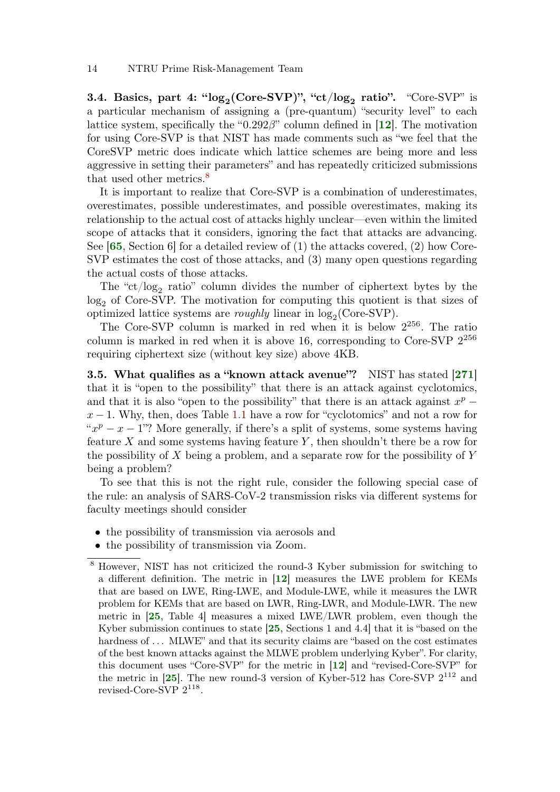**3.4.** Basics, part 4: " $log_2$ (Core-SVP)", "ct/ $log_2$  ratio". "Core-SVP" is a particular mechanism of assigning a (pre-quantum) "security level" to each lattice system, specifically the " $0.292\beta$ " column defined in [[12](#page-53-5)]. The motivation for using Core-SVP is that NIST has made comments such as "we feel that the CoreSVP metric does indicate which lattice schemes are being more and less aggressive in setting their parameters" and has repeatedly criticized submissions that used other metrics.[8](#page-0-0)

It is important to realize that Core-SVP is a combination of underestimates, overestimates, possible underestimates, and possible overestimates, making its relationship to the actual cost of attacks highly unclear—even within the limited scope of attacks that it considers, ignoring the fact that attacks are advancing. See  $[65, Section 6]$  $[65, Section 6]$  $[65, Section 6]$  for a detailed review of (1) the attacks covered, (2) how Core-SVP estimates the cost of those attacks, and (3) many open questions regarding the actual costs of those attacks.

The " $ct/log_2$  ratio" column divides the number of ciphertext bytes by the log<sub>2</sub> of Core-SVP. The motivation for computing this quotient is that sizes of optimized lattice systems are *roughly* linear in  $log_2(Core-SVP)$ .

The Core-SVP column is marked in red when it is below  $2^{256}$ . The ratio column is marked in red when it is above 16, corresponding to Core-SVP  $2^{256}$ requiring ciphertext size (without key size) above 4KB.

<span id="page-13-0"></span>**3.5.** What qualifies as a "known attack avenue"? NIST has stated  $[271]$  $[271]$  $[271]$ that it is "open to the possibility" that there is an attack against cyclotomics, and that it is also "open to the possibility" that there is an attack against  $x^p$  –  $x - 1$ . Why, then, does Table [1.1](#page-1-0) have a row for "cyclotomics" and not a row for " $x^p - x - 1$ "? More generally, if there's a split of systems, some systems having feature  $X$  and some systems having feature  $Y$ , then shouldn't there be a row for the possibility of  $X$  being a problem, and a separate row for the possibility of  $Y$ being a problem?

To see that this is not the right rule, consider the following special case of the rule: an analysis of SARS-CoV-2 transmission risks via different systems for faculty meetings should consider

- the possibility of transmission via aerosols and
- the possibility of transmission via Zoom.

<sup>8</sup> However, NIST has not criticized the round-3 Kyber submission for switching to a different definition. The metric in [[12](#page-53-5)] measures the LWE problem for KEMs that are based on LWE, Ring-LWE, and Module-LWE, while it measures the LWR problem for KEMs that are based on LWR, Ring-LWR, and Module-LWR. The new metric in [[25](#page-54-2), Table 4] measures a mixed LWE/LWR problem, even though the Kyber submission continues to state [[25](#page-54-2), Sections 1 and 4.4] that it is "based on the hardness of  $\dots$  MLWE" and that its security claims are "based on the cost estimates of the best known attacks against the MLWE problem underlying Kyber". For clarity, this document uses "Core-SVP" for the metric in [[12](#page-53-5)] and "revised-Core-SVP" for the metric in  $[25]$  $[25]$  $[25]$ . The new round-3 version of Kyber-512 has Core-SVP  $2^{112}$  and revised-Core-SVP  $2^{118}$ .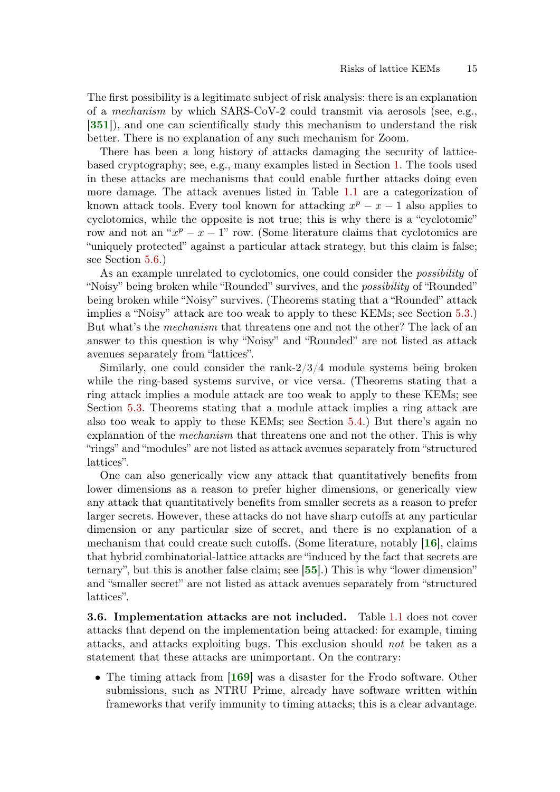The first possibility is a legitimate subject of risk analysis: there is an explanation of a mechanism by which SARS-CoV-2 could transmit via aerosols (see, e.g., [[351](#page-78-5)]), and one can scientifically study this mechanism to understand the risk better. There is no explanation of any such mechanism for Zoom.

There has been a long history of attacks damaging the security of latticebased cryptography; see, e.g., many examples listed in Section [1.](#page-0-1) The tools used in these attacks are mechanisms that could enable further attacks doing even more damage. The attack avenues listed in Table [1.1](#page-1-0) are a categorization of known attack tools. Every tool known for attacking  $x^p - x - 1$  also applies to cyclotomics, while the opposite is not true; this is why there is a "cyclotomic" row and not an " $x^p - x - 1$ " row. (Some literature claims that cyclotomics are "uniquely protected" against a particular attack strategy, but this claim is false; see Section [5.6.](#page-27-0))

As an example unrelated to cyclotomics, one could consider the possibility of "Noisy" being broken while "Rounded" survives, and the possibility of "Rounded" being broken while "Noisy" survives. (Theorems stating that a "Rounded" attack implies a "Noisy" attack are too weak to apply to these KEMs; see Section [5.3.](#page-25-0)) But what's the mechanism that threatens one and not the other? The lack of an answer to this question is why "Noisy" and "Rounded" are not listed as attack avenues separately from "lattices".

Similarly, one could consider the rank-2/3/4 module systems being broken while the ring-based systems survive, or vice versa. (Theorems stating that a ring attack implies a module attack are too weak to apply to these KEMs; see Section [5.3.](#page-25-0) Theorems stating that a module attack implies a ring attack are also too weak to apply to these KEMs; see Section [5.4.](#page-26-0)) But there's again no explanation of the *mechanism* that threatens one and not the other. This is why "rings" and "modules" are not listed as attack avenues separately from "structured lattices".

One can also generically view any attack that quantitatively benefits from lower dimensions as a reason to prefer higher dimensions, or generically view any attack that quantitatively benefits from smaller secrets as a reason to prefer larger secrets. However, these attacks do not have sharp cutoffs at any particular dimension or any particular size of secret, and there is no explanation of a mechanism that could create such cutoffs. (Some literature, notably [[16](#page-53-6)], claims that hybrid combinatorial-lattice attacks are "induced by the fact that secrets are ternary", but this is another false claim; see [[55](#page-56-8)].) This is why "lower dimension" and "smaller secret" are not listed as attack avenues separately from "structured lattices".

**3.6. Implementation attacks are not included.** Table [1.1](#page-1-0) does not cover attacks that depend on the implementation being attacked: for example, timing attacks, and attacks exploiting bugs. This exclusion should not be taken as a statement that these attacks are unimportant. On the contrary:

• The timing attack from [[169](#page-65-0)] was a disaster for the Frodo software. Other submissions, such as NTRU Prime, already have software written within frameworks that verify immunity to timing attacks; this is a clear advantage.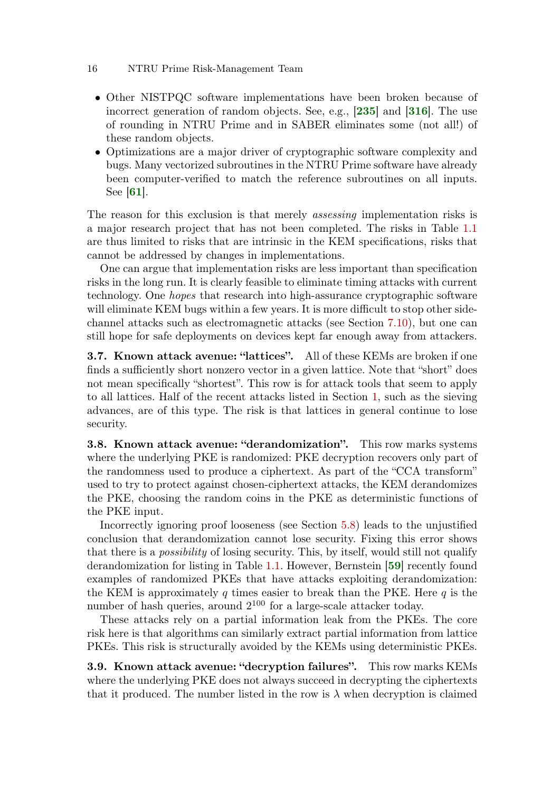- Other NISTPQC software implementations have been broken because of incorrect generation of random objects. See, e.g., [[235](#page-70-6)] and [[316](#page-76-1)]. The use of rounding in NTRU Prime and in SABER eliminates some (not all!) of these random objects.
- Optimizations are a major driver of cryptographic software complexity and bugs. Many vectorized subroutines in the NTRU Prime software have already been computer-verified to match the reference subroutines on all inputs. See  $|61|$  $|61|$  $|61|$ .

The reason for this exclusion is that merely assessing implementation risks is a major research project that has not been completed. The risks in Table [1.1](#page-1-0) are thus limited to risks that are intrinsic in the KEM specifications, risks that cannot be addressed by changes in implementations.

One can argue that implementation risks are less important than specification risks in the long run. It is clearly feasible to eliminate timing attacks with current technology. One hopes that research into high-assurance cryptographic software will eliminate KEM bugs within a few years. It is more difficult to stop other sidechannel attacks such as electromagnetic attacks (see Section [7.10\)](#page-46-0), but one can still hope for safe deployments on devices kept far enough away from attackers.

**3.7. Known attack avenue: "lattices".** All of these KEMs are broken if one finds a sufficiently short nonzero vector in a given lattice. Note that "short" does not mean specifically "shortest". This row is for attack tools that seem to apply to all lattices. Half of the recent attacks listed in Section [1,](#page-0-1) such as the sieving advances, are of this type. The risk is that lattices in general continue to lose security.

3.8. Known attack avenue: "derandomization". This row marks systems where the underlying PKE is randomized: PKE decryption recovers only part of the randomness used to produce a ciphertext. As part of the "CCA transform" used to try to protect against chosen-ciphertext attacks, the KEM derandomizes the PKE, choosing the random coins in the PKE as deterministic functions of the PKE input.

Incorrectly ignoring proof looseness (see Section [5.8\)](#page-28-0) leads to the unjustified conclusion that derandomization cannot lose security. Fixing this error shows that there is a possibility of losing security. This, by itself, would still not qualify derandomization for listing in Table [1.1.](#page-1-0) However, Bernstein [[59](#page-57-5)] recently found examples of randomized PKEs that have attacks exploiting derandomization: the KEM is approximately q times easier to break than the PKE. Here  $q$  is the number of hash queries, around  $2^{100}$  for a large-scale attacker today.

These attacks rely on a partial information leak from the PKEs. The core risk here is that algorithms can similarly extract partial information from lattice PKEs. This risk is structurally avoided by the KEMs using deterministic PKEs.

<span id="page-15-0"></span>3.9. Known attack avenue: "decryption failures". This row marks KEMs where the underlying PKE does not always succeed in decrypting the ciphertexts that it produced. The number listed in the row is  $\lambda$  when decryption is claimed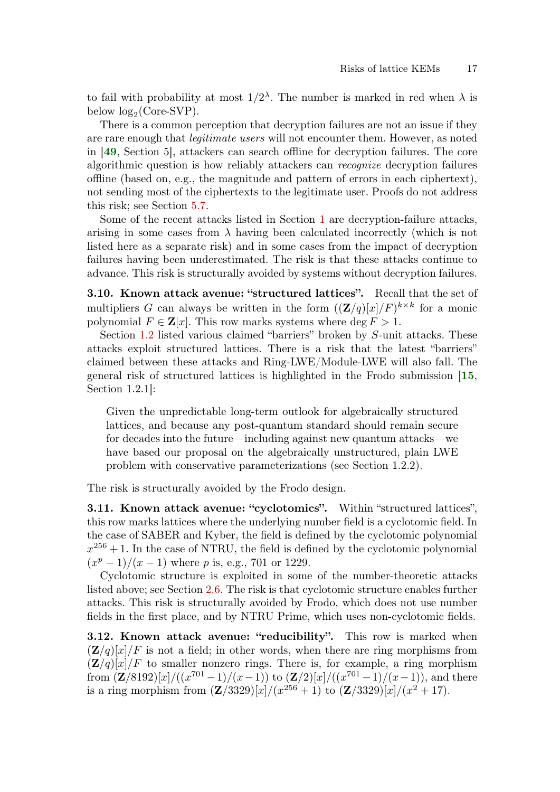to fail with probability at most  $1/2^{\lambda}$ . The number is marked in red when  $\lambda$  is below  $log_2$ (Core-SVP).

There is a common perception that decryption failures are not an issue if they are rare enough that legitimate users will not encounter them. However, as noted in [[49](#page-56-7), Section 5], attackers can search offline for decryption failures. The core algorithmic question is how reliably attackers can recognize decryption failures offline (based on, e.g., the magnitude and pattern of errors in each ciphertext), not sending most of the ciphertexts to the legitimate user. Proofs do not address this risk; see Section [5.7.](#page-28-1)

Some of the recent attacks listed in Section [1](#page-0-1) are decryption-failure attacks, arising in some cases from  $\lambda$  having been calculated incorrectly (which is not listed here as a separate risk) and in some cases from the impact of decryption failures having been underestimated. The risk is that these attacks continue to advance. This risk is structurally avoided by systems without decryption failures.

3.10. Known attack avenue: "structured lattices". Recall that the set of multipliers G can always be written in the form  $((\mathbf{Z}/q)[x]/F)^{k \times k}$  for a monic polynomial  $F \in \mathbf{Z}[x]$ . This row marks systems where  $\deg F > 1$ .

Section [1.2](#page-3-0) listed various claimed "barriers" broken by S-unit attacks. These attacks exploit structured lattices. There is a risk that the latest "barriers" claimed between these attacks and Ring-LWE/Module-LWE will also fall. The general risk of structured lattices is highlighted in the Frodo submission [[15](#page-53-0), Section 1.2.1]:

Given the unpredictable long-term outlook for algebraically structured lattices, and because any post-quantum standard should remain secure for decades into the future—including against new quantum attacks—we have based our proposal on the algebraically unstructured, plain LWE problem with conservative parameterizations (see Section 1.2.2).

The risk is structurally avoided by the Frodo design.

3.11. Known attack avenue: "cyclotomics". Within "structured lattices", this row marks lattices where the underlying number field is a cyclotomic field. In the case of SABER and Kyber, the field is defined by the cyclotomic polynomial  $x^{256} + 1$ . In the case of NTRU, the field is defined by the cyclotomic polynomial  $(x^p-1)/(x-1)$  where p is, e.g., 701 or 1229.

Cyclotomic structure is exploited in some of the number-theoretic attacks listed above; see Section [2.6.](#page-10-0) The risk is that cyclotomic structure enables further attacks. This risk is structurally avoided by Frodo, which does not use number fields in the first place, and by NTRU Prime, which uses non-cyclotomic fields.

<span id="page-16-0"></span>3.12. Known attack avenue: "reducibility". This row is marked when  $(\mathbf{Z}/q)[x]/F$  is not a field; in other words, when there are ring morphisms from  $(\mathbf{Z}/q)[x]/F$  to smaller nonzero rings. There is, for example, a ring morphism from  $(\mathbf{Z}/8192)[x]/((x^{701}-1)/(x-1))$  to  $(\mathbf{Z}/2)[x]/((x^{701}-1)/(x-1))$ , and there is a ring morphism from  $(Z/3329)[x]/(x^{256}+1)$  to  $(Z/3329)[x]/(x^2+17)$ .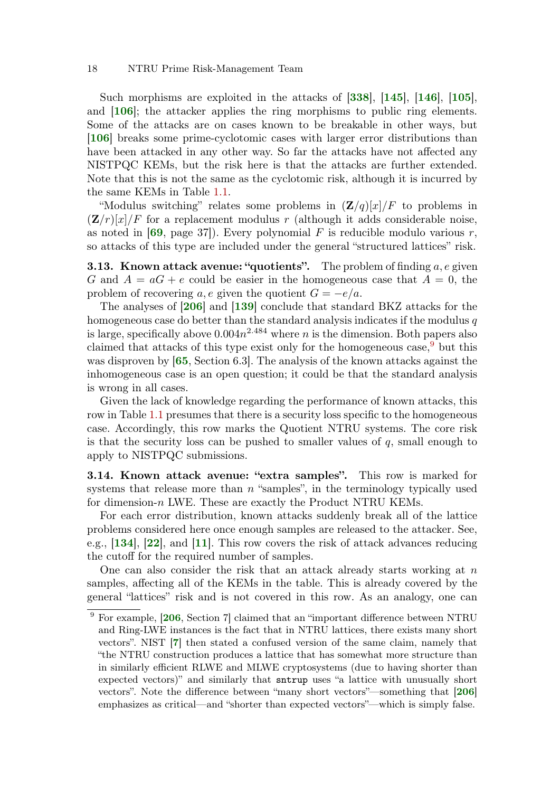Such morphisms are exploited in the attacks of [[338](#page-77-8)], [[145](#page-63-3)], [[146](#page-63-4)], [[105](#page-60-8)], and [[106](#page-60-9)]; the attacker applies the ring morphisms to public ring elements. Some of the attacks are on cases known to be breakable in other ways, but [[106](#page-60-9)] breaks some prime-cyclotomic cases with larger error distributions than have been attacked in any other way. So far the attacks have not affected any NISTPQC KEMs, but the risk here is that the attacks are further extended. Note that this is not the same as the cyclotomic risk, although it is incurred by the same KEMs in Table [1.1.](#page-1-0)

"Modulus switching" relates some problems in  $(\mathbf{Z}/q)[x]/F$  to problems in  $(Z/r)[x]/F$  for a replacement modulus r (although it adds considerable noise, as noted in  $[69, \text{page 37}]$  $[69, \text{page 37}]$  $[69, \text{page 37}]$ . Every polynomial F is reducible modulo various r, so attacks of this type are included under the general "structured lattices" risk.

**3.13. Known attack avenue: "quotients".** The problem of finding  $a, e$  given G and  $A = aG + e$  could be easier in the homogeneous case that  $A = 0$ , the problem of recovering a, e given the quotient  $G = -e/a$ .

The analyses of [[206](#page-68-7)] and [[139](#page-63-5)] conclude that standard BKZ attacks for the homogeneous case do better than the standard analysis indicates if the modulus  $q$ is large, specifically above  $0.004n^{2.484}$  where n is the dimension. Both papers also claimed that attacks of this type exist only for the homogeneous case,  $9$  but this was disproven by [[65](#page-57-1), Section 6.3]. The analysis of the known attacks against the inhomogeneous case is an open question; it could be that the standard analysis is wrong in all cases.

Given the lack of knowledge regarding the performance of known attacks, this row in Table [1.1](#page-1-0) presumes that there is a security loss specific to the homogeneous case. Accordingly, this row marks the Quotient NTRU systems. The core risk is that the security loss can be pushed to smaller values of  $q$ , small enough to apply to NISTPQC submissions.

3.14. Known attack avenue: "extra samples". This row is marked for systems that release more than  $n$  "samples", in the terminology typically used for dimension-n LWE. These are exactly the Product NTRU KEMs.

For each error distribution, known attacks suddenly break all of the lattice problems considered here once enough samples are released to the attacker. See, e.g., [[134](#page-62-10)], [[22](#page-54-6)], and [[11](#page-53-7)]. This row covers the risk of attack advances reducing the cutoff for the required number of samples.

One can also consider the risk that an attack already starts working at  $n$ samples, affecting all of the KEMs in the table. This is already covered by the general "lattices" risk and is not covered in this row. As an analogy, one can

<sup>9</sup> For example, [[206](#page-68-7), Section 7] claimed that an "important difference between NTRU and Ring-LWE instances is the fact that in NTRU lattices, there exists many short vectors". NIST [[7](#page-52-1)] then stated a confused version of the same claim, namely that "the NTRU construction produces a lattice that has somewhat more structure than in similarly efficient RLWE and MLWE cryptosystems (due to having shorter than expected vectors)" and similarly that sntrup uses "a lattice with unusually short vectors". Note the difference between "many short vectors"—something that [[206](#page-68-7)] emphasizes as critical—and "shorter than expected vectors"—which is simply false.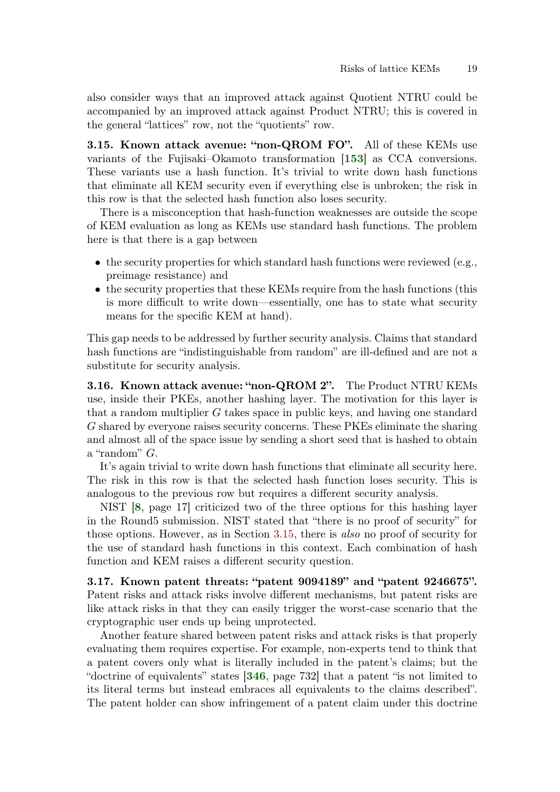also consider ways that an improved attack against Quotient NTRU could be accompanied by an improved attack against Product NTRU; this is covered in the general "lattices" row, not the "quotients" row.

<span id="page-18-1"></span>**3.15. Known attack avenue: "non-QROM FO".** All of these KEMs use variants of the Fujisaki–Okamoto transformation [[153](#page-64-7)] as CCA conversions. These variants use a hash function. It's trivial to write down hash functions that eliminate all KEM security even if everything else is unbroken; the risk in this row is that the selected hash function also loses security.

There is a misconception that hash-function weaknesses are outside the scope of KEM evaluation as long as KEMs use standard hash functions. The problem here is that there is a gap between

- the security properties for which standard hash functions were reviewed  $(e.g.,)$ preimage resistance) and
- the security properties that these KEMs require from the hash functions (this is more difficult to write down—essentially, one has to state what security means for the specific KEM at hand).

This gap needs to be addressed by further security analysis. Claims that standard hash functions are "indistinguishable from random" are ill-defined and are not a substitute for security analysis.

<span id="page-18-0"></span>3.16. Known attack avenue: "non-QROM 2". The Product NTRU KEMs use, inside their PKEs, another hashing layer. The motivation for this layer is that a random multiplier G takes space in public keys, and having one standard G shared by everyone raises security concerns. These PKEs eliminate the sharing and almost all of the space issue by sending a short seed that is hashed to obtain a "random" G.

It's again trivial to write down hash functions that eliminate all security here. The risk in this row is that the selected hash function loses security. This is analogous to the previous row but requires a different security analysis.

NIST [[8](#page-53-4), page 17] criticized two of the three options for this hashing layer in the Round5 submission. NIST stated that "there is no proof of security" for those options. However, as in Section [3.15,](#page-18-1) there is also no proof of security for the use of standard hash functions in this context. Each combination of hash function and KEM raises a different security question.

3.17. Known patent threats: "patent 9094189" and "patent 9246675". Patent risks and attack risks involve different mechanisms, but patent risks are like attack risks in that they can easily trigger the worst-case scenario that the cryptographic user ends up being unprotected.

Another feature shared between patent risks and attack risks is that properly evaluating them requires expertise. For example, non-experts tend to think that a patent covers only what is literally included in the patent's claims; but the "doctrine of equivalents" states [[346](#page-78-6), page 732] that a patent "is not limited to its literal terms but instead embraces all equivalents to the claims described". The patent holder can show infringement of a patent claim under this doctrine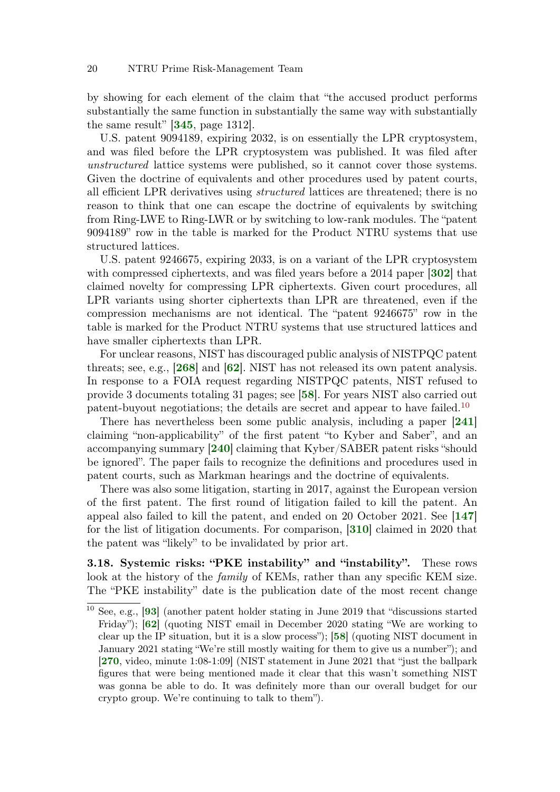by showing for each element of the claim that "the accused product performs substantially the same function in substantially the same way with substantially the same result" [[345](#page-78-7), page 1312].

U.S. patent 9094189, expiring 2032, is on essentially the LPR cryptosystem, and was filed before the LPR cryptosystem was published. It was filed after unstructured lattice systems were published, so it cannot cover those systems. Given the doctrine of equivalents and other procedures used by patent courts, all efficient LPR derivatives using structured lattices are threatened; there is no reason to think that one can escape the doctrine of equivalents by switching from Ring-LWE to Ring-LWR or by switching to low-rank modules. The "patent 9094189" row in the table is marked for the Product NTRU systems that use structured lattices.

U.S. patent 9246675, expiring 2033, is on a variant of the LPR cryptosystem with compressed ciphertexts, and was filed years before a 2014 paper [[302](#page-75-8)] that claimed novelty for compressing LPR ciphertexts. Given court procedures, all LPR variants using shorter ciphertexts than LPR are threatened, even if the compression mechanisms are not identical. The "patent 9246675" row in the table is marked for the Product NTRU systems that use structured lattices and have smaller ciphertexts than LPR.

For unclear reasons, NIST has discouraged public analysis of NISTPQC patent threats; see, e.g., [[268](#page-72-7)] and [[62](#page-57-6)]. NIST has not released its own patent analysis. In response to a FOIA request regarding NISTPQC patents, NIST refused to provide 3 documents totaling 31 pages; see [[58](#page-57-7)]. For years NIST also carried out patent-buyout negotiations; the details are secret and appear to have failed.<sup>[10](#page-0-0)</sup>

There has nevertheless been some public analysis, including a paper [[241](#page-70-7)] claiming "non-applicability" of the first patent "to Kyber and Saber", and an accompanying summary [[240](#page-70-8)] claiming that Kyber/SABER patent risks "should be ignored". The paper fails to recognize the definitions and procedures used in patent courts, such as Markman hearings and the doctrine of equivalents.

There was also some litigation, starting in 2017, against the European version of the first patent. The first round of litigation failed to kill the patent. An appeal also failed to kill the patent, and ended on 20 October 2021. See [[147](#page-63-6)] for the list of litigation documents. For comparison, [[310](#page-75-9)] claimed in 2020 that the patent was "likely" to be invalidated by prior art.

3.18. Systemic risks: "PKE instability" and "instability". These rows look at the history of the *family* of KEMs, rather than any specific KEM size. The "PKE instability" date is the publication date of the most recent change

<sup>10</sup> See, e.g., [[93](#page-59-3)] (another patent holder stating in June 2019 that "discussions started Friday"); [[62](#page-57-6)] (quoting NIST email in December 2020 stating "We are working to clear up the IP situation, but it is a slow process"); [[58](#page-57-7)] (quoting NIST document in January 2021 stating "We're still mostly waiting for them to give us a number"); and [[270](#page-72-8), video, minute 1:08-1:09] (NIST statement in June 2021 that "just the ballpark figures that were being mentioned made it clear that this wasn't something NIST was gonna be able to do. It was definitely more than our overall budget for our crypto group. We're continuing to talk to them").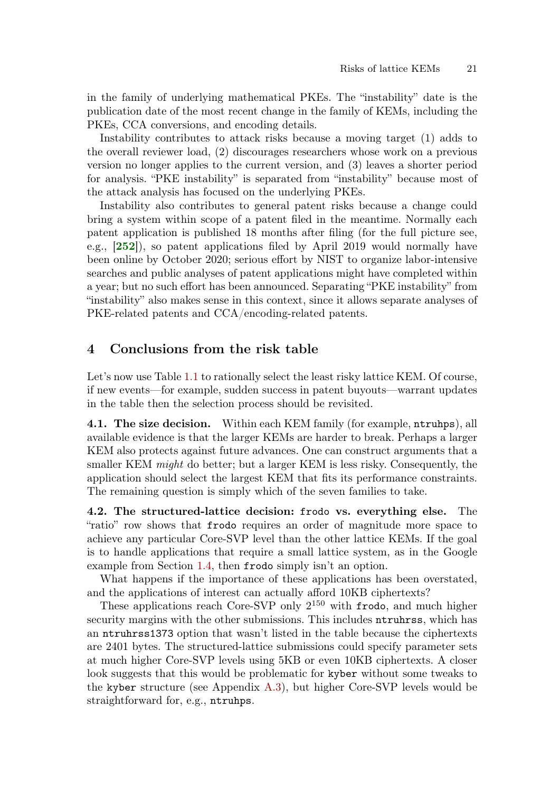in the family of underlying mathematical PKEs. The "instability" date is the publication date of the most recent change in the family of KEMs, including the PKEs, CCA conversions, and encoding details.

Instability contributes to attack risks because a moving target (1) adds to the overall reviewer load, (2) discourages researchers whose work on a previous version no longer applies to the current version, and (3) leaves a shorter period for analysis. "PKE instability" is separated from "instability" because most of the attack analysis has focused on the underlying PKEs.

Instability also contributes to general patent risks because a change could bring a system within scope of a patent filed in the meantime. Normally each patent application is published 18 months after filing (for the full picture see, e.g., [[252](#page-71-8)]), so patent applications filed by April 2019 would normally have been online by October 2020; serious effort by NIST to organize labor-intensive searches and public analyses of patent applications might have completed within a year; but no such effort has been announced. Separating "PKE instability" from "instability" also makes sense in this context, since it allows separate analyses of PKE-related patents and CCA/encoding-related patents.

## <span id="page-20-1"></span>4 Conclusions from the risk table

Let's now use Table [1.1](#page-1-0) to rationally select the least risky lattice KEM. Of course, if new events—for example, sudden success in patent buyouts—warrant updates in the table then the selection process should be revisited.

4.1. The size decision. Within each KEM family (for example, ntruhps), all available evidence is that the larger KEMs are harder to break. Perhaps a larger KEM also protects against future advances. One can construct arguments that a smaller KEM might do better; but a larger KEM is less risky. Consequently, the application should select the largest KEM that fits its performance constraints. The remaining question is simply which of the seven families to take.

<span id="page-20-0"></span>4.2. The structured-lattice decision: frodo vs. everything else. The "ratio" row shows that frodo requires an order of magnitude more space to achieve any particular Core-SVP level than the other lattice KEMs. If the goal is to handle applications that require a small lattice system, as in the Google example from Section [1.4,](#page-6-0) then frodo simply isn't an option.

What happens if the importance of these applications has been overstated, and the applications of interest can actually afford 10KB ciphertexts?

These applications reach Core-SVP only  $2^{150}$  with frodo, and much higher security margins with the other submissions. This includes ntruhrss, which has an ntruhrss1373 option that wasn't listed in the table because the ciphertexts are 2401 bytes. The structured-lattice submissions could specify parameter sets at much higher Core-SVP levels using 5KB or even 10KB ciphertexts. A closer look suggests that this would be problematic for kyber without some tweaks to the kyber structure (see Appendix [A.3\)](#page-88-0), but higher Core-SVP levels would be straightforward for, e.g., ntruhps.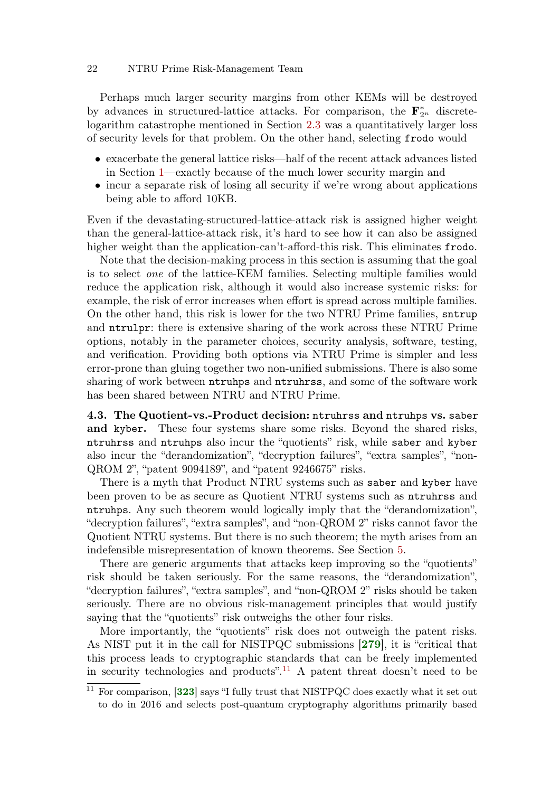Perhaps much larger security margins from other KEMs will be destroyed by advances in structured-lattice attacks. For comparison, the  $\mathbf{F}_2^*$  $_{2^n}^*$  discretelogarithm catastrophe mentioned in Section [2.3](#page-8-0) was a quantitatively larger loss of security levels for that problem. On the other hand, selecting frodo would

- exacerbate the general lattice risks—half of the recent attack advances listed in Section [1—](#page-0-1)exactly because of the much lower security margin and
- incur a separate risk of losing all security if we're wrong about applications being able to afford 10KB.

Even if the devastating-structured-lattice-attack risk is assigned higher weight than the general-lattice-attack risk, it's hard to see how it can also be assigned higher weight than the application-can't-afford-this risk. This eliminates frodo.

Note that the decision-making process in this section is assuming that the goal is to select one of the lattice-KEM families. Selecting multiple families would reduce the application risk, although it would also increase systemic risks: for example, the risk of error increases when effort is spread across multiple families. On the other hand, this risk is lower for the two NTRU Prime families, sntrup and ntrulpr: there is extensive sharing of the work across these NTRU Prime options, notably in the parameter choices, security analysis, software, testing, and verification. Providing both options via NTRU Prime is simpler and less error-prone than gluing together two non-unified submissions. There is also some sharing of work between ntruhps and ntruhrss, and some of the software work has been shared between NTRU and NTRU Prime.

4.3. The Quotient-vs.-Product decision: ntruhrss and ntruhps vs. saber and kyber. These four systems share some risks. Beyond the shared risks, ntruhrss and ntruhps also incur the "quotients" risk, while saber and kyber also incur the "derandomization", "decryption failures", "extra samples", "non-QROM 2", "patent 9094189", and "patent 9246675" risks.

There is a myth that Product NTRU systems such as saber and kyber have been proven to be as secure as Quotient NTRU systems such as ntruhrss and ntruhps. Any such theorem would logically imply that the "derandomization", "decryption failures", "extra samples", and "non-QROM 2" risks cannot favor the Quotient NTRU systems. But there is no such theorem; the myth arises from an indefensible misrepresentation of known theorems. See Section [5.](#page-23-0)

There are generic arguments that attacks keep improving so the "quotients" risk should be taken seriously. For the same reasons, the "derandomization", "decryption failures", "extra samples", and "non-QROM 2" risks should be taken seriously. There are no obvious risk-management principles that would justify saying that the "quotients" risk outweighs the other four risks.

More importantly, the "quotients" risk does not outweigh the patent risks. As NIST put it in the call for NISTPQC submissions [[279](#page-73-2)], it is "critical that this process leads to cryptographic standards that can be freely implemented in security technologies and products".<sup>[11](#page-0-0)</sup> A patent threat doesn't need to be

 $11$  For comparison, [[323](#page-76-2)] says "I fully trust that NISTPQC does exactly what it set out to do in 2016 and selects post-quantum cryptography algorithms primarily based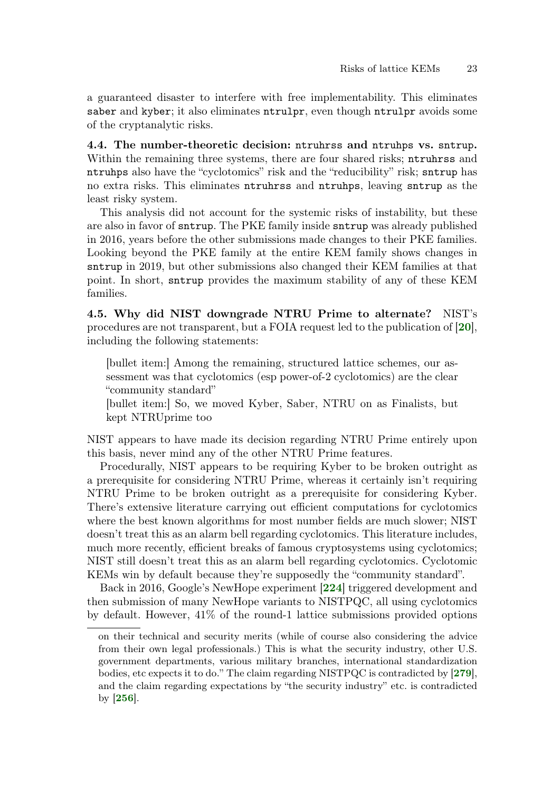a guaranteed disaster to interfere with free implementability. This eliminates saber and kyber; it also eliminates ntrulpr, even though ntrulpr avoids some of the cryptanalytic risks.

4.4. The number-theoretic decision: ntruhrss and ntruhps vs. sntrup. Within the remaining three systems, there are four shared risks; ntruhrss and ntruhps also have the "cyclotomics" risk and the "reducibility" risk; sntrup has no extra risks. This eliminates ntruhrss and ntruhps, leaving sntrup as the least risky system.

This analysis did not account for the systemic risks of instability, but these are also in favor of sntrup. The PKE family inside sntrup was already published in 2016, years before the other submissions made changes to their PKE families. Looking beyond the PKE family at the entire KEM family shows changes in sntrup in 2019, but other submissions also changed their KEM families at that point. In short, sntrup provides the maximum stability of any of these KEM families.

4.5. Why did NIST downgrade NTRU Prime to alternate? NIST's procedures are not transparent, but a FOIA request led to the publication of [[20](#page-54-5)], including the following statements:

[bullet item:] Among the remaining, structured lattice schemes, our assessment was that cyclotomics (esp power-of-2 cyclotomics) are the clear "community standard"

[bullet item:] So, we moved Kyber, Saber, NTRU on as Finalists, but kept NTRUprime too

NIST appears to have made its decision regarding NTRU Prime entirely upon this basis, never mind any of the other NTRU Prime features.

Procedurally, NIST appears to be requiring Kyber to be broken outright as a prerequisite for considering NTRU Prime, whereas it certainly isn't requiring NTRU Prime to be broken outright as a prerequisite for considering Kyber. There's extensive literature carrying out efficient computations for cyclotomics where the best known algorithms for most number fields are much slower; NIST doesn't treat this as an alarm bell regarding cyclotomics. This literature includes, much more recently, efficient breaks of famous cryptosystems using cyclotomics; NIST still doesn't treat this as an alarm bell regarding cyclotomics. Cyclotomic KEMs win by default because they're supposedly the "community standard".

Back in 2016, Google's NewHope experiment [[224](#page-69-3)] triggered development and then submission of many NewHope variants to NISTPQC, all using cyclotomics by default. However, 41% of the round-1 lattice submissions provided options

on their technical and security merits (while of course also considering the advice from their own legal professionals.) This is what the security industry, other U.S. government departments, various military branches, international standardization bodies, etc expects it to do." The claim regarding NISTPQC is contradicted by [[279](#page-73-2)], and the claim regarding expectations by "the security industry" etc. is contradicted by [[256](#page-71-9)].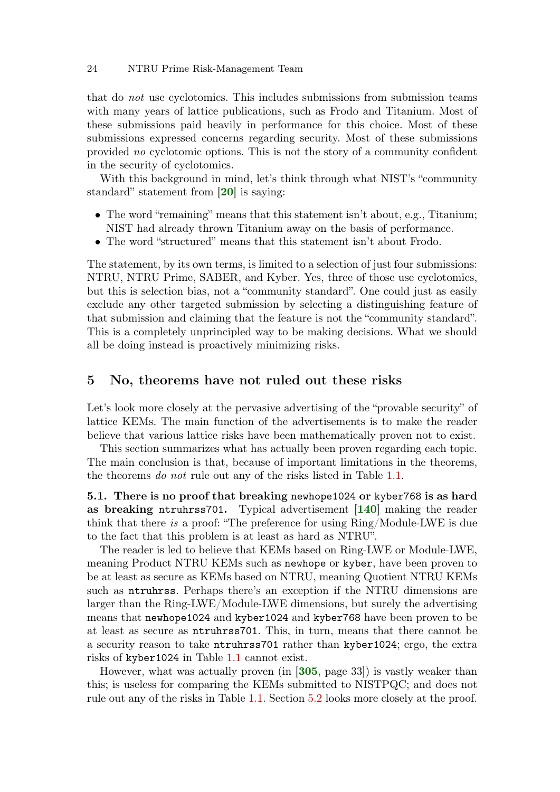that do not use cyclotomics. This includes submissions from submission teams with many years of lattice publications, such as Frodo and Titanium. Most of these submissions paid heavily in performance for this choice. Most of these submissions expressed concerns regarding security. Most of these submissions provided no cyclotomic options. This is not the story of a community confident in the security of cyclotomics.

With this background in mind, let's think through what NIST's "community standard" statement from [[20](#page-54-5)] is saying:

- The word "remaining" means that this statement isn't about, e.g., Titanium; NIST had already thrown Titanium away on the basis of performance.
- The word "structured" means that this statement isn't about Frodo.

The statement, by its own terms, is limited to a selection of just four submissions: NTRU, NTRU Prime, SABER, and Kyber. Yes, three of those use cyclotomics, but this is selection bias, not a "community standard". One could just as easily exclude any other targeted submission by selecting a distinguishing feature of that submission and claiming that the feature is not the "community standard". This is a completely unprincipled way to be making decisions. What we should all be doing instead is proactively minimizing risks.

### <span id="page-23-0"></span>5 No, theorems have not ruled out these risks

Let's look more closely at the pervasive advertising of the "provable security" of lattice KEMs. The main function of the advertisements is to make the reader believe that various lattice risks have been mathematically proven not to exist.

This section summarizes what has actually been proven regarding each topic. The main conclusion is that, because of important limitations in the theorems, the theorems do not rule out any of the risks listed in Table [1.1.](#page-1-0)

5.1. There is no proof that breaking newhope1024 or kyber768 is as hard as breaking ntruhrss701. Typical advertisement [[140](#page-63-7)] making the reader think that there is a proof: "The preference for using Ring/Module-LWE is due to the fact that this problem is at least as hard as NTRU".

The reader is led to believe that KEMs based on Ring-LWE or Module-LWE, meaning Product NTRU KEMs such as newhope or kyber, have been proven to be at least as secure as KEMs based on NTRU, meaning Quotient NTRU KEMs such as ntruhrss. Perhaps there's an exception if the NTRU dimensions are larger than the Ring-LWE/Module-LWE dimensions, but surely the advertising means that newhope1024 and kyber1024 and kyber768 have been proven to be at least as secure as ntruhrss701. This, in turn, means that there cannot be a security reason to take ntruhrss701 rather than kyber1024; ergo, the extra risks of kyber1024 in Table [1.1](#page-1-0) cannot exist.

<span id="page-23-1"></span>However, what was actually proven (in [[305](#page-75-10), page 33]) is vastly weaker than this; is useless for comparing the KEMs submitted to NISTPQC; and does not rule out any of the risks in Table [1.1.](#page-1-0) Section [5.2](#page-23-1) looks more closely at the proof.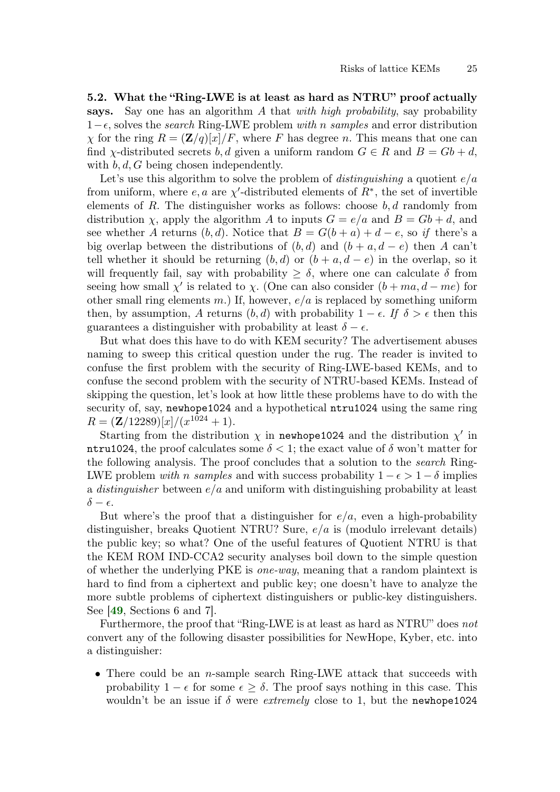5.2. What the "Ring-LWE is at least as hard as NTRU" proof actually says. Say one has an algorithm A that with high probability, say probability  $1-\epsilon$ , solves the *search* Ring-LWE problem with n samples and error distribution  $\chi$  for the ring  $R = (\mathbf{Z}/q)[x]/F$ , where F has degree n. This means that one can find *χ*-distributed secrets b, d given a uniform random  $G \in R$  and  $B = Gb + d$ , with  $b, d, G$  being chosen independently.

Let's use this algorithm to solve the problem of *distinguishing* a quotient  $e/a$ from uniform, where  $e, a$  are  $\chi'$ -distributed elements of  $R^*$ , the set of invertible elements of  $R$ . The distinguisher works as follows: choose  $b, d$  randomly from distribution  $\chi$ , apply the algorithm A to inputs  $G = e/a$  and  $B = Gb + d$ , and see whether A returns  $(b, d)$ . Notice that  $B = G(b + a) + d - e$ , so if there's a big overlap between the distributions of  $(b, d)$  and  $(b + a, d - e)$  then A can't tell whether it should be returning  $(b, d)$  or  $(b + a, d - e)$  in the overlap, so it will frequently fail, say with probability  $\geq \delta$ , where one can calculate  $\delta$  from seeing how small  $\chi'$  is related to  $\chi$ . (One can also consider  $(b + ma, d - me)$  for other small ring elements m.) If, however,  $e/a$  is replaced by something uniform then, by assumption, A returns  $(b, d)$  with probability  $1 - \epsilon$ . If  $\delta > \epsilon$  then this guarantees a distinguisher with probability at least  $\delta - \epsilon$ .

But what does this have to do with KEM security? The advertisement abuses naming to sweep this critical question under the rug. The reader is invited to confuse the first problem with the security of Ring-LWE-based KEMs, and to confuse the second problem with the security of NTRU-based KEMs. Instead of skipping the question, let's look at how little these problems have to do with the security of, say, newhope1024 and a hypothetical ntru1024 using the same ring  $R = (\mathbf{Z}/12289)[x]/(x^{1024}+1).$ 

Starting from the distribution  $\chi$  in newhope1024 and the distribution  $\chi'$  in ntru1024, the proof calculates some  $\delta < 1$ ; the exact value of  $\delta$  won't matter for the following analysis. The proof concludes that a solution to the search Ring-LWE problem with n samples and with success probability  $1 - \epsilon > 1 - \delta$  implies a *distinguisher* between  $e/a$  and uniform with distinguishing probability at least  $\delta - \epsilon$ .

But where's the proof that a distinguisher for  $e/a$ , even a high-probability distinguisher, breaks Quotient NTRU? Sure,  $e/a$  is (modulo irrelevant details) the public key; so what? One of the useful features of Quotient NTRU is that the KEM ROM IND-CCA2 security analyses boil down to the simple question of whether the underlying PKE is one-way, meaning that a random plaintext is hard to find from a ciphertext and public key; one doesn't have to analyze the more subtle problems of ciphertext distinguishers or public-key distinguishers. See [[49](#page-56-7), Sections 6 and 7].

Furthermore, the proof that "Ring-LWE is at least as hard as NTRU" does not convert any of the following disaster possibilities for NewHope, Kyber, etc. into a distinguisher:

• There could be an *n*-sample search Ring-LWE attack that succeeds with probability  $1 - \epsilon$  for some  $\epsilon > \delta$ . The proof says nothing in this case. This wouldn't be an issue if  $\delta$  were *extremely* close to 1, but the newhope1024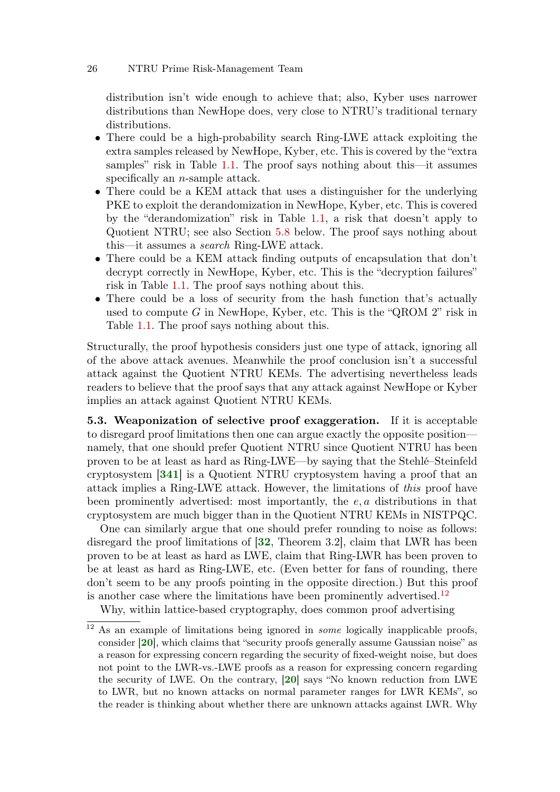distribution isn't wide enough to achieve that; also, Kyber uses narrower distributions than NewHope does, very close to NTRU's traditional ternary distributions.

- There could be a high-probability search Ring-LWE attack exploiting the extra samples released by NewHope, Kyber, etc. This is covered by the "extra samples" risk in Table [1.1.](#page-1-0) The proof says nothing about this—it assumes specifically an *n*-sample attack.
- There could be a KEM attack that uses a distinguisher for the underlying PKE to exploit the derandomization in NewHope, Kyber, etc. This is covered by the "derandomization" risk in Table [1.1,](#page-1-0) a risk that doesn't apply to Quotient NTRU; see also Section [5.8](#page-28-0) below. The proof says nothing about this—it assumes a search Ring-LWE attack.
- There could be a KEM attack finding outputs of encapsulation that don't decrypt correctly in NewHope, Kyber, etc. This is the "decryption failures" risk in Table [1.1.](#page-1-0) The proof says nothing about this.
- There could be a loss of security from the hash function that's actually used to compute G in NewHope, Kyber, etc. This is the "QROM 2" risk in Table [1.1.](#page-1-0) The proof says nothing about this.

Structurally, the proof hypothesis considers just one type of attack, ignoring all of the above attack avenues. Meanwhile the proof conclusion isn't a successful attack against the Quotient NTRU KEMs. The advertising nevertheless leads readers to believe that the proof says that any attack against NewHope or Kyber implies an attack against Quotient NTRU KEMs.

<span id="page-25-0"></span>5.3. Weaponization of selective proof exaggeration. If it is acceptable to disregard proof limitations then one can argue exactly the opposite position namely, that one should prefer Quotient NTRU since Quotient NTRU has been proven to be at least as hard as Ring-LWE—by saying that the Stehlé–Steinfeld cryptosystem [[341](#page-78-8)] is a Quotient NTRU cryptosystem having a proof that an attack implies a Ring-LWE attack. However, the limitations of this proof have been prominently advertised: most importantly, the e, a distributions in that cryptosystem are much bigger than in the Quotient NTRU KEMs in NISTPQC.

One can similarly argue that one should prefer rounding to noise as follows: disregard the proof limitations of [[32](#page-55-7), Theorem 3.2], claim that LWR has been proven to be at least as hard as LWE, claim that Ring-LWR has been proven to be at least as hard as Ring-LWE, etc. (Even better for fans of rounding, there don't seem to be any proofs pointing in the opposite direction.) But this proof is another case where the limitations have been prominently advertised.<sup>[12](#page-0-0)</sup>

Why, within lattice-based cryptography, does common proof advertising

<sup>&</sup>lt;sup>12</sup> As an example of limitations being ignored in *some* logically inapplicable proofs, consider [[20](#page-54-5)], which claims that "security proofs generally assume Gaussian noise" as a reason for expressing concern regarding the security of fixed-weight noise, but does not point to the LWR-vs.-LWE proofs as a reason for expressing concern regarding the security of LWE. On the contrary, [[20](#page-54-5)] says "No known reduction from LWE to LWR, but no known attacks on normal parameter ranges for LWR KEMs", so the reader is thinking about whether there are unknown attacks against LWR. Why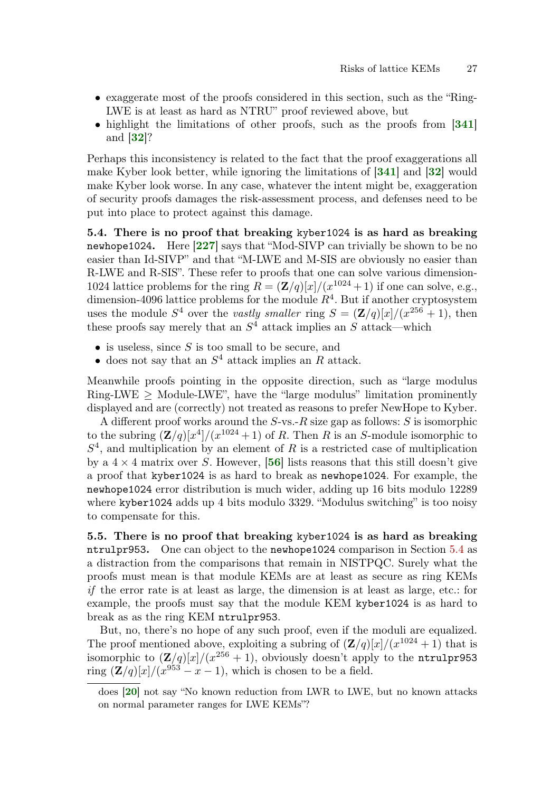- exaggerate most of the proofs considered in this section, such as the "Ring-LWE is at least as hard as NTRU" proof reviewed above, but
- highlight the limitations of other proofs, such as the proofs from [[341](#page-78-8)] and [[32](#page-55-7)]?

Perhaps this inconsistency is related to the fact that the proof exaggerations all make Kyber look better, while ignoring the limitations of [[341](#page-78-8)] and [[32](#page-55-7)] would make Kyber look worse. In any case, whatever the intent might be, exaggeration of security proofs damages the risk-assessment process, and defenses need to be put into place to protect against this damage.

<span id="page-26-0"></span>5.4. There is no proof that breaking kyber1024 is as hard as breaking newhope1024. Here [[227](#page-69-4)] says that "Mod-SIVP can trivially be shown to be no easier than Id-SIVP" and that "M-LWE and M-SIS are obviously no easier than R-LWE and R-SIS". These refer to proofs that one can solve various dimension-1024 lattice problems for the ring  $R = (\mathbf{Z}/q)[x]/(x^{1024}+1)$  if one can solve, e.g., dimension-4096 lattice problems for the module  $R<sup>4</sup>$ . But if another cryptosystem uses the module  $S^4$  over the vastly smaller ring  $S = (\mathbf{Z}/q)[x]/(x^{256} + 1)$ , then these proofs say merely that an  $S<sup>4</sup>$  attack implies an S attack—which

- $\bullet$  is useless, since S is too small to be secure, and
- does not say that an  $S<sup>4</sup>$  attack implies an R attack.

Meanwhile proofs pointing in the opposite direction, such as "large modulus Ring-LWE  $\geq$  Module-LWE", have the "large modulus" limitation prominently displayed and are (correctly) not treated as reasons to prefer NewHope to Kyber.

A different proof works around the  $S$ -vs.- $R$  size gap as follows:  $S$  is isomorphic to the subring  $(\mathbf{Z}/q)[x^4]/(x^{1024}+1)$  of R. Then R is an S-module isomorphic to  $S<sup>4</sup>$ , and multiplication by an element of R is a restricted case of multiplication by a  $4 \times 4$  matrix over S. However, [[56](#page-56-9)] lists reasons that this still doesn't give a proof that kyber1024 is as hard to break as newhope1024. For example, the newhope1024 error distribution is much wider, adding up 16 bits modulo 12289 where kyber1024 adds up 4 bits modulo 3329. "Modulus switching" is too noisy to compensate for this.

5.5. There is no proof that breaking kyber1024 is as hard as breaking ntrulpr953. One can object to the newhope1024 comparison in Section [5.4](#page-26-0) as a distraction from the comparisons that remain in NISTPQC. Surely what the proofs must mean is that module KEMs are at least as secure as ring KEMs if the error rate is at least as large, the dimension is at least as large, etc.: for example, the proofs must say that the module KEM kyber1024 is as hard to break as as the ring KEM ntrulpr953.

But, no, there's no hope of any such proof, even if the moduli are equalized. The proof mentioned above, exploiting a subring of  $(\mathbf{Z}/q)[x]/(x^{1024}+1)$  that is isomorphic to  $(Z/q)[x]/(x^{256} + 1)$ , obviously doesn't apply to the ntru1pr953 ring  $(\mathbf{Z}/q)[x]/(x^{953} - x - 1)$ , which is chosen to be a field.

does [[20](#page-54-5)] not say "No known reduction from LWR to LWE, but no known attacks on normal parameter ranges for LWE KEMs"?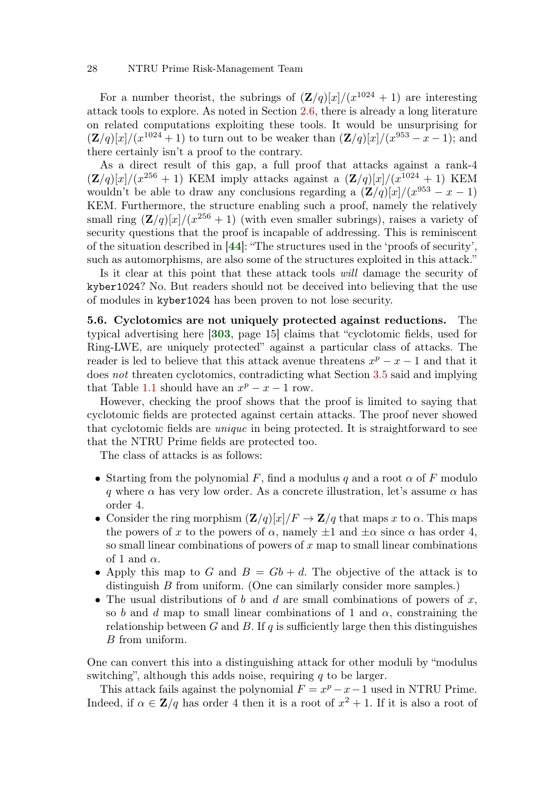For a number theorist, the subrings of  $(\mathbf{Z}/q)[x]/(x^{1024}+1)$  are interesting attack tools to explore. As noted in Section [2.6,](#page-10-0) there is already a long literature on related computations exploiting these tools. It would be unsurprising for  $(Z/q)[x]/(x^{1024}+1)$  to turn out to be weaker than  $(Z/q)[x]/(x^{953}-x-1)$ ; and there certainly isn't a proof to the contrary.

As a direct result of this gap, a full proof that attacks against a rank-4  $(\mathbf{Z}/q)[x]/(x^{256}+1)$  KEM imply attacks against a  $(\mathbf{Z}/q)[x]/(x^{1024}+1)$  KEM wouldn't be able to draw any conclusions regarding a  $(\mathbf{Z}/q)[x]/(x^{953} - x - 1)$ KEM. Furthermore, the structure enabling such a proof, namely the relatively small ring  $(\mathbf{Z}/q)[x]/(x^{256}+1)$  (with even smaller subrings), raises a variety of security questions that the proof is incapable of addressing. This is reminiscent of the situation described in [[44](#page-56-2)]: "The structures used in the 'proofs of security', such as automorphisms, are also some of the structures exploited in this attack."

Is it clear at this point that these attack tools will damage the security of kyber1024? No. But readers should not be deceived into believing that the use of modules in kyber1024 has been proven to not lose security.

<span id="page-27-0"></span>5.6. Cyclotomics are not uniquely protected against reductions. The typical advertising here [[303](#page-75-11), page 15] claims that "cyclotomic fields, used for Ring-LWE, are uniquely protected" against a particular class of attacks. The reader is led to believe that this attack avenue threatens  $x^p - x - 1$  and that it does not threaten cyclotomics, contradicting what Section [3.5](#page-13-0) said and implying that Table [1.1](#page-1-0) should have an  $x^p - x - 1$  row.

However, checking the proof shows that the proof is limited to saying that cyclotomic fields are protected against certain attacks. The proof never showed that cyclotomic fields are unique in being protected. It is straightforward to see that the NTRU Prime fields are protected too.

The class of attacks is as follows:

- Starting from the polynomial F, find a modulus q and a root  $\alpha$  of F modulo q where  $\alpha$  has very low order. As a concrete illustration, let's assume  $\alpha$  has order 4.
- Consider the ring morphism  $(\mathbf{Z}/q)[x]/F \to \mathbf{Z}/q$  that maps x to  $\alpha$ . This maps the powers of x to the powers of  $\alpha$ , namely  $\pm 1$  and  $\pm \alpha$  since  $\alpha$  has order 4, so small linear combinations of powers of  $x$  map to small linear combinations of 1 and  $\alpha$ .
- Apply this map to G and  $B = Gb + d$ . The objective of the attack is to distinguish B from uniform. (One can similarly consider more samples.)
- The usual distributions of b and d are small combinations of powers of  $x$ , so b and d map to small linear combinations of 1 and  $\alpha$ , constraining the relationship between G and B. If q is sufficiently large then this distinguishes B from uniform.

One can convert this into a distinguishing attack for other moduli by "modulus switching", although this adds noise, requiring  $q$  to be larger.

This attack fails against the polynomial  $F = x^p - x - 1$  used in NTRU Prime. Indeed, if  $\alpha \in \mathbb{Z}/q$  has order 4 then it is a root of  $x^2 + 1$ . If it is also a root of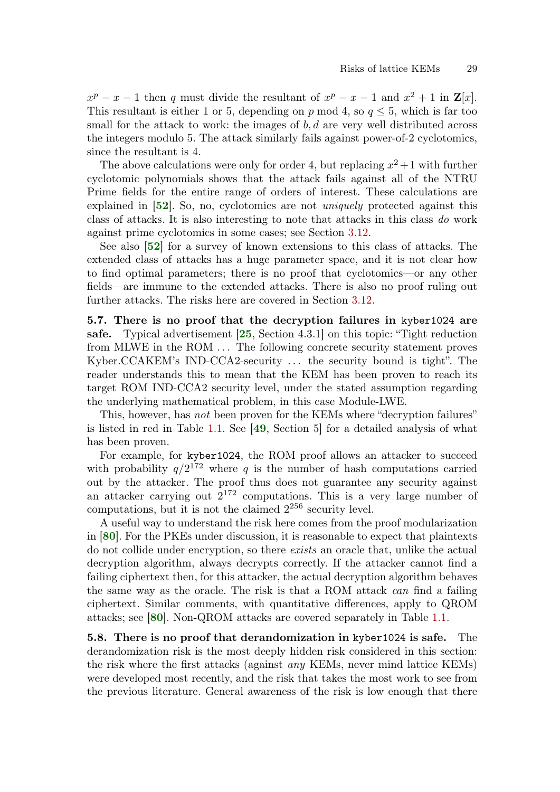$x^p - x - 1$  then q must divide the resultant of  $x^p - x - 1$  and  $x^2 + 1$  in  $\mathbf{Z}[x]$ . This resultant is either 1 or 5, depending on p mod 4, so  $q \leq 5$ , which is far too small for the attack to work: the images of  $b, d$  are very well distributed across the integers modulo 5. The attack similarly fails against power-of-2 cyclotomics, since the resultant is 4.

The above calculations were only for order 4, but replacing  $x^2 + 1$  with further cyclotomic polynomials shows that the attack fails against all of the NTRU Prime fields for the entire range of orders of interest. These calculations are explained in [[52](#page-56-10)]. So, no, cyclotomics are not uniquely protected against this class of attacks. It is also interesting to note that attacks in this class do work against prime cyclotomics in some cases; see Section [3.12.](#page-16-0)

See also [[52](#page-56-10)] for a survey of known extensions to this class of attacks. The extended class of attacks has a huge parameter space, and it is not clear how to find optimal parameters; there is no proof that cyclotomics—or any other fields—are immune to the extended attacks. There is also no proof ruling out further attacks. The risks here are covered in Section [3.12.](#page-16-0)

<span id="page-28-1"></span>5.7. There is no proof that the decryption failures in kyber1024 are safe. Typical advertisement [[25](#page-54-2), Section 4.3.1] on this topic: "Tight reduction from MLWE in the ROM ... The following concrete security statement proves Kyber.CCAKEM's IND-CCA2-security . . . the security bound is tight". The reader understands this to mean that the KEM has been proven to reach its target ROM IND-CCA2 security level, under the stated assumption regarding the underlying mathematical problem, in this case Module-LWE.

This, however, has not been proven for the KEMs where "decryption failures" is listed in red in Table [1.1.](#page-1-0) See [[49](#page-56-7), Section 5] for a detailed analysis of what has been proven.

For example, for kyber1024, the ROM proof allows an attacker to succeed with probability  $q/2^{172}$  where q is the number of hash computations carried out by the attacker. The proof thus does not guarantee any security against an attacker carrying out  $2^{172}$  computations. This is a very large number of computations, but it is not the claimed  $2^{256}$  security level.

A useful way to understand the risk here comes from the proof modularization in [[80](#page-58-5)]. For the PKEs under discussion, it is reasonable to expect that plaintexts do not collide under encryption, so there exists an oracle that, unlike the actual decryption algorithm, always decrypts correctly. If the attacker cannot find a failing ciphertext then, for this attacker, the actual decryption algorithm behaves the same way as the oracle. The risk is that a ROM attack can find a failing ciphertext. Similar comments, with quantitative differences, apply to QROM attacks; see [[80](#page-58-5)]. Non-QROM attacks are covered separately in Table [1.1.](#page-1-0)

<span id="page-28-0"></span>5.8. There is no proof that derandomization in kyber1024 is safe. The derandomization risk is the most deeply hidden risk considered in this section: the risk where the first attacks (against any KEMs, never mind lattice KEMs) were developed most recently, and the risk that takes the most work to see from the previous literature. General awareness of the risk is low enough that there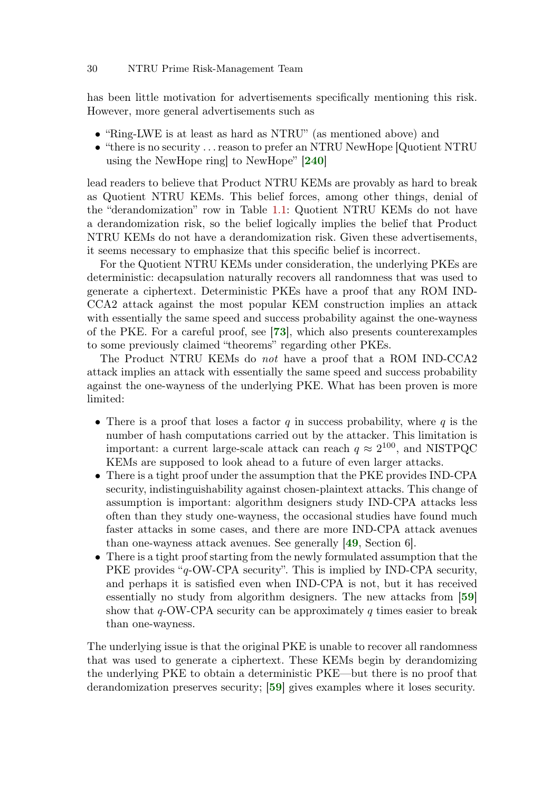has been little motivation for advertisements specifically mentioning this risk. However, more general advertisements such as

- "Ring-LWE is at least as hard as NTRU" (as mentioned above) and
- "there is no security . . . reason to prefer an NTRU NewHope [Quotient NTRU using the NewHope ring] to NewHope" [[240](#page-70-8)]

lead readers to believe that Product NTRU KEMs are provably as hard to break as Quotient NTRU KEMs. This belief forces, among other things, denial of the "derandomization" row in Table [1.1:](#page-1-0) Quotient NTRU KEMs do not have a derandomization risk, so the belief logically implies the belief that Product NTRU KEMs do not have a derandomization risk. Given these advertisements, it seems necessary to emphasize that this specific belief is incorrect.

For the Quotient NTRU KEMs under consideration, the underlying PKEs are deterministic: decapsulation naturally recovers all randomness that was used to generate a ciphertext. Deterministic PKEs have a proof that any ROM IND-CCA2 attack against the most popular KEM construction implies an attack with essentially the same speed and success probability against the one-wayness of the PKE. For a careful proof, see [[73](#page-58-6)], which also presents counterexamples to some previously claimed "theorems" regarding other PKEs.

The Product NTRU KEMs do not have a proof that a ROM IND-CCA2 attack implies an attack with essentially the same speed and success probability against the one-wayness of the underlying PKE. What has been proven is more limited:

- There is a proof that loses a factor  $q$  in success probability, where  $q$  is the number of hash computations carried out by the attacker. This limitation is important: a current large-scale attack can reach  $q \approx 2^{100}$ , and NISTPQC KEMs are supposed to look ahead to a future of even larger attacks.
- There is a tight proof under the assumption that the PKE provides IND-CPA security, indistinguishability against chosen-plaintext attacks. This change of assumption is important: algorithm designers study IND-CPA attacks less often than they study one-wayness, the occasional studies have found much faster attacks in some cases, and there are more IND-CPA attack avenues than one-wayness attack avenues. See generally [[49](#page-56-7), Section 6].
- There is a tight proof starting from the newly formulated assumption that the PKE provides "q-OW-CPA security". This is implied by IND-CPA security, and perhaps it is satisfied even when IND-CPA is not, but it has received essentially no study from algorithm designers. The new attacks from [[59](#page-57-5)] show that  $q$ -OW-CPA security can be approximately  $q$  times easier to break than one-wayness.

The underlying issue is that the original PKE is unable to recover all randomness that was used to generate a ciphertext. These KEMs begin by derandomizing the underlying PKE to obtain a deterministic PKE—but there is no proof that derandomization preserves security; [[59](#page-57-5)] gives examples where it loses security.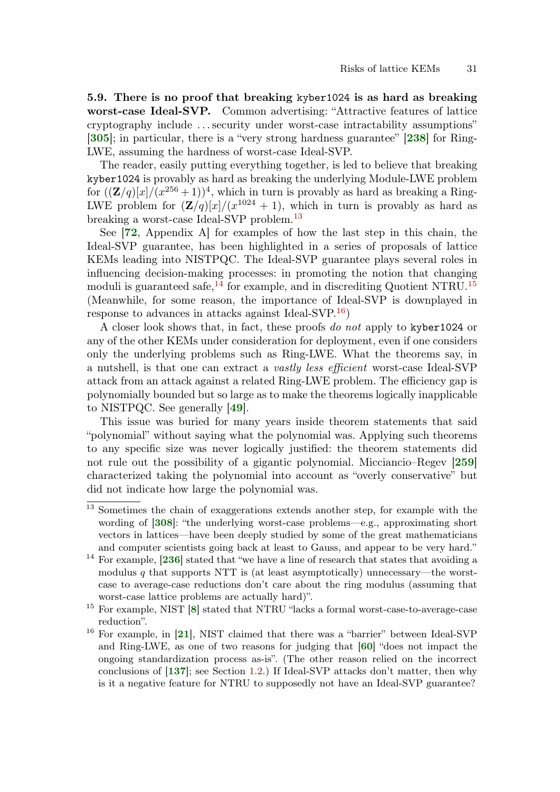5.9. There is no proof that breaking kyber1024 is as hard as breaking worst-case Ideal-SVP. Common advertising: "Attractive features of lattice cryptography include . . . security under worst-case intractability assumptions" [[305](#page-75-10)]; in particular, there is a "very strong hardness guarantee" [[238](#page-70-9)] for Ring-LWE, assuming the hardness of worst-case Ideal-SVP.

The reader, easily putting everything together, is led to believe that breaking kyber1024 is provably as hard as breaking the underlying Module-LWE problem for  $((\mathbf{Z}/q)[x]/(x^{256}+1))^4$ , which in turn is provably as hard as breaking a Ring-LWE problem for  $(\mathbf{Z}/q)[x]/(x^{1024}+1)$ , which in turn is provably as hard as breaking a worst-case Ideal-SVP problem.<sup>[13](#page-0-0)</sup>

See [[72](#page-58-2), Appendix A] for examples of how the last step in this chain, the Ideal-SVP guarantee, has been highlighted in a series of proposals of lattice KEMs leading into NISTPQC. The Ideal-SVP guarantee plays several roles in influencing decision-making processes: in promoting the notion that changing moduli is guaranteed safe,  $^{14}$  $^{14}$  $^{14}$  for example, and in discrediting Quotient NTRU.<sup>[15](#page-0-0)</sup> (Meanwhile, for some reason, the importance of Ideal-SVP is downplayed in response to advances in attacks against Ideal-SVP.<sup>[16](#page-0-0)</sup>)

A closer look shows that, in fact, these proofs do not apply to kyber1024 or any of the other KEMs under consideration for deployment, even if one considers only the underlying problems such as Ring-LWE. What the theorems say, in a nutshell, is that one can extract a vastly less efficient worst-case Ideal-SVP attack from an attack against a related Ring-LWE problem. The efficiency gap is polynomially bounded but so large as to make the theorems logically inapplicable to NISTPQC. See generally [[49](#page-56-7)].

This issue was buried for many years inside theorem statements that said "polynomial" without saying what the polynomial was. Applying such theorems to any specific size was never logically justified: the theorem statements did not rule out the possibility of a gigantic polynomial. Micciancio–Regev [[259](#page-71-10)] characterized taking the polynomial into account as "overly conservative" but did not indicate how large the polynomial was.

<sup>&</sup>lt;sup>13</sup> Sometimes the chain of exaggerations extends another step, for example with the wording of [[308](#page-75-12)]: "the underlying worst-case problems—e.g., approximating short vectors in lattices—have been deeply studied by some of the great mathematicians and computer scientists going back at least to Gauss, and appear to be very hard."

<sup>&</sup>lt;sup>14</sup> For example, [[236](#page-70-10)] stated that "we have a line of research that states that avoiding a modulus q that supports NTT is (at least asymptotically) unnecessary—the worstcase to average-case reductions don't care about the ring modulus (assuming that worst-case lattice problems are actually hard)".

<sup>15</sup> For example, NIST [[8](#page-53-4)] stated that NTRU "lacks a formal worst-case-to-average-case reduction".

<sup>16</sup> For example, in [[21](#page-54-7)], NIST claimed that there was a "barrier" between Ideal-SVP and Ring-LWE, as one of two reasons for judging that [[60](#page-57-0)] "does not impact the ongoing standardization process as-is". (The other reason relied on the incorrect conclusions of [[137](#page-63-1)]; see Section [1.2.](#page-3-0)) If Ideal-SVP attacks don't matter, then why is it a negative feature for NTRU to supposedly not have an Ideal-SVP guarantee?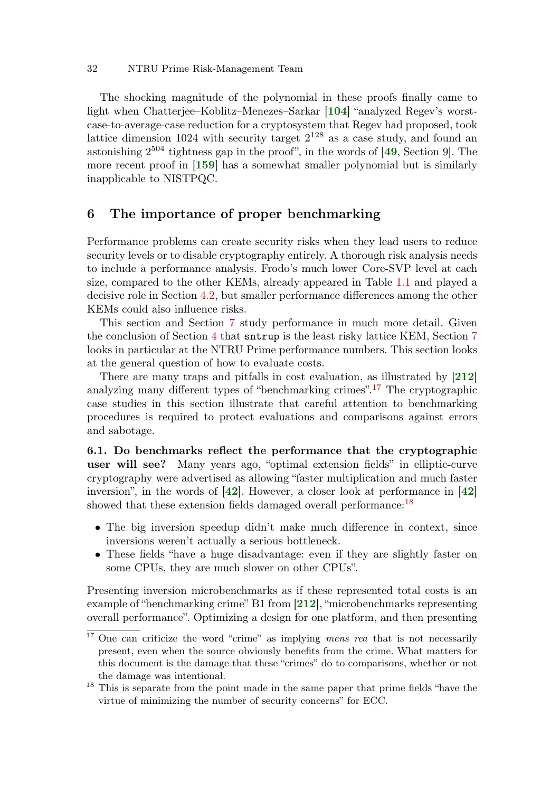The shocking magnitude of the polynomial in these proofs finally came to light when Chatterjee–Koblitz–Menezes–Sarkar [[104](#page-60-10)] "analyzed Regev's worstcase-to-average-case reduction for a cryptosystem that Regev had proposed, took lattice dimension  $1024$  with security target  $2^{128}$  as a case study, and found an astonishing  $2^{504}$  tightness gap in the proof", in the words of  $[49, Section 9]$  $[49, Section 9]$  $[49, Section 9]$ . The more recent proof in [[159](#page-64-8)] has a somewhat smaller polynomial but is similarly inapplicable to NISTPQC.

### 6 The importance of proper benchmarking

Performance problems can create security risks when they lead users to reduce security levels or to disable cryptography entirely. A thorough risk analysis needs to include a performance analysis. Frodo's much lower Core-SVP level at each size, compared to the other KEMs, already appeared in Table [1.1](#page-1-0) and played a decisive role in Section [4.2,](#page-20-0) but smaller performance differences among the other KEMs could also influence risks.

This section and Section [7](#page-39-0) study performance in much more detail. Given the conclusion of Section [4](#page-20-1) that sntrup is the least risky lattice KEM, Section [7](#page-39-0) looks in particular at the NTRU Prime performance numbers. This section looks at the general question of how to evaluate costs.

There are many traps and pitfalls in cost evaluation, as illustrated by [[212](#page-68-8)] analyzing many different types of "benchmarking crimes".[17](#page-0-0) The cryptographic case studies in this section illustrate that careful attention to benchmarking procedures is required to protect evaluations and comparisons against errors and sabotage.

6.1. Do benchmarks reflect the performance that the cryptographic user will see? Many years ago, "optimal extension fields" in elliptic-curve cryptography were advertised as allowing "faster multiplication and much faster inversion", in the words of [[42](#page-56-4)]. However, a closer look at performance in [[42](#page-56-4)] showed that these extension fields damaged overall performance:<sup>[18](#page-0-0)</sup>

- The big inversion speedup didn't make much difference in context, since inversions weren't actually a serious bottleneck.
- These fields "have a huge disadvantage: even if they are slightly faster on some CPUs, they are much slower on other CPUs".

Presenting inversion microbenchmarks as if these represented total costs is an example of "benchmarking crime" B1 from [[212](#page-68-8)], "microbenchmarks representing overall performance". Optimizing a design for one platform, and then presenting

 $\frac{17}{17}$  One can criticize the word "crime" as implying *mens rea* that is not necessarily present, even when the source obviously benefits from the crime. What matters for this document is the damage that these "crimes" do to comparisons, whether or not the damage was intentional.

<sup>&</sup>lt;sup>18</sup> This is separate from the point made in the same paper that prime fields "have the virtue of minimizing the number of security concerns" for ECC.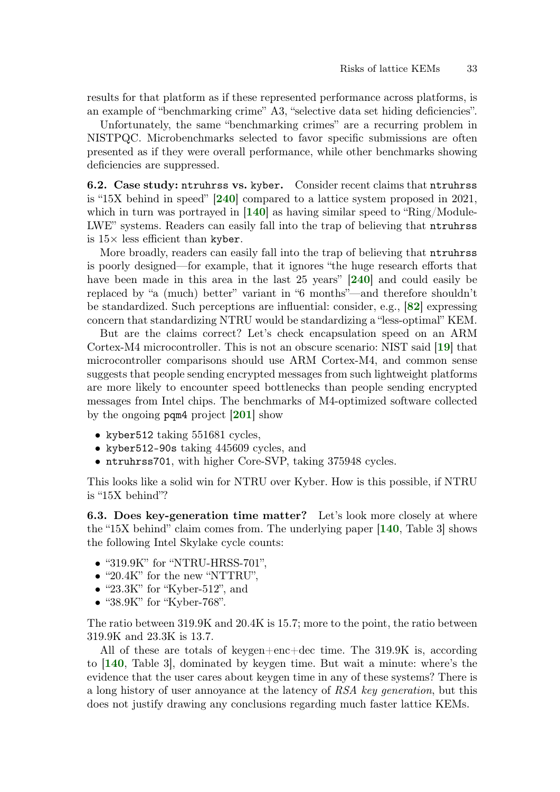results for that platform as if these represented performance across platforms, is an example of "benchmarking crime" A3, "selective data set hiding deficiencies".

Unfortunately, the same "benchmarking crimes" are a recurring problem in NISTPQC. Microbenchmarks selected to favor specific submissions are often presented as if they were overall performance, while other benchmarks showing deficiencies are suppressed.

6.2. Case study: ntruhrss vs. kyber. Consider recent claims that ntruhrss is "15X behind in speed" [[240](#page-70-8)] compared to a lattice system proposed in 2021, which in turn was portrayed in [[140](#page-63-7)] as having similar speed to "Ring/Module-LWE" systems. Readers can easily fall into the trap of believing that ntruhrss is  $15\times$  less efficient than kyber.

More broadly, readers can easily fall into the trap of believing that ntruhrss is poorly designed—for example, that it ignores "the huge research efforts that have been made in this area in the last 25 years" **[[240](#page-70-8)]** and could easily be replaced by "a (much) better" variant in "6 months"—and therefore shouldn't be standardized. Such perceptions are influential: consider, e.g., [[82](#page-58-7)] expressing concern that standardizing NTRU would be standardizing a "less-optimal" KEM.

But are the claims correct? Let's check encapsulation speed on an ARM Cortex-M4 microcontroller. This is not an obscure scenario: NIST said [[19](#page-54-8)] that microcontroller comparisons should use ARM Cortex-M4, and common sense suggests that people sending encrypted messages from such lightweight platforms are more likely to encounter speed bottlenecks than people sending encrypted messages from Intel chips. The benchmarks of M4-optimized software collected by the ongoing pqm4 project [[201](#page-67-4)] show

- kyber512 taking 551681 cycles,
- kyber512-90s taking 445609 cycles, and
- ntruhrss701, with higher Core-SVP, taking 375948 cycles.

This looks like a solid win for NTRU over Kyber. How is this possible, if NTRU is "15X behind"?

6.3. Does key-generation time matter? Let's look more closely at where the "15X behind" claim comes from. The underlying paper [[140](#page-63-7), Table 3] shows the following Intel Skylake cycle counts:

- "319.9K" for "NTRU-HRSS-701".
- "20.4K" for the new "NTTRU",
- "23.3K" for "Kyber-512", and
- "38.9K" for "Kyber-768".

The ratio between 319.9K and 20.4K is 15.7; more to the point, the ratio between 319.9K and 23.3K is 13.7.

All of these are totals of keygen+enc+dec time. The 319.9K is, according to [[140](#page-63-7), Table 3], dominated by keygen time. But wait a minute: where's the evidence that the user cares about keygen time in any of these systems? There is a long history of user annoyance at the latency of RSA key generation, but this does not justify drawing any conclusions regarding much faster lattice KEMs.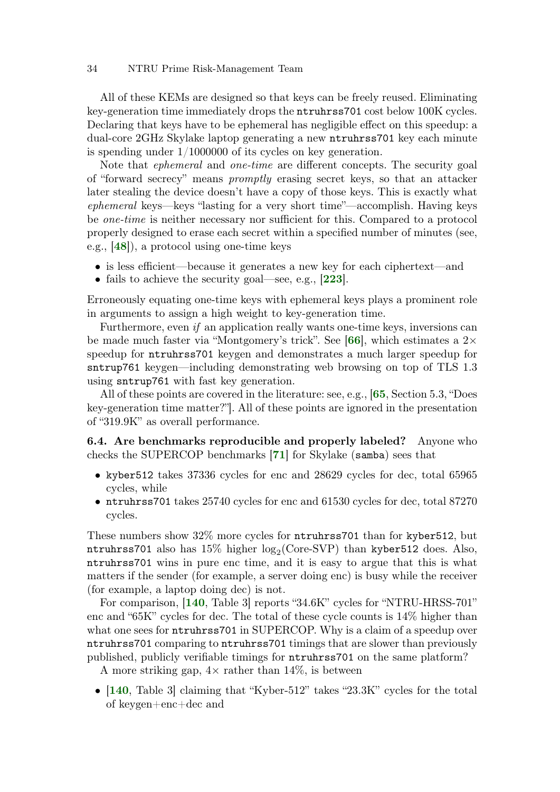All of these KEMs are designed so that keys can be freely reused. Eliminating key-generation time immediately drops the ntruhrss701 cost below 100K cycles. Declaring that keys have to be ephemeral has negligible effect on this speedup: a dual-core 2GHz Skylake laptop generating a new ntruhrss701 key each minute is spending under 1/1000000 of its cycles on key generation.

Note that ephemeral and one-time are different concepts. The security goal of "forward secrecy" means promptly erasing secret keys, so that an attacker later stealing the device doesn't have a copy of those keys. This is exactly what ephemeral keys—keys "lasting for a very short time"—accomplish. Having keys be one-time is neither necessary nor sufficient for this. Compared to a protocol properly designed to erase each secret within a specified number of minutes (see, e.g., [[48](#page-56-11)]), a protocol using one-time keys

- is less efficient—because it generates a new key for each ciphertext—and
- fails to achieve the security goal—see, e.g.,  $\left|223\right|$  $\left|223\right|$  $\left|223\right|$ .

Erroneously equating one-time keys with ephemeral keys plays a prominent role in arguments to assign a high weight to key-generation time.

Furthermore, even if an application really wants one-time keys, inversions can be made much faster via "Montgomery's trick". See [[66](#page-57-8)], which estimates a  $2\times$ speedup for ntruhrss701 keygen and demonstrates a much larger speedup for sntrup761 keygen—including demonstrating web browsing on top of TLS 1.3 using sntrup761 with fast key generation.

All of these points are covered in the literature: see, e.g., [[65](#page-57-1), Section 5.3, "Does key-generation time matter?"]. All of these points are ignored in the presentation of "319.9K" as overall performance.

6.4. Are benchmarks reproducible and properly labeled? Anyone who checks the SUPERCOP benchmarks [[71](#page-58-8)] for Skylake (samba) sees that

- kyber512 takes 37336 cycles for enc and 28629 cycles for dec, total 65965 cycles, while
- ntruhrss701 takes 25740 cycles for enc and 61530 cycles for dec, total 87270 cycles.

These numbers show 32% more cycles for ntruhrss701 than for kyber512, but  ${\tt ntruhrss}$ 701 also has  $15\%$  higher  $\log_2({\rm Core}\text{-}{\rm SVP})$  than kyber512 does. Also, ntruhrss701 wins in pure enc time, and it is easy to argue that this is what matters if the sender (for example, a server doing enc) is busy while the receiver (for example, a laptop doing dec) is not.

For comparison, [[140](#page-63-7), Table 3] reports "34.6K" cycles for "NTRU-HRSS-701" enc and "65K" cycles for dec. The total of these cycle counts is 14% higher than what one sees for **ntruhrss701** in SUPERCOP. Why is a claim of a speedup over ntruhrss701 comparing to ntruhrss701 timings that are slower than previously published, publicly verifiable timings for ntruhrss701 on the same platform?

A more striking gap,  $4 \times$  rather than  $14\%$ , is between

• [[140](#page-63-7), Table 3] claiming that "Kyber-512" takes "23.3K" cycles for the total of keygen+enc+dec and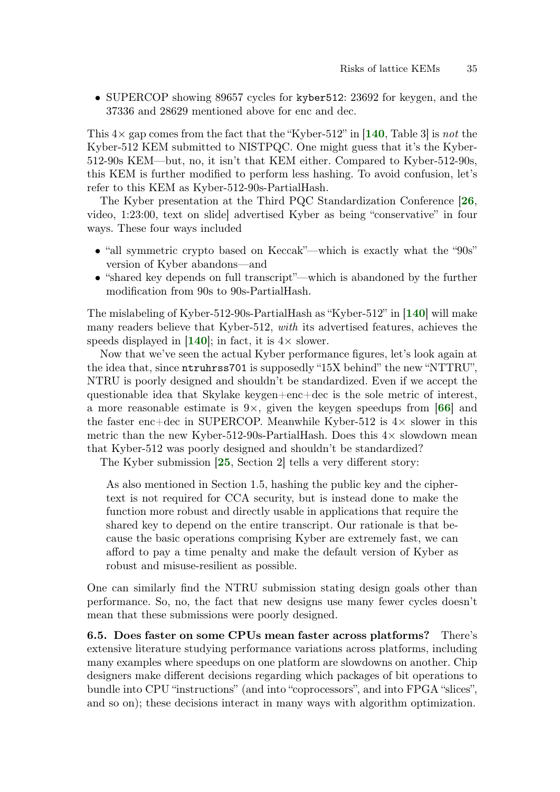• SUPERCOP showing 89657 cycles for kyber512: 23692 for keygen, and the 37336 and 28629 mentioned above for enc and dec.

This  $4\times$  gap comes from the fact that the "Kyber-512" in [[140](#page-63-7), Table 3] is not the Kyber-512 KEM submitted to NISTPQC. One might guess that it's the Kyber-512-90s KEM—but, no, it isn't that KEM either. Compared to Kyber-512-90s, this KEM is further modified to perform less hashing. To avoid confusion, let's refer to this KEM as Kyber-512-90s-PartialHash.

The Kyber presentation at the Third PQC Standardization Conference [[26](#page-54-3), video, 1:23:00, text on slide] advertised Kyber as being "conservative" in four ways. These four ways included

- "all symmetric crypto based on Keccak"—which is exactly what the "90s" version of Kyber abandons—and
- "shared key depends on full transcript"—which is abandoned by the further modification from 90s to 90s-PartialHash.

The mislabeling of Kyber-512-90s-PartialHash as "Kyber-512" in [[140](#page-63-7)] will make many readers believe that Kyber-512, with its advertised features, achieves the speeds displayed in  $[140]$  $[140]$  $[140]$ ; in fact, it is  $4 \times$  slower.

Now that we've seen the actual Kyber performance figures, let's look again at the idea that, since ntruhrss701 is supposedly "15X behind" the new "NTTRU", NTRU is poorly designed and shouldn't be standardized. Even if we accept the questionable idea that Skylake keygen+enc+dec is the sole metric of interest, a more reasonable estimate is 9 $\times$ , given the keygen speedups from [[66](#page-57-8)] and the faster enc+dec in SUPERCOP. Meanwhile Kyber-512 is  $4\times$  slower in this metric than the new Kyber-512-90s-PartialHash. Does this  $4\times$  slowdown mean that Kyber-512 was poorly designed and shouldn't be standardized?

The Kyber submission [[25](#page-54-2), Section 2] tells a very different story:

As also mentioned in Section 1.5, hashing the public key and the ciphertext is not required for CCA security, but is instead done to make the function more robust and directly usable in applications that require the shared key to depend on the entire transcript. Our rationale is that because the basic operations comprising Kyber are extremely fast, we can afford to pay a time penalty and make the default version of Kyber as robust and misuse-resilient as possible.

One can similarly find the NTRU submission stating design goals other than performance. So, no, the fact that new designs use many fewer cycles doesn't mean that these submissions were poorly designed.

6.5. Does faster on some CPUs mean faster across platforms? There's extensive literature studying performance variations across platforms, including many examples where speedups on one platform are slowdowns on another. Chip designers make different decisions regarding which packages of bit operations to bundle into CPU "instructions" (and into "coprocessors", and into FPGA "slices", and so on); these decisions interact in many ways with algorithm optimization.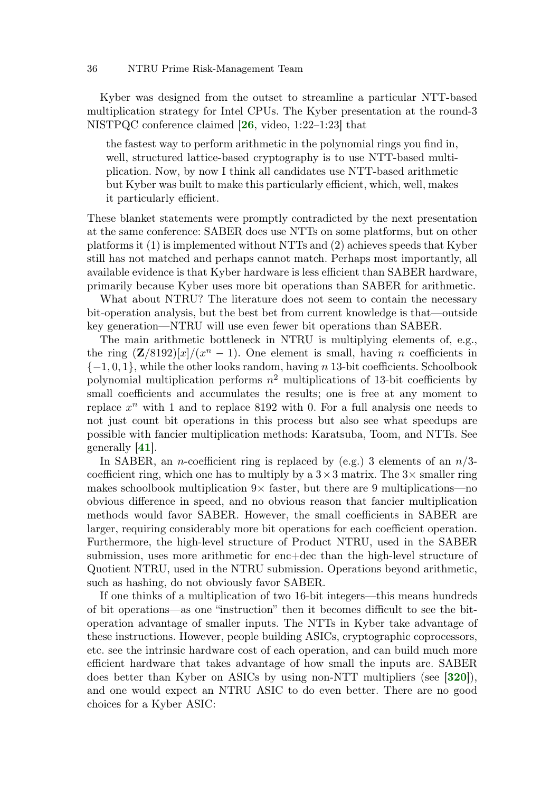Kyber was designed from the outset to streamline a particular NTT-based multiplication strategy for Intel CPUs. The Kyber presentation at the round-3 NISTPQC conference claimed [[26](#page-54-3), video, 1:22–1:23] that

the fastest way to perform arithmetic in the polynomial rings you find in, well, structured lattice-based cryptography is to use NTT-based multiplication. Now, by now I think all candidates use NTT-based arithmetic but Kyber was built to make this particularly efficient, which, well, makes it particularly efficient.

These blanket statements were promptly contradicted by the next presentation at the same conference: SABER does use NTTs on some platforms, but on other platforms it (1) is implemented without NTTs and (2) achieves speeds that Kyber still has not matched and perhaps cannot match. Perhaps most importantly, all available evidence is that Kyber hardware is less efficient than SABER hardware, primarily because Kyber uses more bit operations than SABER for arithmetic.

What about NTRU? The literature does not seem to contain the necessary bit-operation analysis, but the best bet from current knowledge is that—outside key generation—NTRU will use even fewer bit operations than SABER.

The main arithmetic bottleneck in NTRU is multiplying elements of, e.g., the ring  $(\mathbf{Z}/8192)[x]/(x^{n} - 1)$ . One element is small, having *n* coefficients in  ${-1, 0, 1}$ , while the other looks random, having n 13-bit coefficients. Schoolbook polynomial multiplication performs  $n^2$  multiplications of 13-bit coefficients by small coefficients and accumulates the results; one is free at any moment to replace  $x^n$  with 1 and to replace 8192 with 0. For a full analysis one needs to not just count bit operations in this process but also see what speedups are possible with fancier multiplication methods: Karatsuba, Toom, and NTTs. See generally [[41](#page-55-8)].

In SABER, an *n*-coefficient ring is replaced by (e.g.) 3 elements of an  $n/3$ coefficient ring, which one has to multiply by a  $3\times3$  matrix. The  $3\times$  smaller ring makes schoolbook multiplication  $9 \times$  faster, but there are 9 multiplications—no obvious difference in speed, and no obvious reason that fancier multiplication methods would favor SABER. However, the small coefficients in SABER are larger, requiring considerably more bit operations for each coefficient operation. Furthermore, the high-level structure of Product NTRU, used in the SABER submission, uses more arithmetic for enc+dec than the high-level structure of Quotient NTRU, used in the NTRU submission. Operations beyond arithmetic, such as hashing, do not obviously favor SABER.

If one thinks of a multiplication of two 16-bit integers—this means hundreds of bit operations—as one "instruction" then it becomes difficult to see the bitoperation advantage of smaller inputs. The NTTs in Kyber take advantage of these instructions. However, people building ASICs, cryptographic coprocessors, etc. see the intrinsic hardware cost of each operation, and can build much more efficient hardware that takes advantage of how small the inputs are. SABER does better than Kyber on ASICs by using non-NTT multipliers (see [[320](#page-76-3)]), and one would expect an NTRU ASIC to do even better. There are no good choices for a Kyber ASIC: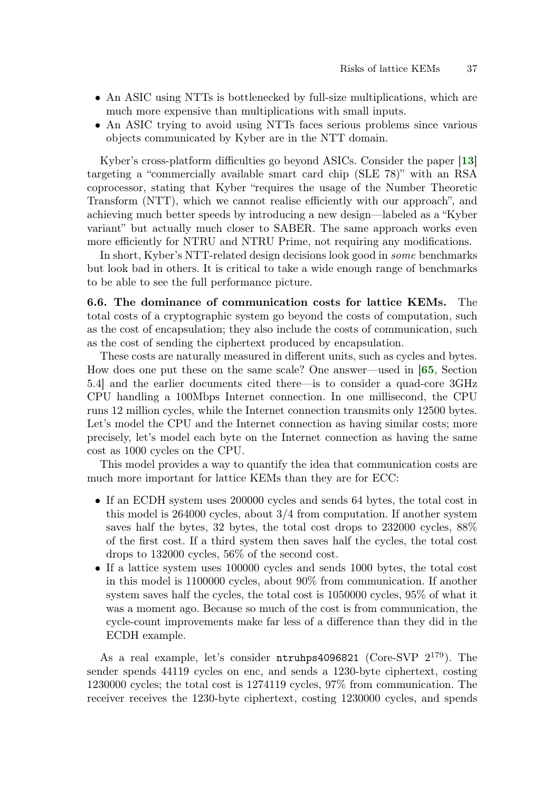- An ASIC using NTTs is bottlenecked by full-size multiplications, which are much more expensive than multiplications with small inputs.
- <span id="page-36-1"></span>• An ASIC trying to avoid using NTTs faces serious problems since various objects communicated by Kyber are in the NTT domain.

Kyber's cross-platform difficulties go beyond ASICs. Consider the paper [[13](#page-53-0)] targeting a "commercially available smart card chip (SLE 78)" with an RSA coprocessor, stating that Kyber "requires the usage of the Number Theoretic Transform (NTT), which we cannot realise efficiently with our approach", and achieving much better speeds by introducing a new design—labeled as a "Kyber variant" but actually much closer to SABER. The same approach works even more efficiently for NTRU and NTRU Prime, not requiring any modifications.

In short, Kyber's NTT-related design decisions look good in some benchmarks but look bad in others. It is critical to take a wide enough range of benchmarks to be able to see the full performance picture.

<span id="page-36-0"></span>6.6. The dominance of communication costs for lattice KEMs. The total costs of a cryptographic system go beyond the costs of computation, such as the cost of encapsulation; they also include the costs of communication, such as the cost of sending the ciphertext produced by encapsulation.

<span id="page-36-2"></span>These costs are naturally measured in different units, such as cycles and bytes. How does one put these on the same scale? One answer—used in [[65](#page-57-0), Section 5.4] and the earlier documents cited there—is to consider a quad-core 3GHz CPU handling a 100Mbps Internet connection. In one millisecond, the CPU runs 12 million cycles, while the Internet connection transmits only 12500 bytes. Let's model the CPU and the Internet connection as having similar costs; more precisely, let's model each byte on the Internet connection as having the same cost as 1000 cycles on the CPU.

This model provides a way to quantify the idea that communication costs are much more important for lattice KEMs than they are for ECC:

- If an ECDH system uses 200000 cycles and sends 64 bytes, the total cost in this model is 264000 cycles, about 3/4 from computation. If another system saves half the bytes, 32 bytes, the total cost drops to 232000 cycles, 88% of the first cost. If a third system then saves half the cycles, the total cost drops to 132000 cycles, 56% of the second cost.
- If a lattice system uses 100000 cycles and sends 1000 bytes, the total cost in this model is 1100000 cycles, about 90% from communication. If another system saves half the cycles, the total cost is 1050000 cycles, 95% of what it was a moment ago. Because so much of the cost is from communication, the cycle-count improvements make far less of a difference than they did in the ECDH example.

As a real example, let's consider  $ntrubps4096821$  (Core-SVP  $2^{179}$ ). The sender spends 44119 cycles on enc, and sends a 1230-byte ciphertext, costing 1230000 cycles; the total cost is 1274119 cycles, 97% from communication. The receiver receives the 1230-byte ciphertext, costing 1230000 cycles, and spends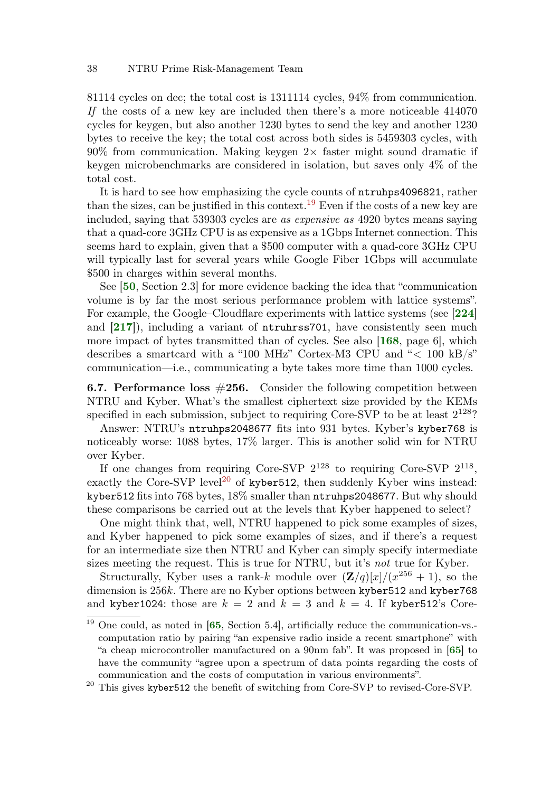81114 cycles on dec; the total cost is 1311114 cycles, 94% from communication. If the costs of a new key are included then there's a more noticeable 414070 cycles for keygen, but also another 1230 bytes to send the key and another 1230 bytes to receive the key; the total cost across both sides is 5459303 cycles, with  $90\%$  from communication. Making keygen  $2\times$  faster might sound dramatic if keygen microbenchmarks are considered in isolation, but saves only 4% of the total cost.

It is hard to see how emphasizing the cycle counts of ntruhps4096821, rather than the sizes, can be justified in this context.<sup>[19](#page-0-0)</sup> Even if the costs of a new key are included, saying that 539303 cycles are as expensive as 4920 bytes means saying that a quad-core 3GHz CPU is as expensive as a 1Gbps Internet connection. This seems hard to explain, given that a \$500 computer with a quad-core 3GHz CPU will typically last for several years while Google Fiber 1Gbps will accumulate \$500 in charges within several months.

<span id="page-37-6"></span><span id="page-37-5"></span><span id="page-37-4"></span><span id="page-37-1"></span>See [[50](#page-56-0), Section 2.3] for more evidence backing the idea that "communication volume is by far the most serious performance problem with lattice systems". For example, the Google–Cloudflare experiments with lattice systems (see [[224](#page-69-0)] and  $[217]$  $[217]$  $[217]$ , including a variant of **ntruhrss**701, have consistently seen much more impact of bytes transmitted than of cycles. See also [[168](#page-65-0), page 6], which describes a smartcard with a "100 MHz" Cortex-M3 CPU and " $< 100$  kB/s" communication—i.e., communicating a byte takes more time than 1000 cycles.

<span id="page-37-0"></span>**6.7. Performance loss**  $\#256$ **.** Consider the following competition between NTRU and Kyber. What's the smallest ciphertext size provided by the KEMs specified in each submission, subject to requiring Core-SVP to be at least  $2^{128}$ ?

Answer: NTRU's ntruhps2048677 fits into 931 bytes. Kyber's kyber768 is noticeably worse: 1088 bytes, 17% larger. This is another solid win for NTRU over Kyber.

If one changes from requiring Core-SVP  $2^{128}$  to requiring Core-SVP  $2^{118}$ , exactly the Core-SVP level<sup>[20](#page-0-0)</sup> of kyber512, then suddenly Kyber wins instead: kyber512 fits into 768 bytes, 18% smaller than ntruhps2048677. But why should these comparisons be carried out at the levels that Kyber happened to select?

One might think that, well, NTRU happened to pick some examples of sizes, and Kyber happened to pick some examples of sizes, and if there's a request for an intermediate size then NTRU and Kyber can simply specify intermediate sizes meeting the request. This is true for NTRU, but it's not true for Kyber.

Structurally, Kyber uses a rank-k module over  $(\mathbf{Z}/q)[x]/(x^{256}+1)$ , so the dimension is 256k. There are no Kyber options between kyber512 and kyber768 and kyber1024: those are  $k = 2$  and  $k = 3$  and  $k = 4$ . If kyber512's Core-

<span id="page-37-3"></span><span id="page-37-2"></span> $\frac{19}{19}$  One could, as noted in [[65](#page-57-0), Section 5.4], artificially reduce the communication-vs. computation ratio by pairing "an expensive radio inside a recent smartphone" with "a cheap microcontroller manufactured on a 90nm fab". It was proposed in [[65](#page-57-0)] to have the community "agree upon a spectrum of data points regarding the costs of communication and the costs of computation in various environments".

 $20$  This gives kyber512 the benefit of switching from Core-SVP to revised-Core-SVP.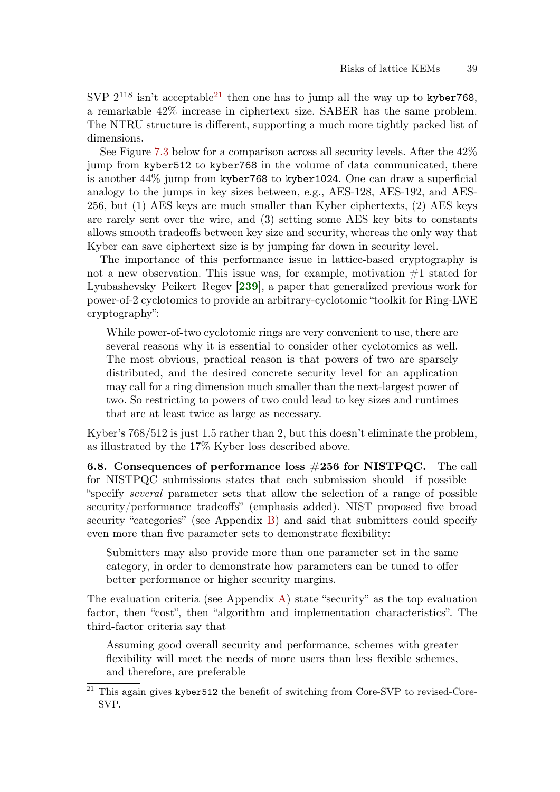SVP  $2^{118}$  isn't acceptable<sup>[21](#page-0-0)</sup> then one has to jump all the way up to kyber768, a remarkable 42% increase in ciphertext size. SABER has the same problem. The NTRU structure is different, supporting a much more tightly packed list of dimensions.

See Figure [7.3](#page-41-0) below for a comparison across all security levels. After the 42% jump from kyber512 to kyber768 in the volume of data communicated, there is another 44% jump from kyber768 to kyber1024. One can draw a superficial analogy to the jumps in key sizes between, e.g., AES-128, AES-192, and AES-256, but (1) AES keys are much smaller than Kyber ciphertexts, (2) AES keys are rarely sent over the wire, and (3) setting some AES key bits to constants allows smooth tradeoffs between key size and security, whereas the only way that Kyber can save ciphertext size is by jumping far down in security level.

The importance of this performance issue in lattice-based cryptography is not a new observation. This issue was, for example, motivation  $#1$  stated for Lyubashevsky–Peikert–Regev [[239](#page-70-0)], a paper that generalized previous work for power-of-2 cyclotomics to provide an arbitrary-cyclotomic "toolkit for Ring-LWE cryptography":

<span id="page-38-0"></span>While power-of-two cyclotomic rings are very convenient to use, there are several reasons why it is essential to consider other cyclotomics as well. The most obvious, practical reason is that powers of two are sparsely distributed, and the desired concrete security level for an application may call for a ring dimension much smaller than the next-largest power of two. So restricting to powers of two could lead to key sizes and runtimes that are at least twice as large as necessary.

Kyber's 768/512 is just 1.5 rather than 2, but this doesn't eliminate the problem, as illustrated by the 17% Kyber loss described above.

6.8. Consequences of performance loss  $\#256$  for NISTPQC. The call for NISTPQC submissions states that each submission should—if possible— "specify several parameter sets that allow the selection of a range of possible security/performance tradeoffs" (emphasis added). NIST proposed five broad security "categories" (see Appendix [B\)](#page-91-0) and said that submitters could specify even more than five parameter sets to demonstrate flexibility:

Submitters may also provide more than one parameter set in the same category, in order to demonstrate how parameters can be tuned to offer better performance or higher security margins.

The evaluation criteria (see Appendix [A\)](#page-79-0) state "security" as the top evaluation factor, then "cost", then "algorithm and implementation characteristics". The third-factor criteria say that

Assuming good overall security and performance, schemes with greater flexibility will meet the needs of more users than less flexible schemes, and therefore, are preferable

<sup>21</sup> This again gives kyber512 the benefit of switching from Core-SVP to revised-Core-SVP.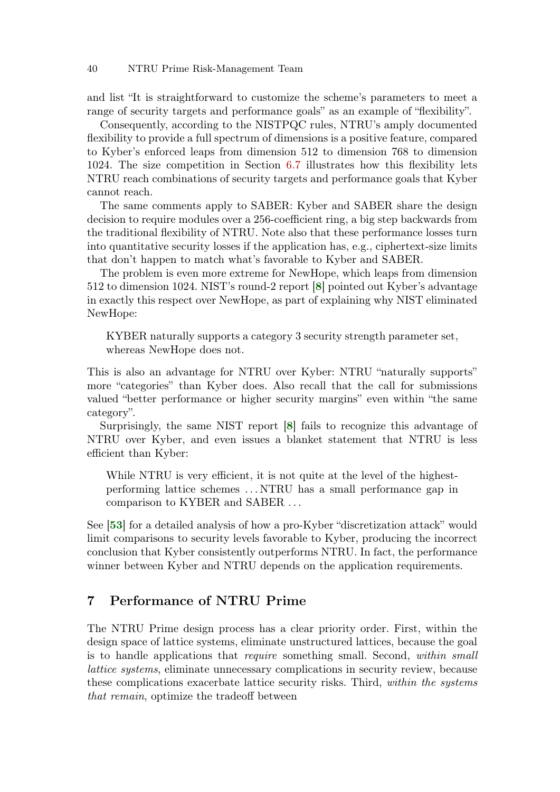## 40 NTRU Prime Risk-Management Team

and list "It is straightforward to customize the scheme's parameters to meet a range of security targets and performance goals" as an example of "flexibility".

Consequently, according to the NISTPQC rules, NTRU's amply documented flexibility to provide a full spectrum of dimensions is a positive feature, compared to Kyber's enforced leaps from dimension 512 to dimension 768 to dimension 1024. The size competition in Section [6.7](#page-37-0) illustrates how this flexibility lets NTRU reach combinations of security targets and performance goals that Kyber cannot reach.

The same comments apply to SABER: Kyber and SABER share the design decision to require modules over a 256-coefficient ring, a big step backwards from the traditional flexibility of NTRU. Note also that these performance losses turn into quantitative security losses if the application has, e.g., ciphertext-size limits that don't happen to match what's favorable to Kyber and SABER.

The problem is even more extreme for NewHope, which leaps from dimension 512 to dimension 1024. NIST's round-2 report [[8](#page-53-1)] pointed out Kyber's advantage in exactly this respect over NewHope, as part of explaining why NIST eliminated NewHope:

<span id="page-39-0"></span>KYBER naturally supports a category 3 security strength parameter set, whereas NewHope does not.

This is also an advantage for NTRU over Kyber: NTRU "naturally supports" more "categories" than Kyber does. Also recall that the call for submissions valued "better performance or higher security margins" even within "the same category".

Surprisingly, the same NIST report [[8](#page-53-1)] fails to recognize this advantage of NTRU over Kyber, and even issues a blanket statement that NTRU is less efficient than Kyber:

<span id="page-39-1"></span>While NTRU is very efficient, it is not quite at the level of the highestperforming lattice schemes . . . NTRU has a small performance gap in comparison to KYBER and SABER . . .

<span id="page-39-2"></span>See [[53](#page-56-1)] for a detailed analysis of how a pro-Kyber "discretization attack" would limit comparisons to security levels favorable to Kyber, producing the incorrect conclusion that Kyber consistently outperforms NTRU. In fact, the performance winner between Kyber and NTRU depends on the application requirements.

# 7 Performance of NTRU Prime

The NTRU Prime design process has a clear priority order. First, within the design space of lattice systems, eliminate unstructured lattices, because the goal is to handle applications that require something small. Second, within small lattice systems, eliminate unnecessary complications in security review, because these complications exacerbate lattice security risks. Third, within the systems that remain, optimize the tradeoff between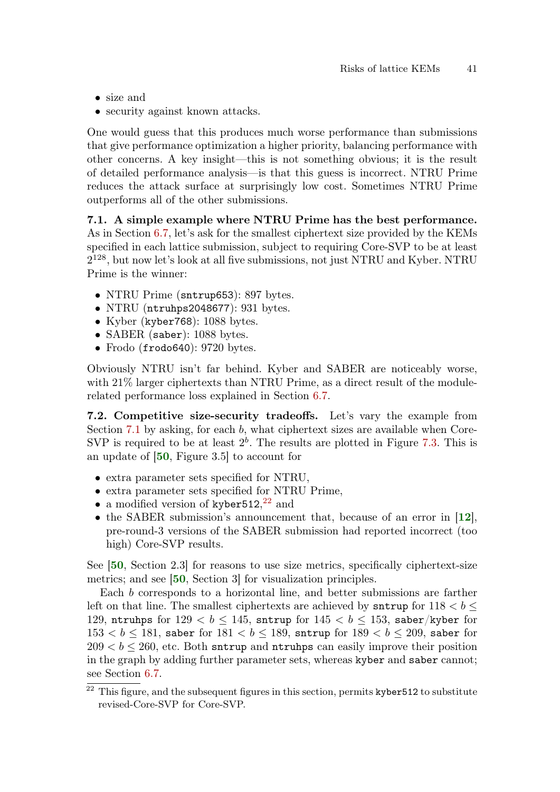- size and
- security against known attacks.

One would guess that this produces much worse performance than submissions that give performance optimization a higher priority, balancing performance with other concerns. A key insight—this is not something obvious; it is the result of detailed performance analysis—is that this guess is incorrect. NTRU Prime reduces the attack surface at surprisingly low cost. Sometimes NTRU Prime outperforms all of the other submissions.

<span id="page-40-0"></span>7.1. A simple example where NTRU Prime has the best performance. As in Section [6.7,](#page-37-0) let's ask for the smallest ciphertext size provided by the KEMs specified in each lattice submission, subject to requiring Core-SVP to be at least 2 <sup>128</sup>, but now let's look at all five submissions, not just NTRU and Kyber. NTRU Prime is the winner:

- NTRU Prime (sntrup653): 897 bytes.
- NTRU (ntruhps2048677): 931 bytes.
- Kyber (kyber 768): 1088 bytes.
- SABER (saber): 1088 bytes.
- Frodo (frodo640): 9720 bytes.

Obviously NTRU isn't far behind. Kyber and SABER are noticeably worse, with 21% larger ciphertexts than NTRU Prime, as a direct result of the modulerelated performance loss explained in Section [6.7.](#page-37-0)

7.2. Competitive size-security tradeoffs. Let's vary the example from Section [7.1](#page-40-0) by asking, for each b, what ciphertext sizes are available when Core-SVP is required to be at least  $2^b$ . The results are plotted in Figure [7.3.](#page-41-0) This is an update of [[50](#page-56-0), Figure 3.5] to account for

- <span id="page-40-2"></span>• extra parameter sets specified for NTRU,
- extra parameter sets specified for NTRU Prime,
- <span id="page-40-1"></span>• a modified version of kyber $512,^{22}$  $512,^{22}$  $512,^{22}$  and
- the SABER submission's announcement that, because of an error in [[12](#page-53-2)], pre-round-3 versions of the SABER submission had reported incorrect (too high) Core-SVP results.

<span id="page-40-4"></span><span id="page-40-3"></span>See [[50](#page-56-0), Section 2.3] for reasons to use size metrics, specifically ciphertext-size metrics; and see [[50](#page-56-0), Section 3] for visualization principles.

Each b corresponds to a horizontal line, and better submissions are farther left on that line. The smallest ciphertexts are achieved by sntrup for  $118 < b <$ 129, ntruhps for  $129 < b \le 145$ , sntrup for  $145 < b \le 153$ , saber/kyber for  $153 < b \le 181$ , saber for  $181 < b \le 189$ , sntrup for  $189 < b \le 209$ , saber for  $209 < b < 260$ , etc. Both sntrup and ntruhps can easily improve their position in the graph by adding further parameter sets, whereas kyber and saber cannot; see Section [6.7.](#page-37-0)

 $22$  This figure, and the subsequent figures in this section, permits kyber512 to substitute revised-Core-SVP for Core-SVP.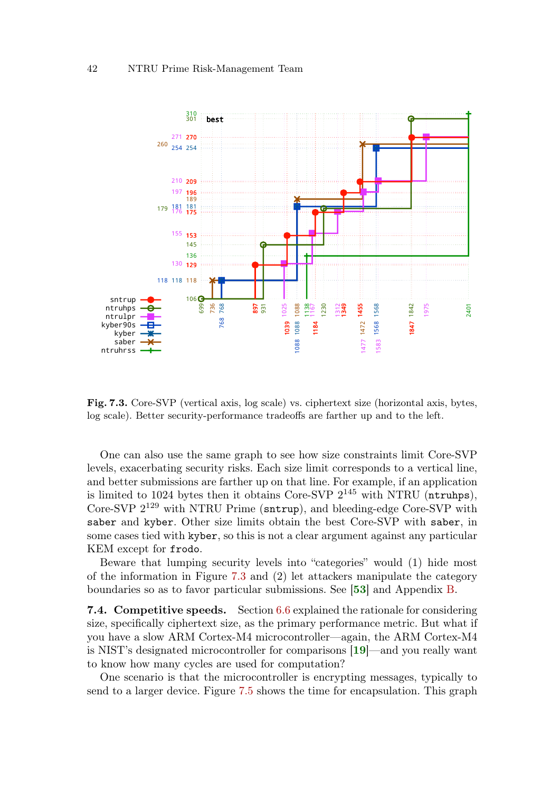

<span id="page-41-0"></span>Fig. 7.3. Core-SVP (vertical axis, log scale) vs. ciphertext size (horizontal axis, bytes, log scale). Better security-performance tradeoffs are farther up and to the left.

One can also use the same graph to see how size constraints limit Core-SVP levels, exacerbating security risks. Each size limit corresponds to a vertical line, and better submissions are farther up on that line. For example, if an application is limited to 1024 bytes then it obtains Core-SVP  $2^{145}$  with NTRU (ntruhps), Core-SVP  $2^{129}$  with NTRU Prime (sntrup), and bleeding-edge Core-SVP with saber and kyber. Other size limits obtain the best Core-SVP with saber, in some cases tied with kyber, so this is not a clear argument against any particular KEM except for frodo.

<span id="page-41-2"></span>Beware that lumping security levels into "categories" would (1) hide most of the information in Figure [7.3](#page-41-0) and (2) let attackers manipulate the category boundaries so as to favor particular submissions. See [[53](#page-56-1)] and Appendix [B.](#page-91-0)

**7.4. Competitive speeds.** Section [6.6](#page-36-0) explained the rationale for considering size, specifically ciphertext size, as the primary performance metric. But what if you have a slow ARM Cortex-M4 microcontroller—again, the ARM Cortex-M4 is NIST's designated microcontroller for comparisons [[19](#page-54-0)]—and you really want to know how many cycles are used for computation?

<span id="page-41-1"></span>One scenario is that the microcontroller is encrypting messages, typically to send to a larger device. Figure [7.5](#page-42-0) shows the time for encapsulation. This graph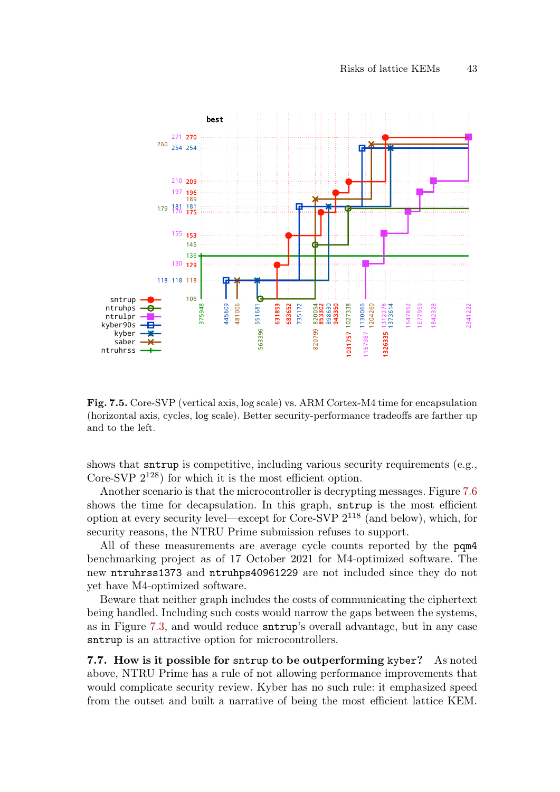

<span id="page-42-0"></span>Fig. 7.5. Core-SVP (vertical axis, log scale) vs. ARM Cortex-M4 time for encapsulation (horizontal axis, cycles, log scale). Better security-performance tradeoffs are farther up and to the left.

shows that sntrup is competitive, including various security requirements (e.g., Core-SVP  $2^{128}$ ) for which it is the most efficient option.

Another scenario is that the microcontroller is decrypting messages. Figure [7.6](#page-43-0) shows the time for decapsulation. In this graph, sntrup is the most efficient option at every security level—except for Core-SVP  $2^{118}$  (and below), which, for security reasons, the NTRU Prime submission refuses to support.

All of these measurements are average cycle counts reported by the pqm4 benchmarking project as of 17 October 2021 for M4-optimized software. The new ntruhrss1373 and ntruhps40961229 are not included since they do not yet have M4-optimized software.

Beware that neither graph includes the costs of communicating the ciphertext being handled. Including such costs would narrow the gaps between the systems, as in Figure [7.3,](#page-41-0) and would reduce sntrup's overall advantage, but in any case sntrup is an attractive option for microcontrollers.

7.7. How is it possible for sntrup to be outperforming kyber? As noted above, NTRU Prime has a rule of not allowing performance improvements that would complicate security review. Kyber has no such rule: it emphasized speed from the outset and built a narrative of being the most efficient lattice KEM.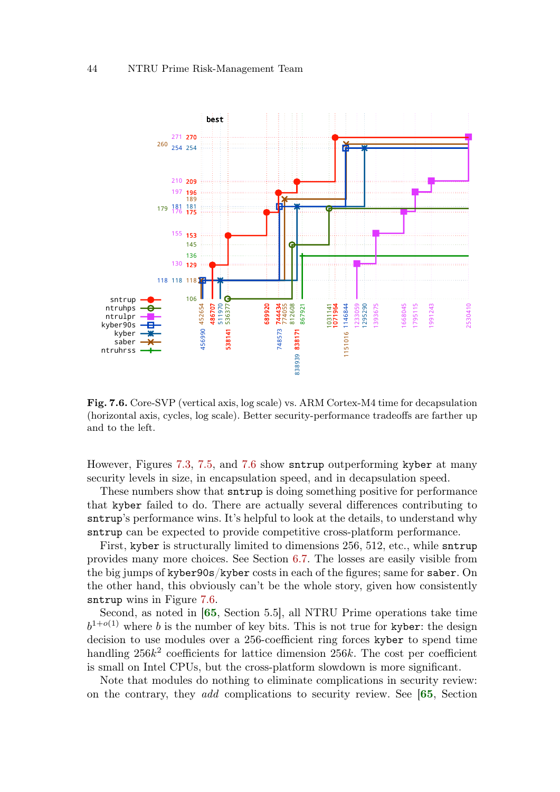

<span id="page-43-0"></span>Fig. 7.6. Core-SVP (vertical axis, log scale) vs. ARM Cortex-M4 time for decapsulation (horizontal axis, cycles, log scale). Better security-performance tradeoffs are farther up and to the left.

However, Figures [7.3,](#page-41-0) [7.5,](#page-42-0) and [7.6](#page-43-0) show sntrup outperforming kyber at many security levels in size, in encapsulation speed, and in decapsulation speed.

These numbers show that sntrup is doing something positive for performance that kyber failed to do. There are actually several differences contributing to sntrup's performance wins. It's helpful to look at the details, to understand why sntrup can be expected to provide competitive cross-platform performance.

First, kyber is structurally limited to dimensions 256, 512, etc., while sntrup provides many more choices. See Section [6.7.](#page-37-0) The losses are easily visible from the big jumps of kyber90s/kyber costs in each of the figures; same for saber. On the other hand, this obviously can't be the whole story, given how consistently sntrup wins in Figure [7.6.](#page-43-0)

<span id="page-43-1"></span>Second, as noted in [[65](#page-57-0), Section 5.5], all NTRU Prime operations take time  $b^{1+o(1)}$  where b is the number of key bits. This is not true for kyber: the design decision to use modules over a 256-coefficient ring forces kyber to spend time handling  $256k^2$  coefficients for lattice dimension  $256k$ . The cost per coefficient is small on Intel CPUs, but the cross-platform slowdown is more significant.

<span id="page-43-2"></span>Note that modules do nothing to eliminate complications in security review: on the contrary, they add complications to security review. See [[65](#page-57-0), Section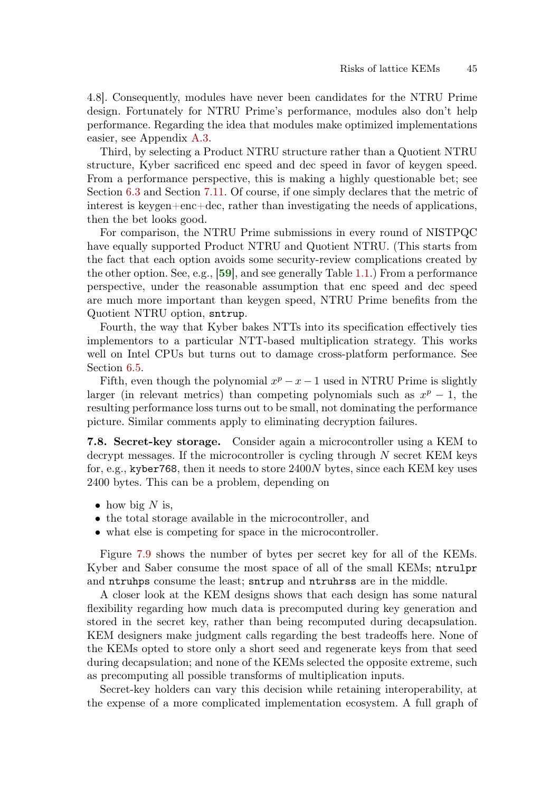4.8]. Consequently, modules have never been candidates for the NTRU Prime design. Fortunately for NTRU Prime's performance, modules also don't help performance. Regarding the idea that modules make optimized implementations easier, see Appendix [A.3.](#page-88-0)

Third, by selecting a Product NTRU structure rather than a Quotient NTRU structure, Kyber sacrificed enc speed and dec speed in favor of keygen speed. From a performance perspective, this is making a highly questionable bet; see Section [6.3](#page-32-0) and Section [7.11.](#page-48-0) Of course, if one simply declares that the metric of interest is keygen+enc+dec, rather than investigating the needs of applications, then the bet looks good.

<span id="page-44-0"></span>For comparison, the NTRU Prime submissions in every round of NISTPQC have equally supported Product NTRU and Quotient NTRU. (This starts from the fact that each option avoids some security-review complications created by the other option. See, e.g., [[59](#page-57-1)], and see generally Table [1.1.](#page-1-0)) From a performance perspective, under the reasonable assumption that enc speed and dec speed are much more important than keygen speed, NTRU Prime benefits from the Quotient NTRU option, sntrup.

Fourth, the way that Kyber bakes NTTs into its specification effectively ties implementors to a particular NTT-based multiplication strategy. This works well on Intel CPUs but turns out to damage cross-platform performance. See Section [6.5.](#page-34-0)

Fifth, even though the polynomial  $x^p - x - 1$  used in NTRU Prime is slightly larger (in relevant metrics) than competing polynomials such as  $x^p - 1$ , the resulting performance loss turns out to be small, not dominating the performance picture. Similar comments apply to eliminating decryption failures.

7.8. Secret-key storage. Consider again a microcontroller using a KEM to decrypt messages. If the microcontroller is cycling through  $N$  secret KEM keys for, e.g., kyber768, then it needs to store 2400N bytes, since each KEM key uses 2400 bytes. This can be a problem, depending on

- $\bullet$  how big N is,
- the total storage available in the microcontroller, and
- what else is competing for space in the microcontroller.

Figure [7.9](#page-45-0) shows the number of bytes per secret key for all of the KEMs. Kyber and Saber consume the most space of all of the small KEMs; ntrulpr and ntruhps consume the least; sntrup and ntruhrss are in the middle.

A closer look at the KEM designs shows that each design has some natural flexibility regarding how much data is precomputed during key generation and stored in the secret key, rather than being recomputed during decapsulation. KEM designers make judgment calls regarding the best tradeoffs here. None of the KEMs opted to store only a short seed and regenerate keys from that seed during decapsulation; and none of the KEMs selected the opposite extreme, such as precomputing all possible transforms of multiplication inputs.

Secret-key holders can vary this decision while retaining interoperability, at the expense of a more complicated implementation ecosystem. A full graph of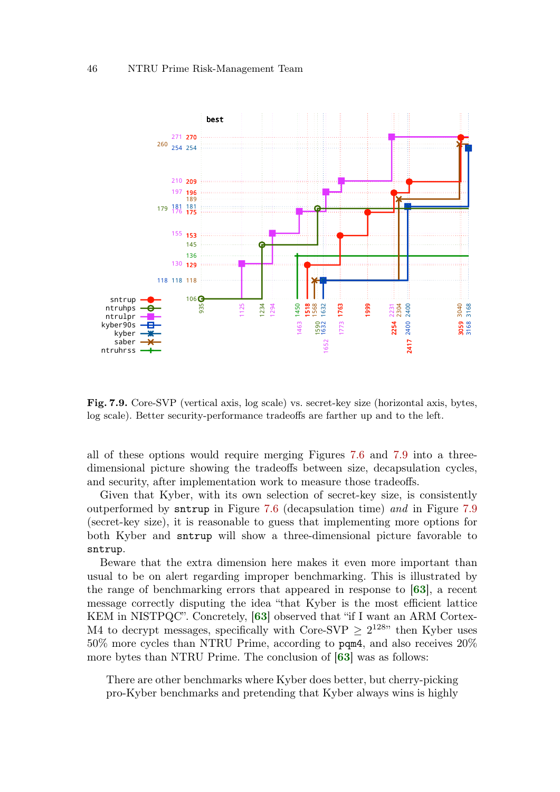

<span id="page-45-0"></span>Fig. 7.9. Core-SVP (vertical axis, log scale) vs. secret-key size (horizontal axis, bytes, log scale). Better security-performance tradeoffs are farther up and to the left.

all of these options would require merging Figures [7.6](#page-43-0) and [7.9](#page-45-0) into a threedimensional picture showing the tradeoffs between size, decapsulation cycles, and security, after implementation work to measure those tradeoffs.

Given that Kyber, with its own selection of secret-key size, is consistently outperformed by sntrup in Figure [7.6](#page-43-0) (decapsulation time) and in Figure [7.9](#page-45-0) (secret-key size), it is reasonable to guess that implementing more options for both Kyber and sntrup will show a three-dimensional picture favorable to sntrup.

Beware that the extra dimension here makes it even more important than usual to be on alert regarding improper benchmarking. This is illustrated by the range of benchmarking errors that appeared in response to [[63](#page-57-2)], a recent message correctly disputing the idea "that Kyber is the most efficient lattice KEM in NISTPQC". Concretely, [[63](#page-57-2)] observed that "if I want an ARM Cortex-M4 to decrypt messages, specifically with Core-SVP  $\geq 2^{128}$  then Kyber uses 50% more cycles than NTRU Prime, according to pqm4, and also receives 20% more bytes than NTRU Prime. The conclusion of [[63](#page-57-2)] was as follows:

<span id="page-45-3"></span><span id="page-45-2"></span><span id="page-45-1"></span>There are other benchmarks where Kyber does better, but cherry-picking pro-Kyber benchmarks and pretending that Kyber always wins is highly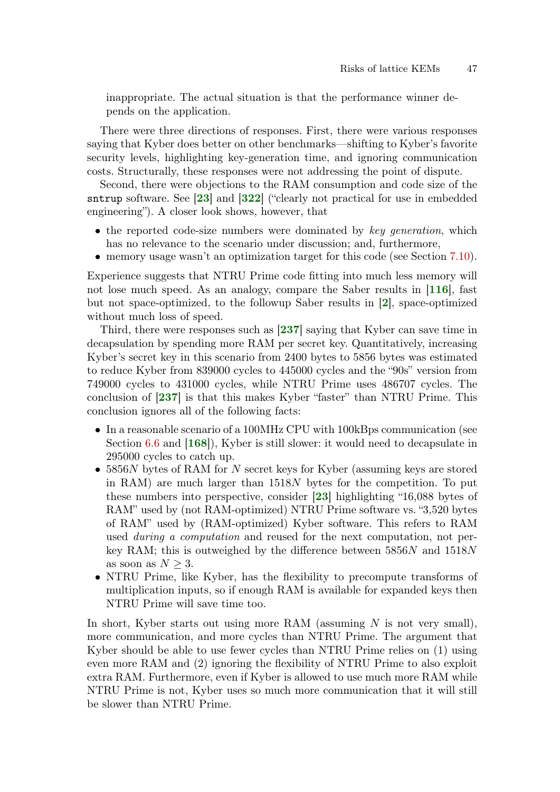inappropriate. The actual situation is that the performance winner depends on the application.

There were three directions of responses. First, there were various responses saying that Kyber does better on other benchmarks—shifting to Kyber's favorite security levels, highlighting key-generation time, and ignoring communication costs. Structurally, these responses were not addressing the point of dispute.

Second, there were objections to the RAM consumption and code size of the sntrup software. See [[23](#page-54-1)] and [[322](#page-76-0)] ("clearly not practical for use in embedded engineering"). A closer look shows, however, that

- <span id="page-46-2"></span>• the reported code-size numbers were dominated by key generation, which has no relevance to the scenario under discussion; and, furthermore,
- <span id="page-46-4"></span><span id="page-46-1"></span>• memory usage wasn't an optimization target for this code (see Section [7.10\)](#page-46-0).

Experience suggests that NTRU Prime code fitting into much less memory will not lose much speed. As an analogy, compare the Saber results in [[116](#page-61-0)], fast but not space-optimized, to the followup Saber results in [[2](#page-52-0)], space-optimized without much loss of speed.

<span id="page-46-6"></span>Third, there were responses such as [[237](#page-70-1)] saying that Kyber can save time in decapsulation by spending more RAM per secret key. Quantitatively, increasing Kyber's secret key in this scenario from 2400 bytes to 5856 bytes was estimated to reduce Kyber from 839000 cycles to 445000 cycles and the "90s" version from 749000 cycles to 431000 cycles, while NTRU Prime uses 486707 cycles. The conclusion of [[237](#page-70-1)] is that this makes Kyber "faster" than NTRU Prime. This conclusion ignores all of the following facts:

- <span id="page-46-7"></span><span id="page-46-5"></span>• In a reasonable scenario of a 100MHz CPU with 100kBps communication (see Section [6.6](#page-36-0) and [[168](#page-65-0)]), Kyber is still slower: it would need to decapsulate in 295000 cycles to catch up.
- <span id="page-46-3"></span>• 5856N bytes of RAM for N secret keys for Kyber (assuming keys are stored in RAM) are much larger than 1518N bytes for the competition. To put these numbers into perspective, consider [[23](#page-54-1)] highlighting "16,088 bytes of RAM" used by (not RAM-optimized) NTRU Prime software vs. "3,520 bytes of RAM" used by (RAM-optimized) Kyber software. This refers to RAM used *during a computation* and reused for the next computation, not perkey RAM; this is outweighed by the difference between  $5856N$  and  $1518N$ as soon as  $N > 3$ .
- NTRU Prime, like Kyber, has the flexibility to precompute transforms of multiplication inputs, so if enough RAM is available for expanded keys then NTRU Prime will save time too.

<span id="page-46-0"></span>In short, Kyber starts out using more RAM (assuming  $N$  is not very small), more communication, and more cycles than NTRU Prime. The argument that Kyber should be able to use fewer cycles than NTRU Prime relies on (1) using even more RAM and (2) ignoring the flexibility of NTRU Prime to also exploit extra RAM. Furthermore, even if Kyber is allowed to use much more RAM while NTRU Prime is not, Kyber uses so much more communication that it will still be slower than NTRU Prime.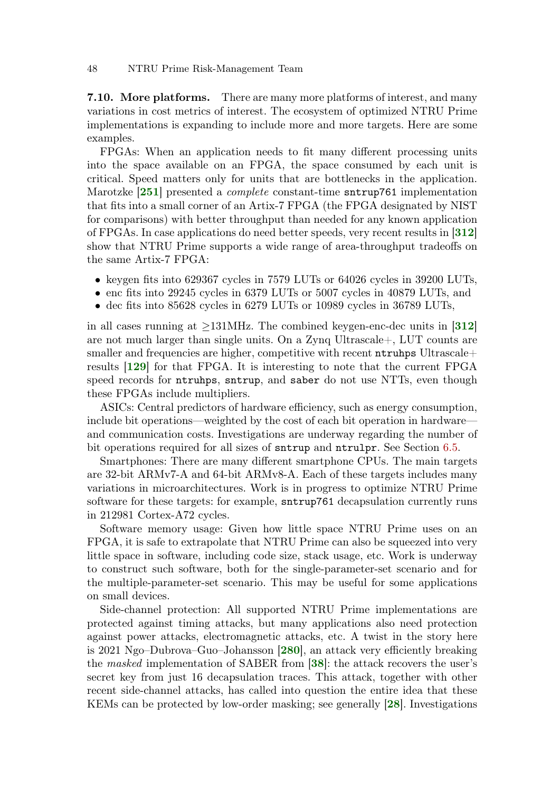7.10. More platforms. There are many more platforms of interest, and many variations in cost metrics of interest. The ecosystem of optimized NTRU Prime implementations is expanding to include more and more targets. Here are some examples.

<span id="page-47-3"></span>FPGAs: When an application needs to fit many different processing units into the space available on an FPGA, the space consumed by each unit is critical. Speed matters only for units that are bottlenecks in the application. Marotzke **[[251](#page-71-0)]** presented a *complete* constant-time sntrup761 implementation that fits into a small corner of an Artix-7 FPGA (the FPGA designated by NIST for comparisons) with better throughput than needed for any known application of FPGAs. In case applications do need better speeds, very recent results in [[312](#page-75-0)] show that NTRU Prime supports a wide range of area-throughput tradeoffs on the same Artix-7 FPGA:

- keygen fits into 629367 cycles in 7579 LUTs or 64026 cycles in 39200 LUTs,
- enc fits into 29245 cycles in 6379 LUTs or 5007 cycles in 40879 LUTs, and
- dec fits into 85628 cycles in 6279 LUTs or 10989 cycles in 36789 LUTs,

<span id="page-47-2"></span>in all cases running at  $\geq$ 131MHz. The combined keygen-enc-dec units in [[312](#page-75-0)] are not much larger than single units. On a Zynq Ultrascale+, LUT counts are smaller and frequencies are higher, competitive with recent ntruhps Ultrascale+ results [[129](#page-62-0)] for that FPGA. It is interesting to note that the current FPGA speed records for ntruhps, sntrup, and saber do not use NTTs, even though these FPGAs include multipliers.

ASICs: Central predictors of hardware efficiency, such as energy consumption, include bit operations—weighted by the cost of each bit operation in hardware and communication costs. Investigations are underway regarding the number of bit operations required for all sizes of sntrup and ntrulpr. See Section [6.5.](#page-34-0)

Smartphones: There are many different smartphone CPUs. The main targets are 32-bit ARMv7-A and 64-bit ARMv8-A. Each of these targets includes many variations in microarchitectures. Work is in progress to optimize NTRU Prime software for these targets: for example, sntrup761 decapsulation currently runs in 212981 Cortex-A72 cycles.

Software memory usage: Given how little space NTRU Prime uses on an FPGA, it is safe to extrapolate that NTRU Prime can also be squeezed into very little space in software, including code size, stack usage, etc. Work is underway to construct such software, both for the single-parameter-set scenario and for the multiple-parameter-set scenario. This may be useful for some applications on small devices.

<span id="page-47-1"></span><span id="page-47-0"></span>Side-channel protection: All supported NTRU Prime implementations are protected against timing attacks, but many applications also need protection against power attacks, electromagnetic attacks, etc. A twist in the story here is 2021 Ngo–Dubrova–Guo–Johansson [[280](#page-73-0)], an attack very efficiently breaking the masked implementation of SABER from [[38](#page-55-0)]: the attack recovers the user's secret key from just 16 decapsulation traces. This attack, together with other recent side-channel attacks, has called into question the entire idea that these KEMs can be protected by low-order masking; see generally [[28](#page-54-2)]. Investigations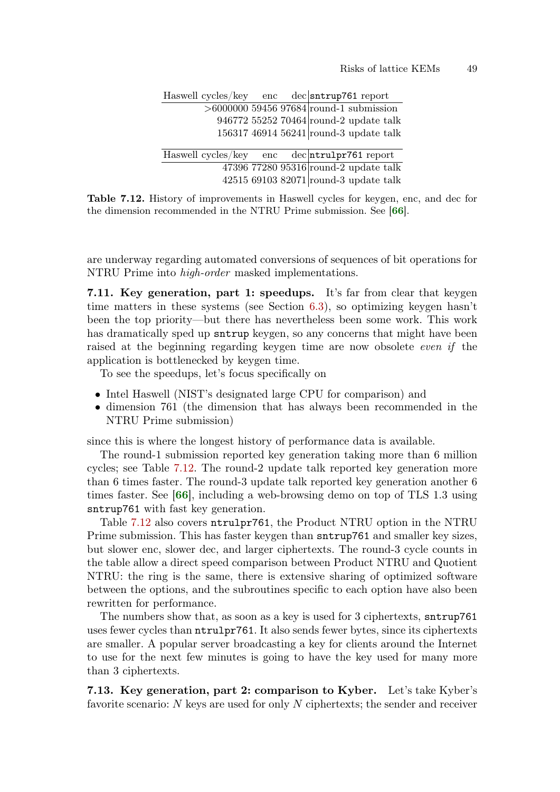<span id="page-48-2"></span>

|  |  | Haswell cycles/key enc dec sntrup761 report  |
|--|--|----------------------------------------------|
|  |  | $>6000000$ 59456 97684 round-1 submission    |
|  |  | 946772 55252 70464 round-2 update talk       |
|  |  | 156317 46914 56241 round-3 update talk       |
|  |  |                                              |
|  |  |                                              |
|  |  | Haswell cycles/key enc dec ntrulpr761 report |
|  |  | 47396 77280 95316 round-2 update talk        |

<span id="page-48-1"></span>Table 7.12. History of improvements in Haswell cycles for keygen, enc, and dec for the dimension recommended in the NTRU Prime submission. See [[66](#page-57-3)].

are underway regarding automated conversions of sequences of bit operations for NTRU Prime into high-order masked implementations.

<span id="page-48-0"></span>7.11. Key generation, part 1: speedups. It's far from clear that keygen time matters in these systems (see Section [6.3\)](#page-32-0), so optimizing keygen hasn't been the top priority—but there has nevertheless been some work. This work has dramatically sped up sntrup keygen, so any concerns that might have been raised at the beginning regarding keygen time are now obsolete even if the application is bottlenecked by keygen time.

To see the speedups, let's focus specifically on

- Intel Haswell (NIST's designated large CPU for comparison) and
- dimension 761 (the dimension that has always been recommended in the NTRU Prime submission)

since this is where the longest history of performance data is available.

The round-1 submission reported key generation taking more than 6 million cycles; see Table [7.12.](#page-48-1) The round-2 update talk reported key generation more than 6 times faster. The round-3 update talk reported key generation another 6 times faster. See [[66](#page-57-3)], including a web-browsing demo on top of TLS 1.3 using sntrup761 with fast key generation.

<span id="page-48-3"></span>Table [7.12](#page-48-1) also covers ntrulpr761, the Product NTRU option in the NTRU Prime submission. This has faster keygen than sntrup761 and smaller key sizes, but slower enc, slower dec, and larger ciphertexts. The round-3 cycle counts in the table allow a direct speed comparison between Product NTRU and Quotient NTRU: the ring is the same, there is extensive sharing of optimized software between the options, and the subroutines specific to each option have also been rewritten for performance.

The numbers show that, as soon as a key is used for 3 ciphertexts, sntrup761 uses fewer cycles than ntrulpr761. It also sends fewer bytes, since its ciphertexts are smaller. A popular server broadcasting a key for clients around the Internet to use for the next few minutes is going to have the key used for many more than 3 ciphertexts.

7.13. Key generation, part 2: comparison to Kyber. Let's take Kyber's favorite scenario: N keys are used for only N ciphertexts; the sender and receiver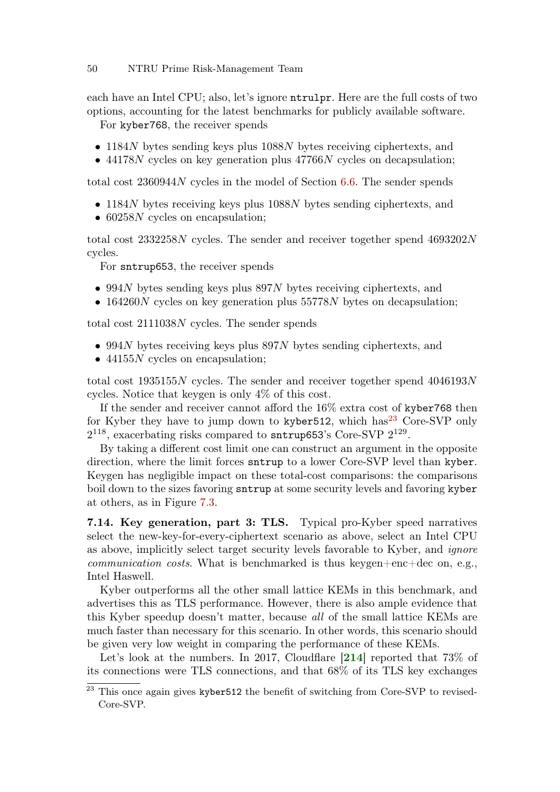## 50 NTRU Prime Risk-Management Team

each have an Intel CPU; also, let's ignore ntrulpr. Here are the full costs of two options, accounting for the latest benchmarks for publicly available software.

For kyber768, the receiver spends

- 1184N bytes sending keys plus 1088N bytes receiving ciphertexts, and
- $\bullet$  44178N cycles on key generation plus 47766N cycles on decapsulation;

total cost 2360944N cycles in the model of Section [6.6.](#page-36-0) The sender spends

- 1184N bytes receiving keys plus 1088N bytes sending ciphertexts, and
- 60258N cycles on encapsulation;

total cost 2332258N cycles. The sender and receiver together spend 4693202N cycles.

For sntrup653, the receiver spends

- 994N bytes sending keys plus 897N bytes receiving ciphertexts, and
- 164260N cycles on key generation plus 55778N bytes on decapsulation;

total cost 2111038N cycles. The sender spends

- 994N bytes receiving keys plus  $897N$  bytes sending ciphertexts, and
- 44155N cycles on encapsulation;

total cost  $1935155N$  cycles. The sender and receiver together spend  $4046193N$ cycles. Notice that keygen is only 4% of this cost.

If the sender and receiver cannot afford the 16% extra cost of kyber768 then for Kyber they have to jump down to kyber 512, which has<sup>[23](#page-0-0)</sup> Core-SVP only  $2^{118}$ , exacerbating risks compared to sntrup653's Core-SVP  $2^{129}$ .

By taking a different cost limit one can construct an argument in the opposite direction, where the limit forces sntrup to a lower Core-SVP level than kyber. Keygen has negligible impact on these total-cost comparisons: the comparisons boil down to the sizes favoring sntrup at some security levels and favoring kyber at others, as in Figure [7.3.](#page-41-0)

<span id="page-49-0"></span>7.14. Key generation, part 3: TLS. Typical pro-Kyber speed narratives select the new-key-for-every-ciphertext scenario as above, select an Intel CPU as above, implicitly select target security levels favorable to Kyber, and *ignore communication costs.* What is benchmarked is thus keygen+enc+dec on, e.g., Intel Haswell.

Kyber outperforms all the other small lattice KEMs in this benchmark, and advertises this as TLS performance. However, there is also ample evidence that this Kyber speedup doesn't matter, because all of the small lattice KEMs are much faster than necessary for this scenario. In other words, this scenario should be given very low weight in comparing the performance of these KEMs.

<span id="page-49-1"></span>Let's look at the numbers. In 2017, Cloudflare [[214](#page-68-1)] reported that 73\% of its connections were TLS connections, and that 68% of its TLS key exchanges

<sup>&</sup>lt;sup>23</sup> This once again gives kyber512 the benefit of switching from Core-SVP to revised-Core-SVP.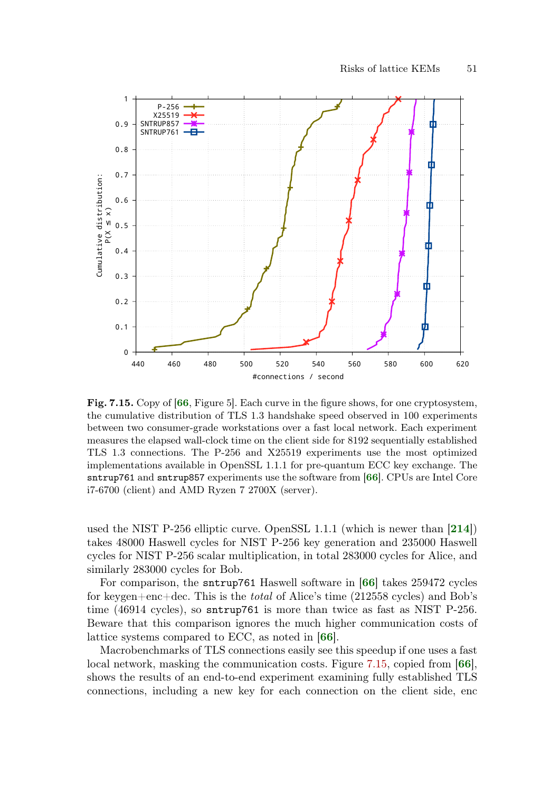

<span id="page-50-3"></span><span id="page-50-0"></span>Fig. 7.15. Copy of [[66](#page-57-3), Figure 5]. Each curve in the figure shows, for one cryptosystem, the cumulative distribution of TLS 1.3 handshake speed observed in 100 experiments between two consumer-grade workstations over a fast local network. Each experiment measures the elapsed wall-clock time on the client side for 8192 sequentially established TLS 1.3 connections. The P-256 and X25519 experiments use the most optimized implementations available in OpenSSL 1.1.1 for pre-quantum ECC key exchange. The sntrup761 and sntrup857 experiments use the software from [[66](#page-57-3)]. CPUs are Intel Core i7-6700 (client) and AMD Ryzen 7 2700X (server).

<span id="page-50-6"></span><span id="page-50-4"></span>used the NIST P-256 elliptic curve. OpenSSL 1.1.1 (which is newer than [[214](#page-68-1)]) takes 48000 Haswell cycles for NIST P-256 key generation and 235000 Haswell cycles for NIST P-256 scalar multiplication, in total 283000 cycles for Alice, and similarly 283000 cycles for Bob.

<span id="page-50-1"></span>For comparison, the sntrup761 Haswell software in [[66](#page-57-3)] takes 259472 cycles for keygen+enc+dec. This is the total of Alice's time (212558 cycles) and Bob's time (46914 cycles), so sntrup761 is more than twice as fast as NIST P-256. Beware that this comparison ignores the much higher communication costs of lattice systems compared to ECC, as noted in [[66](#page-57-3)].

<span id="page-50-5"></span><span id="page-50-2"></span>Macrobenchmarks of TLS connections easily see this speedup if one uses a fast local network, masking the communication costs. Figure [7.15,](#page-50-0) copied from [[66](#page-57-3)], shows the results of an end-to-end experiment examining fully established TLS connections, including a new key for each connection on the client side, enc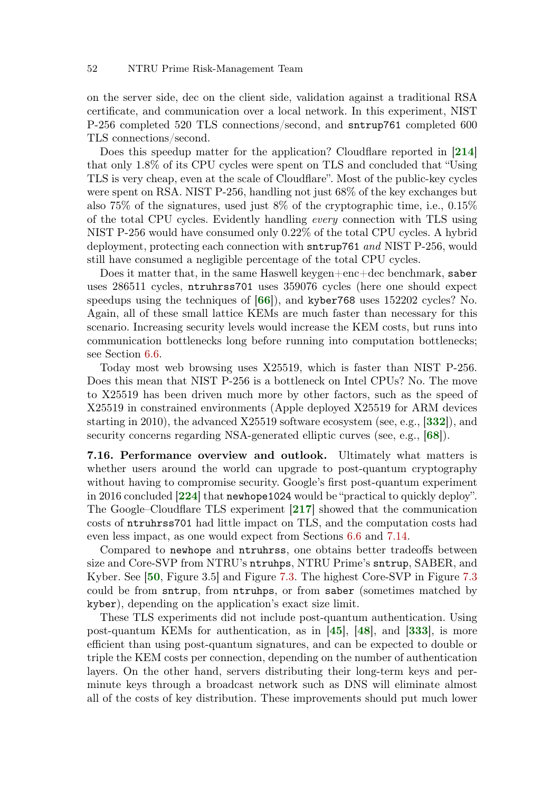### 52 NTRU Prime Risk-Management Team

on the server side, dec on the client side, validation against a traditional RSA certificate, and communication over a local network. In this experiment, NIST P-256 completed 520 TLS connections/second, and sntrup761 completed 600 TLS connections/second.

<span id="page-51-5"></span>Does this speedup matter for the application? Cloudflare reported in [[214](#page-68-1)] that only 1.8% of its CPU cycles were spent on TLS and concluded that "Using TLS is very cheap, even at the scale of Cloudflare". Most of the public-key cycles were spent on RSA. NIST P-256, handling not just 68% of the key exchanges but also 75% of the signatures, used just 8% of the cryptographic time, i.e., 0.15% of the total CPU cycles. Evidently handling every connection with TLS using NIST P-256 would have consumed only 0.22% of the total CPU cycles. A hybrid deployment, protecting each connection with sntrup761 and NIST P-256, would still have consumed a negligible percentage of the total CPU cycles.

<span id="page-51-3"></span>Does it matter that, in the same Haswell keygen+enc+dec benchmark, saber uses 286511 cycles, ntruhrss701 uses 359076 cycles (here one should expect speedups using the techniques of [[66](#page-57-3)]), and kyber768 uses 152202 cycles? No. Again, all of these small lattice KEMs are much faster than necessary for this scenario. Increasing security levels would increase the KEM costs, but runs into communication bottlenecks long before running into computation bottlenecks; see Section [6.6.](#page-36-0)

Today most web browsing uses X25519, which is faster than NIST P-256. Does this mean that NIST P-256 is a bottleneck on Intel CPUs? No. The move to X25519 has been driven much more by other factors, such as the speed of X25519 in constrained environments (Apple deployed X25519 for ARM devices starting in 2010), the advanced X25519 software ecosystem (see, e.g., [[332](#page-77-0)]), and security concerns regarding NSA-generated elliptic curves (see, e.g., [[68](#page-57-4)]).

<span id="page-51-7"></span><span id="page-51-4"></span>7.16. Performance overview and outlook. Ultimately what matters is whether users around the world can upgrade to post-quantum cryptography without having to compromise security. Google's first post-quantum experiment in 2016 concluded [[224](#page-69-0)] that newhope1024 would be "practical to quickly deploy". The Google–Cloudflare TLS experiment [[217](#page-68-0)] showed that the communication costs of ntruhrss701 had little impact on TLS, and the computation costs had even less impact, as one would expect from Sections [6.6](#page-36-0) and [7.14.](#page-49-0)

<span id="page-51-6"></span><span id="page-51-2"></span>Compared to newhope and ntruhrss, one obtains better tradeoffs between size and Core-SVP from NTRU's ntruhps, NTRU Prime's sntrup, SABER, and Kyber. See [[50](#page-56-0), Figure 3.5] and Figure [7.3.](#page-41-0) The highest Core-SVP in Figure [7.3](#page-41-0) could be from sntrup, from ntruhps, or from saber (sometimes matched by kyber), depending on the application's exact size limit.

<span id="page-51-1"></span><span id="page-51-0"></span>These TLS experiments did not include post-quantum authentication. Using post-quantum KEMs for authentication, as in  $[45]$  $[45]$  $[45]$ ,  $[48]$  $[48]$  $[48]$ , and  $[333]$  $[333]$  $[333]$ , is more efficient than using post-quantum signatures, and can be expected to double or triple the KEM costs per connection, depending on the number of authentication layers. On the other hand, servers distributing their long-term keys and perminute keys through a broadcast network such as DNS will eliminate almost all of the costs of key distribution. These improvements should put much lower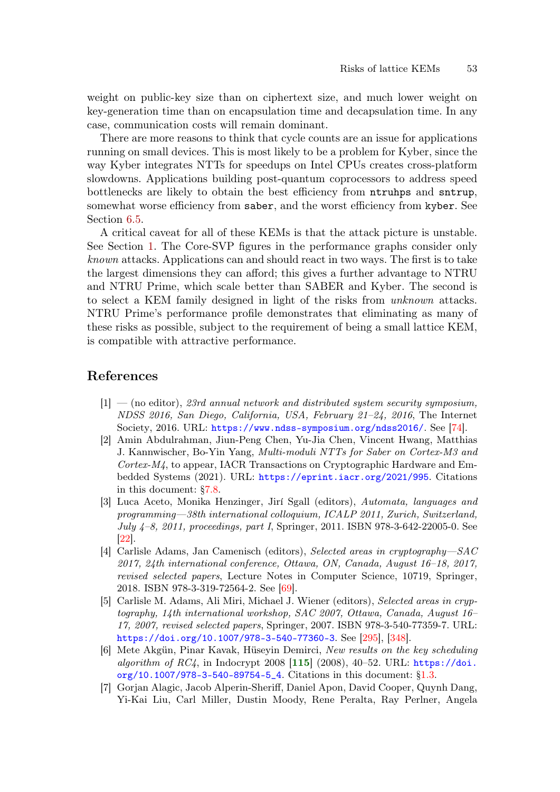weight on public-key size than on ciphertext size, and much lower weight on key-generation time than on encapsulation time and decapsulation time. In any case, communication costs will remain dominant.

There are more reasons to think that cycle counts are an issue for applications running on small devices. This is most likely to be a problem for Kyber, since the way Kyber integrates NTTs for speedups on Intel CPUs creates cross-platform slowdowns. Applications building post-quantum coprocessors to address speed bottlenecks are likely to obtain the best efficiency from ntruhps and sntrup, somewhat worse efficiency from saber, and the worst efficiency from kyber. See Section [6.5.](#page-34-0)

A critical caveat for all of these KEMs is that the attack picture is unstable. See Section [1.](#page-0-1) The Core-SVP figures in the performance graphs consider only known attacks. Applications can and should react in two ways. The first is to take the largest dimensions they can afford; this gives a further advantage to NTRU and NTRU Prime, which scale better than SABER and Kyber. The second is to select a KEM family designed in light of the risks from unknown attacks. NTRU Prime's performance profile demonstrates that eliminating as many of these risks as possible, subject to the requirement of being a small lattice KEM, is compatible with attractive performance.

# References

- <span id="page-52-3"></span> $[1]$  — (no editor), 23rd annual network and distributed system security symposium, NDSS 2016, San Diego, California, USA, February 21–24, 2016, The Internet Society, 2016. URL: <https://www.ndss-symposium.org/ndss2016/>. See [\[74\]](#page-58-0).
- <span id="page-52-0"></span>[2] Amin Abdulrahman, Jiun-Peng Chen, Yu-Jia Chen, Vincent Hwang, Matthias J. Kannwischer, Bo-Yin Yang, Multi-moduli NTTs for Saber on Cortex-M3 and Cortex-M4, to appear, IACR Transactions on Cryptographic Hardware and Embedded Systems (2021). URL: <https://eprint.iacr.org/2021/995>. Citations in this document: [§7.8.](#page-46-1)
- <span id="page-52-1"></span>[3] Luca Aceto, Monika Henzinger, Jirí Sgall (editors), Automata, languages and programming—38th international colloquium, ICALP 2011, Zurich, Switzerland, July 4–8, 2011, proceedings, part I, Springer, 2011. ISBN 978-3-642-22005-0. See [\[22\]](#page-54-3).
- <span id="page-52-2"></span>[4] Carlisle Adams, Jan Camenisch (editors), Selected areas in cryptography—SAC 2017, 24th international conference, Ottawa, ON, Canada, August 16–18, 2017, revised selected papers, Lecture Notes in Computer Science, 10719, Springer, 2018. ISBN 978-3-319-72564-2. See [\[69\]](#page-57-5).
- [5] Carlisle M. Adams, Ali Miri, Michael J. Wiener (editors), Selected areas in cryptography, 14th international workshop, SAC 2007, Ottawa, Canada, August 16– 17, 2007, revised selected papers, Springer, 2007. ISBN 978-3-540-77359-7. URL: <https://doi.org/10.1007/978-3-540-77360-3>. See [\[295\]](#page-74-0), [\[348\]](#page-78-0).
- <span id="page-52-4"></span>[6] Mete Akgün, Pinar Kavak, Hüseyin Demirci, New results on the key scheduling algorithm of  $RC4$ , in Indocrypt 2008 [[115](#page-61-1)] (2008), 40-52. URL:  $\frac{https://doi.57)}{https://doi.57)}$  $\frac{https://doi.57)}{https://doi.57)}$  $\frac{https://doi.57)}{https://doi.57)}$ [org/10.1007/978-3-540-89754-5\\_4](https://doi.org/10.1007/978-3-540-89754-5_4). Citations in this document: [§1.3.](#page-5-0)
- [7] Gorjan Alagic, Jacob Alperin-Sheriff, Daniel Apon, David Cooper, Quynh Dang, Yi-Kai Liu, Carl Miller, Dustin Moody, Rene Peralta, Ray Perlner, Angela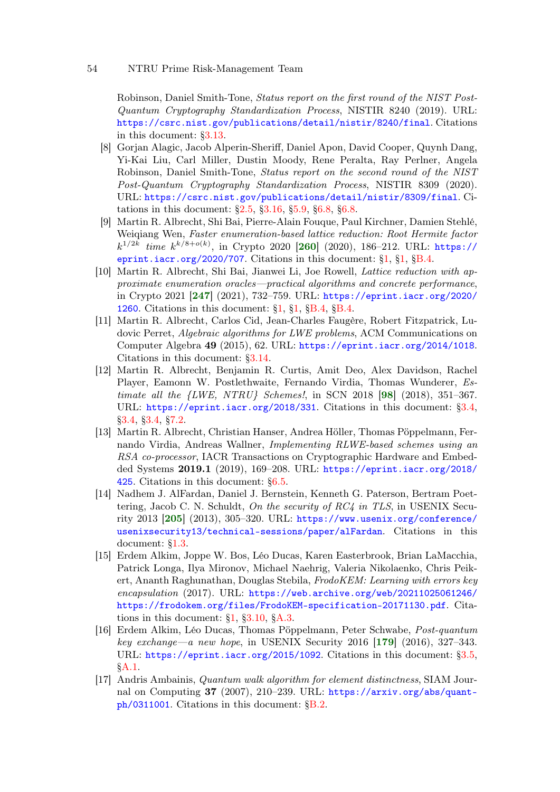### 54 NTRU Prime Risk-Management Team

Robinson, Daniel Smith-Tone, Status report on the first round of the NIST Post-Quantum Cryptography Standardization Process, NISTIR 8240 (2019). URL: <https://csrc.nist.gov/publications/detail/nistir/8240/final>. Citations in this document: [§3.13.](#page-17-0)

- <span id="page-53-1"></span>[8] Gorjan Alagic, Jacob Alperin-Sheriff, Daniel Apon, David Cooper, Quynh Dang, Yi-Kai Liu, Carl Miller, Dustin Moody, Rene Peralta, Ray Perlner, Angela Robinson, Daniel Smith-Tone, Status report on the second round of the NIST Post-Quantum Cryptography Standardization Process, NISTIR 8309 (2020). URL: <https://csrc.nist.gov/publications/detail/nistir/8309/final>. Citations in this document: [§2.5,](#page-10-0) [§3.16,](#page-18-0) [§5.9,](#page-30-0) [§6.8,](#page-39-0) [§6.8.](#page-39-1)
- <span id="page-53-7"></span>[9] Martin R. Albrecht, Shi Bai, Pierre-Alain Fouque, Paul Kirchner, Damien Stehlé, Weiqiang Wen, Faster enumeration-based lattice reduction: Root Hermite factor  $k^{1/2k}$  time  $k^{k/8+o(k)}$ , in Crypto 2020 [[260](#page-71-1)] (2020), 186-212. URL: [https://](https://eprint.iacr.org/2020/707) [eprint.iacr.org/2020/707](https://eprint.iacr.org/2020/707). Citations in this document:  $\S1$ ,  $\S1$ ,  $\S8$ .4.
- <span id="page-53-6"></span>[10] Martin R. Albrecht, Shi Bai, Jianwei Li, Joe Rowell, Lattice reduction with approximate enumeration oracles—practical algorithms and concrete performance, in Crypto 2021 [[247](#page-70-2)] (2021), 732–759. URL: [https://eprint.iacr.org/2020/](https://eprint.iacr.org/2020/1260) [1260](https://eprint.iacr.org/2020/1260). Citations in this document:  $\S1$ ,  $\S1$ ,  $\S2$ ,  $\S8$ ,  $\S4$ ,  $\S8$ ,  $\S4$ .
- [11] Martin R. Albrecht, Carlos Cid, Jean-Charles Faugère, Robert Fitzpatrick, Ludovic Perret, Algebraic algorithms for LWE problems, ACM Communications on Computer Algebra 49 (2015), 62. URL: <https://eprint.iacr.org/2014/1018>. Citations in this document: [§3.14.](#page-17-1)
- <span id="page-53-3"></span><span id="page-53-2"></span>[12] Martin R. Albrecht, Benjamin R. Curtis, Amit Deo, Alex Davidson, Rachel Player, Eamonn W. Postlethwaite, Fernando Virdia, Thomas Wunderer, Estimate all the  $\{LWE, NTRU\}$  Schemes!, in SCN 2018 [[98](#page-60-0)] (2018), 351–367. URL: <https://eprint.iacr.org/2018/331>. Citations in this document: [§3.4,](#page-13-0) [§3.4,](#page-13-1) [§3.4,](#page-13-2) [§7.2.](#page-40-1)
- <span id="page-53-0"></span>[13] Martin R. Albrecht, Christian Hanser, Andrea Höller, Thomas Pöppelmann, Fernando Virdia, Andreas Wallner, Implementing RLWE-based schemes using an RSA co-processor, IACR Transactions on Cryptographic Hardware and Embedded Systems 2019.1 (2019), 169–208. URL: [https://eprint.iacr.org/2018/](https://eprint.iacr.org/2018/425) [425](https://eprint.iacr.org/2018/425). Citations in this document: [§6.5.](#page-36-1)
- <span id="page-53-5"></span>[14] Nadhem J. AlFardan, Daniel J. Bernstein, Kenneth G. Paterson, Bertram Poettering, Jacob C. N. Schuldt, On the security of  $RC4$  in TLS, in USENIX Security 2013 [[205](#page-68-2)] (2013), 305–320. URL: [https://www.usenix.org/conference/](https://www.usenix.org/conference/usenixsecurity13/technical-sessions/paper/alFardan) [usenixsecurity13/technical-sessions/paper/alFardan](https://www.usenix.org/conference/usenixsecurity13/technical-sessions/paper/alFardan). Citations in this document: [§1.3.](#page-5-1)
- [15] Erdem Alkim, Joppe W. Bos, Léo Ducas, Karen Easterbrook, Brian LaMacchia, Patrick Longa, Ilya Mironov, Michael Naehrig, Valeria Nikolaenko, Chris Peikert, Ananth Raghunathan, Douglas Stebila, FrodoKEM: Learning with errors key encapsulation (2017). URL: [https://web.archive.org/web/20211025061246/](https://web.archive.org/web/20211025061246/https://frodokem.org/files/FrodoKEM-specification-20171130.pdf) [https://frodokem.org/files/FrodoKEM-specification-20171130.pdf](https://web.archive.org/web/20211025061246/https://frodokem.org/files/FrodoKEM-specification-20171130.pdf). Citations in this document:  $\S1$ ,  $\S3.10$ ,  $\S A.3$ .
- <span id="page-53-4"></span>[16] Erdem Alkim, Léo Ducas, Thomas Pöppelmann, Peter Schwabe, Post-quantum key exchange—a new hope, in USENIX Security 2016  $[179]$  $[179]$  $[179]$  (2016), 327–343. URL: <https://eprint.iacr.org/2015/1092>. Citations in this document: [§3.5,](#page-14-0) [§A.1.](#page-81-0)
- [17] Andris Ambainis, Quantum walk algorithm for element distinctness, SIAM Journal on Computing 37 (2007), 210–239. URL: [https://arxiv.org/abs/quant](https://arxiv.org/abs/quant-ph/0311001)[ph/0311001](https://arxiv.org/abs/quant-ph/0311001). Citations in this document: [§B.2.](#page-93-0)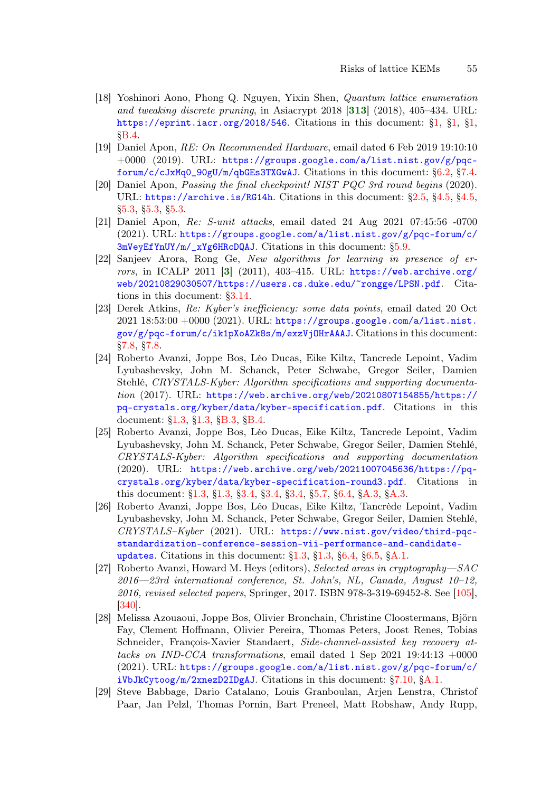- [18] Yoshinori Aono, Phong Q. Nguyen, Yixin Shen, Quantum lattice enumeration and tweaking discrete pruning, in Asiacrypt 2018  $[313]$  $[313]$  $[313]$  (2018), 405–434. URL: <https://eprint.iacr.org/2018/546>. Citations in this document: [§1,](#page-2-4) [§1,](#page-2-5) [§1,](#page-2-6) [§B.4.](#page-93-1)
- <span id="page-54-0"></span>[19] Daniel Apon, RE: On Recommended Hardware, email dated 6 Feb 2019 19:10:10  $+0000$  (2019). URL: [https://groups.google.com/a/list.nist.gov/g/pqc](https://groups.google.com/a/list.nist.gov/g/pqc-forum/c/cJxMq0_90gU/m/qbGEs3TXGwAJ)[forum/c/cJxMq0\\_90gU/m/qbGEs3TXGwAJ](https://groups.google.com/a/list.nist.gov/g/pqc-forum/c/cJxMq0_90gU/m/qbGEs3TXGwAJ). Citations in this document: [§6.2,](#page-32-1) [§7.4.](#page-41-1)
- [20] Daniel Apon, Passing the final checkpoint! NIST PQC 3rd round begins (2020). URL: <https://archive.is/RG14h>. Citations in this document: [§2.5,](#page-10-1) [§4.5,](#page-22-0) [§4.5,](#page-23-0) [§5.3,](#page-25-0) [§5.3,](#page-25-1) [§5.3.](#page-26-0)
- [21] Daniel Apon, Re: S-unit attacks, email dated 24 Aug 2021 07:45:56 -0700 (2021). URL: [https://groups.google.com/a/list.nist.gov/g/pqc-forum/c/](https://groups.google.com/a/list.nist.gov/g/pqc-forum/c/3mVeyEfYnUY/m/_xYg6HRcDQAJ) [3mVeyEfYnUY/m/\\_xYg6HRcDQAJ](https://groups.google.com/a/list.nist.gov/g/pqc-forum/c/3mVeyEfYnUY/m/_xYg6HRcDQAJ). Citations in this document: [§5.9.](#page-30-1)
- <span id="page-54-3"></span>[22] Sanjeev Arora, Rong Ge, New algorithms for learning in presence of er-rors, in ICALP 2011 [[3](#page-52-1)]  $(2011)$ , 403-415. URL: [https://web.archive.org/](https://web.archive.org/web/20210829030507/https://users.cs.duke.edu/~rongge/LPSN.pdf) [web/20210829030507/https://users.cs.duke.edu/~rongge/LPSN.pdf](https://web.archive.org/web/20210829030507/https://users.cs.duke.edu/~rongge/LPSN.pdf). Citations in this document: [§3.14.](#page-17-2)
- <span id="page-54-1"></span>[23] Derek Atkins, Re: Kyber's inefficiency: some data points, email dated 20 Oct 2021 18:53:00 +0000 (2021). URL: [https://groups.google.com/a/list.nist.](https://groups.google.com/a/list.nist.gov/g/pqc-forum/c/ik1pXoAZk8s/m/exzVjOHrAAAJ) [gov/g/pqc-forum/c/ik1pXoAZk8s/m/exzVjOHrAAAJ](https://groups.google.com/a/list.nist.gov/g/pqc-forum/c/ik1pXoAZk8s/m/exzVjOHrAAAJ). Citations in this document: [§7.8,](#page-46-2) [§7.8.](#page-46-3)
- [24] Roberto Avanzi, Joppe Bos, Léo Ducas, Eike Kiltz, Tancrede Lepoint, Vadim Lyubashevsky, John M. Schanck, Peter Schwabe, Gregor Seiler, Damien Stehlé, CRYSTALS-Kyber: Algorithm specifications and supporting documentation (2017). URL: [https://web.archive.org/web/20210807154855/https://](https://web.archive.org/web/20210807154855/https://pq-crystals.org/kyber/data/kyber-specification.pdf) [pq-crystals.org/kyber/data/kyber-specification.pdf](https://web.archive.org/web/20210807154855/https://pq-crystals.org/kyber/data/kyber-specification.pdf). Citations in this document: [§1.3,](#page-5-2) [§1.3,](#page-5-3) [§B.3,](#page-93-2) [§B.4.](#page-94-3)
- [25] Roberto Avanzi, Joppe Bos, Léo Ducas, Eike Kiltz, Tancrede Lepoint, Vadim Lyubashevsky, John M. Schanck, Peter Schwabe, Gregor Seiler, Damien Stehlé, CRYSTALS-Kyber: Algorithm specifications and supporting documentation  $(2020)$ . URL: [https://web.archive.org/web/20211007045636/https://pq](https://web.archive.org/web/20211007045636/https://pq-crystals.org/kyber/data/kyber-specification-round3.pdf)[crystals.org/kyber/data/kyber-specification-round3.pdf](https://web.archive.org/web/20211007045636/https://pq-crystals.org/kyber/data/kyber-specification-round3.pdf). Citations in this document: [§1.3,](#page-5-4) [§1.3,](#page-5-5) [§3.4,](#page-13-3) [§3.4,](#page-13-4) [§3.4,](#page-13-5) [§5.7,](#page-28-0) [§6.4,](#page-34-1) [§A.3,](#page-89-1) [§A.3.](#page-89-2)
- [26] Roberto Avanzi, Joppe Bos, Léo Ducas, Eike Kiltz, Tancrède Lepoint, Vadim Lyubashevsky, John M. Schanck, Peter Schwabe, Gregor Seiler, Damien Stehlé, CRYSTALS–Kyber (2021). URL: [https://www.nist.gov/video/third-pqc](https://www.nist.gov/video/third-pqc-standardization-conference-session-vii-performance-and-candidate-updates)[standardization-conference-session-vii-performance-and-candidate](https://www.nist.gov/video/third-pqc-standardization-conference-session-vii-performance-and-candidate-updates)[updates](https://www.nist.gov/video/third-pqc-standardization-conference-session-vii-performance-and-candidate-updates). Citations in this document: [§1.3,](#page-5-6) [§1.3,](#page-5-7) [§6.4,](#page-34-2) [§6.5,](#page-35-0) [§A.1.](#page-80-0)
- <span id="page-54-4"></span>[27] Roberto Avanzi, Howard M. Heys (editors), Selected areas in cryptography—SAC 2016—23rd international conference, St. John's, NL, Canada, August 10–12, 2016, revised selected papers, Springer, 2017. ISBN 978-3-319-69452-8. See [\[105\]](#page-60-1), [\[340\]](#page-77-2).
- <span id="page-54-2"></span>[28] Melissa Azouaoui, Joppe Bos, Olivier Bronchain, Christine Cloostermans, Björn Fay, Clement Hoffmann, Olivier Pereira, Thomas Peters, Joost Renes, Tobias Schneider, François-Xavier Standaert, Side-channel-assisted key recovery attacks on IND-CCA transformations, email dated 1 Sep 2021 19:44:13  $+0000$  $(2021)$ . URL: [https://groups.google.com/a/list.nist.gov/g/pqc-forum/c/](https://groups.google.com/a/list.nist.gov/g/pqc-forum/c/iVbJkCytoog/m/2xnezD2IDgAJ) [iVbJkCytoog/m/2xnezD2IDgAJ](https://groups.google.com/a/list.nist.gov/g/pqc-forum/c/iVbJkCytoog/m/2xnezD2IDgAJ). Citations in this document: [§7.10,](#page-47-0) [§A.1.](#page-83-0)
- [29] Steve Babbage, Dario Catalano, Louis Granboulan, Arjen Lenstra, Christof Paar, Jan Pelzl, Thomas Pornin, Bart Preneel, Matt Robshaw, Andy Rupp,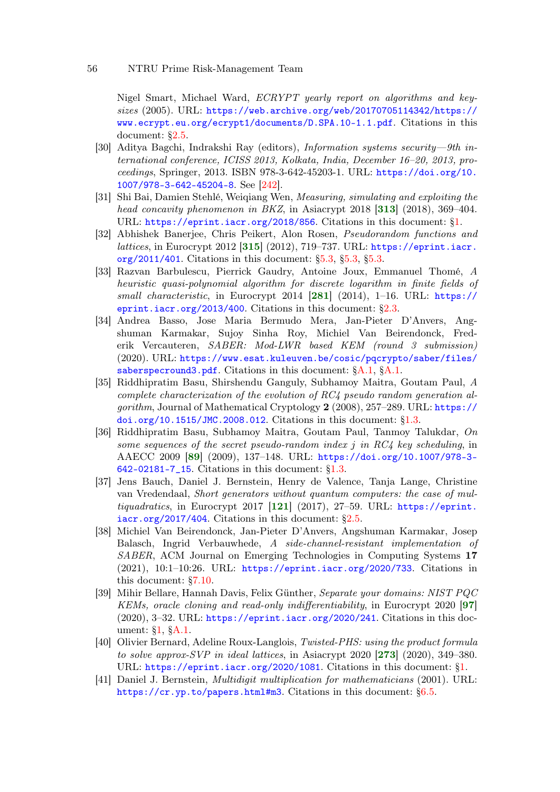Nigel Smart, Michael Ward, ECRYPT yearly report on algorithms and keysizes (2005). URL: [https://web.archive.org/web/20170705114342/https://](https://web.archive.org/web/20170705114342/https://www.ecrypt.eu.org/ecrypt1/documents/D.SPA.10-1.1.pdf) [www.ecrypt.eu.org/ecrypt1/documents/D.SPA.10-1.1.pdf](https://web.archive.org/web/20170705114342/https://www.ecrypt.eu.org/ecrypt1/documents/D.SPA.10-1.1.pdf). Citations in this document: [§2.5.](#page-9-0)

- <span id="page-55-4"></span>[30] Aditya Bagchi, Indrakshi Ray (editors), Information systems security—9th international conference, ICISS 2013, Kolkata, India, December 16–20, 2013, proceedings, Springer, 2013. ISBN 978-3-642-45203-1. URL: [https://doi.org/10.](https://doi.org/10.1007/978-3-642-45204-8) [1007/978-3-642-45204-8](https://doi.org/10.1007/978-3-642-45204-8). See [\[242\]](#page-70-3).
- [31] Shi Bai, Damien Stehlé, Weiqiang Wen, Measuring, simulating and exploiting the head concavity phenomenon in BKZ, in Asiacrypt 2018  $[313]$  $[313]$  $[313]$  (2018), 369–404. URL: <https://eprint.iacr.org/2018/856>. Citations in this document: [§1.](#page-2-7)
- [32] Abhishek Banerjee, Chris Peikert, Alon Rosen, Pseudorandom functions and lattices, in Eurocrypt 2012 [[315](#page-76-1)] (2012), 719-737. URL: [https://eprint.iacr.](https://eprint.iacr.org/2011/401) [org/2011/401](https://eprint.iacr.org/2011/401). Citations in this document: [§5.3,](#page-25-2) [§5.3,](#page-26-1) [§5.3.](#page-26-2)
- [33] Razvan Barbulescu, Pierrick Gaudry, Antoine Joux, Emmanuel Thomé, A heuristic quasi-polynomial algorithm for discrete logarithm in finite fields of small characteristic, in Eurocrypt 2014  $[281]$  $[281]$  $[281]$  (2014), 1–16. URL: [https://](https://eprint.iacr.org/2013/400) [eprint.iacr.org/2013/400](https://eprint.iacr.org/2013/400). Citations in this document:  $\S 2.3$ .
- [34] Andrea Basso, Jose Maria Bermudo Mera, Jan-Pieter D'Anvers, Angshuman Karmakar, Sujoy Sinha Roy, Michiel Van Beirendonck, Frederik Vercauteren, SABER: Mod-LWR based KEM (round 3 submission) (2020). URL: [https://www.esat.kuleuven.be/cosic/pqcrypto/saber/files/](https://www.esat.kuleuven.be/cosic/pqcrypto/saber/files/saberspecround3.pdf) [saberspecround3.pdf](https://www.esat.kuleuven.be/cosic/pqcrypto/saber/files/saberspecround3.pdf). Citations in this document: [§A.1,](#page-80-1) [§A.1.](#page-84-0)
- [35] Riddhipratim Basu, Shirshendu Ganguly, Subhamoy Maitra, Goutam Paul, A complete characterization of the evolution of RC4 pseudo random generation algorithm, Journal of Mathematical Cryptology  $2(2008)$ , 257–289. URL: [https://](https://doi.org/10.1515/JMC.2008.012) [doi.org/10.1515/JMC.2008.012](https://doi.org/10.1515/JMC.2008.012). Citations in this document: [§1.3.](#page-5-8)
- <span id="page-55-1"></span>[36] Riddhipratim Basu, Subhamoy Maitra, Goutam Paul, Tanmoy Talukdar, On some sequences of the secret pseudo-random index  $j$  in RC4 key scheduling, in AAECC 2009 [[89](#page-59-0)] (2009), 137–148. URL: [https://doi.org/10.1007/978-3-](https://doi.org/10.1007/978-3-642-02181-7_15) [642-02181-7\\_15](https://doi.org/10.1007/978-3-642-02181-7_15). Citations in this document: [§1.3.](#page-5-9)
- <span id="page-55-3"></span>[37] Jens Bauch, Daniel J. Bernstein, Henry de Valence, Tanja Lange, Christine van Vredendaal, Short generators without quantum computers: the case of mul*tiquadratics*, in Eurocrypt 2017  $[121]$  $[121]$  $[121]$  (2017), 27–59. URL: [https://eprint.](https://eprint.iacr.org/2017/404)  $iacc.org/2017/404$ . Citations in this document:  $\S2.5$ .
- <span id="page-55-0"></span>[38] Michiel Van Beirendonck, Jan-Pieter D'Anvers, Angshuman Karmakar, Josep Balasch, Ingrid Verbauwhede, A side-channel-resistant implementation of SABER, ACM Journal on Emerging Technologies in Computing Systems 17 (2021), 10:1–10:26. URL: <https://eprint.iacr.org/2020/733>. Citations in this document: [§7.10.](#page-47-1)
- <span id="page-55-2"></span>[39] Mihir Bellare, Hannah Davis, Felix Günther, Separate your domains: NIST PQC KEMs, oracle cloning and read-only indifferentiability, in Eurocrypt 2020 [[97](#page-60-2)]  $(2020), 3-32. \text{ URL: <https://eprint.iacr.org/2020/241>. Citations in this doc (2020), 3-32. \text{ URL: <https://eprint.iacr.org/2020/241>. Citations in this doc (2020), 3-32. \text{ URL: <https://eprint.iacr.org/2020/241>. Citations in this doc$ ument: [§1,](#page-0-3) [§A.1.](#page-81-1)
- [40] Olivier Bernard, Adeline Roux-Langlois, Twisted-PHS: using the product formula to solve approx-SVP in ideal lattices, in Asiacrypt 2020  $[273]$  $[273]$  $[273]$  (2020), 349–380. URL: <https://eprint.iacr.org/2020/1081>. Citations in this document: [§1.](#page-2-8)
- [41] Daniel J. Bernstein, Multidigit multiplication for mathematicians (2001). URL: <https://cr.yp.to/papers.html#m3>. Citations in this document: [§6.5.](#page-35-1)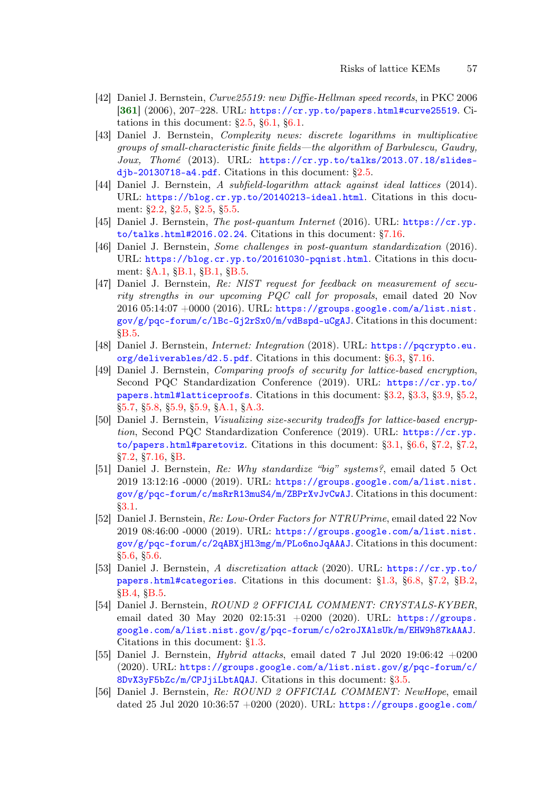- [42] Daniel J. Bernstein, Curve25519: new Diffie-Hellman speed records, in PKC 2006  $[361]$  $[361]$  $[361]$   $(2006)$ ,  $207-228$ . URL: <https://cr.yp.to/papers.html#curve25519>. Citations in this document:  $\S2.5$ ,  $\S6.1$ ,  $\S6.1$ .
- [43] Daniel J. Bernstein, Complexity news: discrete logarithms in multiplicative groups of small-characteristic finite fields—the algorithm of Barbulescu, Gaudry, Joux, Thomé (2013). URL: [https://cr.yp.to/talks/2013.07.18/slides](https://cr.yp.to/talks/2013.07.18/slides-djb-20130718-a4.pdf)[djb-20130718-a4.pdf](https://cr.yp.to/talks/2013.07.18/slides-djb-20130718-a4.pdf). Citations in this document: [§2.5.](#page-8-1)
- [44] Daniel J. Bernstein, A subfield-logarithm attack against ideal lattices (2014). URL: <https://blog.cr.yp.to/20140213-ideal.html>. Citations in this document: [§2.2,](#page-7-0) [§2.5,](#page-9-3) [§2.5,](#page-9-4) [§5.5.](#page-27-0)
- <span id="page-56-2"></span>[45] Daniel J. Bernstein, The post-quantum Internet (2016). URL: [https://cr.yp.](https://cr.yp.to/talks.html#2016.02.24) [to/talks.html#2016.02.24](https://cr.yp.to/talks.html#2016.02.24). Citations in this document: [§7.16.](#page-51-0)
- [46] Daniel J. Bernstein, Some challenges in post-quantum standardization (2016). URL: <https://blog.cr.yp.to/20161030-pqnist.html>. Citations in this document: [§A.1,](#page-84-1) [§B.1,](#page-92-0) [§B.1,](#page-92-1) [§B.5.](#page-96-0)
- [47] Daniel J. Bernstein, Re: NIST request for feedback on measurement of security strengths in our upcoming PQC call for proposals, email dated 20 Nov 2016 05:14:07 +0000 (2016). URL: [https://groups.google.com/a/list.nist.](https://groups.google.com/a/list.nist.gov/g/pqc-forum/c/lBc-Gj2rSx0/m/vdBspd-uCgAJ) [gov/g/pqc-forum/c/lBc-Gj2rSx0/m/vdBspd-uCgAJ](https://groups.google.com/a/list.nist.gov/g/pqc-forum/c/lBc-Gj2rSx0/m/vdBspd-uCgAJ). Citations in this document: [§B.5.](#page-95-0)
- <span id="page-56-3"></span>[48] Daniel J. Bernstein, Internet: Integration (2018). URL: [https://pqcrypto.eu.](https://pqcrypto.eu.org/deliverables/d2.5.pdf) [org/deliverables/d2.5.pdf](https://pqcrypto.eu.org/deliverables/d2.5.pdf). Citations in this document: [§6.3,](#page-33-0) [§7.16.](#page-51-1)
- [49] Daniel J. Bernstein, Comparing proofs of security for lattice-based encryption, Second PQC Standardization Conference (2019). URL: [https://cr.yp.to/](https://cr.yp.to/papers.html#latticeproofs) [papers.html#latticeproofs](https://cr.yp.to/papers.html#latticeproofs). Citations in this document: [§3.2,](#page-12-0) [§3.3,](#page-12-1) [§3.9,](#page-16-1) [§5.2,](#page-24-0) [§5.7,](#page-28-1) [§5.8,](#page-29-0) [§5.9,](#page-30-2) [§5.9,](#page-31-2) [§A.1,](#page-81-2) [§A.3.](#page-91-1)
- <span id="page-56-0"></span>[50] Daniel J. Bernstein, Visualizing size-security tradeoffs for lattice-based encryption, Second PQC Standardization Conference (2019). URL:  $\frac{h}{h}$ ttps://cr.yp. [to/papers.html#paretoviz](https://cr.yp.to/papers.html#paretoviz). Citations in this document: [§3.1,](#page-12-2) [§6.6,](#page-37-1) [§7.2,](#page-40-2) [§7.2,](#page-40-3) [§7.2,](#page-40-4) [§7.16,](#page-51-2) [§B.](#page-92-2)
- [51] Daniel J. Bernstein, Re: Why standardize "big" systems?, email dated 5 Oct 2019 13:12:16 -0000 (2019). URL: [https://groups.google.com/a/list.nist.](https://groups.google.com/a/list.nist.gov/g/pqc-forum/c/msRrR13muS4/m/ZBPrXvJvCwAJ) [gov/g/pqc-forum/c/msRrR13muS4/m/ZBPrXvJvCwAJ](https://groups.google.com/a/list.nist.gov/g/pqc-forum/c/msRrR13muS4/m/ZBPrXvJvCwAJ). Citations in this document: [§3.1.](#page-12-3)
- [52] Daniel J. Bernstein, Re: Low-Order Factors for NTRUPrime, email dated 22 Nov 2019 08:46:00 -0000 (2019). URL: [https://groups.google.com/a/list.nist.](https://groups.google.com/a/list.nist.gov/g/pqc-forum/c/2qABXjHl3mg/m/PLo6noJqAAAJ) [gov/g/pqc-forum/c/2qABXjHl3mg/m/PLo6noJqAAAJ](https://groups.google.com/a/list.nist.gov/g/pqc-forum/c/2qABXjHl3mg/m/PLo6noJqAAAJ). Citations in this document: [§5.6,](#page-28-2) [§5.6.](#page-28-3)
- <span id="page-56-1"></span>[53] Daniel J. Bernstein, A discretization attack (2020). URL: [https://cr.yp.to/](https://cr.yp.to/papers.html#categories) [papers.html#categories](https://cr.yp.to/papers.html#categories). Citations in this document: [§1.3,](#page-5-10) [§6.8,](#page-39-2) [§7.2,](#page-41-2) [§B.2,](#page-93-3) [§B.4,](#page-93-4) [§B.5.](#page-96-1)
- [54] Daniel J. Bernstein, ROUND 2 OFFICIAL COMMENT: CRYSTALS-KYBER, email dated 30 May 2020 02:15:31 +0200 (2020). URL: [https://groups.](https://groups.google.com/a/list.nist.gov/g/pqc-forum/c/o2roJXAlsUk/m/EHW9h87kAAAJ) [google.com/a/list.nist.gov/g/pqc-forum/c/o2roJXAlsUk/m/EHW9h87kAAAJ](https://groups.google.com/a/list.nist.gov/g/pqc-forum/c/o2roJXAlsUk/m/EHW9h87kAAAJ). Citations in this document: [§1.3.](#page-5-11)
- [55] Daniel J. Bernstein,  $Hybrid$  attacks, email dated 7 Jul 2020 19:06:42  $+0200$ (2020). URL: [https://groups.google.com/a/list.nist.gov/g/pqc-forum/c/](https://groups.google.com/a/list.nist.gov/g/pqc-forum/c/8DvX3yF5bZc/m/CPJjiLbtAQAJ) [8DvX3yF5bZc/m/CPJjiLbtAQAJ](https://groups.google.com/a/list.nist.gov/g/pqc-forum/c/8DvX3yF5bZc/m/CPJjiLbtAQAJ). Citations in this document: [§3.5.](#page-14-1)
- [56] Daniel J. Bernstein, Re: ROUND 2 OFFICIAL COMMENT: NewHope, email dated 25 Jul 2020 10:36:57 +0200 (2020). URL: [https://groups.google.com/](https://groups.google.com/a/list.nist.gov/g/pqc-forum/c/8_uKOBN4Srw/m/wiGLuW-tDAAJ)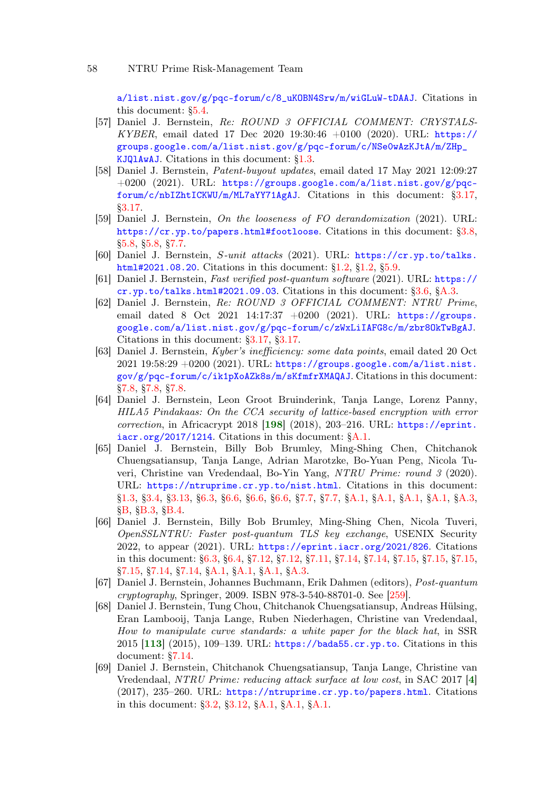[a/list.nist.gov/g/pqc-forum/c/8\\_uKOBN4Srw/m/wiGLuW-tDAAJ](https://groups.google.com/a/list.nist.gov/g/pqc-forum/c/8_uKOBN4Srw/m/wiGLuW-tDAAJ). Citations in this document: [§5.4.](#page-26-3)

- [57] Daniel J. Bernstein, Re: ROUND 3 OFFICIAL COMMENT: CRYSTALS-KYBER, email dated 17 Dec 2020 19:30:46 +0100 (2020). URL: [https://](https://groups.google.com/a/list.nist.gov/g/pqc-forum/c/NSe0wAzKJtA/m/ZHp_KJQlAwAJ) [groups.google.com/a/list.nist.gov/g/pqc-forum/c/NSe0wAzKJtA/m/ZHp\\_](https://groups.google.com/a/list.nist.gov/g/pqc-forum/c/NSe0wAzKJtA/m/ZHp_KJQlAwAJ) [KJQlAwAJ](https://groups.google.com/a/list.nist.gov/g/pqc-forum/c/NSe0wAzKJtA/m/ZHp_KJQlAwAJ). Citations in this document: [§1.3.](#page-5-12)
- [58] Daniel J. Bernstein, Patent-buyout updates, email dated 17 May 2021 12:09:27 +0200 (2021). URL: [https://groups.google.com/a/list.nist.gov/g/pqc](https://groups.google.com/a/list.nist.gov/g/pqc-forum/c/nbIZhtICKWU/m/ML7aYY71AgAJ)[forum/c/nbIZhtICKWU/m/ML7aYY71AgAJ](https://groups.google.com/a/list.nist.gov/g/pqc-forum/c/nbIZhtICKWU/m/ML7aYY71AgAJ). Citations in this document: [§3.17,](#page-19-0) [§3.17.](#page-19-1)
- <span id="page-57-1"></span>[59] Daniel J. Bernstein, On the looseness of FO derandomization (2021). URL: <https://cr.yp.to/papers.html#footloose>. Citations in this document: [§3.8,](#page-15-0) [§5.8,](#page-29-1) [§5.8,](#page-29-2) [§7.7.](#page-44-0)
- [60] Daniel J. Bernstein, S-unit attacks (2021). URL: [https://cr.yp.to/talks.](https://cr.yp.to/talks.html#2021.08.20) [html#2021.08.20](https://cr.yp.to/talks.html#2021.08.20). Citations in this document: [§1.2,](#page-4-0) [§1.2,](#page-4-1) [§5.9.](#page-30-3)
- [61] Daniel J. Bernstein, Fast verified post-quantum software (2021). URL: [https://](https://cr.yp.to/talks.html#2021.09.03) [cr.yp.to/talks.html#2021.09.03](https://cr.yp.to/talks.html#2021.09.03). Citations in this document: [§3.6,](#page-15-1) [§A.3.](#page-90-0)
- [62] Daniel J. Bernstein, Re: ROUND 3 OFFICIAL COMMENT: NTRU Prime, email dated 8 Oct 2021 14:17:37 +0200 (2021). URL: [https://groups.](https://groups.google.com/a/list.nist.gov/g/pqc-forum/c/zWxLiIAFG8c/m/zbr8OkTwBgAJ) [google.com/a/list.nist.gov/g/pqc-forum/c/zWxLiIAFG8c/m/zbr8OkTwBgAJ](https://groups.google.com/a/list.nist.gov/g/pqc-forum/c/zWxLiIAFG8c/m/zbr8OkTwBgAJ). Citations in this document: [§3.17,](#page-19-2) [§3.17.](#page-19-3)
- <span id="page-57-2"></span>[63] Daniel J. Bernstein, Kyber's inefficiency: some data points, email dated 20 Oct 2021 19:58:29 +0200 (2021). URL: [https://groups.google.com/a/list.nist.](https://groups.google.com/a/list.nist.gov/g/pqc-forum/c/ik1pXoAZk8s/m/sKfmfrXMAQAJ) [gov/g/pqc-forum/c/ik1pXoAZk8s/m/sKfmfrXMAQAJ](https://groups.google.com/a/list.nist.gov/g/pqc-forum/c/ik1pXoAZk8s/m/sKfmfrXMAQAJ). Citations in this document: [§7.8,](#page-45-1) [§7.8,](#page-45-2) [§7.8.](#page-45-3)
- <span id="page-57-7"></span>[64] Daniel J. Bernstein, Leon Groot Bruinderink, Tanja Lange, Lorenz Panny, HILA5 Pindakaas: On the CCA security of lattice-based encryption with error  $correction$ , in Africacrypt 2018  $[198]$  $[198]$  $[198]$  (2018), 203-216. URL: [https://eprint.](https://eprint.iacr.org/2017/1214) [iacr.org/2017/1214](https://eprint.iacr.org/2017/1214). Citations in this document: [§A.1.](#page-81-3)
- <span id="page-57-0"></span>[65] Daniel J. Bernstein, Billy Bob Brumley, Ming-Shing Chen, Chitchanok Chuengsatiansup, Tanja Lange, Adrian Marotzke, Bo-Yuan Peng, Nicola Tuveri, Christine van Vredendaal, Bo-Yin Yang, NTRU Prime: round 3 (2020). URL: <https://ntruprime.cr.yp.to/nist.html>. Citations in this document: [§1.3,](#page-5-13) [§3.4,](#page-13-6) [§3.13,](#page-17-3) [§6.3,](#page-33-1) [§6.6,](#page-36-2) [§6.6,](#page-37-2) [§6.6,](#page-37-3) [§7.7,](#page-43-1) [§7.7,](#page-43-2) [§A.1,](#page-80-2) [§A.1,](#page-80-3) [§A.1,](#page-81-4) [§A.1,](#page-84-2) [§A.3,](#page-88-1) [§B,](#page-92-3) [§B.3,](#page-93-5) [§B.4.](#page-93-6)
- <span id="page-57-3"></span>[66] Daniel J. Bernstein, Billy Bob Brumley, Ming-Shing Chen, Nicola Tuveri, OpenSSLNTRU: Faster post-quantum TLS key exchange, USENIX Security 2022, to appear (2021). URL: <https://eprint.iacr.org/2021/826>. Citations in this document: [§6.3,](#page-33-2) [§6.4,](#page-34-3) [§7.12,](#page-0-0) [§7.12,](#page-48-2) [§7.11,](#page-48-3) [§7.14,](#page-50-1) [§7.14,](#page-50-2) [§7.15,](#page-0-0) [§7.15,](#page-0-0) [§7.15,](#page-50-3) [§7.15,](#page-50-4) [§7.14,](#page-50-5) [§7.14,](#page-51-3) [§A.1,](#page-83-1) [§A.1,](#page-83-2) [§A.1,](#page-83-3) [§A.3.](#page-90-1)
- <span id="page-57-8"></span>[67] Daniel J. Bernstein, Johannes Buchmann, Erik Dahmen (editors), Post-quantum cryptography, Springer, 2009. ISBN 978-3-540-88701-0. See [\[259\]](#page-71-2).
- <span id="page-57-4"></span>[68] Daniel J. Bernstein, Tung Chou, Chitchanok Chuengsatiansup, Andreas Hülsing, Eran Lambooij, Tanja Lange, Ruben Niederhagen, Christine van Vredendaal, How to manipulate curve standards: a white paper for the black hat, in SSR 2015 [[113](#page-61-3)] (2015), 109–139. URL: <https://bada55.cr.yp.to>. Citations in this document: [§7.14.](#page-51-4)
- <span id="page-57-6"></span><span id="page-57-5"></span>[69] Daniel J. Bernstein, Chitchanok Chuengsatiansup, Tanja Lange, Christine van Vredendaal, NTRU Prime: reducing attack surface at low cost, in SAC 2017 [[4](#page-52-2)] (2017), 235–260. URL: <https://ntruprime.cr.yp.to/papers.html>. Citations in this document: [§3.2,](#page-12-4) [§3.12,](#page-17-4) [§A.1,](#page-81-5) [§A.1,](#page-81-6) [§A.1.](#page-85-0)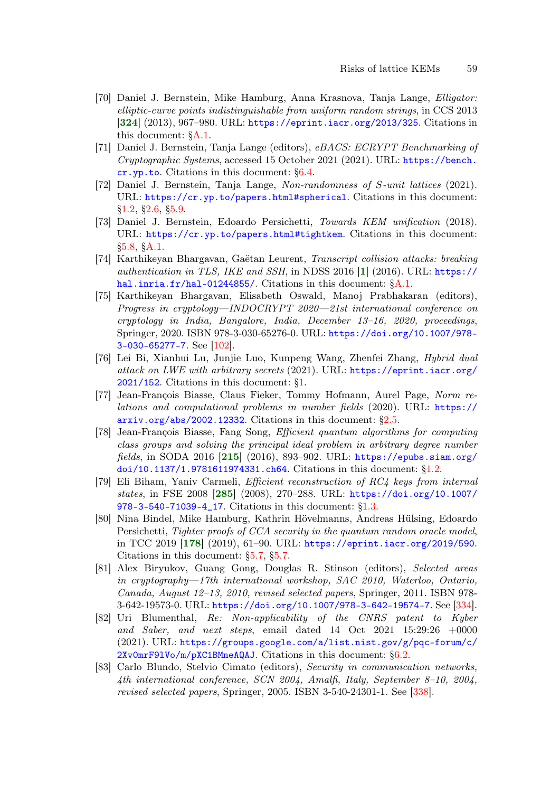- [70] Daniel J. Bernstein, Mike Hamburg, Anna Krasnova, Tanja Lange, Elligator: elliptic-curve points indistinguishable from uniform random strings, in CCS 2013 [[324](#page-76-2)] (2013), 967-980. URL: <https://eprint.iacr.org/2013/325>. Citations in this document: [§A.1.](#page-80-4)
- [71] Daniel J. Bernstein, Tanja Lange (editors), eBACS: ECRYPT Benchmarking of Cryptographic Systems, accessed 15 October 2021 (2021). URL: [https://bench.](https://bench.cr.yp.to) [cr.yp.to](https://bench.cr.yp.to). Citations in this document: [§6.4.](#page-33-3)
- [72] Daniel J. Bernstein, Tanja Lange, Non-randomness of S-unit lattices (2021). URL: <https://cr.yp.to/papers.html#spherical>. Citations in this document: [§1.2,](#page-4-2) [§2.6,](#page-10-2) [§5.9.](#page-30-4)
- [73] Daniel J. Bernstein, Edoardo Persichetti, Towards KEM unification (2018). URL: <https://cr.yp.to/papers.html#tightkem>. Citations in this document: [§5.8,](#page-29-3) [§A.1.](#page-81-7)
- <span id="page-58-0"></span>[74] Karthikeyan Bhargavan, Gaëtan Leurent, Transcript collision attacks: breaking authentication in TLS, IKE and SSH, in NDSS 2016 [[1](#page-52-3)] (2016). URL: [https://](https://hal.inria.fr/hal-01244855/) [hal.inria.fr/hal-01244855/](https://hal.inria.fr/hal-01244855/). Citations in this document:  $\&A.1$ .
- <span id="page-58-1"></span>[75] Karthikeyan Bhargavan, Elisabeth Oswald, Manoj Prabhakaran (editors), Progress in cryptology—INDOCRYPT 2020—21st international conference on cryptology in India, Bangalore, India, December 13–16, 2020, proceedings, Springer, 2020. ISBN 978-3-030-65276-0. URL: [https://doi.org/10.1007/978-](https://doi.org/10.1007/978-3-030-65277-7) [3-030-65277-7](https://doi.org/10.1007/978-3-030-65277-7). See [\[102\]](#page-60-3).
- [76] Lei Bi, Xianhui Lu, Junjie Luo, Kunpeng Wang, Zhenfei Zhang, Hybrid dual attack on LWE with arbitrary secrets (2021). URL: [https://eprint.iacr.org/](https://eprint.iacr.org/2021/152) [2021/152](https://eprint.iacr.org/2021/152). Citations in this document: [§1.](#page-3-0)
- [77] Jean-François Biasse, Claus Fieker, Tommy Hofmann, Aurel Page, Norm relations and computational problems in number fields (2020). URL: [https://](https://arxiv.org/abs/2002.12332) [arxiv.org/abs/2002.12332](https://arxiv.org/abs/2002.12332). Citations in this document: [§2.5.](#page-9-5)
- <span id="page-58-3"></span>[78] Jean-François Biasse, Fang Song, Efficient quantum algorithms for computing class groups and solving the principal ideal problem in arbitrary degree number fields, in SODA 2016 [[215](#page-68-3)] (2016), 893–902. URL: [https://epubs.siam.org/](https://epubs.siam.org/doi/10.1137/1.9781611974331.ch64) [doi/10.1137/1.9781611974331.ch64](https://epubs.siam.org/doi/10.1137/1.9781611974331.ch64). Citations in this document: [§1.2.](#page-3-1)
- [79] Eli Biham, Yaniv Carmeli, Efficient reconstruction of RC4 keys from internal states, in FSE 2008 [[285](#page-73-2)] (2008), 270–288. URL: [https://doi.org/10.1007/](https://doi.org/10.1007/978-3-540-71039-4_17) [978-3-540-71039-4\\_17](https://doi.org/10.1007/978-3-540-71039-4_17). Citations in this document: [§1.3.](#page-5-14)
- <span id="page-58-2"></span>[80] Nina Bindel, Mike Hamburg, Kathrin Hövelmanns, Andreas Hülsing, Edoardo Persichetti, Tighter proofs of CCA security in the quantum random oracle model, in TCC 2019 [[178](#page-66-1)] (2019), 61–90. URL: <https://eprint.iacr.org/2019/590>. Citations in this document: [§5.7,](#page-28-4) [§5.7.](#page-28-5)
- [81] Alex Biryukov, Guang Gong, Douglas R. Stinson (editors), Selected areas in cryptography—17th international workshop, SAC 2010, Waterloo, Ontario, Canada, August 12–13, 2010, revised selected papers, Springer, 2011. ISBN 978- 3-642-19573-0. URL: <https://doi.org/10.1007/978-3-642-19574-7>. See [\[334\]](#page-77-3).
- [82] Uri Blumenthal, Re: Non-applicability of the CNRS patent to Kyber and Saber, and next steps, email dated  $14$  Oct  $2021$   $15:29:26$   $+0000$ (2021). URL: [https://groups.google.com/a/list.nist.gov/g/pqc-forum/c/](https://groups.google.com/a/list.nist.gov/g/pqc-forum/c/2Xv0mrF9lVo/m/pXC1BMneAQAJ) [2Xv0mrF9lVo/m/pXC1BMneAQAJ](https://groups.google.com/a/list.nist.gov/g/pqc-forum/c/2Xv0mrF9lVo/m/pXC1BMneAQAJ). Citations in this document: [§6.2.](#page-32-2)
- [83] Carlo Blundo, Stelvio Cimato (editors), Security in communication networks, 4th international conference, SCN 2004, Amalfi, Italy, September 8–10, 2004, revised selected papers, Springer, 2005. ISBN 3-540-24301-1. See [\[338\]](#page-77-4).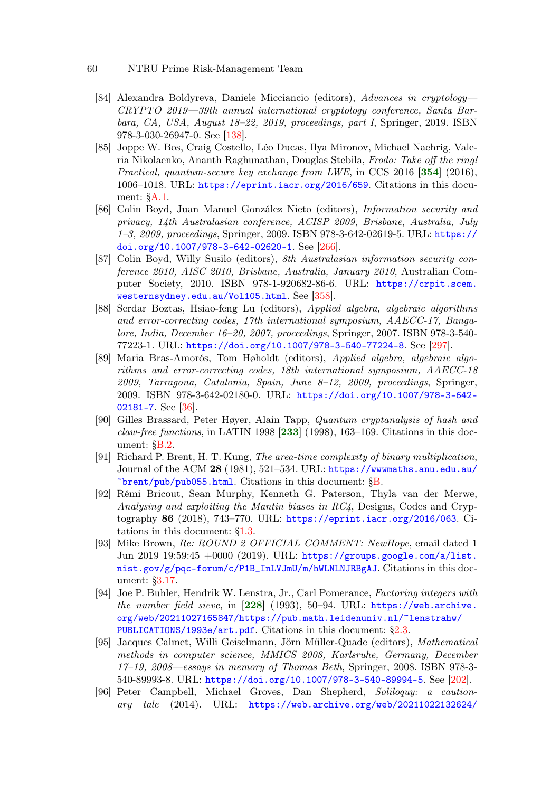- <span id="page-59-1"></span>[84] Alexandra Boldyreva, Daniele Micciancio (editors), Advances in cryptology— CRYPTO 2019—39th annual international cryptology conference, Santa Barbara, CA, USA, August 18–22, 2019, proceedings, part I, Springer, 2019. ISBN 978-3-030-26947-0. See [\[138\]](#page-63-0).
- [85] Joppe W. Bos, Craig Costello, Léo Ducas, Ilya Mironov, Michael Naehrig, Valeria Nikolaenko, Ananth Raghunathan, Douglas Stebila, Frodo: Take off the ring! Practical, quantum-secure key exchange from LWE, in CCS 2016 [[354](#page-79-2)] (2016), 1006–1018. URL: <https://eprint.iacr.org/2016/659>. Citations in this document: [§A.1.](#page-81-8)
- [86] Colin Boyd, Juan Manuel González Nieto (editors), Information security and privacy, 14th Australasian conference, ACISP 2009, Brisbane, Australia, July 1–3, 2009, proceedings, Springer, 2009. ISBN 978-3-642-02619-5. URL: [https://](https://doi.org/10.1007/978-3-642-02620-1) [doi.org/10.1007/978-3-642-02620-1](https://doi.org/10.1007/978-3-642-02620-1). See [\[266\]](#page-72-1).
- [87] Colin Boyd, Willy Susilo (editors), 8th Australasian information security conference 2010, AISC 2010, Brisbane, Australia, January 2010, Australian Computer Society, 2010. ISBN 978-1-920682-86-6. URL: [https://crpit.scem.](https://crpit.scem.westernsydney.edu.au/Vol105.html) [westernsydney.edu.au/Vol105.html](https://crpit.scem.westernsydney.edu.au/Vol105.html). See [\[358\]](#page-79-3).
- [88] Serdar Boztas, Hsiao-feng Lu (editors), Applied algebra, algebraic algorithms and error-correcting codes, 17th international symposium, AAECC-17, Bangalore, India, December 16–20, 2007, proceedings, Springer, 2007. ISBN 978-3-540- 77223-1. URL: <https://doi.org/10.1007/978-3-540-77224-8>. See [\[297\]](#page-74-1).
- <span id="page-59-0"></span>[89] Maria Bras-Amorós, Tom Høholdt (editors), Applied algebra, algebraic algorithms and error-correcting codes, 18th international symposium, AAECC-18 2009, Tarragona, Catalonia, Spain, June 8–12, 2009, proceedings, Springer, 2009. ISBN 978-3-642-02180-0. URL: [https://doi.org/10.1007/978-3-642-](https://doi.org/10.1007/978-3-642-02181-7) [02181-7](https://doi.org/10.1007/978-3-642-02181-7). See [\[36\]](#page-55-1).
- <span id="page-59-4"></span>[90] Gilles Brassard, Peter Høyer, Alain Tapp, Quantum cryptanalysis of hash and claw-free functions, in LATIN 1998  $[233]$  $[233]$  $[233]$  (1998), 163–169. Citations in this document: [§B.2.](#page-93-7)
- [91] Richard P. Brent, H. T. Kung, The area-time complexity of binary multiplication, Journal of the ACM 28 (1981), 521–534. URL: [https://wwwmaths.anu.edu.au/](https://wwwmaths.anu.edu.au/~brent/pub/pub055.html)  $\text{`brent}/\text{pub}/\text{pub055.html}$ . Citations in this document: [§B.](#page-92-4)
- [92] Rémi Bricout, Sean Murphy, Kenneth G. Paterson, Thyla van der Merwe, Analysing and exploiting the Mantin biases in RC4, Designs, Codes and Cryptography 86 (2018), 743–770. URL: <https://eprint.iacr.org/2016/063>. Citations in this document: [§1.3.](#page-5-15)
- [93] Mike Brown, Re: ROUND 2 OFFICIAL COMMENT: NewHope, email dated 1 Jun 2019 19:59:45 +0000 (2019). URL: [https://groups.google.com/a/list.](https://groups.google.com/a/list.nist.gov/g/pqc-forum/c/P1B_InLVJmU/m/hWLNLNJRBgAJ) [nist.gov/g/pqc-forum/c/P1B\\_InLVJmU/m/hWLNLNJRBgAJ](https://groups.google.com/a/list.nist.gov/g/pqc-forum/c/P1B_InLVJmU/m/hWLNLNJRBgAJ). Citations in this document: [§3.17.](#page-19-4)
- <span id="page-59-3"></span>[94] Joe P. Buhler, Hendrik W. Lenstra, Jr., Carl Pomerance, Factoring integers with the number field sieve, in [[228](#page-69-2)] (1993), 50–94. URL: [https://web.archive.](https://web.archive.org/web/20211027165847/https://pub.math.leidenuniv.nl/~lenstrahw/PUBLICATIONS/1993e/art.pdf) [org/web/20211027165847/https://pub.math.leidenuniv.nl/~lenstrahw/](https://web.archive.org/web/20211027165847/https://pub.math.leidenuniv.nl/~lenstrahw/PUBLICATIONS/1993e/art.pdf) [PUBLICATIONS/1993e/art.pdf](https://web.archive.org/web/20211027165847/https://pub.math.leidenuniv.nl/~lenstrahw/PUBLICATIONS/1993e/art.pdf). Citations in this document: [§2.3.](#page-8-2)
- <span id="page-59-2"></span>[95] Jacques Calmet, Willi Geiselmann, Jörn Müller-Quade (editors), Mathematical methods in computer science, MMICS 2008, Karlsruhe, Germany, December 17–19, 2008—essays in memory of Thomas Beth, Springer, 2008. ISBN 978-3- 540-89993-8. URL: <https://doi.org/10.1007/978-3-540-89994-5>. See [\[202\]](#page-67-1).
- [96] Peter Campbell, Michael Groves, Dan Shepherd, Soliloquy: a cautionary tale (2014). URL: [https://web.archive.org/web/20211022132624/](https://web.archive.org/web/20211022132624/https://docbox.etsi.org/Workshop/2014/201410_CRYPTO/S07_Systems_and_Attacks/S07_Groves_Annex.pdf)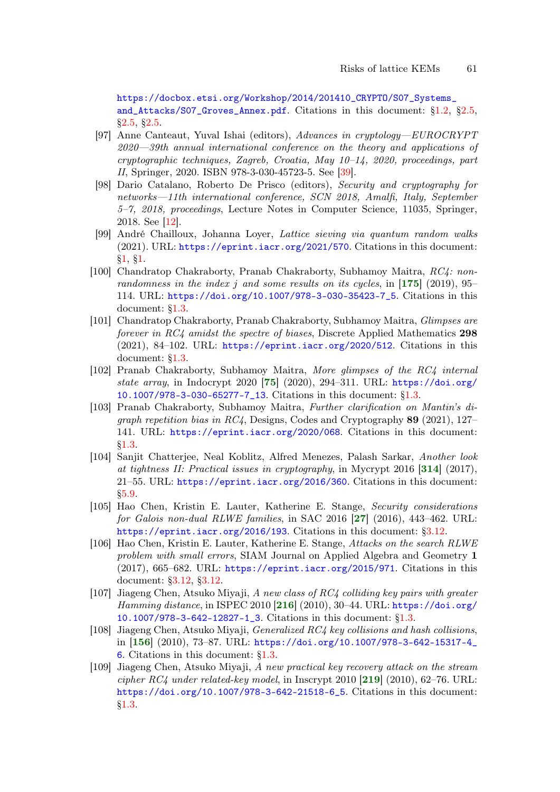[https://docbox.etsi.org/Workshop/2014/201410\\_CRYPTO/S07\\_Systems\\_](https://web.archive.org/web/20211022132624/https://docbox.etsi.org/Workshop/2014/201410_CRYPTO/S07_Systems_and_Attacks/S07_Groves_Annex.pdf) [and\\_Attacks/S07\\_Groves\\_Annex.pdf](https://web.archive.org/web/20211022132624/https://docbox.etsi.org/Workshop/2014/201410_CRYPTO/S07_Systems_and_Attacks/S07_Groves_Annex.pdf). Citations in this document: [§1.2,](#page-3-2) [§2.5,](#page-9-6) [§2.5,](#page-10-3) [§2.5.](#page-10-4)

- <span id="page-60-2"></span>[97] Anne Canteaut, Yuval Ishai (editors), Advances in cryptology—EUROCRYPT 2020—39th annual international conference on the theory and applications of cryptographic techniques, Zagreb, Croatia, May  $10-14$ , 2020, proceedings, part II, Springer, 2020. ISBN 978-3-030-45723-5. See [\[39\]](#page-55-2).
- <span id="page-60-0"></span>[98] Dario Catalano, Roberto De Prisco (editors), Security and cryptography for networks—11th international conference, SCN 2018, Amalfi, Italy, September 5–7, 2018, proceedings, Lecture Notes in Computer Science, 11035, Springer, 2018. See [\[12\]](#page-53-3).
- <span id="page-60-5"></span>[99] André Chailloux, Johanna Loyer, Lattice sieving via quantum random walks (2021). URL: <https://eprint.iacr.org/2021/570>. Citations in this document: [§1,](#page-3-3) [§1.](#page-3-4)
- [100] Chandratop Chakraborty, Pranab Chakraborty, Subhamoy Maitra, RC4: nonrandomness in the index j and some results on its cycles, in  $[175]$  $[175]$  $[175]$  (2019), 95– 114. URL: [https://doi.org/10.1007/978-3-030-35423-7\\_5](https://doi.org/10.1007/978-3-030-35423-7_5). Citations in this document: [§1.3.](#page-6-0)
- [101] Chandratop Chakraborty, Pranab Chakraborty, Subhamoy Maitra, Glimpses are forever in RC4 amidst the spectre of biases, Discrete Applied Mathematics 298  $(2021)$ , 84–102. URL: <https://eprint.iacr.org/2020/512>. Citations in this document: [§1.3.](#page-6-1)
- <span id="page-60-3"></span>[102] Pranab Chakraborty, Subhamoy Maitra, More glimpses of the RC4 internal state array, in Indocrypt 2020 [[75](#page-58-1)] (2020), 294–311. URL: [https://doi.org/](https://doi.org/10.1007/978-3-030-65277-7_13) [10.1007/978-3-030-65277-7\\_13](https://doi.org/10.1007/978-3-030-65277-7_13). Citations in this document: [§1.3.](#page-6-2)
- [103] Pranab Chakraborty, Subhamoy Maitra, Further clarification on Mantin's digraph repetition bias in  $RC4$ , Designs, Codes and Cryptography 89 (2021), 127– 141. URL: <https://eprint.iacr.org/2020/068>. Citations in this document: [§1.3.](#page-6-3)
- [104] Sanjit Chatterjee, Neal Koblitz, Alfred Menezes, Palash Sarkar, Another look at tightness II: Practical issues in cryptography, in Mycrypt 2016 [[314](#page-76-3)] (2017), 21–55. URL: <https://eprint.iacr.org/2016/360>. Citations in this document: [§5.9.](#page-31-3)
- <span id="page-60-1"></span>[105] Hao Chen, Kristin E. Lauter, Katherine E. Stange, Security considerations for Galois non-dual RLWE families, in SAC 2016 [[27](#page-54-4)] (2016), 443-462. URL: <https://eprint.iacr.org/2016/193>. Citations in this document: [§3.12.](#page-17-5)
- [106] Hao Chen, Kristin E. Lauter, Katherine E. Stange, Attacks on the search RLWE problem with small errors, SIAM Journal on Applied Algebra and Geometry 1 (2017), 665–682. URL: <https://eprint.iacr.org/2015/971>. Citations in this document: [§3.12,](#page-17-6) [§3.12.](#page-17-7)
- <span id="page-60-6"></span>[107] Jiageng Chen, Atsuko Miyaji, A new class of RC4 colliding key pairs with greater Hamming distance, in ISPEC 2010  $[216]$  $[216]$  $[216]$  (2010), 30–44. URL: [https://doi.org/](https://doi.org/10.1007/978-3-642-12827-1_3) [10.1007/978-3-642-12827-1\\_3](https://doi.org/10.1007/978-3-642-12827-1_3). Citations in this document: [§1.3.](#page-5-16)
- <span id="page-60-4"></span>[108] Jiageng Chen, Atsuko Miyaji, Generalized RC4 key collisions and hash collisions, in [[156](#page-64-0)] (2010), 73–87. URL: [https://doi.org/10.1007/978-3-642-15317-4\\_](https://doi.org/10.1007/978-3-642-15317-4_6) [6](https://doi.org/10.1007/978-3-642-15317-4_6). Citations in this document: [§1.3.](#page-5-17)
- <span id="page-60-7"></span>[109] Jiageng Chen, Atsuko Miyaji, A new practical key recovery attack on the stream cipher  $RC4$  under related-key model, in Inscrypt 2010 [[219](#page-69-3)] (2010), 62–76. URL: [https://doi.org/10.1007/978-3-642-21518-6\\_5](https://doi.org/10.1007/978-3-642-21518-6_5). Citations in this document: [§1.3.](#page-5-18)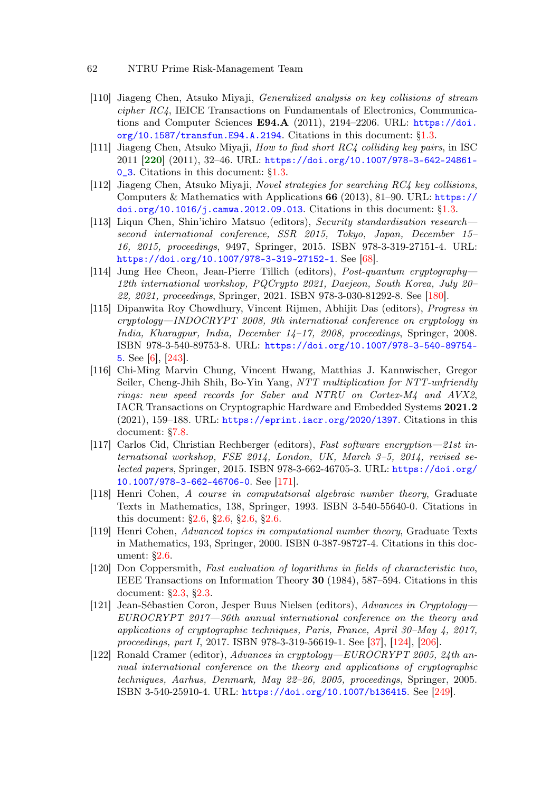- 62 NTRU Prime Risk-Management Team
- [110] Jiageng Chen, Atsuko Miyaji, Generalized analysis on key collisions of stream cipher RC4, IEICE Transactions on Fundamentals of Electronics, Communications and Computer Sciences  $E94.A$  (2011), 2194–2206. URL:  $h$ ttps://doi. [org/10.1587/transfun.E94.A.2194](https://doi.org/10.1587/transfun.E94.A.2194). Citations in this document: [§1.3.](#page-5-19)
- <span id="page-61-6"></span>[111] Jiageng Chen, Atsuko Miyaji, How to find short RC4 colliding key pairs, in ISC 2011 [[220](#page-69-4)] (2011), 32–46. URL: [https://doi.org/10.1007/978-3-642-24861-](https://doi.org/10.1007/978-3-642-24861-0_3) [0\\_3](https://doi.org/10.1007/978-3-642-24861-0_3). Citations in this document: [§1.3.](#page-5-20)
- [112] Jiageng Chen, Atsuko Miyaji, Novel strategies for searching RC4 key collisions, Computers & Mathematics with Applications 66 (2013), 81–90. URL: [https://](https://doi.org/10.1016/j.camwa.2012.09.013) [doi.org/10.1016/j.camwa.2012.09.013](https://doi.org/10.1016/j.camwa.2012.09.013). Citations in this document: [§1.3.](#page-5-21)
- <span id="page-61-3"></span>[113] Liqun Chen, Shin'ichiro Matsuo (editors), Security standardisation research second international conference, SSR 2015, Tokyo, Japan, December 15– 16, 2015, proceedings, 9497, Springer, 2015. ISBN 978-3-319-27151-4. URL: <https://doi.org/10.1007/978-3-319-27152-1>. See [\[68\]](#page-57-6).
- <span id="page-61-5"></span>[114] Jung Hee Cheon, Jean-Pierre Tillich (editors), Post-quantum cryptography— 12th international workshop, PQCrypto 2021, Daejeon, South Korea, July 20– 22, 2021, proceedings, Springer, 2021. ISBN 978-3-030-81292-8. See [\[180\]](#page-66-2).
- <span id="page-61-1"></span>[115] Dipanwita Roy Chowdhury, Vincent Rijmen, Abhijit Das (editors), Progress in cryptology—INDOCRYPT 2008, 9th international conference on cryptology in India, Kharagpur, India, December 14–17, 2008, proceedings, Springer, 2008. ISBN 978-3-540-89753-8. URL: [https://doi.org/10.1007/978-3-540-89754-](https://doi.org/10.1007/978-3-540-89754-5) [5](https://doi.org/10.1007/978-3-540-89754-5). See [\[6\]](#page-52-4), [\[243\]](#page-70-4).
- <span id="page-61-0"></span>[116] Chi-Ming Marvin Chung, Vincent Hwang, Matthias J. Kannwischer, Gregor Seiler, Cheng-Jhih Shih, Bo-Yin Yang, NTT multiplication for NTT-unfriendly rings: new speed records for Saber and NTRU on Cortex-M4 and AVX2, IACR Transactions on Cryptographic Hardware and Embedded Systems 2021.2 (2021), 159–188. URL: <https://eprint.iacr.org/2020/1397>. Citations in this document: [§7.8.](#page-46-4)
- <span id="page-61-4"></span>[117] Carlos Cid, Christian Rechberger (editors), Fast software encryption—21st international workshop, FSE 2014, London, UK, March 3–5, 2014, revised selected papers, Springer, 2015. ISBN 978-3-662-46705-3. URL: [https://doi.org/](https://doi.org/10.1007/978-3-662-46706-0) [10.1007/978-3-662-46706-0](https://doi.org/10.1007/978-3-662-46706-0). See [\[171\]](#page-65-2).
- [118] Henri Cohen, A course in computational algebraic number theory, Graduate Texts in Mathematics, 138, Springer, 1993. ISBN 3-540-55640-0. Citations in this document: [§2.6,](#page-10-5) [§2.6,](#page-10-6) [§2.6,](#page-10-7) [§2.6.](#page-11-0)
- [119] Henri Cohen, Advanced topics in computational number theory, Graduate Texts in Mathematics, 193, Springer, 2000. ISBN 0-387-98727-4. Citations in this document: [§2.6.](#page-10-8)
- [120] Don Coppersmith, Fast evaluation of logarithms in fields of characteristic two, IEEE Transactions on Information Theory 30 (1984), 587–594. Citations in this document: [§2.3,](#page-8-3) [§2.3.](#page-8-4)
- <span id="page-61-2"></span>[121] Jean-Sébastien Coron, Jesper Buus Nielsen (editors), Advances in Cryptology— EUROCRYPT 2017—36th annual international conference on the theory and applications of cryptographic techniques, Paris, France, April 30–May 4, 2017, proceedings, part I, 2017. ISBN 978-3-319-56619-1. See [\[37\]](#page-55-3), [\[124\]](#page-62-1), [\[206\]](#page-68-5).
- <span id="page-61-7"></span>[122] Ronald Cramer (editor), Advances in cryptology—EUROCRYPT 2005, 24th annual international conference on the theory and applications of cryptographic techniques, Aarhus, Denmark, May 22–26, 2005, proceedings, Springer, 2005. ISBN 3-540-25910-4. URL: <https://doi.org/10.1007/b136415>. See [\[249\]](#page-71-3).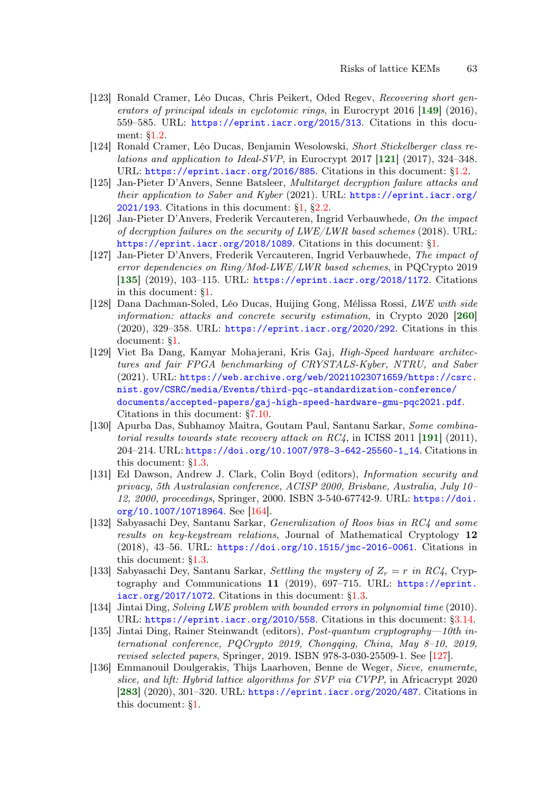- <span id="page-62-4"></span>[123] Ronald Cramer, Léo Ducas, Chris Peikert, Oded Regev, Recovering short generators of principal ideals in cyclotomic rings, in Eurocrypt 2016  $[149]$  $[149]$  $[149]$  (2016), 559–585. URL: <https://eprint.iacr.org/2015/313>. Citations in this document: [§1.2.](#page-3-5)
- <span id="page-62-1"></span>[124] Ronald Cramer, Léo Ducas, Benjamin Wesolowski, Short Stickelberger class relations and application to Ideal-SVP, in Eurocrypt 2017  $[121]$  $[121]$  $[121]$  (2017), 324-348. URL: <https://eprint.iacr.org/2016/885>. Citations in this document: [§1.2.](#page-3-6)
- [125] Jan-Pieter D'Anvers, Senne Batsleer, Multitarget decryption failure attacks and their application to Saber and Kyber (2021). URL: [https://eprint.iacr.org/](https://eprint.iacr.org/2021/193) [2021/193](https://eprint.iacr.org/2021/193). Citations in this document: [§1,](#page-3-7) [§2.2.](#page-7-1)
- [126] Jan-Pieter D'Anvers, Frederik Vercauteren, Ingrid Verbauwhede, On the impact of decryption failures on the security of  $LWE/LWR$  based schemes (2018). URL: <https://eprint.iacr.org/2018/1089>. Citations in this document: [§1.](#page-2-9)
- <span id="page-62-3"></span>[127] Jan-Pieter D'Anvers, Frederik Vercauteren, Ingrid Verbauwhede, The impact of error dependencies on Ring/Mod-LWE/LWR based schemes, in PQCrypto 2019 [[135](#page-62-2)] (2019), 103–115. URL: <https://eprint.iacr.org/2018/1172>. Citations in this document: [§1.](#page-2-10)
- <span id="page-62-7"></span>[128] Dana Dachman-Soled, Léo Ducas, Huijing Gong, Mélissa Rossi, LWE with side information: attacks and concrete security estimation, in Crypto 2020 [[260](#page-71-1)] (2020), 329–358. URL: <https://eprint.iacr.org/2020/292>. Citations in this document: [§1.](#page-2-11)
- <span id="page-62-0"></span>[129] Viet Ba Dang, Kamyar Mohajerani, Kris Gaj, High-Speed hardware architectures and fair FPGA benchmarking of CRYSTALS-Kyber, NTRU, and Saber (2021). URL: [https://web.archive.org/web/20211023071659/https://csrc.](https://web.archive.org/web/20211023071659/https://csrc.nist.gov/CSRC/media/Events/third-pqc-standardization-conference/documents/accepted-papers/gaj-high-speed-hardware-gmu-pqc2021.pdf) [nist.gov/CSRC/media/Events/third-pqc-standardization-conference/](https://web.archive.org/web/20211023071659/https://csrc.nist.gov/CSRC/media/Events/third-pqc-standardization-conference/documents/accepted-papers/gaj-high-speed-hardware-gmu-pqc2021.pdf) [documents/accepted-papers/gaj-high-speed-hardware-gmu-pqc2021.pdf](https://web.archive.org/web/20211023071659/https://csrc.nist.gov/CSRC/media/Events/third-pqc-standardization-conference/documents/accepted-papers/gaj-high-speed-hardware-gmu-pqc2021.pdf). Citations in this document: [§7.10.](#page-47-2)
- <span id="page-62-6"></span>[130] Apurba Das, Subhamoy Maitra, Goutam Paul, Santanu Sarkar, Some combinatorial results towards state recovery attack on  $RC4$ , in ICISS 2011 [[191](#page-67-2)] (2011), 204–214. URL: [https://doi.org/10.1007/978-3-642-25560-1\\_14](https://doi.org/10.1007/978-3-642-25560-1_14). Citations in this document: [§1.3.](#page-5-22)
- <span id="page-62-5"></span>[131] Ed Dawson, Andrew J. Clark, Colin Boyd (editors), Information security and privacy, 5th Australasian conference, ACISP 2000, Brisbane, Australia, July 10– 12, 2000, proceedings, Springer, 2000. ISBN 3-540-67742-9. URL: [https://doi.](https://doi.org/10.1007/10718964) [org/10.1007/10718964](https://doi.org/10.1007/10718964). See [\[164\]](#page-65-3).
- [132] Sabyasachi Dey, Santanu Sarkar, Generalization of Roos bias in RC4 and some results on key-keystream relations, Journal of Mathematical Cryptology 12 (2018), 43–56. URL: <https://doi.org/10.1515/jmc-2016-0061>. Citations in this document: [§1.3.](#page-6-4)
- [133] Sabyasachi Dey, Santanu Sarkar, Settling the mystery of  $Z_r = r$  in RC4, Cryptography and Communications 11 (2019), 697–715. URL: [https://eprint.](https://eprint.iacr.org/2017/1072)  $i\arctan\frac{\sqrt{2017}}{1072}$ . Citations in this document: [§1.3.](#page-6-5)
- [134] Jintai Ding, Solving LWE problem with bounded errors in polynomial time (2010). URL: <https://eprint.iacr.org/2010/558>. Citations in this document: [§3.14.](#page-17-8)
- <span id="page-62-2"></span>[135] Jintai Ding, Rainer Steinwandt (editors), Post-quantum cryptography—10th international conference, PQCrypto 2019, Chongqing, China, May 8–10, 2019, revised selected papers, Springer, 2019. ISBN 978-3-030-25509-1. See [\[127\]](#page-62-3).
- [136] Emmanouil Doulgerakis, Thijs Laarhoven, Benne de Weger, Sieve, enumerate, slice, and lift: Hybrid lattice algorithms for SVP via CVPP, in Africacrypt 2020 [[283](#page-73-3)] (2020), 301–320. URL: <https://eprint.iacr.org/2020/487>. Citations in this document: [§1.](#page-2-12)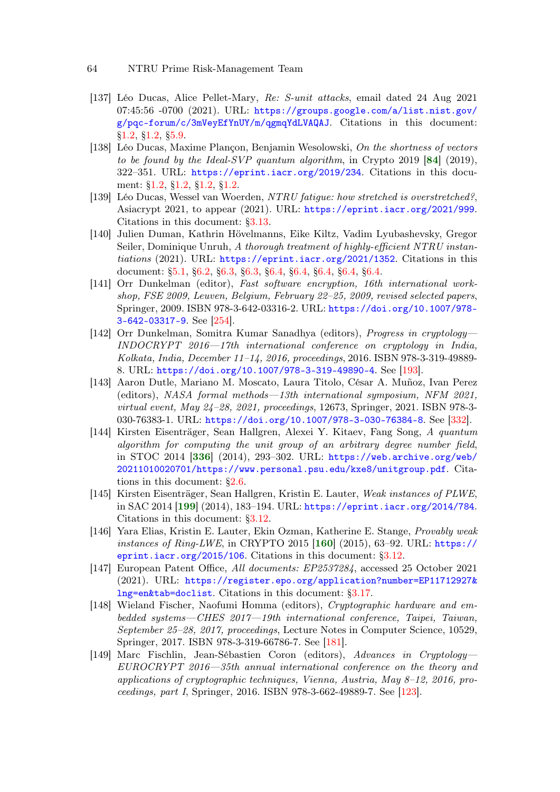- [137] Léo Ducas, Alice Pellet-Mary, Re: S-unit attacks, email dated 24 Aug 2021  $07:45:56$  -0700 (2021). URL: [https://groups.google.com/a/list.nist.gov/](https://groups.google.com/a/list.nist.gov/g/pqc-forum/c/3mVeyEfYnUY/m/qgmqYdLVAQAJ) [g/pqc-forum/c/3mVeyEfYnUY/m/qgmqYdLVAQAJ](https://groups.google.com/a/list.nist.gov/g/pqc-forum/c/3mVeyEfYnUY/m/qgmqYdLVAQAJ). Citations in this document: [§1.2,](#page-4-3) [§1.2,](#page-4-4) [§5.9.](#page-30-5)
- <span id="page-63-0"></span>[138] Léo Ducas, Maxime Plançon, Benjamin Wesolowski, On the shortness of vectors to be found by the Ideal-SVP quantum algorithm, in Crypto 2019  $[84]$  $[84]$  $[84]$  (2019), 322–351. URL: <https://eprint.iacr.org/2019/234>. Citations in this document: [§1.2,](#page-4-5) [§1.2,](#page-4-6) [§1.2,](#page-4-7) [§1.2.](#page-4-8)
- [139] Léo Ducas, Wessel van Woerden, NTRU fatigue: how stretched is overstretched?, Asiacrypt 2021, to appear (2021). URL: <https://eprint.iacr.org/2021/999>. Citations in this document: [§3.13.](#page-17-9)
- [140] Julien Duman, Kathrin Hövelmanns, Eike Kiltz, Vadim Lyubashevsky, Gregor Seiler, Dominique Unruh, A thorough treatment of highly-efficient NTRU instantiations (2021). URL: <https://eprint.iacr.org/2021/1352>. Citations in this document: [§5.1,](#page-23-1) [§6.2,](#page-32-3) [§6.3,](#page-32-4) [§6.3,](#page-32-5) [§6.4,](#page-33-4) [§6.4,](#page-33-5) [§6.4,](#page-34-4) [§6.4,](#page-34-5) [§6.4.](#page-34-6)
- <span id="page-63-6"></span>[141] Orr Dunkelman (editor), Fast software encryption, 16th international workshop, FSE 2009, Leuven, Belgium, February 22–25, 2009, revised selected papers, Springer, 2009. ISBN 978-3-642-03316-2. URL: [https://doi.org/10.1007/978-](https://doi.org/10.1007/978-3-642-03317-9) [3-642-03317-9](https://doi.org/10.1007/978-3-642-03317-9). See [\[254\]](#page-71-4).
- <span id="page-63-4"></span>[142] Orr Dunkelman, Somitra Kumar Sanadhya (editors), Progress in cryptology— INDOCRYPT 2016—17th international conference on cryptology in India, Kolkata, India, December 11–14, 2016, proceedings, 2016. ISBN 978-3-319-49889- 8. URL: <https://doi.org/10.1007/978-3-319-49890-4>. See [\[193\]](#page-67-3).
- [143] Aaron Dutle, Mariano M. Moscato, Laura Titolo, César A. Muñoz, Ivan Perez (editors), NASA formal methods—13th international symposium, NFM 2021, virtual event, May 24–28, 2021, proceedings, 12673, Springer, 2021. ISBN 978-3- 030-76383-1. URL: <https://doi.org/10.1007/978-3-030-76384-8>. See [\[332\]](#page-77-5).
- [144] Kirsten Eisenträger, Sean Hallgren, Alexei Y. Kitaev, Fang Song, A quantum algorithm for computing the unit group of an arbitrary degree number field, in STOC 2014 [[336](#page-77-6)] (2014), 293–302. URL: [https://web.archive.org/web/](https://web.archive.org/web/20211010020701/https://www.personal.psu.edu/kxe8/unitgroup.pdf) [20211010020701/https://www.personal.psu.edu/kxe8/unitgroup.pdf](https://web.archive.org/web/20211010020701/https://www.personal.psu.edu/kxe8/unitgroup.pdf). Citations in this document: [§2.6.](#page-11-1)
- <span id="page-63-5"></span>[145] Kirsten Eisenträger, Sean Hallgren, Kristin E. Lauter, Weak instances of PLWE, in SAC 2014 [[199](#page-67-4)] (2014), 183–194. URL: <https://eprint.iacr.org/2014/784>. Citations in this document: [§3.12.](#page-17-10)
- <span id="page-63-2"></span>[146] Yara Elias, Kristin E. Lauter, Ekin Ozman, Katherine E. Stange, Provably weak *instances of Ring-LWE*, in CRYPTO 2015  $[160]$  $[160]$  $[160]$  (2015), 63–92. URL: [https://](https://eprint.iacr.org/2015/106) [eprint.iacr.org/2015/106](https://eprint.iacr.org/2015/106). Citations in this document:  $\S 3.12$ .
- [147] European Patent Office, All documents: EP2537284, accessed 25 October 2021 (2021). URL: [https://register.epo.org/application?number=EP11712927&](https://register.epo.org/application?number=EP11712927&lng=en&tab=doclist) [lng=en&tab=doclist](https://register.epo.org/application?number=EP11712927&lng=en&tab=doclist). Citations in this document: [§3.17.](#page-19-5)
- <span id="page-63-3"></span>[148] Wieland Fischer, Naofumi Homma (editors), Cryptographic hardware and embedded systems—CHES 2017—19th international conference, Taipei, Taiwan, September 25–28, 2017, proceedings, Lecture Notes in Computer Science, 10529, Springer, 2017. ISBN 978-3-319-66786-7. See [\[181\]](#page-66-3).
- <span id="page-63-1"></span>[149] Marc Fischlin, Jean-Sébastien Coron (editors), Advances in Cryptology— EUROCRYPT 2016—35th annual international conference on the theory and applications of cryptographic techniques, Vienna, Austria, May 8–12, 2016, proceedings, part I, Springer, 2016. ISBN 978-3-662-49889-7. See [\[123\]](#page-62-4).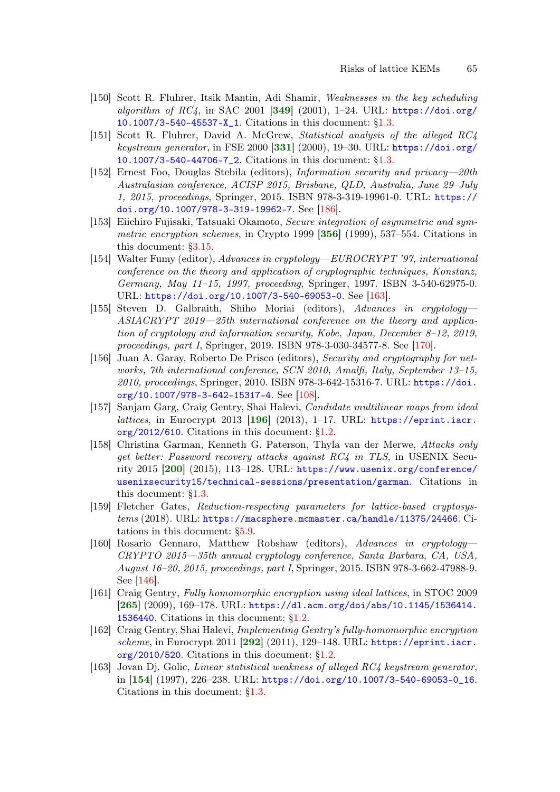- [150] Scott R. Fluhrer, Itsik Mantin, Adi Shamir, Weaknesses in the key scheduling algorithm of  $RC4$ , in SAC 2001 [[349](#page-78-1)] (2001), 1-24. URL: [https://doi.org/](https://doi.org/10.1007/3-540-45537-X_1) [10.1007/3-540-45537-X\\_1](https://doi.org/10.1007/3-540-45537-X_1). Citations in this document: [§1.3.](#page-5-23)
- [151] Scott R. Fluhrer, David A. McGrew, Statistical analysis of the alleged RC4 keystream generator, in FSE 2000  $[331]$  $[331]$  $[331]$   $(2000)$ , 19-30. URL: [https://doi.org/](https://doi.org/10.1007/3-540-44706-7_2) [10.1007/3-540-44706-7\\_2](https://doi.org/10.1007/3-540-44706-7_2). Citations in this document: [§1.3.](#page-5-24)
- <span id="page-64-5"></span>[152] Ernest Foo, Douglas Stebila (editors), Information security and privacy—20th Australasian conference, ACISP 2015, Brisbane, QLD, Australia, June 29–July 1, 2015, proceedings, Springer, 2015. ISBN 978-3-319-19961-0. URL: [https://](https://doi.org/10.1007/978-3-319-19962-7) [doi.org/10.1007/978-3-319-19962-7](https://doi.org/10.1007/978-3-319-19962-7). See [\[186\]](#page-66-4).
- [153] Eiichiro Fujisaki, Tatsuaki Okamoto, Secure integration of asymmetric and sym-metric encryption schemes, in Crypto 1999 [[356](#page-79-4)] (1999), 537–554. Citations in this document: [§3.15.](#page-18-1)
- <span id="page-64-3"></span>[154] Walter Fumy (editor), Advances in cryptology—EUROCRYPT '97, international conference on the theory and application of cryptographic techniques, Konstanz, Germany, May 11–15, 1997, proceeding, Springer, 1997. ISBN 3-540-62975-0. URL: <https://doi.org/10.1007/3-540-69053-0>. See [\[163\]](#page-64-2).
- <span id="page-64-4"></span>[155] Steven D. Galbraith, Shiho Moriai (editors), Advances in cryptology— ASIACRYPT 2019—25th international conference on the theory and application of cryptology and information security, Kobe, Japan, December 8–12, 2019, proceedings, part I, Springer, 2019. ISBN 978-3-030-34577-8. See [\[170\]](#page-65-4).
- <span id="page-64-0"></span>[156] Juan A. Garay, Roberto De Prisco (editors), Security and cryptography for networks, 7th international conference, SCN 2010, Amalfi, Italy, September 13–15, 2010, proceedings, Springer, 2010. ISBN 978-3-642-15316-7. URL: [https://doi.](https://doi.org/10.1007/978-3-642-15317-4) [org/10.1007/978-3-642-15317-4](https://doi.org/10.1007/978-3-642-15317-4). See [\[108\]](#page-60-4).
- <span id="page-64-6"></span>[157] Sanjam Garg, Craig Gentry, Shai Halevi, Candidate multilinear maps from ideal lattices, in Eurocrypt 2013  $[196]$  $[196]$  $[196]$  (2013), 1-17. URL: [https://eprint.iacr.](https://eprint.iacr.org/2012/610) [org/2012/610](https://eprint.iacr.org/2012/610). Citations in this document: [§1.2.](#page-3-8)
- <span id="page-64-7"></span>[158] Christina Garman, Kenneth G. Paterson, Thyla van der Merwe, Attacks only get better: Password recovery attacks against RC4 in TLS, in USENIX Security 2015 [[200](#page-67-6)] (2015), 113–128. URL: [https://www.usenix.org/conference/](https://www.usenix.org/conference/usenixsecurity15/technical-sessions/presentation/garman) [usenixsecurity15/technical-sessions/presentation/garman](https://www.usenix.org/conference/usenixsecurity15/technical-sessions/presentation/garman). Citations in this document: [§1.3.](#page-5-25)
- [159] Fletcher Gates, Reduction-respecting parameters for lattice-based cryptosystems (2018). URL: <https://macsphere.mcmaster.ca/handle/11375/24466>. Citations in this document: [§5.9.](#page-31-4)
- <span id="page-64-1"></span>[160] Rosario Gennaro, Matthew Robshaw (editors), Advances in cryptology— CRYPTO 2015—35th annual cryptology conference, Santa Barbara, CA, USA, August 16–20, 2015, proceedings, part I, Springer, 2015. ISBN 978-3-662-47988-9. See [\[146\]](#page-63-2).
- [161] Craig Gentry, Fully homomorphic encryption using ideal lattices, in STOC 2009 [[265](#page-72-2)] (2009), 169–178. URL: [https://dl.acm.org/doi/abs/10.1145/1536414.](https://dl.acm.org/doi/abs/10.1145/1536414.1536440) [1536440](https://dl.acm.org/doi/abs/10.1145/1536414.1536440). Citations in this document: [§1.2.](#page-3-9)
- [162] Craig Gentry, Shai Halevi, Implementing Gentry's fully-homomorphic encryption scheme, in Eurocrypt 2011 [[292](#page-74-2)] (2011), 129-148. URL: [https://eprint.iacr.](https://eprint.iacr.org/2010/520) [org/2010/520](https://eprint.iacr.org/2010/520). Citations in this document: [§1.2.](#page-3-10)
- <span id="page-64-2"></span>[163] Jovan Dj. Golic, Linear statistical weakness of alleged RC4 keystream generator, in [[154](#page-64-3)] (1997), 226–238. URL: [https://doi.org/10.1007/3-540-69053-0\\_16](https://doi.org/10.1007/3-540-69053-0_16). Citations in this document: [§1.3.](#page-5-26)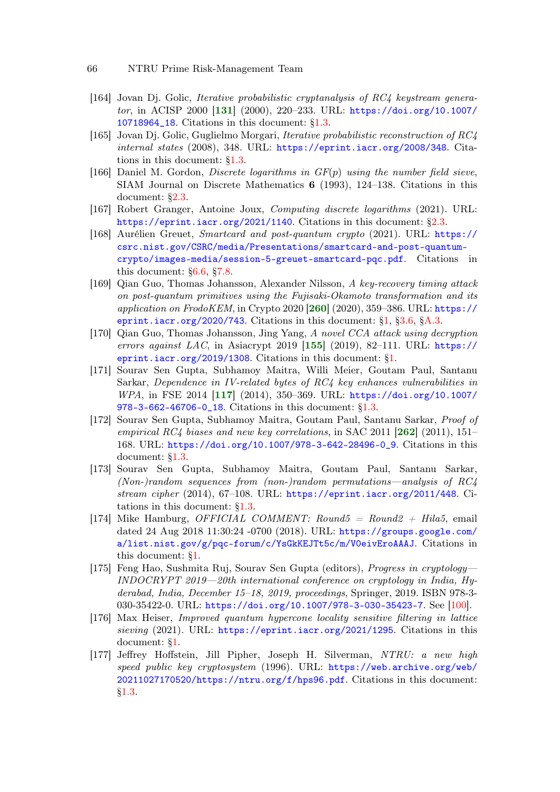- <span id="page-65-3"></span>[164] Jovan Dj. Golic, Iterative probabilistic cryptanalysis of RC4 keystream generator, in ACISP 2000 [[131](#page-62-5)] (2000), 220–233. URL: [https://doi.org/10.1007/](https://doi.org/10.1007/10718964_18) [10718964\\_18](https://doi.org/10.1007/10718964_18). Citations in this document: [§1.3.](#page-5-27)
- [165] Jovan Dj. Golic, Guglielmo Morgari, Iterative probabilistic reconstruction of RC4 internal states (2008), 348. URL: <https://eprint.iacr.org/2008/348>. Citations in this document: [§1.3.](#page-5-28)
- [166] Daniel M. Gordon, *Discrete logarithms in*  $GF(p)$  *using the number field sieve*, SIAM Journal on Discrete Mathematics 6 (1993), 124–138. Citations in this document: [§2.3.](#page-8-5)
- [167] Robert Granger, Antoine Joux, Computing discrete logarithms (2021). URL: <https://eprint.iacr.org/2021/1140>. Citations in this document: [§2.3.](#page-8-6)
- <span id="page-65-0"></span>[168] Aurélien Greuet, Smartcard and post-quantum crypto (2021). URL: [https://](https://csrc.nist.gov/CSRC/media/Presentations/smartcard-and-post-quantum-crypto/images-media/session-5-greuet-smartcard-pqc.pdf) [csrc.nist.gov/CSRC/media/Presentations/smartcard-and-post-quantum](https://csrc.nist.gov/CSRC/media/Presentations/smartcard-and-post-quantum-crypto/images-media/session-5-greuet-smartcard-pqc.pdf)[crypto/images-media/session-5-greuet-smartcard-pqc.pdf](https://csrc.nist.gov/CSRC/media/Presentations/smartcard-and-post-quantum-crypto/images-media/session-5-greuet-smartcard-pqc.pdf). Citations in this document: [§6.6,](#page-37-4) [§7.8.](#page-46-5)
- <span id="page-65-5"></span>[169] Qian Guo, Thomas Johansson, Alexander Nilsson, A key-recovery timing attack on post-quantum primitives using the Fujisaki-Okamoto transformation and its application on FrodoKEM, in Crypto 2020  $[260]$  $[260]$  $[260]$  (2020), 359–386. URL: [https://](https://eprint.iacr.org/2020/743) [eprint.iacr.org/2020/743](https://eprint.iacr.org/2020/743). Citations in this document:  $\S1$ ,  $\S3.6$ ,  $\S A.3$ .
- <span id="page-65-4"></span>[170] Qian Guo, Thomas Johansson, Jing Yang, A novel CCA attack using decryption errors against LAC, in Asiacrypt 2019  $[155]$  $[155]$  $[155]$  (2019), 82–111. URL: [https://](https://eprint.iacr.org/2019/1308) [eprint.iacr.org/2019/1308](https://eprint.iacr.org/2019/1308). Citations in this document: [§1.](#page-2-13)
- <span id="page-65-2"></span>[171] Sourav Sen Gupta, Subhamoy Maitra, Willi Meier, Goutam Paul, Santanu Sarkar, Dependence in IV-related bytes of RC4 key enhances vulnerabilities in WPA, in FSE 2014 [[117](#page-61-4)] (2014), 350–369. URL: [https://doi.org/10.1007/](https://doi.org/10.1007/978-3-662-46706-0_18) [978-3-662-46706-0\\_18](https://doi.org/10.1007/978-3-662-46706-0_18). Citations in this document: [§1.3.](#page-5-29)
- [172] Sourav Sen Gupta, Subhamoy Maitra, Goutam Paul, Santanu Sarkar, Proof of empirical RC4 biases and new key correlations, in SAC 2011  $[262]$  $[262]$  $[262]$  (2011), 151– 168. URL: [https://doi.org/10.1007/978-3-642-28496-0\\_9](https://doi.org/10.1007/978-3-642-28496-0_9). Citations in this document: [§1.3.](#page-5-30)
- [173] Sourav Sen Gupta, Subhamoy Maitra, Goutam Paul, Santanu Sarkar, (Non-)random sequences from (non-)random permutations—analysis of RC4 stream cipher (2014), 67–108. URL: <https://eprint.iacr.org/2011/448>. Citations in this document: [§1.3.](#page-5-31)
- [174] Mike Hamburg, *OFFICIAL COMMENT: Round5* =  $Round2 + Hila5$ , email dated 24 Aug 2018 11:30:24 -0700 (2018). URL: [https://groups.google.com/](https://groups.google.com/a/list.nist.gov/g/pqc-forum/c/YsGkKEJTt5c/m/V0eivEroAAAJ) [a/list.nist.gov/g/pqc-forum/c/YsGkKEJTt5c/m/V0eivEroAAAJ](https://groups.google.com/a/list.nist.gov/g/pqc-forum/c/YsGkKEJTt5c/m/V0eivEroAAAJ). Citations in this document: [§1.](#page-2-14)
- <span id="page-65-1"></span>[175] Feng Hao, Sushmita Ruj, Sourav Sen Gupta (editors), Progress in cryptology— INDOCRYPT 2019—20th international conference on cryptology in India, Hyderabad, India, December 15–18, 2019, proceedings, Springer, 2019. ISBN 978-3- 030-35422-0. URL: <https://doi.org/10.1007/978-3-030-35423-7>. See [\[100\]](#page-60-5).
- [176] Max Heiser, Improved quantum hypercone locality sensitive filtering in lattice sieving (2021). URL: <https://eprint.iacr.org/2021/1295>. Citations in this document: [§1.](#page-3-11)
- [177] Jeffrey Hoffstein, Jill Pipher, Joseph H. Silverman, NTRU: a new high speed public key cryptosystem (1996). URL: [https://web.archive.org/web/](https://web.archive.org/web/20211027170520/https://ntru.org/f/hps96.pdf) [20211027170520/https://ntru.org/f/hps96.pdf](https://web.archive.org/web/20211027170520/https://ntru.org/f/hps96.pdf). Citations in this document: [§1.3.](#page-4-9)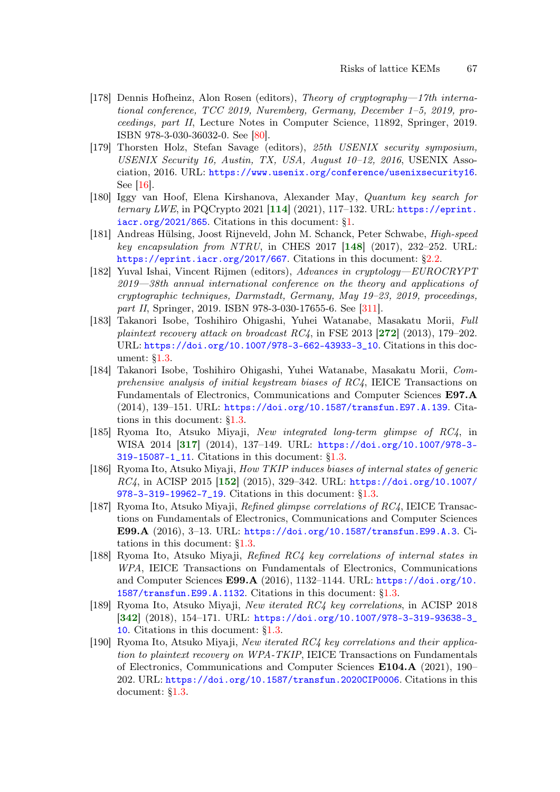- <span id="page-66-1"></span>[178] Dennis Hofheinz, Alon Rosen (editors), Theory of cryptography—17th international conference, TCC 2019, Nuremberg, Germany, December 1–5, 2019, proceedings, part II, Lecture Notes in Computer Science, 11892, Springer, 2019. ISBN 978-3-030-36032-0. See [\[80\]](#page-58-2).
- <span id="page-66-0"></span>[179] Thorsten Holz, Stefan Savage (editors), 25th USENIX security symposium, USENIX Security 16, Austin, TX, USA, August 10–12, 2016, USENIX Association, 2016. URL: <https://www.usenix.org/conference/usenixsecurity16>. See [\[16\]](#page-53-4).
- <span id="page-66-2"></span>[180] Iggy van Hoof, Elena Kirshanova, Alexander May, Quantum key search for ternary LWE, in PQCrypto 2021  $[114]$  $[114]$  $[114]$  (2021), 117–132. URL: [https://eprint.](https://eprint.iacr.org/2021/865) [iacr.org/2021/865](https://eprint.iacr.org/2021/865). Citations in this document: [§1.](#page-3-12)
- <span id="page-66-3"></span>[181] Andreas Hülsing, Joost Rijneveld, John M. Schanck, Peter Schwabe, High-speed key encapsulation from NTRU, in CHES 2017  $[148]$  $[148]$  $[148]$  (2017), 232-252. URL: <https://eprint.iacr.org/2017/667>. Citations in this document: [§2.2.](#page-8-7)
- [182] Yuval Ishai, Vincent Rijmen (editors), Advances in cryptology—EUROCRYPT 2019—38th annual international conference on the theory and applications of cryptographic techniques, Darmstadt, Germany, May 19–23, 2019, proceedings, part II, Springer, 2019. ISBN 978-3-030-17655-6. See [\[311\]](#page-75-2).
- [183] Takanori Isobe, Toshihiro Ohigashi, Yuhei Watanabe, Masakatu Morii, Full plaintext recovery attack on broadcast  $RC_4$ , in FSE 2013 [[272](#page-72-3)] (2013), 179–202. URL: [https://doi.org/10.1007/978-3-662-43933-3\\_10](https://doi.org/10.1007/978-3-662-43933-3_10). Citations in this document: [§1.3.](#page-5-32)
- [184] Takanori Isobe, Toshihiro Ohigashi, Yuhei Watanabe, Masakatu Morii, Comprehensive analysis of initial keystream biases of  $RC4$ , IEICE Transactions on Fundamentals of Electronics, Communications and Computer Sciences E97.A (2014), 139–151. URL: <https://doi.org/10.1587/transfun.E97.A.139>. Citations in this document: [§1.3.](#page-5-33)
- [185] Ryoma Ito, Atsuko Miyaji, New integrated long-term glimpse of RC4, in WISA 2014 [[317](#page-76-4)] (2014), 137–149. URL: [https://doi.org/10.1007/978-3-](https://doi.org/10.1007/978-3-319-15087-1_11) [319-15087-1\\_11](https://doi.org/10.1007/978-3-319-15087-1_11). Citations in this document: [§1.3.](#page-5-34)
- <span id="page-66-4"></span>[186] Ryoma Ito, Atsuko Miyaji, How TKIP induces biases of internal states of generic RC4, in ACISP 2015 [[152](#page-64-5)] (2015), 329–342. URL: [https://doi.org/10.1007/](https://doi.org/10.1007/978-3-319-19962-7_19) [978-3-319-19962-7\\_19](https://doi.org/10.1007/978-3-319-19962-7_19). Citations in this document: [§1.3.](#page-5-35)
- [187] Ryoma Ito, Atsuko Miyaji, Refined glimpse correlations of RC4, IEICE Transactions on Fundamentals of Electronics, Communications and Computer Sciences E99.A (2016), 3–13. URL: <https://doi.org/10.1587/transfun.E99.A.3>. Citations in this document: [§1.3.](#page-5-36)
- [188] Ryoma Ito, Atsuko Miyaji, Refined RC4 key correlations of internal states in WPA, IEICE Transactions on Fundamentals of Electronics, Communications and Computer Sciences E99.A (2016), 1132–1144. URL: [https://doi.org/10.](https://doi.org/10.1587/transfun.E99.A.1132) [1587/transfun.E99.A.1132](https://doi.org/10.1587/transfun.E99.A.1132). Citations in this document: [§1.3.](#page-5-37)
- [189] Ryoma Ito, Atsuko Miyaji, New iterated RC4 key correlations, in ACISP 2018 [[342](#page-78-2)] (2018), 154–171. URL: [https://doi.org/10.1007/978-3-319-93638-3\\_](https://doi.org/10.1007/978-3-319-93638-3_10) [10](https://doi.org/10.1007/978-3-319-93638-3_10). Citations in this document: [§1.3.](#page-6-6)
- [190] Ryoma Ito, Atsuko Miyaji, New iterated RC4 key correlations and their application to plaintext recovery on WPA-TKIP, IEICE Transactions on Fundamentals of Electronics, Communications and Computer Sciences E104.A (2021), 190– 202. URL: <https://doi.org/10.1587/transfun.2020CIP0006>. Citations in this document: [§1.3.](#page-6-7)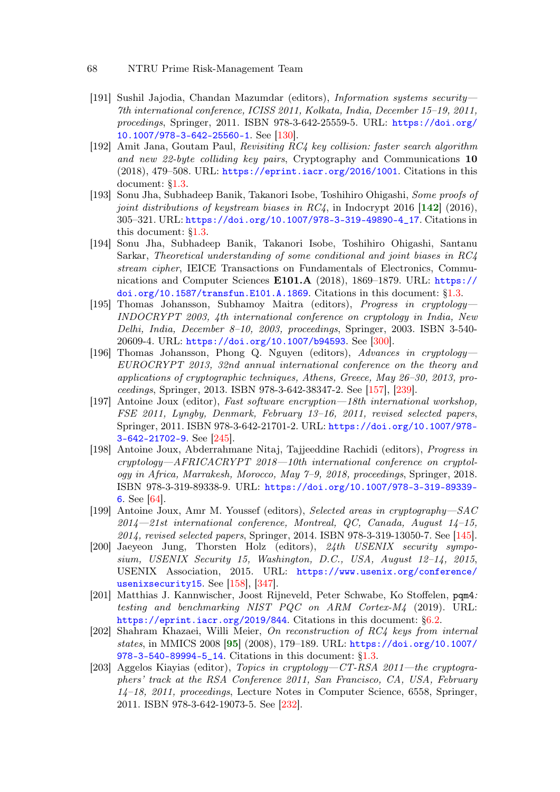- <span id="page-67-2"></span>[191] Sushil Jajodia, Chandan Mazumdar (editors), Information systems security— 7th international conference, ICISS 2011, Kolkata, India, December 15–19, 2011, procedings, Springer, 2011. ISBN 978-3-642-25559-5. URL: [https://doi.org/](https://doi.org/10.1007/978-3-642-25560-1) [10.1007/978-3-642-25560-1](https://doi.org/10.1007/978-3-642-25560-1). See [\[130\]](#page-62-6).
- [192] Amit Jana, Goutam Paul, Revisiting RC4 key collision: faster search algorithm and new 22-byte colliding key pairs, Cryptography and Communications 10 (2018), 479–508. URL: <https://eprint.iacr.org/2016/1001>. Citations in this document: [§1.3.](#page-6-8)
- <span id="page-67-3"></span>[193] Sonu Jha, Subhadeep Banik, Takanori Isobe, Toshihiro Ohigashi, Some proofs of joint distributions of keystream biases in  $RC4$ , in Indocrypt 2016 [[142](#page-63-4)] (2016), 305–321. URL: [https://doi.org/10.1007/978-3-319-49890-4\\_17](https://doi.org/10.1007/978-3-319-49890-4_17). Citations in this document: [§1.3.](#page-5-38)
- [194] Sonu Jha, Subhadeep Banik, Takanori Isobe, Toshihiro Ohigashi, Santanu Sarkar, Theoretical understanding of some conditional and joint biases in RC4 stream cipher, IEICE Transactions on Fundamentals of Electronics, Communications and Computer Sciences E101.A (2018), 1869–1879. URL: [https://](https://doi.org/10.1587/transfun.E101.A.1869) [doi.org/10.1587/transfun.E101.A.1869](https://doi.org/10.1587/transfun.E101.A.1869). Citations in this document: [§1.3.](#page-6-9)
- [195] Thomas Johansson, Subhamoy Maitra (editors), Progress in cryptology— INDOCRYPT 2003, 4th international conference on cryptology in India, New Delhi, India, December 8–10, 2003, proceedings, Springer, 2003. ISBN 3-540- 20609-4. URL: <https://doi.org/10.1007/b94593>. See [\[300\]](#page-75-3).
- <span id="page-67-5"></span>[196] Thomas Johansson, Phong Q. Nguyen (editors), Advances in cryptology— EUROCRYPT 2013, 32nd annual international conference on the theory and applications of cryptographic techniques, Athens, Greece, May 26–30, 2013, proceedings, Springer, 2013. ISBN 978-3-642-38347-2. See [\[157\]](#page-64-6), [\[239\]](#page-70-5).
- <span id="page-67-8"></span>[197] Antoine Joux (editor), Fast software encryption—18th international workshop, FSE 2011, Lyngby, Denmark, February 13–16, 2011, revised selected papers, Springer, 2011. ISBN 978-3-642-21701-2. URL: [https://doi.org/10.1007/978-](https://doi.org/10.1007/978-3-642-21702-9) [3-642-21702-9](https://doi.org/10.1007/978-3-642-21702-9). See [\[245\]](#page-70-6).
- <span id="page-67-0"></span>[198] Antoine Joux, Abderrahmane Nitaj, Tajjeeddine Rachidi (editors), Progress in cryptology—AFRICACRYPT 2018—10th international conference on cryptology in Africa, Marrakesh, Morocco, May 7–9, 2018, proceedings, Springer, 2018. ISBN 978-3-319-89338-9. URL: [https://doi.org/10.1007/978-3-319-89339-](https://doi.org/10.1007/978-3-319-89339-6) [6](https://doi.org/10.1007/978-3-319-89339-6). See [\[64\]](#page-57-7).
- <span id="page-67-4"></span>[199] Antoine Joux, Amr M. Youssef (editors), Selected areas in cryptography—SAC 2014—21st international conference, Montreal, QC, Canada, August 14–15, 2014, revised selected papers, Springer, 2014. ISBN 978-3-319-13050-7. See [\[145\]](#page-63-5).
- <span id="page-67-6"></span>[200] Jaeyeon Jung, Thorsten Holz (editors), 24th USENIX security symposium, USENIX Security 15, Washington, D.C., USA, August 12–14, 2015, USENIX Association, 2015. URL: [https://www.usenix.org/conference/](https://www.usenix.org/conference/usenixsecurity15) [usenixsecurity15](https://www.usenix.org/conference/usenixsecurity15). See [\[158\]](#page-64-7), [\[347\]](#page-78-3).
- [201] Matthias J. Kannwischer, Joost Rijneveld, Peter Schwabe, Ko Stoffelen, pqm4: testing and benchmarking NIST PQC on ARM Cortex-M4 (2019). URL: <https://eprint.iacr.org/2019/844>. Citations in this document: [§6.2.](#page-32-6)
- <span id="page-67-1"></span>[202] Shahram Khazaei, Willi Meier, On reconstruction of RC4 keys from internal states, in MMICS 2008 [[95](#page-59-2)] (2008), 179–189. URL: [https://doi.org/10.1007/](https://doi.org/10.1007/978-3-540-89994-5_14) [978-3-540-89994-5\\_14](https://doi.org/10.1007/978-3-540-89994-5_14). Citations in this document: [§1.3.](#page-5-39)
- <span id="page-67-7"></span>[203] Aggelos Kiayias (editor), Topics in cryptology—CT-RSA 2011—the cryptographers' track at the RSA Conference 2011, San Francisco, CA, USA, February 14–18, 2011, proceedings, Lecture Notes in Computer Science, 6558, Springer, 2011. ISBN 978-3-642-19073-5. See [\[232\]](#page-69-5).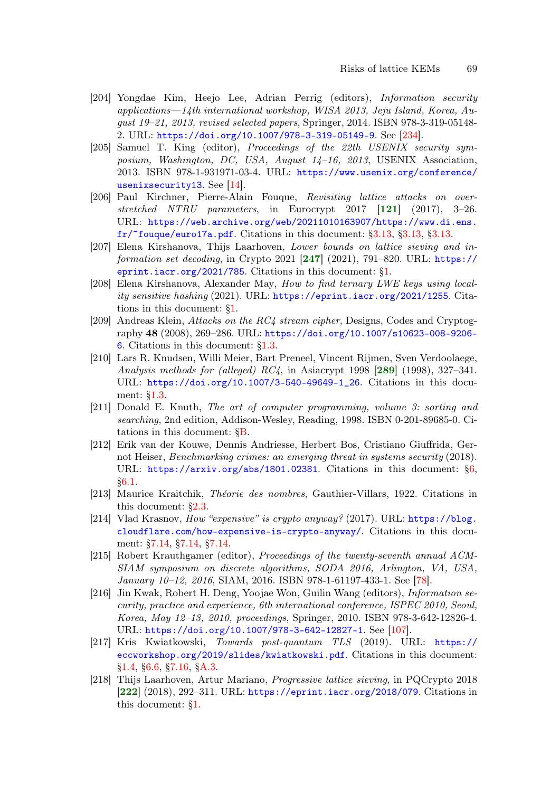- <span id="page-68-7"></span>[204] Yongdae Kim, Heejo Lee, Adrian Perrig (editors), Information security applications—14th international workshop, WISA 2013, Jeju Island, Korea, August 19–21, 2013, revised selected papers, Springer, 2014. ISBN 978-3-319-05148- 2. URL: <https://doi.org/10.1007/978-3-319-05149-9>. See [\[234\]](#page-70-7).
- <span id="page-68-2"></span>[205] Samuel T. King (editor), Proceedings of the 22th USENIX security symposium, Washington, DC, USA, August 14–16, 2013, USENIX Association, 2013. ISBN 978-1-931971-03-4. URL: [https://www.usenix.org/conference/](https://www.usenix.org/conference/usenixsecurity13) [usenixsecurity13](https://www.usenix.org/conference/usenixsecurity13). See [\[14\]](#page-53-5).
- <span id="page-68-5"></span>[206] Paul Kirchner, Pierre-Alain Fouque, Revisiting lattice attacks on overstretched NTRU parameters, in Eurocrypt  $2017$  [[121](#page-61-2)] (2017), 3-26. URL: [https://web.archive.org/web/20211010163907/https://www.di.ens.](https://web.archive.org/web/20211010163907/https://www.di.ens.fr/~fouque/euro17a.pdf)  $fr/$ ~fouque/euro17a.pdf. Citations in this document:  $\S 3.13, \S 3.13$ ,  $\S 3.13$ .
- <span id="page-68-8"></span>[207] Elena Kirshanova, Thijs Laarhoven, Lower bounds on lattice sieving and information set decoding, in Crypto 2021  $[247]$  $[247]$  $[247]$  (2021), 791–820. URL: [https://](https://eprint.iacr.org/2021/785) [eprint.iacr.org/2021/785](https://eprint.iacr.org/2021/785). Citations in this document: [§1.](#page-3-13)
- [208] Elena Kirshanova, Alexander May, How to find ternary LWE keys using locality sensitive hashing (2021). URL: <https://eprint.iacr.org/2021/1255>. Citations in this document: [§1.](#page-3-14)
- [209] Andreas Klein, Attacks on the RC4 stream cipher, Designs, Codes and Cryptography 48 (2008), 269–286. URL: [https://doi.org/10.1007/s10623-008-9206-](https://doi.org/10.1007/s10623-008-9206-6) [6](https://doi.org/10.1007/s10623-008-9206-6). Citations in this document: [§1.3.](#page-5-40)
- [210] Lars R. Knudsen, Willi Meier, Bart Preneel, Vincent Rijmen, Sven Verdoolaege, Analysis methods for (alleged)  $RC4$ , in Asiacrypt 1998 [[289](#page-74-3)] (1998), 327–341. URL: [https://doi.org/10.1007/3-540-49649-1\\_26](https://doi.org/10.1007/3-540-49649-1_26). Citations in this document: [§1.3.](#page-5-41)
- [211] Donald E. Knuth, The art of computer programming, volume 3: sorting and searching, 2nd edition, Addison-Wesley, Reading, 1998. ISBN 0-201-89685-0. Citations in this document: [§B.](#page-92-5)
- [212] Erik van der Kouwe, Dennis Andriesse, Herbert Bos, Cristiano Giuffrida, Gernot Heiser, Benchmarking crimes: an emerging threat in systems security (2018). URL: <https://arxiv.org/abs/1801.02381>. Citations in this document: [§6,](#page-31-5) [§6.1.](#page-31-6)
- [213] Maurice Kraitchik, Théorie des nombres, Gauthier-Villars, 1922. Citations in this document: [§2.3.](#page-8-8)
- <span id="page-68-1"></span>[214] Vlad Krasnov, How "expensive" is crypto anyway? (2017). URL: [https://blog.](https://blog.cloudflare.com/how-expensive-is-crypto-anyway/) [cloudflare.com/how-expensive-is-crypto-anyway/](https://blog.cloudflare.com/how-expensive-is-crypto-anyway/). Citations in this document: [§7.14,](#page-49-1) [§7.14,](#page-50-6) [§7.14.](#page-51-5)
- <span id="page-68-3"></span>[215] Robert Krauthgamer (editor), Proceedings of the twenty-seventh annual ACM-SIAM symposium on discrete algorithms, SODA 2016, Arlington, VA, USA, January 10–12, 2016, SIAM, 2016. ISBN 978-1-61197-433-1. See [\[78\]](#page-58-3).
- <span id="page-68-4"></span>[216] Jin Kwak, Robert H. Deng, Yoojae Won, Guilin Wang (editors), Information security, practice and experience, 6th international conference, ISPEC 2010, Seoul, Korea, May 12–13, 2010, proceedings, Springer, 2010. ISBN 978-3-642-12826-4. URL: <https://doi.org/10.1007/978-3-642-12827-1>. See [\[107\]](#page-60-6).
- <span id="page-68-0"></span>[217] Kris Kwiatkowski, Towards post-quantum TLS (2019). URL: [https://](https://eccworkshop.org/2019/slides/kwiatkowski.pdf) [eccworkshop.org/2019/slides/kwiatkowski.pdf](https://eccworkshop.org/2019/slides/kwiatkowski.pdf). Citations in this document: [§1.4,](#page-6-10) [§6.6,](#page-37-5) [§7.16,](#page-51-6) [§A.3.](#page-91-2)
- <span id="page-68-6"></span>[218] Thijs Laarhoven, Artur Mariano, Progressive lattice sieving, in PQCrypto 2018 [[222](#page-69-6)] (2018), 292–311. URL: <https://eprint.iacr.org/2018/079>. Citations in this document: [§1.](#page-2-15)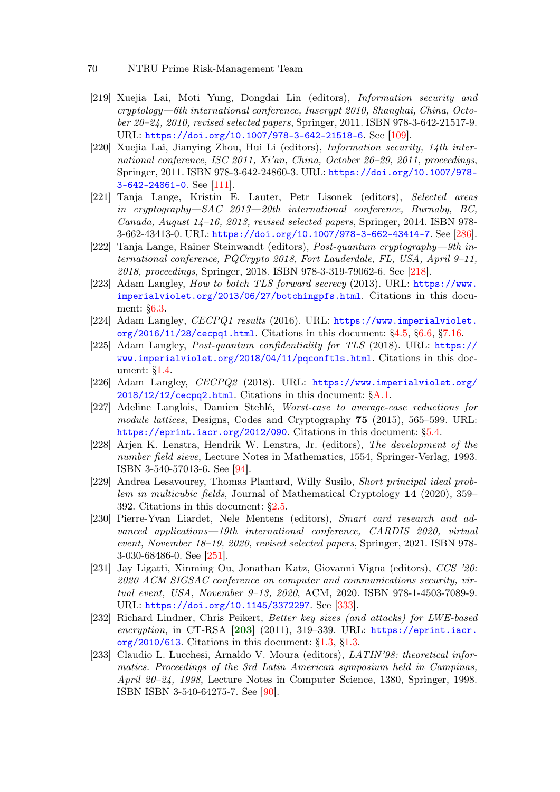- <span id="page-69-3"></span>[219] Xuejia Lai, Moti Yung, Dongdai Lin (editors), Information security and cryptology—6th international conference, Inscrypt 2010, Shanghai, China, October 20–24, 2010, revised selected papers, Springer, 2011. ISBN 978-3-642-21517-9. URL: <https://doi.org/10.1007/978-3-642-21518-6>. See [\[109\]](#page-60-7).
- <span id="page-69-4"></span>[220] Xuejia Lai, Jianying Zhou, Hui Li (editors), Information security, 14th international conference, ISC 2011,  $Xi'$ an, China, October 26–29, 2011, proceedings, Springer, 2011. ISBN 978-3-642-24860-3. URL: [https://doi.org/10.1007/978-](https://doi.org/10.1007/978-3-642-24861-0) [3-642-24861-0](https://doi.org/10.1007/978-3-642-24861-0). See [\[111\]](#page-61-6).
- [221] Tanja Lange, Kristin E. Lauter, Petr Lisonek (editors), Selected areas in cryptography—SAC 2013—20th international conference, Burnaby, BC, Canada, August 14–16, 2013, revised selected papers, Springer, 2014. ISBN 978- 3-662-43413-0. URL: <https://doi.org/10.1007/978-3-662-43414-7>. See [\[286\]](#page-73-4).
- <span id="page-69-6"></span>[222] Tanja Lange, Rainer Steinwandt (editors), Post-quantum cryptography—9th international conference, PQCrypto 2018, Fort Lauderdale, FL, USA, April 9–11, 2018, proceedings, Springer, 2018. ISBN 978-3-319-79062-6. See [\[218\]](#page-68-6).
- [223] Adam Langley, How to botch TLS forward secrecy (2013). URL: [https://www.](https://www.imperialviolet.org/2013/06/27/botchingpfs.html) [imperialviolet.org/2013/06/27/botchingpfs.html](https://www.imperialviolet.org/2013/06/27/botchingpfs.html). Citations in this document: [§6.3.](#page-33-6)
- <span id="page-69-0"></span>[224] Adam Langley, CECPQ1 results (2016). URL: [https://www.imperialviolet.](https://www.imperialviolet.org/2016/11/28/cecpq1.html) [org/2016/11/28/cecpq1.html](https://www.imperialviolet.org/2016/11/28/cecpq1.html). Citations in this document: [§4.5,](#page-22-1) [§6.6,](#page-37-6) [§7.16.](#page-51-7)
- [225] Adam Langley, Post-quantum confidentiality for TLS (2018). URL: [https://](https://www.imperialviolet.org/2018/04/11/pqconftls.html) [www.imperialviolet.org/2018/04/11/pqconftls.html](https://www.imperialviolet.org/2018/04/11/pqconftls.html). Citations in this document: [§1.4.](#page-6-11)
- [226] Adam Langley, CECPQ2 (2018). URL: [https://www.imperialviolet.org/](https://www.imperialviolet.org/2018/12/12/cecpq2.html)  $2018/12/12$ /cecpq2.html. Citations in this document:  $§A.1$ .
- [227] Adeline Langlois, Damien Stehlé, Worst-case to average-case reductions for module lattices, Designs, Codes and Cryptography 75 (2015), 565–599. URL: <https://eprint.iacr.org/2012/090>. Citations in this document: [§5.4.](#page-26-4)
- <span id="page-69-2"></span>[228] Arjen K. Lenstra, Hendrik W. Lenstra, Jr. (editors), The development of the number field sieve, Lecture Notes in Mathematics, 1554, Springer-Verlag, 1993. ISBN 3-540-57013-6. See [\[94\]](#page-59-3).
- [229] Andrea Lesavourey, Thomas Plantard, Willy Susilo, Short principal ideal problem in multicubic fields, Journal of Mathematical Cryptology 14 (2020), 359– 392. Citations in this document: [§2.5.](#page-9-7)
- <span id="page-69-7"></span>[230] Pierre-Yvan Liardet, Nele Mentens (editors), Smart card research and advanced applications—19th international conference, CARDIS 2020, virtual event, November 18–19, 2020, revised selected papers, Springer, 2021. ISBN 978-3-030-68486-0. See [\[251\]](#page-71-6).
- [231] Jay Ligatti, Xinming Ou, Jonathan Katz, Giovanni Vigna (editors), CCS '20: 2020 ACM SIGSAC conference on computer and communications security, virtual event, USA, November 9–13, 2020, ACM, 2020. ISBN 978-1-4503-7089-9. URL: <https://doi.org/10.1145/3372297>. See [\[333\]](#page-77-8).
- <span id="page-69-5"></span>[232] Richard Lindner, Chris Peikert, Better key sizes (and attacks) for LWE-based encryption, in CT-RSA  $[203]$  $[203]$  $[203]$   $(2011)$ , 319–339. URL: [https://eprint.iacr.](https://eprint.iacr.org/2010/613) [org/2010/613](https://eprint.iacr.org/2010/613). Citations in this document: [§1.3,](#page-4-10) [§1.3.](#page-5-42)
- <span id="page-69-1"></span>[233] Claudio L. Lucchesi, Arnaldo V. Moura (editors), LATIN'98: theoretical informatics. Proceedings of the 3rd Latin American symposium held in Campinas, April 20–24, 1998, Lecture Notes in Computer Science, 1380, Springer, 1998. ISBN ISBN 3-540-64275-7. See [\[90\]](#page-59-4).

<sup>70</sup> NTRU Prime Risk-Management Team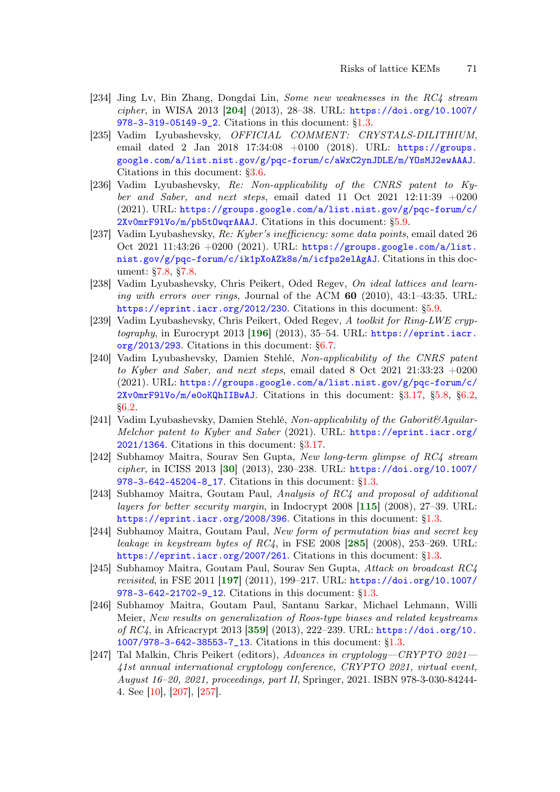- <span id="page-70-7"></span>[234] Jing Lv, Bin Zhang, Dongdai Lin, Some new weaknesses in the RC4 stream cipher, in WISA 2013 [[204](#page-68-7)] (2013), 28–38. URL: [https://doi.org/10.1007/](https://doi.org/10.1007/978-3-319-05149-9_2) [978-3-319-05149-9\\_2](https://doi.org/10.1007/978-3-319-05149-9_2). Citations in this document: [§1.3.](#page-5-43)
- [235] Vadim Lyubashevsky, OFFICIAL COMMENT: CRYSTALS-DILITHIUM, email dated 2 Jan 2018 17:34:08 +0100 (2018). URL: [https://groups.](https://groups.google.com/a/list.nist.gov/g/pqc-forum/c/aWxC2ynJDLE/m/YOsMJ2ewAAAJ) [google.com/a/list.nist.gov/g/pqc-forum/c/aWxC2ynJDLE/m/YOsMJ2ewAAAJ](https://groups.google.com/a/list.nist.gov/g/pqc-forum/c/aWxC2ynJDLE/m/YOsMJ2ewAAAJ). Citations in this document: [§3.6.](#page-15-2)
- [236] Vadim Lyubashevsky, Re: Non-applicability of the CNRS patent to Kyber and Saber, and next steps, email dated 11 Oct 2021 12:11:39  $+0200$ (2021). URL: [https://groups.google.com/a/list.nist.gov/g/pqc-forum/c/](https://groups.google.com/a/list.nist.gov/g/pqc-forum/c/2Xv0mrF9lVo/m/pb5tOwqrAAAJ) [2Xv0mrF9lVo/m/pb5tOwqrAAAJ](https://groups.google.com/a/list.nist.gov/g/pqc-forum/c/2Xv0mrF9lVo/m/pb5tOwqrAAAJ). Citations in this document: [§5.9.](#page-30-6)
- <span id="page-70-1"></span>[237] Vadim Lyubashevsky, Re: Kyber's inefficiency: some data points, email dated 26 Oct 2021 11:43:26  $+0200$  (2021). URL: [https://groups.google.com/a/list.](https://groups.google.com/a/list.nist.gov/g/pqc-forum/c/ik1pXoAZk8s/m/icfps2elAgAJ) [nist.gov/g/pqc-forum/c/ik1pXoAZk8s/m/icfps2elAgAJ](https://groups.google.com/a/list.nist.gov/g/pqc-forum/c/ik1pXoAZk8s/m/icfps2elAgAJ). Citations in this document: [§7.8,](#page-46-6) [§7.8.](#page-46-7)
- [238] Vadim Lyubashevsky, Chris Peikert, Oded Regev, On ideal lattices and learning with errors over rings, Journal of the ACM  $60$  (2010), 43:1–43:35. URL: <https://eprint.iacr.org/2012/230>. Citations in this document: [§5.9.](#page-30-7)
- <span id="page-70-5"></span><span id="page-70-0"></span>[239] Vadim Lyubashevsky, Chris Peikert, Oded Regev, A toolkit for Ring-LWE cryp $tography$ , in Eurocrypt 2013 [[196](#page-67-5)] (2013), 35-54. URL: [https://eprint.iacr.](https://eprint.iacr.org/2013/293) [org/2013/293](https://eprint.iacr.org/2013/293). Citations in this document: [§6.7.](#page-38-0)
- [240] Vadim Lyubashevsky, Damien Stehlé, Non-applicability of the CNRS patent to Kyber and Saber, and next steps, email dated 8 Oct 2021 21:33:23 +0200 (2021). URL: [https://groups.google.com/a/list.nist.gov/g/pqc-forum/c/](https://groups.google.com/a/list.nist.gov/g/pqc-forum/c/2Xv0mrF9lVo/m/e0oKQhIIBwAJ) [2Xv0mrF9lVo/m/e0oKQhIIBwAJ](https://groups.google.com/a/list.nist.gov/g/pqc-forum/c/2Xv0mrF9lVo/m/e0oKQhIIBwAJ). Citations in this document: [§3.17,](#page-19-6) [§5.8,](#page-29-4) [§6.2,](#page-32-7) [§6.2.](#page-32-8)
- [241] Vadim Lyubashevsky, Damien Stehlé, Non-applicability of the Gaborit $\mathcal{B}$ Aguilar-Melchor patent to Kyber and Saber (2021). URL: [https://eprint.iacr.org/](https://eprint.iacr.org/2021/1364) [2021/1364](https://eprint.iacr.org/2021/1364). Citations in this document: [§3.17.](#page-19-7)
- <span id="page-70-3"></span>[242] Subhamoy Maitra, Sourav Sen Gupta, New long-term glimpse of RC4 stream cipher, in ICISS 2013 [[30](#page-55-4)] (2013), 230–238. URL: [https://doi.org/10.1007/](https://doi.org/10.1007/978-3-642-45204-8_17) [978-3-642-45204-8\\_17](https://doi.org/10.1007/978-3-642-45204-8_17). Citations in this document: [§1.3.](#page-5-44)
- <span id="page-70-4"></span>[243] Subhamoy Maitra, Goutam Paul, Analysis of RC4 and proposal of additional layers for better security margin, in Indocrypt 2008 [[115](#page-61-1)] (2008), 27–39. URL: <https://eprint.iacr.org/2008/396>. Citations in this document: [§1.3.](#page-5-45)
- [244] Subhamoy Maitra, Goutam Paul, New form of permutation bias and secret key leakage in keystream bytes of  $RC4$ , in FSE 2008  $[285]$  $[285]$  $[285]$  (2008), 253–269. URL: <https://eprint.iacr.org/2007/261>. Citations in this document: [§1.3.](#page-5-46)
- <span id="page-70-6"></span>[245] Subhamoy Maitra, Goutam Paul, Sourav Sen Gupta, Attack on broadcast RC4 revisited, in FSE 2011 [[197](#page-67-8)] (2011), 199–217. URL: [https://doi.org/10.1007/](https://doi.org/10.1007/978-3-642-21702-9_12) [978-3-642-21702-9\\_12](https://doi.org/10.1007/978-3-642-21702-9_12). Citations in this document: [§1.3.](#page-5-47)
- [246] Subhamoy Maitra, Goutam Paul, Santanu Sarkar, Michael Lehmann, Willi Meier, New results on generalization of Roos-type biases and related keystreams of RC4, in Africacrypt 2013 [[359](#page-79-5)] (2013), 222–239. URL: [https://doi.org/10.](https://doi.org/10.1007/978-3-642-38553-7_13) [1007/978-3-642-38553-7\\_13](https://doi.org/10.1007/978-3-642-38553-7_13). Citations in this document: [§1.3.](#page-5-48)
- <span id="page-70-2"></span>[247] Tal Malkin, Chris Peikert (editors), Advances in cryptology—CRYPTO 2021— 41st annual international cryptology conference, CRYPTO 2021, virtual event, August 16–20, 2021, proceedings, part II, Springer, 2021. ISBN 978-3-030-84244- 4. See [\[10\]](#page-53-6), [\[207\]](#page-68-8), [\[257\]](#page-71-7).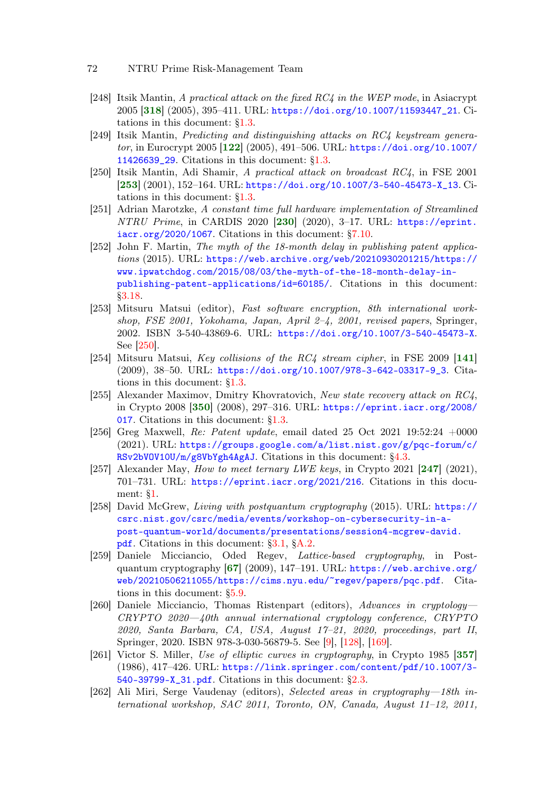- [248] Itsik Mantin, A practical attack on the fixed RC4 in the WEP mode, in Asiacrypt 2005 [[318](#page-76-5)] (2005), 395–411. URL: [https://doi.org/10.1007/11593447\\_21](https://doi.org/10.1007/11593447_21). Citations in this document: [§1.3.](#page-5-49)
- <span id="page-71-3"></span>[249] Itsik Mantin, Predicting and distinguishing attacks on RC4 keystream generator, in Eurocrypt 2005  $[122]$  $[122]$  $[122]$  (2005), 491–506. URL: [https://doi.org/10.1007/](https://doi.org/10.1007/11426639_29) [11426639\\_29](https://doi.org/10.1007/11426639_29). Citations in this document: [§1.3.](#page-5-50)
- <span id="page-71-9"></span>[250] Itsik Mantin, Adi Shamir, A practical attack on broadcast RC4, in FSE 2001 [[253](#page-71-8)] (2001), 152–164. URL: [https://doi.org/10.1007/3-540-45473-X\\_13](https://doi.org/10.1007/3-540-45473-X_13). Citations in this document: [§1.3.](#page-5-51)
- <span id="page-71-6"></span><span id="page-71-0"></span>[251] Adrian Marotzke, A constant time full hardware implementation of Streamlined NTRU Prime, in CARDIS 2020 [[230](#page-69-7)] (2020), 3–17. URL: [https://eprint.](https://eprint.iacr.org/2020/1067) [iacr.org/2020/1067](https://eprint.iacr.org/2020/1067). Citations in this document: [§7.10.](#page-47-3)
- [252] John F. Martin, The myth of the 18-month delay in publishing patent applications (2015). URL: [https://web.archive.org/web/20210930201215/https://](https://web.archive.org/web/20210930201215/https://www.ipwatchdog.com/2015/08/03/the-myth-of-the-18-month-delay-in-publishing-patent-applications/id=60185/) [www.ipwatchdog.com/2015/08/03/the-myth-of-the-18-month-delay-in](https://web.archive.org/web/20210930201215/https://www.ipwatchdog.com/2015/08/03/the-myth-of-the-18-month-delay-in-publishing-patent-applications/id=60185/)[publishing-patent-applications/id=60185/](https://web.archive.org/web/20210930201215/https://www.ipwatchdog.com/2015/08/03/the-myth-of-the-18-month-delay-in-publishing-patent-applications/id=60185/). Citations in this document: [§3.18.](#page-20-0)
- <span id="page-71-8"></span>[253] Mitsuru Matsui (editor), Fast software encryption, 8th international workshop, FSE 2001, Yokohama, Japan, April 2–4, 2001, revised papers, Springer, 2002. ISBN 3-540-43869-6. URL: <https://doi.org/10.1007/3-540-45473-X>. See [\[250\]](#page-71-9).
- <span id="page-71-4"></span>[254] Mitsuru Matsui, Key collisions of the RC4 stream cipher, in FSE 2009 [[141](#page-63-6)] (2009), 38–50. URL: [https://doi.org/10.1007/978-3-642-03317-9\\_3](https://doi.org/10.1007/978-3-642-03317-9_3). Citations in this document: [§1.3.](#page-5-52)
- [255] Alexander Maximov, Dmitry Khovratovich, New state recovery attack on RC4, in Crypto 2008 [[350](#page-78-4)] (2008), 297–316. URL: [https://eprint.iacr.org/2008/](https://eprint.iacr.org/2008/017) [017](https://eprint.iacr.org/2008/017). Citations in this document: [§1.3.](#page-5-53)
- [256] Greg Maxwell, Re: Patent update, email dated 25 Oct 2021 19:52:24  $+0000$ (2021). URL: [https://groups.google.com/a/list.nist.gov/g/pqc-forum/c/](https://groups.google.com/a/list.nist.gov/g/pqc-forum/c/RSv2bVOV10U/m/g8VbYgh4AgAJ) [RSv2bVOV10U/m/g8VbYgh4AgAJ](https://groups.google.com/a/list.nist.gov/g/pqc-forum/c/RSv2bVOV10U/m/g8VbYgh4AgAJ). Citations in this document: [§4.3.](#page-22-2)
- <span id="page-71-7"></span>[257] Alexander May, *How to meet ternary LWE keys*, in Crypto 2021 [[247](#page-70-2)] (2021), 701–731. URL: <https://eprint.iacr.org/2021/216>. Citations in this document: [§1.](#page-3-15)
- [258] David McGrew, Living with postquantum cryptography (2015). URL: [https://](https://csrc.nist.gov/csrc/media/events/workshop-on-cybersecurity-in-a-post-quantum-world/documents/presentations/session4-mcgrew-david.pdf) [csrc.nist.gov/csrc/media/events/workshop-on-cybersecurity-in-a](https://csrc.nist.gov/csrc/media/events/workshop-on-cybersecurity-in-a-post-quantum-world/documents/presentations/session4-mcgrew-david.pdf)[post-quantum-world/documents/presentations/session4-mcgrew-david.](https://csrc.nist.gov/csrc/media/events/workshop-on-cybersecurity-in-a-post-quantum-world/documents/presentations/session4-mcgrew-david.pdf) [pdf](https://csrc.nist.gov/csrc/media/events/workshop-on-cybersecurity-in-a-post-quantum-world/documents/presentations/session4-mcgrew-david.pdf). Citations in this document: [§3.1,](#page-12-5) [§A.2.](#page-87-0)
- <span id="page-71-2"></span>[259] Daniele Micciancio, Oded Regev, Lattice-based cryptography, in Postquantum cryptography [[67](#page-57-8)] (2009), 147–191. URL: [https://web.archive.org/](https://web.archive.org/web/20210506211055/https://cims.nyu.edu/~regev/papers/pqc.pdf) [web/20210506211055/https://cims.nyu.edu/~regev/papers/pqc.pdf](https://web.archive.org/web/20210506211055/https://cims.nyu.edu/~regev/papers/pqc.pdf). Citations in this document: [§5.9.](#page-30-8)
- <span id="page-71-1"></span>[260] Daniele Micciancio, Thomas Ristenpart (editors), Advances in cryptology— CRYPTO 2020—40th annual international cryptology conference, CRYPTO 2020, Santa Barbara, CA, USA, August 17–21, 2020, proceedings, part II, Springer, 2020. ISBN 978-3-030-56879-5. See [\[9\]](#page-53-7), [\[128\]](#page-62-7), [\[169\]](#page-65-5).
- [261] Victor S. Miller, Use of elliptic curves in cryptography, in Crypto 1985 [[357](#page-79-6)] (1986), 417–426. URL: [https://link.springer.com/content/pdf/10.1007/3-](https://link.springer.com/content/pdf/10.1007/3-540-39799-X_31.pdf) [540-39799-X\\_31.pdf](https://link.springer.com/content/pdf/10.1007/3-540-39799-X_31.pdf). Citations in this document: [§2.3.](#page-8-9)
- <span id="page-71-5"></span>[262] Ali Miri, Serge Vaudenay (editors), Selected areas in cryptography—18th international workshop, SAC 2011, Toronto, ON, Canada, August 11–12, 2011,

<sup>72</sup> NTRU Prime Risk-Management Team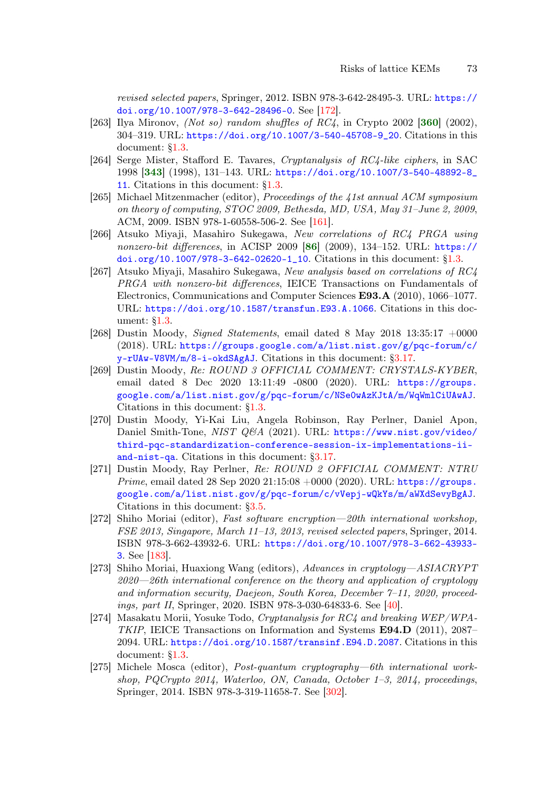<span id="page-72-2"></span>revised selected papers, Springer, 2012. ISBN 978-3-642-28495-3. URL: [https://](https://doi.org/10.1007/978-3-642-28496-0) [doi.org/10.1007/978-3-642-28496-0](https://doi.org/10.1007/978-3-642-28496-0). See [\[172\]](#page-65-0).

- [263] Ilya Mironov, (Not so) random shuffles of  $RC4$ , in Crypto 2002 [[360](#page-79-0)] (2002), 304–319. URL: [https://doi.org/10.1007/3-540-45708-9\\_20](https://doi.org/10.1007/3-540-45708-9_20). Citations in this document: [§1.3.](#page-5-0)
- <span id="page-72-1"></span>[264] Serge Mister, Stafford E. Tavares, Cryptanalysis of RC4-like ciphers, in SAC 1998 [[343](#page-78-0)] (1998), 131–143. URL: [https://doi.org/10.1007/3-540-48892-8\\_](https://doi.org/10.1007/3-540-48892-8_11) [11](https://doi.org/10.1007/3-540-48892-8_11). Citations in this document: [§1.3.](#page-5-1)
- [265] Michael Mitzenmacher (editor), Proceedings of the 41st annual ACM symposium on theory of computing, STOC 2009, Bethesda, MD, USA, May 31–June 2, 2009, ACM, 2009. ISBN 978-1-60558-506-2. See [\[161\]](#page-64-0).
- [266] Atsuko Miyaji, Masahiro Sukegawa, New correlations of RC4 PRGA using nonzero-bit differences, in ACISP 2009  $[86]$  $[86]$  $[86]$  (2009), 134-152. URL: [https://](https://doi.org/10.1007/978-3-642-02620-1_10) [doi.org/10.1007/978-3-642-02620-1\\_10](https://doi.org/10.1007/978-3-642-02620-1_10). Citations in this document: [§1.3.](#page-5-2)
- [267] Atsuko Miyaji, Masahiro Sukegawa, New analysis based on correlations of RC4 PRGA with nonzero-bit differences, IEICE Transactions on Fundamentals of Electronics, Communications and Computer Sciences E93.A (2010), 1066–1077. URL: <https://doi.org/10.1587/transfun.E93.A.1066>. Citations in this document: [§1.3.](#page-5-3)
- [268] Dustin Moody, *Signed Statements*, email dated 8 May 2018 13:35:17  $+0000$ (2018). URL: [https://groups.google.com/a/list.nist.gov/g/pqc-forum/c/](https://groups.google.com/a/list.nist.gov/g/pqc-forum/c/y-rUAw-V8VM/m/8-i-okdSAgAJ) [y-rUAw-V8VM/m/8-i-okdSAgAJ](https://groups.google.com/a/list.nist.gov/g/pqc-forum/c/y-rUAw-V8VM/m/8-i-okdSAgAJ). Citations in this document: [§3.17.](#page-19-0)
- [269] Dustin Moody, Re: ROUND 3 OFFICIAL COMMENT: CRYSTALS-KYBER, email dated 8 Dec 2020 13:11:49 -0800 (2020). URL: [https://groups.](https://groups.google.com/a/list.nist.gov/g/pqc-forum/c/NSe0wAzKJtA/m/WqWmlCiUAwAJ) [google.com/a/list.nist.gov/g/pqc-forum/c/NSe0wAzKJtA/m/WqWmlCiUAwAJ](https://groups.google.com/a/list.nist.gov/g/pqc-forum/c/NSe0wAzKJtA/m/WqWmlCiUAwAJ). Citations in this document: [§1.3.](#page-5-4)
- [270] Dustin Moody, Yi-Kai Liu, Angela Robinson, Ray Perlner, Daniel Apon, Daniel Smith-Tone, NIST Q&A (2021). URL: [https://www.nist.gov/video/](https://www.nist.gov/video/third-pqc-standardization-conference-session-ix-implementations-ii-and-nist-qa) [third-pqc-standardization-conference-session-ix-implementations-ii](https://www.nist.gov/video/third-pqc-standardization-conference-session-ix-implementations-ii-and-nist-qa)[and-nist-qa](https://www.nist.gov/video/third-pqc-standardization-conference-session-ix-implementations-ii-and-nist-qa). Citations in this document: [§3.17.](#page-19-1)
- [271] Dustin Moody, Ray Perlner, Re: ROUND 2 OFFICIAL COMMENT: NTRU *Prime*, email dated 28 Sep 2020 21:15:08  $+0000$  (2020). URL: [https://groups.](https://groups.google.com/a/list.nist.gov/g/pqc-forum/c/vVepj-wQkYs/m/aWXdSevyBgAJ) [google.com/a/list.nist.gov/g/pqc-forum/c/vVepj-wQkYs/m/aWXdSevyBgAJ](https://groups.google.com/a/list.nist.gov/g/pqc-forum/c/vVepj-wQkYs/m/aWXdSevyBgAJ). Citations in this document: [§3.5.](#page-13-0)
- [272] Shiho Moriai (editor), Fast software encryption—20th international workshop, FSE 2013, Singapore, March 11–13, 2013, revised selected papers, Springer, 2014. ISBN 978-3-662-43932-6. URL: [https://doi.org/10.1007/978-3-662-43933-](https://doi.org/10.1007/978-3-662-43933-3) [3](https://doi.org/10.1007/978-3-662-43933-3). See [\[183\]](#page-66-0).
- [273] Shiho Moriai, Huaxiong Wang (editors), Advances in cryptology—ASIACRYPT 2020—26th international conference on the theory and application of cryptology and information security, Daejeon, South Korea, December 7–11, 2020, proceed-ings, part II, Springer, 2020. ISBN 978-3-030-64833-6. See [\[40\]](#page-55-0).
- [274] Masakatu Morii, Yosuke Todo, Cryptanalysis for RC4 and breaking WEP/WPA-TKIP, IEICE Transactions on Information and Systems E94.D (2011), 2087– 2094. URL: <https://doi.org/10.1587/transinf.E94.D.2087>. Citations in this document: [§1.3.](#page-5-5)
- <span id="page-72-0"></span>[275] Michele Mosca (editor), Post-quantum cryptography—6th international workshop, PQCrypto 2014, Waterloo, ON, Canada, October 1–3, 2014, proceedings, Springer, 2014. ISBN 978-3-319-11658-7. See [\[302\]](#page-75-0).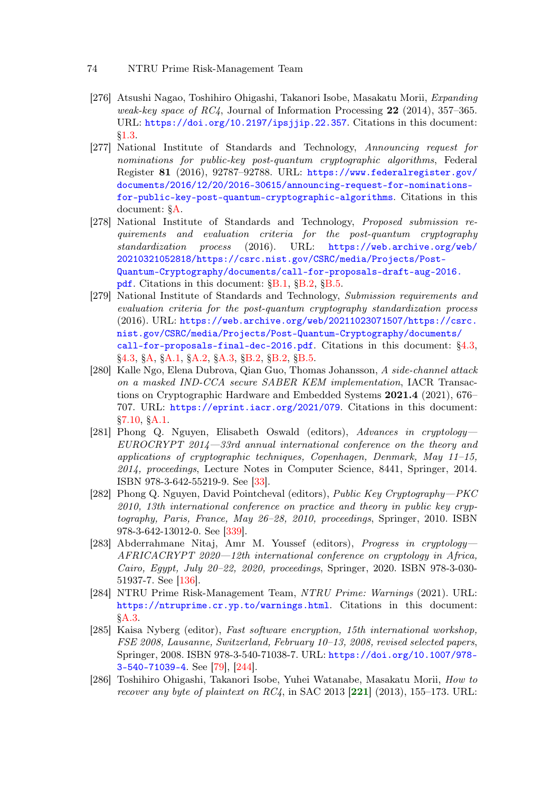- [276] Atsushi Nagao, Toshihiro Ohigashi, Takanori Isobe, Masakatu Morii, Expanding weak-key space of RC4, Journal of Information Processing  $22$  (2014), 357–365. URL: <https://doi.org/10.2197/ipsjjip.22.357>. Citations in this document: [§1.3.](#page-5-6)
- <span id="page-73-1"></span>[277] National Institute of Standards and Technology, Announcing request for nominations for public-key post-quantum cryptographic algorithms, Federal Register 81 (2016), 92787–92788. URL: [https://www.federalregister.gov/](https://www.federalregister.gov/documents/2016/12/20/2016-30615/announcing-request-for-nominations-for-public-key-post-quantum-cryptographic-algorithms) [documents/2016/12/20/2016-30615/announcing-request-for-nominations](https://www.federalregister.gov/documents/2016/12/20/2016-30615/announcing-request-for-nominations-for-public-key-post-quantum-cryptographic-algorithms)[for-public-key-post-quantum-cryptographic-algorithms](https://www.federalregister.gov/documents/2016/12/20/2016-30615/announcing-request-for-nominations-for-public-key-post-quantum-cryptographic-algorithms). Citations in this document: [§A.](#page-79-1)
- <span id="page-73-5"></span>[278] National Institute of Standards and Technology, Proposed submission requirements and evaluation criteria for the post-quantum cryptography standardization process (2016). URL: [https://web.archive.org/web/](https://web.archive.org/web/20210321052818/https://csrc.nist.gov/CSRC/media/Projects/Post-Quantum-Cryptography/documents/call-for-proposals-draft-aug-2016.pdf) [20210321052818/https://csrc.nist.gov/CSRC/media/Projects/Post-](https://web.archive.org/web/20210321052818/https://csrc.nist.gov/CSRC/media/Projects/Post-Quantum-Cryptography/documents/call-for-proposals-draft-aug-2016.pdf)[Quantum-Cryptography/documents/call-for-proposals-draft-aug-2016.](https://web.archive.org/web/20210321052818/https://csrc.nist.gov/CSRC/media/Projects/Post-Quantum-Cryptography/documents/call-for-proposals-draft-aug-2016.pdf) [pdf](https://web.archive.org/web/20210321052818/https://csrc.nist.gov/CSRC/media/Projects/Post-Quantum-Cryptography/documents/call-for-proposals-draft-aug-2016.pdf). Citations in this document: [§B.1,](#page-92-0) [§B.2,](#page-93-0) [§B.5.](#page-95-0)
- <span id="page-73-2"></span>[279] National Institute of Standards and Technology, Submission requirements and evaluation criteria for the post-quantum cryptography standardization process (2016). URL: [https://web.archive.org/web/20211023071507/https://csrc.](https://web.archive.org/web/20211023071507/https://csrc.nist.gov/CSRC/media/Projects/Post-Quantum-Cryptography/documents/call-for-proposals-final-dec-2016.pdf) [nist.gov/CSRC/media/Projects/Post-Quantum-Cryptography/documents/](https://web.archive.org/web/20211023071507/https://csrc.nist.gov/CSRC/media/Projects/Post-Quantum-Cryptography/documents/call-for-proposals-final-dec-2016.pdf) [call-for-proposals-final-dec-2016.pdf](https://web.archive.org/web/20211023071507/https://csrc.nist.gov/CSRC/media/Projects/Post-Quantum-Cryptography/documents/call-for-proposals-final-dec-2016.pdf). Citations in this document: [§4.3,](#page-21-0) [§4.3,](#page-22-0) [§A,](#page-79-2) [§A.1,](#page-79-3) [§A.2,](#page-86-0) [§A.3,](#page-88-0) [§B.2,](#page-92-1) [§B.2,](#page-93-1) [§B.5.](#page-95-1)
- <span id="page-73-3"></span>[280] Kalle Ngo, Elena Dubrova, Qian Guo, Thomas Johansson, A side-channel attack on a masked IND-CCA secure SABER KEM implementation, IACR Transactions on Cryptographic Hardware and Embedded Systems 2021.4 (2021), 676– 707. URL: <https://eprint.iacr.org/2021/079>. Citations in this document: [§7.10,](#page-47-0) [§A.1.](#page-83-0)
- [281] Phong Q. Nguyen, Elisabeth Oswald (editors), Advances in cryptology— EUROCRYPT 2014—33rd annual international conference on the theory and applications of cryptographic techniques, Copenhagen, Denmark, May 11–15, 2014, proceedings, Lecture Notes in Computer Science, 8441, Springer, 2014. ISBN 978-3-642-55219-9. See [\[33\]](#page-55-1).
- <span id="page-73-0"></span>[282] Phong Q. Nguyen, David Pointcheval (editors), Public Key Cryptography—PKC 2010, 13th international conference on practice and theory in public key cryptography, Paris, France, May 26–28, 2010, proceedings, Springer, 2010. ISBN 978-3-642-13012-0. See [\[339\]](#page-77-0).
- [283] Abderrahmane Nitaj, Amr M. Youssef (editors), Progress in cryptology— AFRICACRYPT 2020—12th international conference on cryptology in Africa, Cairo, Egypt, July 20–22, 2020, proceedings, Springer, 2020. ISBN 978-3-030- 51937-7. See [\[136\]](#page-62-0).
- <span id="page-73-4"></span>[284] NTRU Prime Risk-Management Team, NTRU Prime: Warnings (2021). URL: <https://ntruprime.cr.yp.to/warnings.html>. Citations in this document: [§A.3.](#page-90-0)
- [285] Kaisa Nyberg (editor), Fast software encryption, 15th international workshop, FSE 2008, Lausanne, Switzerland, February 10–13, 2008, revised selected papers, Springer, 2008. ISBN 978-3-540-71038-7. URL: [https://doi.org/10.1007/978-](https://doi.org/10.1007/978-3-540-71039-4) [3-540-71039-4](https://doi.org/10.1007/978-3-540-71039-4). See [\[79\]](#page-58-0), [\[244\]](#page-70-0).
- [286] Toshihiro Ohigashi, Takanori Isobe, Yuhei Watanabe, Masakatu Morii, How to recover any byte of plaintext on  $RC4$ , in SAC 2013 [[221](#page-69-0)] (2013), 155–173. URL: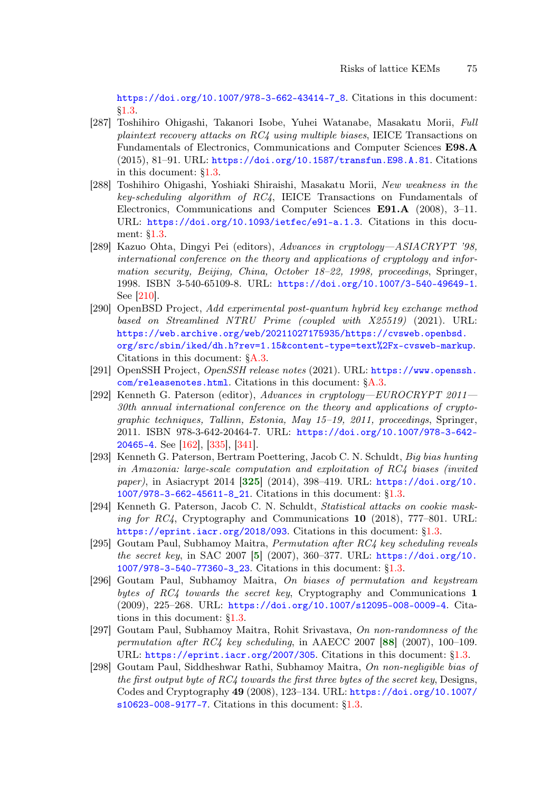[https://doi.org/10.1007/978-3-662-43414-7\\_8](https://doi.org/10.1007/978-3-662-43414-7_8). Citations in this document: [§1.3.](#page-5-7)

- [287] Toshihiro Ohigashi, Takanori Isobe, Yuhei Watanabe, Masakatu Morii, Full plaintext recovery attacks on RC4 using multiple biases, IEICE Transactions on Fundamentals of Electronics, Communications and Computer Sciences E98.A (2015), 81–91. URL: <https://doi.org/10.1587/transfun.E98.A.81>. Citations in this document: [§1.3.](#page-5-8)
- [288] Toshihiro Ohigashi, Yoshiaki Shiraishi, Masakatu Morii, New weakness in the key-scheduling algorithm of RC4, IEICE Transactions on Fundamentals of Electronics, Communications and Computer Sciences E91.A (2008), 3–11. URL: <https://doi.org/10.1093/ietfec/e91-a.1.3>. Citations in this document: [§1.3.](#page-5-9)
- [289] Kazuo Ohta, Dingyi Pei (editors), Advances in cryptology—ASIACRYPT '98, international conference on the theory and applications of cryptology and information security, Beijing, China, October 18–22, 1998, proceedings, Springer, 1998. ISBN 3-540-65109-8. URL: <https://doi.org/10.1007/3-540-49649-1>. See [\[210\]](#page-68-0).
- <span id="page-74-3"></span>[290] OpenBSD Project, Add experimental post-quantum hybrid key exchange method based on Streamlined NTRU Prime (coupled with X25519) (2021). URL: [https://web.archive.org/web/20211027175935/https://cvsweb.openbsd.](https://web.archive.org/web/20211027175935/https://cvsweb.openbsd.org/src/sbin/iked/dh.h?rev=1.15&content-type=text%2Fx-cvsweb-markup) [org/src/sbin/iked/dh.h?rev=1.15&content-type=text%2Fx-cvsweb-markup](https://web.archive.org/web/20211027175935/https://cvsweb.openbsd.org/src/sbin/iked/dh.h?rev=1.15&content-type=text%2Fx-cvsweb-markup). Citations in this document: [§A.3.](#page-91-0)
- <span id="page-74-2"></span>[291] OpenSSH Project, OpenSSH release notes (2021). URL: [https://www.openssh.](https://www.openssh.com/releasenotes.html) [com/releasenotes.html](https://www.openssh.com/releasenotes.html). Citations in this document: [§A.3.](#page-91-1)
- <span id="page-74-1"></span>[292] Kenneth G. Paterson (editor), Advances in cryptology—EUROCRYPT 2011— 30th annual international conference on the theory and applications of cryptographic techniques, Tallinn, Estonia, May 15–19, 2011, proceedings, Springer, 2011. ISBN 978-3-642-20464-7. URL: [https://doi.org/10.1007/978-3-642-](https://doi.org/10.1007/978-3-642-20465-4) [20465-4](https://doi.org/10.1007/978-3-642-20465-4). See [\[162\]](#page-64-1), [\[335\]](#page-77-1), [\[341\]](#page-78-1).
- <span id="page-74-0"></span>[293] Kenneth G. Paterson, Bertram Poettering, Jacob C. N. Schuldt, Big bias hunting in Amazonia: large-scale computation and exploitation of RC4 biases (invited paper), in Asiacrypt 2014 [[325](#page-76-0)] (2014), 398–419. URL: [https://doi.org/10.](https://doi.org/10.1007/978-3-662-45611-8_21) [1007/978-3-662-45611-8\\_21](https://doi.org/10.1007/978-3-662-45611-8_21). Citations in this document: [§1.3.](#page-5-10)
- [294] Kenneth G. Paterson, Jacob C. N. Schuldt, Statistical attacks on cookie masking for  $RC4$ , Cryptography and Communications 10 (2018), 777–801. URL: <https://eprint.iacr.org/2018/093>. Citations in this document: [§1.3.](#page-6-0)
- [295] Goutam Paul, Subhamoy Maitra, Permutation after RC4 key scheduling reveals the secret key, in SAC 2007 [[5](#page-52-0)] (2007), 360–377. URL: [https://doi.org/10.](https://doi.org/10.1007/978-3-540-77360-3_23) [1007/978-3-540-77360-3\\_23](https://doi.org/10.1007/978-3-540-77360-3_23). Citations in this document: [§1.3.](#page-5-11)
- [296] Goutam Paul, Subhamoy Maitra, On biases of permutation and keystream bytes of  $RC4$  towards the secret key, Cryptography and Communications 1 (2009), 225–268. URL: <https://doi.org/10.1007/s12095-008-0009-4>. Citations in this document: [§1.3.](#page-5-12)
- [297] Goutam Paul, Subhamoy Maitra, Rohit Srivastava, On non-randomness of the permutation after RC4 key scheduling, in AAECC 2007 [[88](#page-59-1)] (2007), 100–109. URL: <https://eprint.iacr.org/2007/305>. Citations in this document: [§1.3.](#page-5-13)
- [298] Goutam Paul, Siddheshwar Rathi, Subhamoy Maitra, On non-negligible bias of the first output byte of  $RC4$  towards the first three bytes of the secret key, Designs, Codes and Cryptography 49 (2008), 123–134. URL: [https://doi.org/10.1007/](https://doi.org/10.1007/s10623-008-9177-7) [s10623-008-9177-7](https://doi.org/10.1007/s10623-008-9177-7). Citations in this document: [§1.3.](#page-5-14)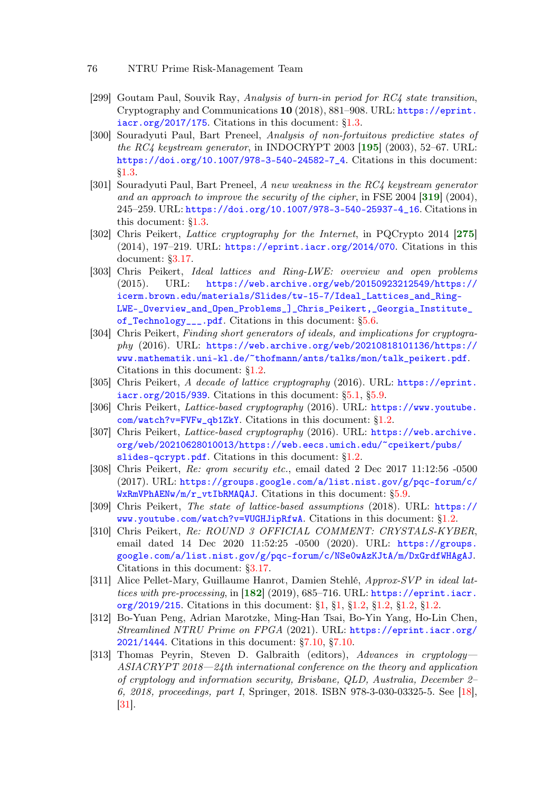- 76 NTRU Prime Risk-Management Team
- [299] Goutam Paul, Souvik Ray, Analysis of burn-in period for RC4 state transition, Cryptography and Communications 10 (2018), 881–908. URL: [https://eprint.](https://eprint.iacr.org/2017/175) [iacr.org/2017/175](https://eprint.iacr.org/2017/175). Citations in this document: [§1.3.](#page-6-1)
- [300] Souradyuti Paul, Bart Preneel, Analysis of non-fortuitous predictive states of the RC4 keystream generator, in INDOCRYPT 2003  $[195]$  $[195]$  $[195]$  (2003), 52–67. URL: [https://doi.org/10.1007/978-3-540-24582-7\\_4](https://doi.org/10.1007/978-3-540-24582-7_4). Citations in this document: [§1.3.](#page-5-15)
- <span id="page-75-1"></span>[301] Souradyuti Paul, Bart Preneel, A new weakness in the RC4 keystream generator and an approach to improve the security of the cipher, in FSE 2004  $|319|$  $|319|$  $|319|$  (2004), 245–259. URL: [https://doi.org/10.1007/978-3-540-25937-4\\_16](https://doi.org/10.1007/978-3-540-25937-4_16). Citations in this document: [§1.3.](#page-5-16)
- <span id="page-75-0"></span>[302] Chris Peikert, Lattice cryptography for the Internet, in PQCrypto 2014 [[275](#page-72-0)] (2014), 197–219. URL: <https://eprint.iacr.org/2014/070>. Citations in this document: [§3.17.](#page-19-2)
- [303] Chris Peikert, Ideal lattices and Ring-LWE: overview and open problems (2015). URL: [https://web.archive.org/web/20150923212549/https://](https://web.archive.org/web/20150923212549/https://icerm.brown.edu/materials/Slides/tw-15-7/Ideal_Lattices_and_Ring-LWE-_Overview_and_Open_Problems_]_Chris_Peikert,_Georgia_Institute_of_Technology___.pdf) [icerm.brown.edu/materials/Slides/tw-15-7/Ideal\\_Lattices\\_and\\_Ring-](https://web.archive.org/web/20150923212549/https://icerm.brown.edu/materials/Slides/tw-15-7/Ideal_Lattices_and_Ring-LWE-_Overview_and_Open_Problems_]_Chris_Peikert,_Georgia_Institute_of_Technology___.pdf)[LWE-\\_Overview\\_and\\_Open\\_Problems\\_\]\\_Chris\\_Peikert,\\_Georgia\\_Institute\\_](https://web.archive.org/web/20150923212549/https://icerm.brown.edu/materials/Slides/tw-15-7/Ideal_Lattices_and_Ring-LWE-_Overview_and_Open_Problems_]_Chris_Peikert,_Georgia_Institute_of_Technology___.pdf) [of\\_Technology\\_\\_\\_.pdf](https://web.archive.org/web/20150923212549/https://icerm.brown.edu/materials/Slides/tw-15-7/Ideal_Lattices_and_Ring-LWE-_Overview_and_Open_Problems_]_Chris_Peikert,_Georgia_Institute_of_Technology___.pdf). Citations in this document: [§5.6.](#page-27-0)
- [304] Chris Peikert, Finding short generators of ideals, and implications for cryptogra $phy$  (2016). URL: [https://web.archive.org/web/20210818101136/https://](https://web.archive.org/web/20210818101136/https://www.mathematik.uni-kl.de/~thofmann/ants/talks/mon/talk_peikert.pdf) [www.mathematik.uni-kl.de/~thofmann/ants/talks/mon/talk\\_peikert.pdf](https://web.archive.org/web/20210818101136/https://www.mathematik.uni-kl.de/~thofmann/ants/talks/mon/talk_peikert.pdf). Citations in this document: [§1.2.](#page-3-0)
- [305] Chris Peikert, A decade of lattice cryptography (2016). URL: [https://eprint.](https://eprint.iacr.org/2015/939)  $iacc.org/2015/939$ . Citations in this document:  $\S5.1$ ,  $\S5.9$ .
- [306] Chris Peikert, Lattice-based cryptography (2016). URL: [https://www.youtube.](https://www.youtube.com/watch?v=FVFw_qb1ZkY) [com/watch?v=FVFw\\_qb1ZkY](https://www.youtube.com/watch?v=FVFw_qb1ZkY). Citations in this document: [§1.2.](#page-3-1)
- [307] Chris Peikert, Lattice-based cryptography (2016). URL: [https://web.archive.](https://web.archive.org/web/20210628010013/https://web.eecs.umich.edu/~cpeikert/pubs/slides-qcrypt.pdf) [org/web/20210628010013/https://web.eecs.umich.edu/~cpeikert/pubs/](https://web.archive.org/web/20210628010013/https://web.eecs.umich.edu/~cpeikert/pubs/slides-qcrypt.pdf) [slides-qcrypt.pdf](https://web.archive.org/web/20210628010013/https://web.eecs.umich.edu/~cpeikert/pubs/slides-qcrypt.pdf). Citations in this document: [§1.2.](#page-3-2)
- [308] Chris Peikert, Re: qrom security etc., email dated 2 Dec 2017 11:12:56 -0500 (2017). URL: [https://groups.google.com/a/list.nist.gov/g/pqc-forum/c/](https://groups.google.com/a/list.nist.gov/g/pqc-forum/c/WxRmVPhAENw/m/r_vtIbRMAQAJ) [WxRmVPhAENw/m/r\\_vtIbRMAQAJ](https://groups.google.com/a/list.nist.gov/g/pqc-forum/c/WxRmVPhAENw/m/r_vtIbRMAQAJ). Citations in this document: [§5.9.](#page-30-1)
- [309] Chris Peikert, The state of lattice-based assumptions (2018). URL: [https://](https://www.youtube.com/watch?v=VUGHJipRfwA) [www.youtube.com/watch?v=VUGHJipRfwA](https://www.youtube.com/watch?v=VUGHJipRfwA). Citations in this document: [§1.2.](#page-3-3)
- [310] Chris Peikert, Re: ROUND 3 OFFICIAL COMMENT: CRYSTALS-KYBER, email dated 14 Dec 2020 11:52:25 -0500 (2020). URL: [https://groups.](https://groups.google.com/a/list.nist.gov/g/pqc-forum/c/NSe0wAzKJtA/m/DxGrdfWHAgAJ) [google.com/a/list.nist.gov/g/pqc-forum/c/NSe0wAzKJtA/m/DxGrdfWHAgAJ](https://groups.google.com/a/list.nist.gov/g/pqc-forum/c/NSe0wAzKJtA/m/DxGrdfWHAgAJ). Citations in this document: [§3.17.](#page-19-3)
- [311] Alice Pellet-Mary, Guillaume Hanrot, Damien Stehlé, Approx-SVP in ideal lattices with pre-processing, in  $[182]$  $[182]$  $[182]$  (2019), 685–716. URL: [https://eprint.iacr.](https://eprint.iacr.org/2019/215) [org/2019/215](https://eprint.iacr.org/2019/215). Citations in this document: [§1,](#page-2-0) [§1,](#page-2-1) [§1.2,](#page-3-4) [§1.2,](#page-3-5) [§1.2,](#page-4-0) [§1.2.](#page-4-1)
- [312] Bo-Yuan Peng, Adrian Marotzke, Ming-Han Tsai, Bo-Yin Yang, Ho-Lin Chen, Streamlined NTRU Prime on FPGA (2021). URL: [https://eprint.iacr.org/](https://eprint.iacr.org/2021/1444) [2021/1444](https://eprint.iacr.org/2021/1444). Citations in this document: [§7.10,](#page-47-1) [§7.10.](#page-47-2)
- [313] Thomas Peyrin, Steven D. Galbraith (editors), Advances in cryptology-ASIACRYPT 2018—24th international conference on the theory and application of cryptology and information security, Brisbane, QLD, Australia, December 2– 6, 2018, proceedings, part I, Springer, 2018. ISBN 978-3-030-03325-5. See [\[18\]](#page-54-0), [\[31\]](#page-55-2).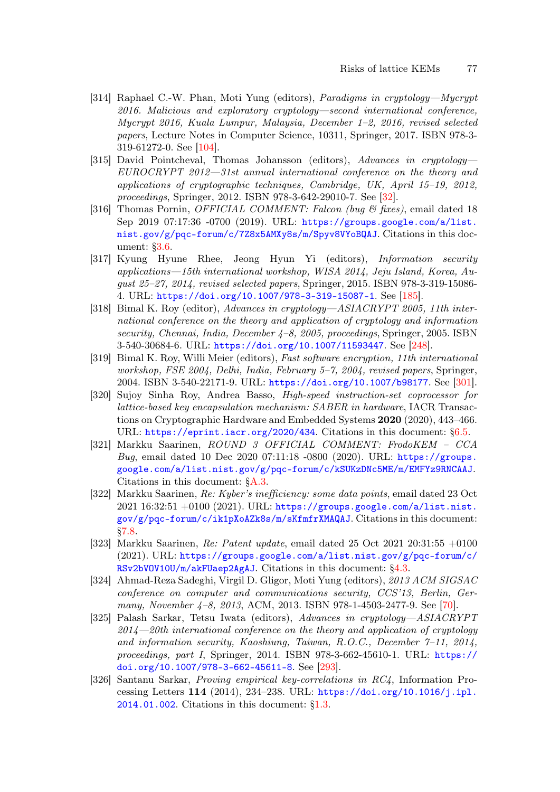- [314] Raphael C.-W. Phan, Moti Yung (editors), Paradigms in cryptology—Mycrypt 2016. Malicious and exploratory cryptology—second international conference, Mycrypt 2016, Kuala Lumpur, Malaysia, December 1–2, 2016, revised selected papers, Lecture Notes in Computer Science, 10311, Springer, 2017. ISBN 978-3- 319-61272-0. See [\[104\]](#page-60-0).
- [315] David Pointcheval, Thomas Johansson (editors), Advances in cryptology-EUROCRYPT 2012—31st annual international conference on the theory and applications of cryptographic techniques, Cambridge, UK, April 15–19, 2012, proceedings, Springer, 2012. ISBN 978-3-642-29010-7. See [\[32\]](#page-55-3).
- [316] Thomas Pornin, *OFFICIAL COMMENT: Falcon (bug & fixes)*, email dated 18 Sep 2019 07:17:36 -0700 (2019). URL: [https://groups.google.com/a/list.](https://groups.google.com/a/list.nist.gov/g/pqc-forum/c/7Z8x5AMXy8s/m/Spyv8VYoBQAJ) [nist.gov/g/pqc-forum/c/7Z8x5AMXy8s/m/Spyv8VYoBQAJ](https://groups.google.com/a/list.nist.gov/g/pqc-forum/c/7Z8x5AMXy8s/m/Spyv8VYoBQAJ). Citations in this document: [§3.6.](#page-15-0)
- [317] Kyung Hyune Rhee, Jeong Hyun Yi (editors), Information security applications—15th international workshop, WISA 2014, Jeju Island, Korea, August 25–27, 2014, revised selected papers, Springer, 2015. ISBN 978-3-319-15086- 4. URL: <https://doi.org/10.1007/978-3-319-15087-1>. See [\[185\]](#page-66-2).
- [318] Bimal K. Roy (editor), Advances in cryptology—ASIACRYPT 2005, 11th international conference on the theory and application of cryptology and information security, Chennai, India, December 4-8, 2005, proceedings, Springer, 2005. ISBN 3-540-30684-6. URL: <https://doi.org/10.1007/11593447>. See [\[248\]](#page-71-0).
- <span id="page-76-1"></span>[319] Bimal K. Roy, Willi Meier (editors), Fast software encryption, 11th international workshop, FSE 2004, Delhi, India, February 5–7, 2004, revised papers, Springer, 2004. ISBN 3-540-22171-9. URL: <https://doi.org/10.1007/b98177>. See [\[301\]](#page-75-1).
- [320] Sujoy Sinha Roy, Andrea Basso, High-speed instruction-set coprocessor for lattice-based key encapsulation mechanism: SABER in hardware, IACR Transactions on Cryptographic Hardware and Embedded Systems 2020 (2020), 443–466. URL: <https://eprint.iacr.org/2020/434>. Citations in this document: [§6.5.](#page-35-0)
- <span id="page-76-2"></span>[321] Markku Saarinen, ROUND 3 OFFICIAL COMMENT: FrodoKEM – CCA Bug, email dated 10 Dec 2020 07:11:18 -0800 (2020). URL: [https://groups.](https://groups.google.com/a/list.nist.gov/g/pqc-forum/c/kSUKzDNc5ME/m/EMFYz9RNCAAJ) [google.com/a/list.nist.gov/g/pqc-forum/c/kSUKzDNc5ME/m/EMFYz9RNCAAJ](https://groups.google.com/a/list.nist.gov/g/pqc-forum/c/kSUKzDNc5ME/m/EMFYz9RNCAAJ). Citations in this document: [§A.3.](#page-90-1)
- [322] Markku Saarinen, Re: Kyber's inefficiency: some data points, email dated 23 Oct 2021 16:32:51  $+0100$  (2021). URL: [https://groups.google.com/a/list.nist.](https://groups.google.com/a/list.nist.gov/g/pqc-forum/c/ik1pXoAZk8s/m/sKfmfrXMAQAJ) [gov/g/pqc-forum/c/ik1pXoAZk8s/m/sKfmfrXMAQAJ](https://groups.google.com/a/list.nist.gov/g/pqc-forum/c/ik1pXoAZk8s/m/sKfmfrXMAQAJ). Citations in this document: [§7.8.](#page-46-0)
- [323] Markku Saarinen, Re: Patent update, email dated 25 Oct 2021 20:31:55 +0100 (2021). URL: [https://groups.google.com/a/list.nist.gov/g/pqc-forum/c/](https://groups.google.com/a/list.nist.gov/g/pqc-forum/c/RSv2bVOV10U/m/akFUaep2AgAJ) [RSv2bVOV10U/m/akFUaep2AgAJ](https://groups.google.com/a/list.nist.gov/g/pqc-forum/c/RSv2bVOV10U/m/akFUaep2AgAJ). Citations in this document: [§4.3.](#page-21-1)
- [324] Ahmad-Reza Sadeghi, Virgil D. Gligor, Moti Yung (editors), 2013 ACM SIGSAC conference on computer and communications security, CCS'13, Berlin, Ger-many, November 4–8, 2013, ACM, 2013. ISBN 978-1-4503-2477-9. See [\[70\]](#page-58-1).
- <span id="page-76-0"></span>[325] Palash Sarkar, Tetsu Iwata (editors), Advances in cryptology—ASIACRYPT  $2014 - 20$ th international conference on the theory and application of cryptology and information security, Kaoshiung, Taiwan, R.O.C., December 7–11, 2014, proceedings, part I, Springer, 2014. ISBN 978-3-662-45610-1. URL: [https://](https://doi.org/10.1007/978-3-662-45611-8) [doi.org/10.1007/978-3-662-45611-8](https://doi.org/10.1007/978-3-662-45611-8). See [\[293\]](#page-74-0).
- [326] Santanu Sarkar, Proving empirical key-correlations in RC4, Information Processing Letters 114 (2014), 234–238. URL: [https://doi.org/10.1016/j.ipl.](https://doi.org/10.1016/j.ipl.2014.01.002) [2014.01.002](https://doi.org/10.1016/j.ipl.2014.01.002). Citations in this document: [§1.3.](#page-5-17)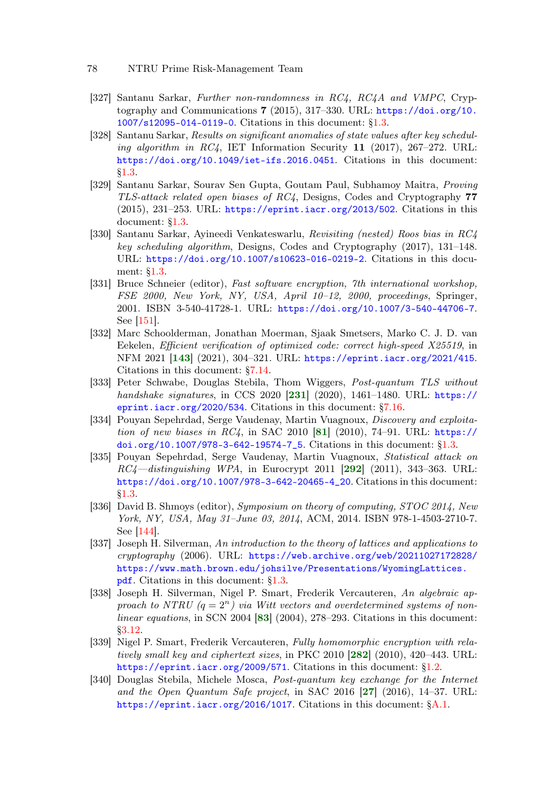- [327] Santanu Sarkar, Further non-randomness in RC4, RC4A and VMPC, Cryptography and Communications  $7$  (2015), 317–330. URL:  $\frac{h}{k}$  [https://doi.org/10.](https://doi.org/10.1007/s12095-014-0119-0) [1007/s12095-014-0119-0](https://doi.org/10.1007/s12095-014-0119-0). Citations in this document: [§1.3.](#page-5-18)
- [328] Santanu Sarkar, Results on significant anomalies of state values after key scheduling algorithm in  $RC4$ , IET Information Security 11 (2017), 267–272. URL: <https://doi.org/10.1049/iet-ifs.2016.0451>. Citations in this document: [§1.3.](#page-5-19)
- [329] Santanu Sarkar, Sourav Sen Gupta, Goutam Paul, Subhamoy Maitra, Proving TLS-attack related open biases of RC4, Designs, Codes and Cryptography 77 (2015), 231–253. URL: <https://eprint.iacr.org/2013/502>. Citations in this document: [§1.3.](#page-5-20)
- [330] Santanu Sarkar, Ayineedi Venkateswarlu, Revisiting (nested) Roos bias in RC4 key scheduling algorithm, Designs, Codes and Cryptography (2017), 131–148. URL: <https://doi.org/10.1007/s10623-016-0219-2>. Citations in this document: [§1.3.](#page-5-21)
- [331] Bruce Schneier (editor), Fast software encryption, 7th international workshop, FSE 2000, New York, NY, USA, April 10–12, 2000, proceedings, Springer, 2001. ISBN 3-540-41728-1. URL: <https://doi.org/10.1007/3-540-44706-7>. See [\[151\]](#page-64-2).
- [332] Marc Schoolderman, Jonathan Moerman, Sjaak Smetsers, Marko C. J. D. van Eekelen, Efficient verification of optimized code: correct high-speed X25519, in NFM 2021 [[143](#page-63-0)] (2021), 304–321. URL: <https://eprint.iacr.org/2021/415>. Citations in this document: [§7.14.](#page-51-0)
- [333] Peter Schwabe, Douglas Stebila, Thom Wiggers, Post-quantum TLS without handshake signatures, in CCS 2020 [[231](#page-69-1)] (2020), 1461–1480. URL: [https://](https://eprint.iacr.org/2020/534) [eprint.iacr.org/2020/534](https://eprint.iacr.org/2020/534). Citations in this document: [§7.16.](#page-51-1)
- [334] Pouyan Sepehrdad, Serge Vaudenay, Martin Vuagnoux, Discovery and exploitation of new biases in  $RC4$ , in SAC 2010 [[81](#page-58-2)] (2010), 74-91. URL: [https://](https://doi.org/10.1007/978-3-642-19574-7_5) [doi.org/10.1007/978-3-642-19574-7\\_5](https://doi.org/10.1007/978-3-642-19574-7_5). Citations in this document: [§1.3.](#page-5-22)
- <span id="page-77-1"></span>[335] Pouyan Sepehrdad, Serge Vaudenay, Martin Vuagnoux, Statistical attack on  $RC4-distinguishing WPA$ , in Eurocrypt 2011 [[292](#page-74-1)] (2011), 343-363. URL: [https://doi.org/10.1007/978-3-642-20465-4\\_20](https://doi.org/10.1007/978-3-642-20465-4_20). Citations in this document: [§1.3.](#page-5-23)
- [336] David B. Shmoys (editor), Symposium on theory of computing, STOC 2014, New York, NY, USA, May 31–June 03, 2014, ACM, 2014. ISBN 978-1-4503-2710-7. See [\[144\]](#page-63-1).
- [337] Joseph H. Silverman, An introduction to the theory of lattices and applications to cryptography (2006). URL: [https://web.archive.org/web/20211027172828/](https://web.archive.org/web/20211027172828/https://www.math.brown.edu/johsilve/Presentations/WyomingLattices.pdf) [https://www.math.brown.edu/johsilve/Presentations/WyomingLattices.](https://web.archive.org/web/20211027172828/https://www.math.brown.edu/johsilve/Presentations/WyomingLattices.pdf) [pdf](https://web.archive.org/web/20211027172828/https://www.math.brown.edu/johsilve/Presentations/WyomingLattices.pdf). Citations in this document: [§1.3.](#page-5-24)
- [338] Joseph H. Silverman, Nigel P. Smart, Frederik Vercauteren, An algebraic approach to NTRU  $(q = 2^n)$  via Witt vectors and overdetermined systems of nonlinear equations, in SCN 2004  $[83]$  $[83]$  $[83]$  (2004), 278–293. Citations in this document: [§3.12.](#page-17-0)
- <span id="page-77-0"></span>[339] Nigel P. Smart, Frederik Vercauteren, Fully homomorphic encryption with rela-tively small key and ciphertext sizes, in PKC 2010 [[282](#page-73-0)] (2010), 420-443. URL: <https://eprint.iacr.org/2009/571>. Citations in this document: [§1.2.](#page-3-6)
- <span id="page-77-2"></span>[340] Douglas Stebila, Michele Mosca, Post-quantum key exchange for the Internet and the Open Quantum Safe project, in SAC 2016  $[27]$  $[27]$  $[27]$  (2016), 14–37. URL: <https://eprint.iacr.org/2016/1017>. Citations in this document: [§A.1.](#page-80-0)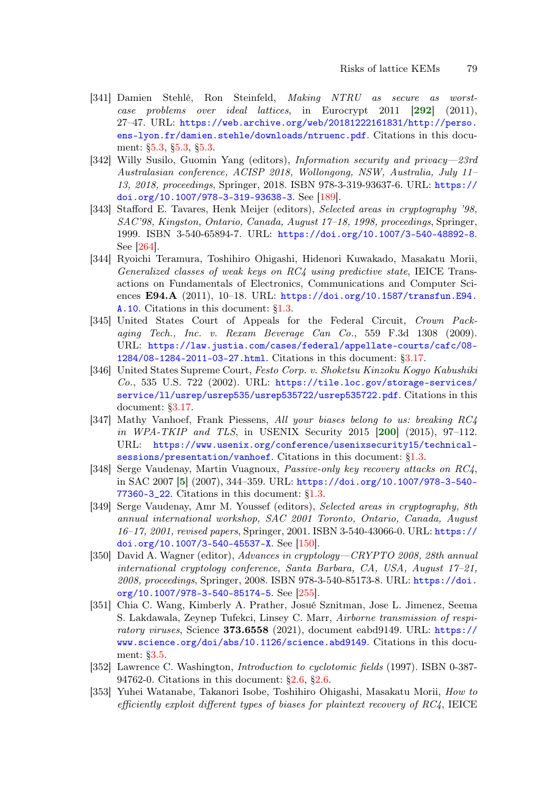- <span id="page-78-1"></span>[341] Damien Stehlé, Ron Steinfeld, Making NTRU as secure as worstcase problems over ideal lattices, in Eurocrypt 2011 [[292](#page-74-1)] (2011), 27–47. URL: [https://web.archive.org/web/20181222161831/http://perso.](https://web.archive.org/web/20181222161831/http://perso.ens-lyon.fr/damien.stehle/downloads/ntruenc.pdf) [ens-lyon.fr/damien.stehle/downloads/ntruenc.pdf](https://web.archive.org/web/20181222161831/http://perso.ens-lyon.fr/damien.stehle/downloads/ntruenc.pdf). Citations in this document: [§5.3,](#page-25-0) [§5.3,](#page-26-0) [§5.3.](#page-26-1)
- [342] Willy Susilo, Guomin Yang (editors), Information security and privacy—23rd Australasian conference, ACISP 2018, Wollongong, NSW, Australia, July 11– 13, 2018, proceedings, Springer, 2018. ISBN 978-3-319-93637-6. URL: [https://](https://doi.org/10.1007/978-3-319-93638-3) [doi.org/10.1007/978-3-319-93638-3](https://doi.org/10.1007/978-3-319-93638-3). See [\[189\]](#page-66-3).
- <span id="page-78-0"></span>[343] Stafford E. Tavares, Henk Meijer (editors), Selected areas in cryptography '98, SAC'98, Kingston, Ontario, Canada, August 17–18, 1998, proceedings, Springer, 1999. ISBN 3-540-65894-7. URL: <https://doi.org/10.1007/3-540-48892-8>. See [\[264\]](#page-72-1).
- [344] Ryoichi Teramura, Toshihiro Ohigashi, Hidenori Kuwakado, Masakatu Morii, Generalized classes of weak keys on RC4 using predictive state, IEICE Transactions on Fundamentals of Electronics, Communications and Computer Sciences E94.A  $(2011)$ , 10–18. URL: [https://doi.org/10.1587/transfun.E94.](https://doi.org/10.1587/transfun.E94.A.10) [A.10](https://doi.org/10.1587/transfun.E94.A.10). Citations in this document: [§1.3.](#page-5-25)
- [345] United States Court of Appeals for the Federal Circuit, Crown Packaging Tech., Inc. v. Rexam Beverage Can Co., 559 F.3d 1308 (2009). URL: [https://law.justia.com/cases/federal/appellate-courts/cafc/08-](https://law.justia.com/cases/federal/appellate-courts/cafc/08-1284/08-1284-2011-03-27.html) [1284/08-1284-2011-03-27.html](https://law.justia.com/cases/federal/appellate-courts/cafc/08-1284/08-1284-2011-03-27.html). Citations in this document: [§3.17.](#page-19-4)
- [346] United States Supreme Court, Festo Corp. v. Shoketsu Kinzoku Kogyo Kabushiki Co., 535 U.S. 722 (2002). URL: [https://tile.loc.gov/storage-services/](https://tile.loc.gov/storage-services/service/ll/usrep/usrep535/usrep535722/usrep535722.pdf) [service/ll/usrep/usrep535/usrep535722/usrep535722.pdf](https://tile.loc.gov/storage-services/service/ll/usrep/usrep535/usrep535722/usrep535722.pdf). Citations in this document: [§3.17.](#page-18-0)
- [347] Mathy Vanhoef, Frank Piessens, All your biases belong to us: breaking RC4 in WPA-TKIP and TLS, in USENIX Security 2015 [[200](#page-67-1)] (2015), 97-112. URL: [https://www.usenix.org/conference/usenixsecurity15/technical](https://www.usenix.org/conference/usenixsecurity15/technical-sessions/presentation/vanhoef)[sessions/presentation/vanhoef](https://www.usenix.org/conference/usenixsecurity15/technical-sessions/presentation/vanhoef). Citations in this document: [§1.3.](#page-5-26)
- [348] Serge Vaudenay, Martin Vuagnoux, Passive-only key recovery attacks on RC4, in SAC 2007 [[5](#page-52-0)] (2007), 344–359. URL: [https://doi.org/10.1007/978-3-540-](https://doi.org/10.1007/978-3-540-77360-3_22) [77360-3\\_22](https://doi.org/10.1007/978-3-540-77360-3_22). Citations in this document: [§1.3.](#page-5-27)
- [349] Serge Vaudenay, Amr M. Youssef (editors), Selected areas in cryptography, 8th annual international workshop, SAC 2001 Toronto, Ontario, Canada, August 16–17, 2001, revised papers, Springer, 2001. ISBN 3-540-43066-0. URL: [https://](https://doi.org/10.1007/3-540-45537-X) [doi.org/10.1007/3-540-45537-X](https://doi.org/10.1007/3-540-45537-X). See [\[150\]](#page-64-3).
- [350] David A. Wagner (editor), Advances in cryptology—CRYPTO 2008, 28th annual international cryptology conference, Santa Barbara, CA, USA, August 17–21, 2008, proceedings, Springer, 2008. ISBN 978-3-540-85173-8. URL: [https://doi.](https://doi.org/10.1007/978-3-540-85174-5) [org/10.1007/978-3-540-85174-5](https://doi.org/10.1007/978-3-540-85174-5). See [\[255\]](#page-71-1).
- [351] Chia C. Wang, Kimberly A. Prather, Josué Sznitman, Jose L. Jimenez, Seema S. Lakdawala, Zeynep Tufekci, Linsey C. Marr, Airborne transmission of respiratory viruses, Science 373.6558 (2021), document eabd9149. URL: [https://](https://www.science.org/doi/abs/10.1126/science.abd9149) [www.science.org/doi/abs/10.1126/science.abd9149](https://www.science.org/doi/abs/10.1126/science.abd9149). Citations in this document: [§3.5.](#page-14-0)
- [352] Lawrence C. Washington, Introduction to cyclotomic fields (1997). ISBN 0-387- 94762-0. Citations in this document: [§2.6,](#page-10-0) [§2.6.](#page-11-0)
- [353] Yuhei Watanabe, Takanori Isobe, Toshihiro Ohigashi, Masakatu Morii, How to efficiently exploit different types of biases for plaintext recovery of RC4, IEICE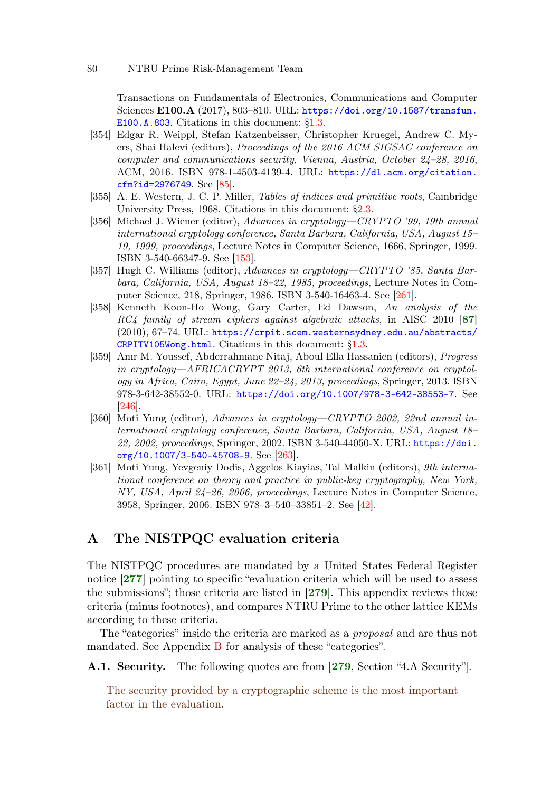Transactions on Fundamentals of Electronics, Communications and Computer Sciences E100.A (2017), 803–810. URL: [https://doi.org/10.1587/transfun.](https://doi.org/10.1587/transfun.E100.A.803) [E100.A.803](https://doi.org/10.1587/transfun.E100.A.803). Citations in this document: [§1.3.](#page-5-28)

- [354] Edgar R. Weippl, Stefan Katzenbeisser, Christopher Kruegel, Andrew C. Myers, Shai Halevi (editors), Proceedings of the 2016 ACM SIGSAC conference on computer and communications security, Vienna, Austria, October 24–28, 2016, ACM, 2016. ISBN 978-1-4503-4139-4. URL: [https://dl.acm.org/citation.](https://dl.acm.org/citation.cfm?id=2976749) [cfm?id=2976749](https://dl.acm.org/citation.cfm?id=2976749). See [\[85\]](#page-59-2).
- [355] A. E. Western, J. C. P. Miller, Tables of indices and primitive roots, Cambridge University Press, 1968. Citations in this document:  $\S 2.3$ .
- [356] Michael J. Wiener (editor), Advances in cryptology—CRYPTO '99, 19th annual international cryptology conference, Santa Barbara, California, USA, August 15– 19, 1999, proceedings, Lecture Notes in Computer Science, 1666, Springer, 1999. ISBN 3-540-66347-9. See [\[153\]](#page-64-4).
- [357] Hugh C. Williams (editor), Advances in cryptology—CRYPTO '85, Santa Barbara, California, USA, August 18–22, 1985, proceedings, Lecture Notes in Computer Science, 218, Springer, 1986. ISBN 3-540-16463-4. See [\[261\]](#page-71-2).
- [358] Kenneth Koon-Ho Wong, Gary Carter, Ed Dawson, An analysis of the RC4 family of stream ciphers against algebraic attacks, in AISC 2010 [[87](#page-59-3)] (2010), 67–74. URL: [https://crpit.scem.westernsydney.edu.au/abstracts/](https://crpit.scem.westernsydney.edu.au/abstracts/CRPITV105Wong.html) [CRPITV105Wong.html](https://crpit.scem.westernsydney.edu.au/abstracts/CRPITV105Wong.html). Citations in this document: [§1.3.](#page-5-29)
- [359] Amr M. Youssef, Abderrahmane Nitaj, Aboul Ella Hassanien (editors), Progress in cryptology—AFRICACRYPT 2013, 6th international conference on cryptology in Africa, Cairo, Egypt, June 22–24, 2013, proceedings, Springer, 2013. ISBN 978-3-642-38552-0. URL: <https://doi.org/10.1007/978-3-642-38553-7>. See [\[246\]](#page-70-1).
- <span id="page-79-0"></span>[360] Moti Yung (editor), Advances in cryptology—CRYPTO 2002, 22nd annual international cryptology conference, Santa Barbara, California, USA, August 18– 22, 2002, proceedings, Springer, 2002. ISBN 3-540-44050-X. URL: [https://doi.](https://doi.org/10.1007/3-540-45708-9) [org/10.1007/3-540-45708-9](https://doi.org/10.1007/3-540-45708-9). See [\[263\]](#page-72-2).
- [361] Moti Yung, Yevgeniy Dodis, Aggelos Kiayias, Tal Malkin (editors), 9th international conference on theory and practice in public-key cryptography, New York, NY, USA, April 24–26, 2006, proceedings, Lecture Notes in Computer Science, 3958, Springer, 2006. ISBN 978–3–540–33851–2. See [\[42\]](#page-56-0).

# A The NISTPQC evaluation criteria

<span id="page-79-2"></span><span id="page-79-1"></span>The NISTPQC procedures are mandated by a United States Federal Register notice [[277](#page-73-1)] pointing to specific "evaluation criteria which will be used to assess the submissions"; those criteria are listed in  $\langle 279 \rangle$  $\langle 279 \rangle$  $\langle 279 \rangle$ . This appendix reviews those criteria (minus footnotes), and compares NTRU Prime to the other lattice KEMs according to these criteria.

The "categories" inside the criteria are marked as a proposal and are thus not mandated. See Appendix [B](#page-91-2) for analysis of these "categories".

A.1. Security. The following quotes are from [[279](#page-73-2), Section "4.A Security"].

<span id="page-79-3"></span>The security provided by a cryptographic scheme is the most important factor in the evaluation.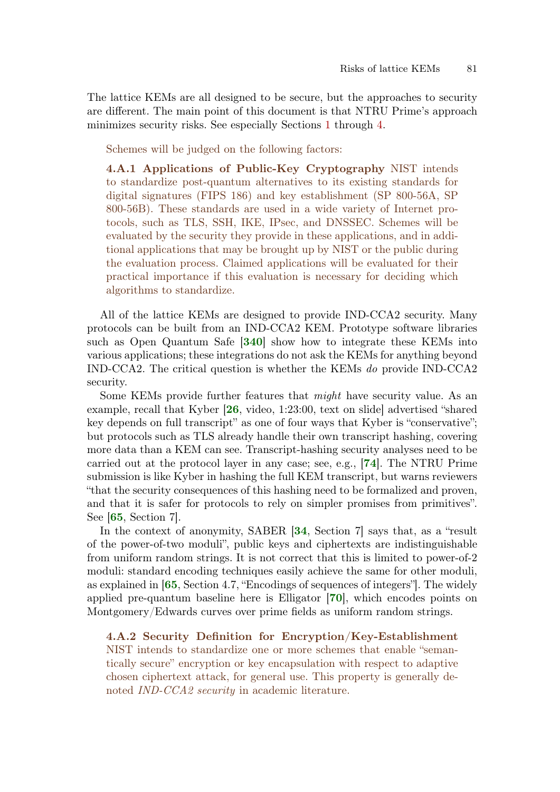The lattice KEMs are all designed to be secure, but the approaches to security are different. The main point of this document is that NTRU Prime's approach minimizes security risks. See especially Sections [1](#page-0-0) through [4.](#page-20-0)

Schemes will be judged on the following factors:

4.A.1 Applications of Public-Key Cryptography NIST intends to standardize post-quantum alternatives to its existing standards for digital signatures (FIPS 186) and key establishment (SP 800-56A, SP 800-56B). These standards are used in a wide variety of Internet protocols, such as TLS, SSH, IKE, IPsec, and DNSSEC. Schemes will be evaluated by the security they provide in these applications, and in additional applications that may be brought up by NIST or the public during the evaluation process. Claimed applications will be evaluated for their practical importance if this evaluation is necessary for deciding which algorithms to standardize.

<span id="page-80-0"></span>All of the lattice KEMs are designed to provide IND-CCA2 security. Many protocols can be built from an IND-CCA2 KEM. Prototype software libraries such as Open Quantum Safe [[340](#page-77-2)] show how to integrate these KEMs into various applications; these integrations do not ask the KEMs for anything beyond IND-CCA2. The critical question is whether the KEMs do provide IND-CCA2 security.

Some KEMs provide further features that might have security value. As an example, recall that Kyber [[26](#page-54-2), video, 1:23:00, text on slide] advertised "shared key depends on full transcript" as one of four ways that Kyber is "conservative"; but protocols such as TLS already handle their own transcript hashing, covering more data than a KEM can see. Transcript-hashing security analyses need to be carried out at the protocol layer in any case; see, e.g., [[74](#page-58-4)]. The NTRU Prime submission is like Kyber in hashing the full KEM transcript, but warns reviewers "that the security consequences of this hashing need to be formalized and proven, and that it is safer for protocols to rely on simpler promises from primitives". See [[65](#page-57-0), Section 7].

In the context of anonymity, SABER [[34](#page-55-4), Section 7] says that, as a "result of the power-of-two moduli", public keys and ciphertexts are indistinguishable from uniform random strings. It is not correct that this is limited to power-of-2 moduli: standard encoding techniques easily achieve the same for other moduli, as explained in [[65](#page-57-0), Section 4.7, "Encodings of sequences of integers"]. The widely applied pre-quantum baseline here is Elligator [[70](#page-58-5)], which encodes points on Montgomery/Edwards curves over prime fields as uniform random strings.

4.A.2 Security Definition for Encryption/Key-Establishment NIST intends to standardize one or more schemes that enable "semantically secure" encryption or key encapsulation with respect to adaptive chosen ciphertext attack, for general use. This property is generally denoted *IND-CCA2 security* in academic literature.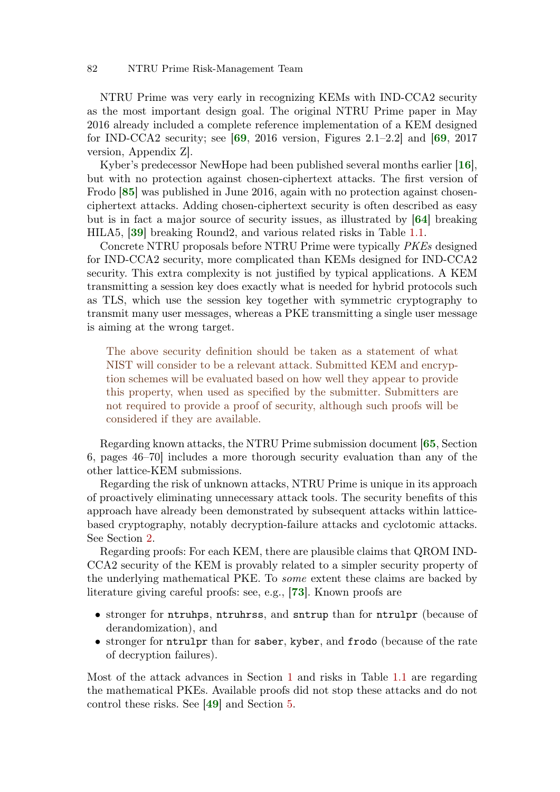NTRU Prime was very early in recognizing KEMs with IND-CCA2 security as the most important design goal. The original NTRU Prime paper in May 2016 already included a complete reference implementation of a KEM designed for IND-CCA2 security; see  $[69, 2016$  $[69, 2016$  $[69, 2016$  version, Figures 2.1–2.2] and  $[69, 2017]$ version, Appendix Z].

Kyber's predecessor NewHope had been published several months earlier [[16](#page-53-0)], but with no protection against chosen-ciphertext attacks. The first version of Frodo [[85](#page-59-4)] was published in June 2016, again with no protection against chosenciphertext attacks. Adding chosen-ciphertext security is often described as easy but is in fact a major source of security issues, as illustrated by [[64](#page-57-2)] breaking HILA5, [[39](#page-55-5)] breaking Round2, and various related risks in Table [1.1.](#page-1-0)

Concrete NTRU proposals before NTRU Prime were typically PKEs designed for IND-CCA2 security, more complicated than KEMs designed for IND-CCA2 security. This extra complexity is not justified by typical applications. A KEM transmitting a session key does exactly what is needed for hybrid protocols such as TLS, which use the session key together with symmetric cryptography to transmit many user messages, whereas a PKE transmitting a single user message is aiming at the wrong target.

The above security definition should be taken as a statement of what NIST will consider to be a relevant attack. Submitted KEM and encryption schemes will be evaluated based on how well they appear to provide this property, when used as specified by the submitter. Submitters are not required to provide a proof of security, although such proofs will be considered if they are available.

Regarding known attacks, the NTRU Prime submission document [[65](#page-57-0), Section 6, pages 46–70] includes a more thorough security evaluation than any of the other lattice-KEM submissions.

Regarding the risk of unknown attacks, NTRU Prime is unique in its approach of proactively eliminating unnecessary attack tools. The security benefits of this approach have already been demonstrated by subsequent attacks within latticebased cryptography, notably decryption-failure attacks and cyclotomic attacks. See Section [2.](#page-6-2)

Regarding proofs: For each KEM, there are plausible claims that QROM IND-CCA2 security of the KEM is provably related to a simpler security property of the underlying mathematical PKE. To some extent these claims are backed by literature giving careful proofs: see, e.g., [[73](#page-58-6)]. Known proofs are

- stronger for ntruhps, ntruhrss, and sntrup than for ntrulpr (because of derandomization), and
- stronger for ntrulpr than for saber, kyber, and frodo (because of the rate of decryption failures).

Most of the attack advances in Section [1](#page-0-0) and risks in Table [1.1](#page-1-0) are regarding the mathematical PKEs. Available proofs did not stop these attacks and do not control these risks. See [[49](#page-56-1)] and Section [5.](#page-23-1)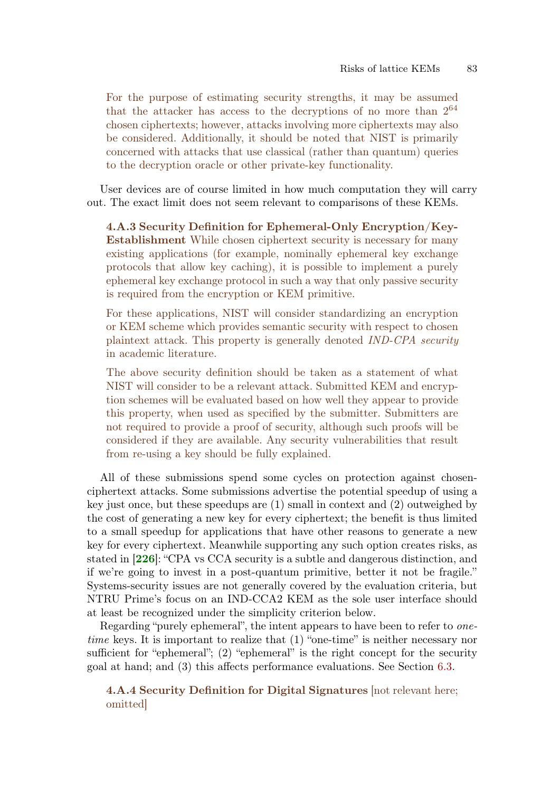For the purpose of estimating security strengths, it may be assumed that the attacker has access to the decryptions of no more than  $2^{64}$ chosen ciphertexts; however, attacks involving more ciphertexts may also be considered. Additionally, it should be noted that NIST is primarily concerned with attacks that use classical (rather than quantum) queries to the decryption oracle or other private-key functionality.

User devices are of course limited in how much computation they will carry out. The exact limit does not seem relevant to comparisons of these KEMs.

4.A.3 Security Definition for Ephemeral-Only Encryption/Key-Establishment While chosen ciphertext security is necessary for many existing applications (for example, nominally ephemeral key exchange protocols that allow key caching), it is possible to implement a purely ephemeral key exchange protocol in such a way that only passive security is required from the encryption or KEM primitive.

For these applications, NIST will consider standardizing an encryption or KEM scheme which provides semantic security with respect to chosen plaintext attack. This property is generally denoted IND-CPA security in academic literature.

The above security definition should be taken as a statement of what NIST will consider to be a relevant attack. Submitted KEM and encryption schemes will be evaluated based on how well they appear to provide this property, when used as specified by the submitter. Submitters are not required to provide a proof of security, although such proofs will be considered if they are available. Any security vulnerabilities that result from re-using a key should be fully explained.

All of these submissions spend some cycles on protection against chosenciphertext attacks. Some submissions advertise the potential speedup of using a key just once, but these speedups are (1) small in context and (2) outweighed by the cost of generating a new key for every ciphertext; the benefit is thus limited to a small speedup for applications that have other reasons to generate a new key for every ciphertext. Meanwhile supporting any such option creates risks, as stated in [[226](#page-69-2)]: "CPA vs CCA security is a subtle and dangerous distinction, and if we're going to invest in a post-quantum primitive, better it not be fragile." Systems-security issues are not generally covered by the evaluation criteria, but NTRU Prime's focus on an IND-CCA2 KEM as the sole user interface should at least be recognized under the simplicity criterion below.

Regarding "purely ephemeral", the intent appears to have been to refer to onetime keys. It is important to realize that (1) "one-time" is neither necessary nor sufficient for "ephemeral"; (2) "ephemeral" is the right concept for the security goal at hand; and (3) this affects performance evaluations. See Section [6.3.](#page-32-0)

4.A.4 Security Definition for Digital Signatures [not relevant here; omitted]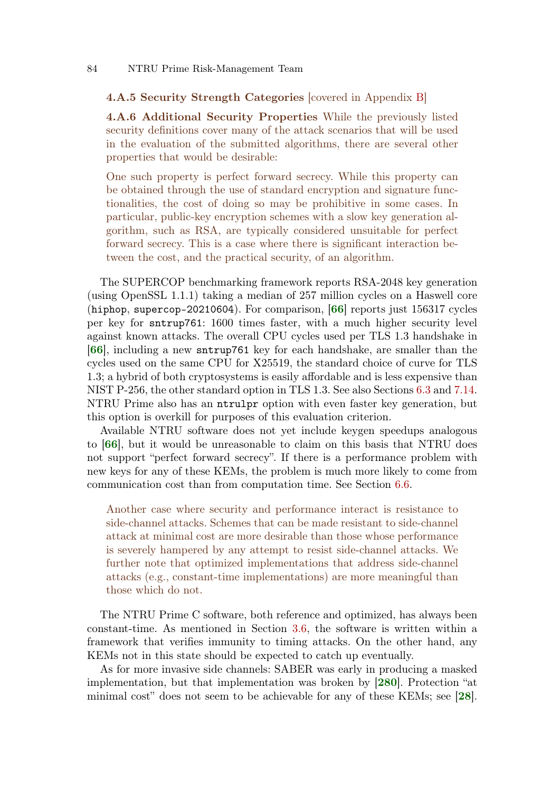### 4.A.5 Security Strength Categories [covered in Appendix [B\]](#page-91-2)

4.A.6 Additional Security Properties While the previously listed security definitions cover many of the attack scenarios that will be used in the evaluation of the submitted algorithms, there are several other properties that would be desirable:

One such property is perfect forward secrecy. While this property can be obtained through the use of standard encryption and signature functionalities, the cost of doing so may be prohibitive in some cases. In particular, public-key encryption schemes with a slow key generation algorithm, such as RSA, are typically considered unsuitable for perfect forward secrecy. This is a case where there is significant interaction between the cost, and the practical security, of an algorithm.

The SUPERCOP benchmarking framework reports RSA-2048 key generation (using OpenSSL 1.1.1) taking a median of 257 million cycles on a Haswell core (hiphop, supercop-20210604). For comparison,  $[66]$  $[66]$  $[66]$  reports just 156317 cycles per key for sntrup761: 1600 times faster, with a much higher security level against known attacks. The overall CPU cycles used per TLS 1.3 handshake in [[66](#page-57-3)], including a new sntrup761 key for each handshake, are smaller than the cycles used on the same CPU for X25519, the standard choice of curve for TLS 1.3; a hybrid of both cryptosystems is easily affordable and is less expensive than NIST P-256, the other standard option in TLS 1.3. See also Sections [6.3](#page-32-0) and [7.14.](#page-49-0) NTRU Prime also has an ntrulpr option with even faster key generation, but this option is overkill for purposes of this evaluation criterion.

Available NTRU software does not yet include keygen speedups analogous to [[66](#page-57-3)], but it would be unreasonable to claim on this basis that NTRU does not support "perfect forward secrecy". If there is a performance problem with new keys for any of these KEMs, the problem is much more likely to come from communication cost than from computation time. See Section [6.6.](#page-36-0)

Another case where security and performance interact is resistance to side-channel attacks. Schemes that can be made resistant to side-channel attack at minimal cost are more desirable than those whose performance is severely hampered by any attempt to resist side-channel attacks. We further note that optimized implementations that address side-channel attacks (e.g., constant-time implementations) are more meaningful than those which do not.

The NTRU Prime C software, both reference and optimized, has always been constant-time. As mentioned in Section [3.6,](#page-14-1) the software is written within a framework that verifies immunity to timing attacks. On the other hand, any KEMs not in this state should be expected to catch up eventually.

<span id="page-83-0"></span>As for more invasive side channels: SABER was early in producing a masked implementation, but that implementation was broken by [[280](#page-73-3)]. Protection "at minimal cost" does not seem to be achievable for any of these KEMs; see [[28](#page-54-3)].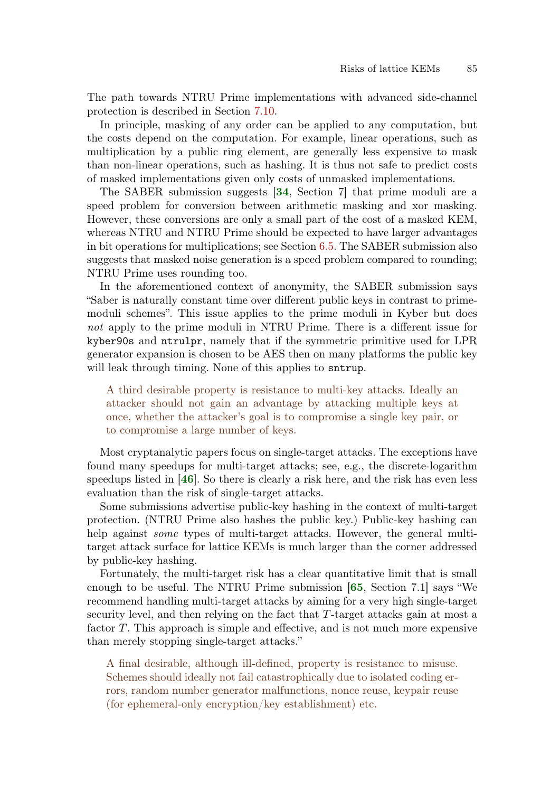The path towards NTRU Prime implementations with advanced side-channel protection is described in Section [7.10.](#page-46-1)

In principle, masking of any order can be applied to any computation, but the costs depend on the computation. For example, linear operations, such as multiplication by a public ring element, are generally less expensive to mask than non-linear operations, such as hashing. It is thus not safe to predict costs of masked implementations given only costs of unmasked implementations.

The SABER submission suggests [[34](#page-55-4), Section 7] that prime moduli are a speed problem for conversion between arithmetic masking and xor masking. However, these conversions are only a small part of the cost of a masked KEM, whereas NTRU and NTRU Prime should be expected to have larger advantages in bit operations for multiplications; see Section [6.5.](#page-34-0) The SABER submission also suggests that masked noise generation is a speed problem compared to rounding; NTRU Prime uses rounding too.

In the aforementioned context of anonymity, the SABER submission says "Saber is naturally constant time over different public keys in contrast to primemoduli schemes". This issue applies to the prime moduli in Kyber but does not apply to the prime moduli in NTRU Prime. There is a different issue for kyber90s and ntrulpr, namely that if the symmetric primitive used for LPR generator expansion is chosen to be AES then on many platforms the public key will leak through timing. None of this applies to sntrup.

A third desirable property is resistance to multi-key attacks. Ideally an attacker should not gain an advantage by attacking multiple keys at once, whether the attacker's goal is to compromise a single key pair, or to compromise a large number of keys.

Most cryptanalytic papers focus on single-target attacks. The exceptions have found many speedups for multi-target attacks; see, e.g., the discrete-logarithm speedups listed in [[46](#page-56-2)]. So there is clearly a risk here, and the risk has even less evaluation than the risk of single-target attacks.

Some submissions advertise public-key hashing in the context of multi-target protection. (NTRU Prime also hashes the public key.) Public-key hashing can help against *some* types of multi-target attacks. However, the general multitarget attack surface for lattice KEMs is much larger than the corner addressed by public-key hashing.

Fortunately, the multi-target risk has a clear quantitative limit that is small enough to be useful. The NTRU Prime submission [[65](#page-57-0), Section 7.1] says "We recommend handling multi-target attacks by aiming for a very high single-target security level, and then relying on the fact that T-target attacks gain at most a factor T. This approach is simple and effective, and is not much more expensive than merely stopping single-target attacks."

A final desirable, although ill-defined, property is resistance to misuse. Schemes should ideally not fail catastrophically due to isolated coding errors, random number generator malfunctions, nonce reuse, keypair reuse (for ephemeral-only encryption/key establishment) etc.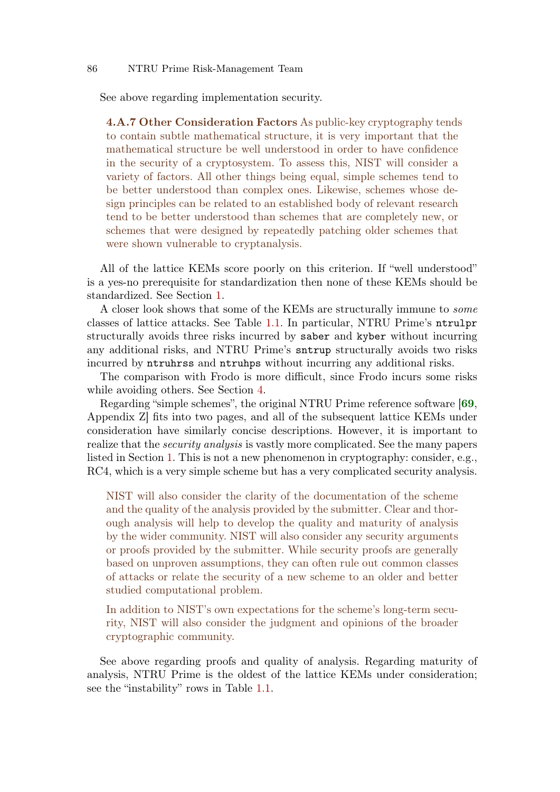See above regarding implementation security.

4.A.7 Other Consideration Factors As public-key cryptography tends to contain subtle mathematical structure, it is very important that the mathematical structure be well understood in order to have confidence in the security of a cryptosystem. To assess this, NIST will consider a variety of factors. All other things being equal, simple schemes tend to be better understood than complex ones. Likewise, schemes whose design principles can be related to an established body of relevant research tend to be better understood than schemes that are completely new, or schemes that were designed by repeatedly patching older schemes that were shown vulnerable to cryptanalysis.

All of the lattice KEMs score poorly on this criterion. If "well understood" is a yes-no prerequisite for standardization then none of these KEMs should be standardized. See Section [1.](#page-0-0)

A closer look shows that some of the KEMs are structurally immune to some classes of lattice attacks. See Table [1.1.](#page-1-0) In particular, NTRU Prime's ntrulpr structurally avoids three risks incurred by saber and kyber without incurring any additional risks, and NTRU Prime's sntrup structurally avoids two risks incurred by ntruhrss and ntruhps without incurring any additional risks.

The comparison with Frodo is more difficult, since Frodo incurs some risks while avoiding others. See Section [4.](#page-20-0)

Regarding "simple schemes", the original NTRU Prime reference software [[69](#page-57-1), Appendix Z] fits into two pages, and all of the subsequent lattice KEMs under consideration have similarly concise descriptions. However, it is important to realize that the security analysis is vastly more complicated. See the many papers listed in Section [1.](#page-0-0) This is not a new phenomenon in cryptography: consider, e.g., RC4, which is a very simple scheme but has a very complicated security analysis.

NIST will also consider the clarity of the documentation of the scheme and the quality of the analysis provided by the submitter. Clear and thorough analysis will help to develop the quality and maturity of analysis by the wider community. NIST will also consider any security arguments or proofs provided by the submitter. While security proofs are generally based on unproven assumptions, they can often rule out common classes of attacks or relate the security of a new scheme to an older and better studied computational problem.

In addition to NIST's own expectations for the scheme's long-term security, NIST will also consider the judgment and opinions of the broader cryptographic community.

See above regarding proofs and quality of analysis. Regarding maturity of analysis, NTRU Prime is the oldest of the lattice KEMs under consideration; see the "instability" rows in Table [1.1.](#page-1-0)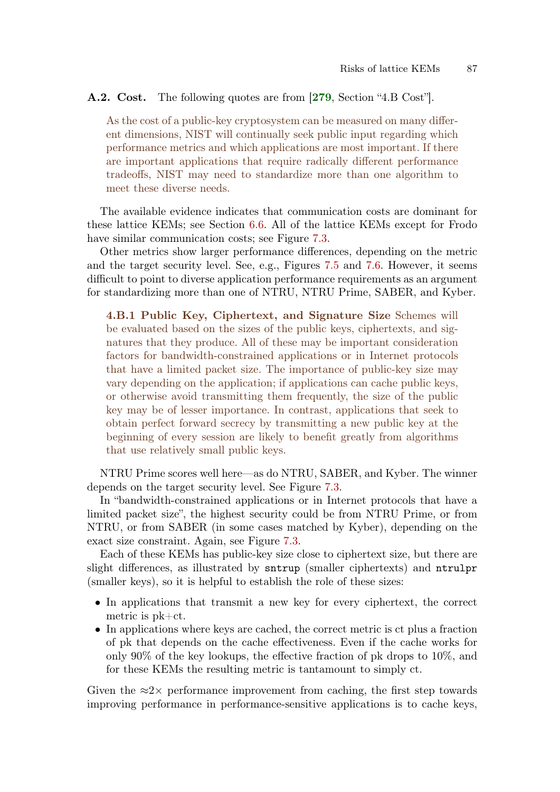### A.2. Cost. The following quotes are from [[279](#page-73-2), Section "4.B Cost"].

<span id="page-86-0"></span>As the cost of a public-key cryptosystem can be measured on many different dimensions, NIST will continually seek public input regarding which performance metrics and which applications are most important. If there are important applications that require radically different performance tradeoffs, NIST may need to standardize more than one algorithm to meet these diverse needs.

The available evidence indicates that communication costs are dominant for these lattice KEMs; see Section [6.6.](#page-36-0) All of the lattice KEMs except for Frodo have similar communication costs; see Figure [7.3.](#page-41-0)

Other metrics show larger performance differences, depending on the metric and the target security level. See, e.g., Figures [7.5](#page-42-0) and [7.6.](#page-43-0) However, it seems difficult to point to diverse application performance requirements as an argument for standardizing more than one of NTRU, NTRU Prime, SABER, and Kyber.

4.B.1 Public Key, Ciphertext, and Signature Size Schemes will be evaluated based on the sizes of the public keys, ciphertexts, and signatures that they produce. All of these may be important consideration factors for bandwidth-constrained applications or in Internet protocols that have a limited packet size. The importance of public-key size may vary depending on the application; if applications can cache public keys, or otherwise avoid transmitting them frequently, the size of the public key may be of lesser importance. In contrast, applications that seek to obtain perfect forward secrecy by transmitting a new public key at the beginning of every session are likely to benefit greatly from algorithms that use relatively small public keys.

NTRU Prime scores well here—as do NTRU, SABER, and Kyber. The winner depends on the target security level. See Figure [7.3.](#page-41-0)

In "bandwidth-constrained applications or in Internet protocols that have a limited packet size", the highest security could be from NTRU Prime, or from NTRU, or from SABER (in some cases matched by Kyber), depending on the exact size constraint. Again, see Figure [7.3.](#page-41-0)

Each of these KEMs has public-key size close to ciphertext size, but there are slight differences, as illustrated by sntrup (smaller ciphertexts) and ntrulpr (smaller keys), so it is helpful to establish the role of these sizes:

- In applications that transmit a new key for every ciphertext, the correct metric is pk+ct.
- In applications where keys are cached, the correct metric is ct plus a fraction of pk that depends on the cache effectiveness. Even if the cache works for only  $90\%$  of the key lookups, the effective fraction of pk drops to  $10\%$ , and for these KEMs the resulting metric is tantamount to simply ct.

Given the  $\approx 2\times$  performance improvement from caching, the first step towards improving performance in performance-sensitive applications is to cache keys,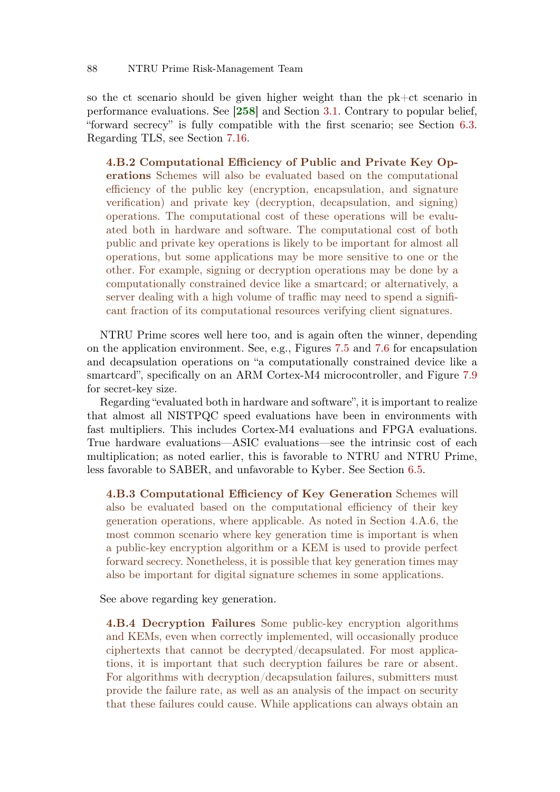so the ct scenario should be given higher weight than the pk+ct scenario in performance evaluations. See [[258](#page-71-3)] and Section [3.1.](#page-11-1) Contrary to popular belief, "forward secrecy" is fully compatible with the first scenario; see Section [6.3.](#page-32-0) Regarding TLS, see Section [7.16.](#page-51-2)

4.B.2 Computational Efficiency of Public and Private Key Operations Schemes will also be evaluated based on the computational efficiency of the public key (encryption, encapsulation, and signature verification) and private key (decryption, decapsulation, and signing) operations. The computational cost of these operations will be evaluated both in hardware and software. The computational cost of both public and private key operations is likely to be important for almost all operations, but some applications may be more sensitive to one or the other. For example, signing or decryption operations may be done by a computationally constrained device like a smartcard; or alternatively, a server dealing with a high volume of traffic may need to spend a significant fraction of its computational resources verifying client signatures.

NTRU Prime scores well here too, and is again often the winner, depending on the application environment. See, e.g., Figures [7.5](#page-42-0) and [7.6](#page-43-0) for encapsulation and decapsulation operations on "a computationally constrained device like a smartcard", specifically on an ARM Cortex-M4 microcontroller, and Figure [7.9](#page-45-0) for secret-key size.

Regarding "evaluated both in hardware and software", it is important to realize that almost all NISTPQC speed evaluations have been in environments with fast multipliers. This includes Cortex-M4 evaluations and FPGA evaluations. True hardware evaluations—ASIC evaluations—see the intrinsic cost of each multiplication; as noted earlier, this is favorable to NTRU and NTRU Prime, less favorable to SABER, and unfavorable to Kyber. See Section [6.5.](#page-34-0)

4.B.3 Computational Efficiency of Key Generation Schemes will also be evaluated based on the computational efficiency of their key generation operations, where applicable. As noted in Section 4.A.6, the most common scenario where key generation time is important is when a public-key encryption algorithm or a KEM is used to provide perfect forward secrecy. Nonetheless, it is possible that key generation times may also be important for digital signature schemes in some applications.

See above regarding key generation.

4.B.4 Decryption Failures Some public-key encryption algorithms and KEMs, even when correctly implemented, will occasionally produce ciphertexts that cannot be decrypted/decapsulated. For most applications, it is important that such decryption failures be rare or absent. For algorithms with decryption/decapsulation failures, submitters must provide the failure rate, as well as an analysis of the impact on security that these failures could cause. While applications can always obtain an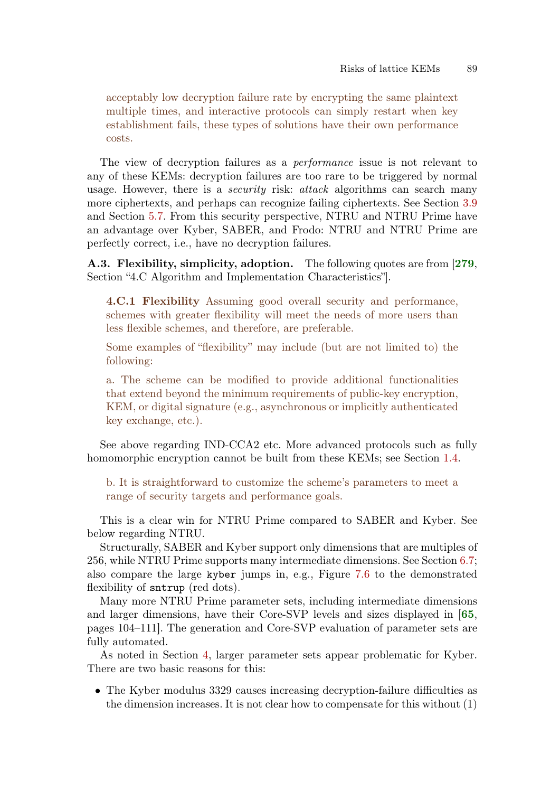acceptably low decryption failure rate by encrypting the same plaintext multiple times, and interactive protocols can simply restart when key establishment fails, these types of solutions have their own performance costs.

The view of decryption failures as a performance issue is not relevant to any of these KEMs: decryption failures are too rare to be triggered by normal usage. However, there is a *security* risk: *attack* algorithms can search many more ciphertexts, and perhaps can recognize failing ciphertexts. See Section [3.9](#page-15-1) and Section [5.7.](#page-28-0) From this security perspective, NTRU and NTRU Prime have an advantage over Kyber, SABER, and Frodo: NTRU and NTRU Prime are perfectly correct, i.e., have no decryption failures.

A.3. Flexibility, simplicity, adoption. The following quotes are from [[279](#page-73-2), Section "4.C Algorithm and Implementation Characteristics"].

<span id="page-88-0"></span>4.C.1 Flexibility Assuming good overall security and performance, schemes with greater flexibility will meet the needs of more users than less flexible schemes, and therefore, are preferable.

Some examples of "flexibility" may include (but are not limited to) the following:

a. The scheme can be modified to provide additional functionalities that extend beyond the minimum requirements of public-key encryption, KEM, or digital signature (e.g., asynchronous or implicitly authenticated key exchange, etc.).

See above regarding IND-CCA2 etc. More advanced protocols such as fully homomorphic encryption cannot be built from these KEMs; see Section [1.4.](#page-6-3)

b. It is straightforward to customize the scheme's parameters to meet a range of security targets and performance goals.

This is a clear win for NTRU Prime compared to SABER and Kyber. See below regarding NTRU.

Structurally, SABER and Kyber support only dimensions that are multiples of 256, while NTRU Prime supports many intermediate dimensions. See Section [6.7;](#page-37-0) also compare the large kyber jumps in, e.g., Figure [7.6](#page-43-0) to the demonstrated flexibility of sntrup (red dots).

Many more NTRU Prime parameter sets, including intermediate dimensions and larger dimensions, have their Core-SVP levels and sizes displayed in [[65](#page-57-0), pages 104–111]. The generation and Core-SVP evaluation of parameter sets are fully automated.

As noted in Section [4,](#page-20-0) larger parameter sets appear problematic for Kyber. There are two basic reasons for this:

• The Kyber modulus 3329 causes increasing decryption-failure difficulties as the dimension increases. It is not clear how to compensate for this without (1)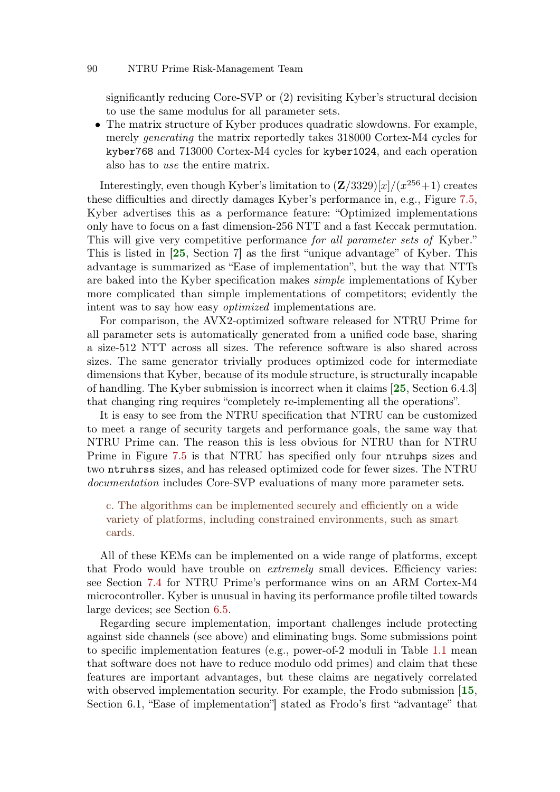significantly reducing Core-SVP or (2) revisiting Kyber's structural decision to use the same modulus for all parameter sets.

• The matrix structure of Kyber produces quadratic slowdowns. For example, merely generating the matrix reportedly takes 318000 Cortex-M4 cycles for kyber768 and 713000 Cortex-M4 cycles for kyber1024, and each operation also has to use the entire matrix.

Interestingly, even though Kyber's limitation to  $(Z/3329)[x]/(x^{256}+1)$  creates these difficulties and directly damages Kyber's performance in, e.g., Figure [7.5,](#page-42-0) Kyber advertises this as a performance feature: "Optimized implementations only have to focus on a fast dimension-256 NTT and a fast Keccak permutation. This will give very competitive performance for all parameter sets of Kyber." This is listed in [[25](#page-54-4), Section 7] as the first "unique advantage" of Kyber. This advantage is summarized as "Ease of implementation", but the way that NTTs are baked into the Kyber specification makes simple implementations of Kyber more complicated than simple implementations of competitors; evidently the intent was to say how easy optimized implementations are.

For comparison, the AVX2-optimized software released for NTRU Prime for all parameter sets is automatically generated from a unified code base, sharing a size-512 NTT across all sizes. The reference software is also shared across sizes. The same generator trivially produces optimized code for intermediate dimensions that Kyber, because of its module structure, is structurally incapable of handling. The Kyber submission is incorrect when it claims [[25](#page-54-4), Section 6.4.3] that changing ring requires "completely re-implementing all the operations".

It is easy to see from the NTRU specification that NTRU can be customized to meet a range of security targets and performance goals, the same way that NTRU Prime can. The reason this is less obvious for NTRU than for NTRU Prime in Figure [7.5](#page-42-0) is that NTRU has specified only four ntruhps sizes and two ntruhrss sizes, and has released optimized code for fewer sizes. The NTRU documentation includes Core-SVP evaluations of many more parameter sets.

c. The algorithms can be implemented securely and efficiently on a wide variety of platforms, including constrained environments, such as smart cards.

All of these KEMs can be implemented on a wide range of platforms, except that Frodo would have trouble on *extremely* small devices. Efficiency varies: see Section [7.4](#page-41-1) for NTRU Prime's performance wins on an ARM Cortex-M4 microcontroller. Kyber is unusual in having its performance profile tilted towards large devices; see Section [6.5.](#page-34-0)

Regarding secure implementation, important challenges include protecting against side channels (see above) and eliminating bugs. Some submissions point to specific implementation features (e.g., power-of-2 moduli in Table [1.1](#page-1-0) mean that software does not have to reduce modulo odd primes) and claim that these features are important advantages, but these claims are negatively correlated with observed implementation security. For example, the Frodo submission [[15](#page-53-1), Section 6.1, "Ease of implementation"] stated as Frodo's first "advantage" that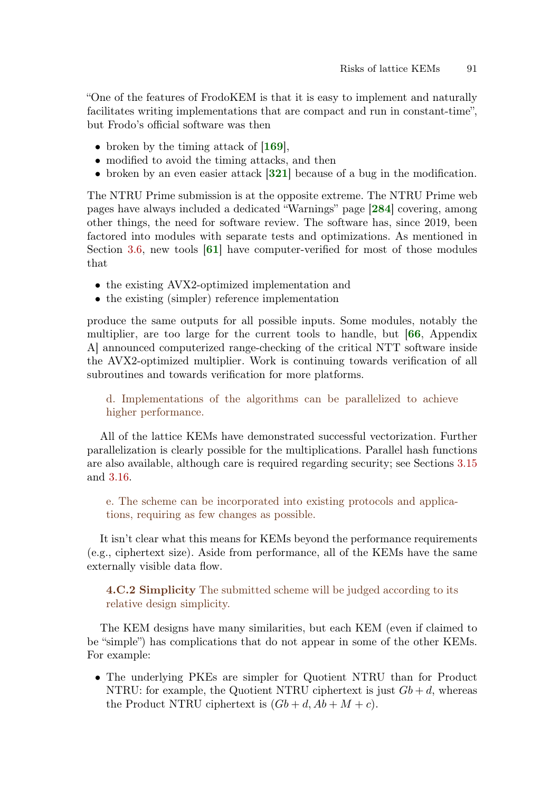"One of the features of FrodoKEM is that it is easy to implement and naturally facilitates writing implementations that are compact and run in constant-time", but Frodo's official software was then

- broken by the timing attack of  $|169|$  $|169|$  $|169|$ ,
- modified to avoid the timing attacks, and then
- <span id="page-90-1"></span><span id="page-90-0"></span>• broken by an even easier attack [[321](#page-76-2)] because of a bug in the modification.

The NTRU Prime submission is at the opposite extreme. The NTRU Prime web pages have always included a dedicated "Warnings" page [[284](#page-73-4)] covering, among other things, the need for software review. The software has, since 2019, been factored into modules with separate tests and optimizations. As mentioned in Section [3.6,](#page-14-1) new tools  $|61|$  $|61|$  $|61|$  have computer-verified for most of those modules that

- the existing AVX2-optimized implementation and
- the existing (simpler) reference implementation

produce the same outputs for all possible inputs. Some modules, notably the multiplier, are too large for the current tools to handle, but [[66](#page-57-3), Appendix A] announced computerized range-checking of the critical NTT software inside the AVX2-optimized multiplier. Work is continuing towards verification of all subroutines and towards verification for more platforms.

d. Implementations of the algorithms can be parallelized to achieve higher performance.

All of the lattice KEMs have demonstrated successful vectorization. Further parallelization is clearly possible for the multiplications. Parallel hash functions are also available, although care is required regarding security; see Sections [3.15](#page-18-1) and [3.16.](#page-18-2)

e. The scheme can be incorporated into existing protocols and applications, requiring as few changes as possible.

It isn't clear what this means for KEMs beyond the performance requirements (e.g., ciphertext size). Aside from performance, all of the KEMs have the same externally visible data flow.

4.C.2 Simplicity The submitted scheme will be judged according to its relative design simplicity.

The KEM designs have many similarities, but each KEM (even if claimed to be "simple") has complications that do not appear in some of the other KEMs. For example:

• The underlying PKEs are simpler for Quotient NTRU than for Product NTRU: for example, the Quotient NTRU ciphertext is just  $Gb + d$ , whereas the Product NTRU ciphertext is  $(Gb + d, Ab + M + c)$ .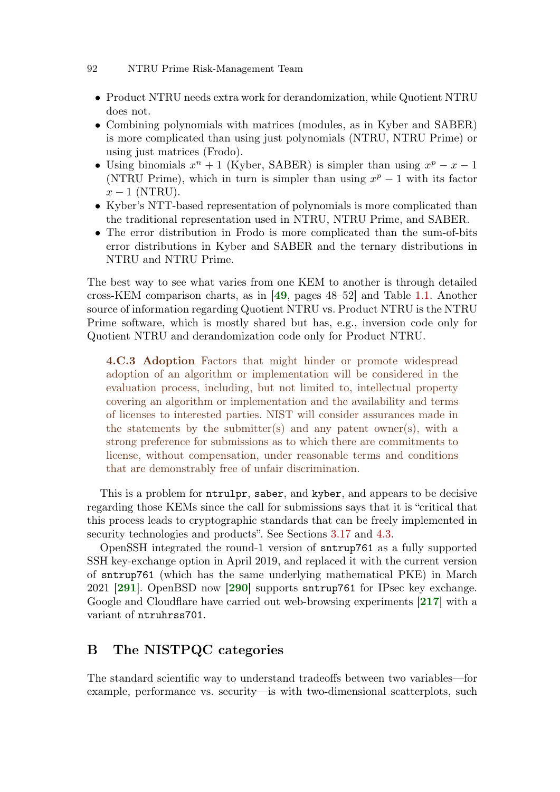- Product NTRU needs extra work for derandomization, while Quotient NTRU does not.
- Combining polynomials with matrices (modules, as in Kyber and SABER) is more complicated than using just polynomials (NTRU, NTRU Prime) or using just matrices (Frodo).
- Using binomials  $x^n + 1$  (Kyber, SABER) is simpler than using  $x^p x 1$ (NTRU Prime), which in turn is simpler than using  $x^p - 1$  with its factor  $x - 1$  (NTRU).
- Kyber's NTT-based representation of polynomials is more complicated than the traditional representation used in NTRU, NTRU Prime, and SABER.
- The error distribution in Frodo is more complicated than the sum-of-bits error distributions in Kyber and SABER and the ternary distributions in NTRU and NTRU Prime.

The best way to see what varies from one KEM to another is through detailed cross-KEM comparison charts, as in [[49](#page-56-1), pages 48–52] and Table [1.1.](#page-1-0) Another source of information regarding Quotient NTRU vs. Product NTRU is the NTRU Prime software, which is mostly shared but has, e.g., inversion code only for Quotient NTRU and derandomization code only for Product NTRU.

4.C.3 Adoption Factors that might hinder or promote widespread adoption of an algorithm or implementation will be considered in the evaluation process, including, but not limited to, intellectual property covering an algorithm or implementation and the availability and terms of licenses to interested parties. NIST will consider assurances made in the statements by the submitter(s) and any patent owner(s), with a strong preference for submissions as to which there are commitments to license, without compensation, under reasonable terms and conditions that are demonstrably free of unfair discrimination.

This is a problem for ntrulpr, saber, and kyber, and appears to be decisive regarding those KEMs since the call for submissions says that it is "critical that this process leads to cryptographic standards that can be freely implemented in security technologies and products". See Sections [3.17](#page-18-3) and [4.3.](#page-21-2)

<span id="page-91-1"></span><span id="page-91-0"></span>OpenSSH integrated the round-1 version of sntrup761 as a fully supported SSH key-exchange option in April 2019, and replaced it with the current version of sntrup761 (which has the same underlying mathematical PKE) in March 2021 [[291](#page-74-2)]. OpenBSD now [[290](#page-74-3)] supports sntrup761 for IPsec key exchange. Google and Cloudflare have carried out web-browsing experiments [[217](#page-68-1)] with a variant of ntruhrss701.

## <span id="page-91-2"></span>B The NISTPQC categories

The standard scientific way to understand tradeoffs between two variables—for example, performance vs. security—is with two-dimensional scatterplots, such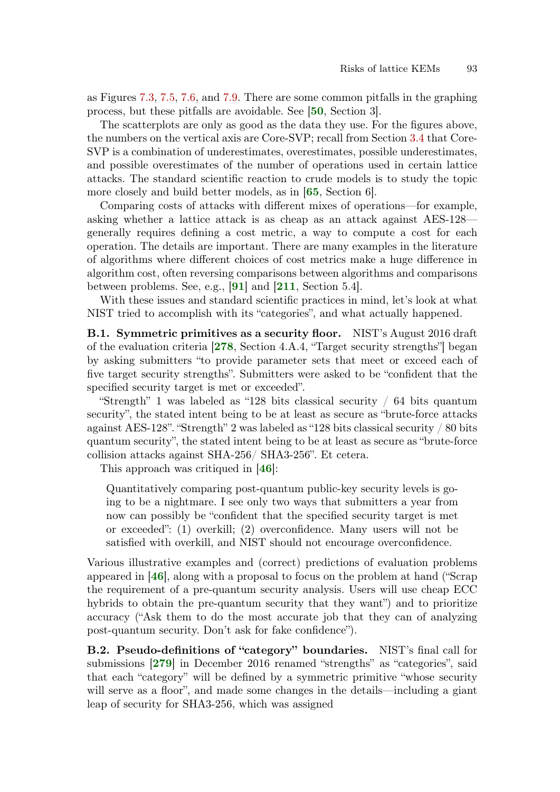as Figures [7.3,](#page-41-0) [7.5,](#page-42-0) [7.6,](#page-43-0) and [7.9.](#page-45-0) There are some common pitfalls in the graphing process, but these pitfalls are avoidable. See [[50](#page-56-3), Section 3].

The scatterplots are only as good as the data they use. For the figures above, the numbers on the vertical axis are Core-SVP; recall from Section [3.4](#page-12-0) that Core-SVP is a combination of underestimates, overestimates, possible underestimates, and possible overestimates of the number of operations used in certain lattice attacks. The standard scientific reaction to crude models is to study the topic more closely and build better models, as in **[65](#page-57-0)**, Section 6.

Comparing costs of attacks with different mixes of operations—for example, asking whether a lattice attack is as cheap as an attack against AES-128 generally requires defining a cost metric, a way to compute a cost for each operation. The details are important. There are many examples in the literature of algorithms where different choices of cost metrics make a huge difference in algorithm cost, often reversing comparisons between algorithms and comparisons between problems. See, e.g., [[91](#page-59-5)] and [[211](#page-68-2), Section 5.4].

With these issues and standard scientific practices in mind, let's look at what NIST tried to accomplish with its "categories", and what actually happened.

<span id="page-92-0"></span>B.1. Symmetric primitives as a security floor. NIST's August 2016 draft of the evaluation criteria [[278](#page-73-5), Section 4.A.4, "Target security strengths"] began by asking submitters "to provide parameter sets that meet or exceed each of five target security strengths". Submitters were asked to be "confident that the specified security target is met or exceeded".

"Strength" 1 was labeled as "128 bits classical security / 64 bits quantum security", the stated intent being to be at least as secure as "brute-force attacks against AES-128". "Strength" 2 was labeled as "128 bits classical security / 80 bits quantum security", the stated intent being to be at least as secure as "brute-force collision attacks against SHA-256/ SHA3-256". Et cetera.

This approach was critiqued in [[46](#page-56-2)]:

Quantitatively comparing post-quantum public-key security levels is going to be a nightmare. I see only two ways that submitters a year from now can possibly be "confident that the specified security target is met or exceeded": (1) overkill; (2) overconfidence. Many users will not be satisfied with overkill, and NIST should not encourage overconfidence.

Various illustrative examples and (correct) predictions of evaluation problems appeared in [[46](#page-56-2)], along with a proposal to focus on the problem at hand ("Scrap the requirement of a pre-quantum security analysis. Users will use cheap ECC hybrids to obtain the pre-quantum security that they want") and to prioritize accuracy ("Ask them to do the most accurate job that they can of analyzing post-quantum security. Don't ask for fake confidence").

<span id="page-92-1"></span>B.2. Pseudo-definitions of "category" boundaries. NIST's final call for submissions [[279](#page-73-2)] in December 2016 renamed "strengths" as "categories", said that each "category" will be defined by a symmetric primitive "whose security will serve as a floor", and made some changes in the details—including a giant leap of security for SHA3-256, which was assigned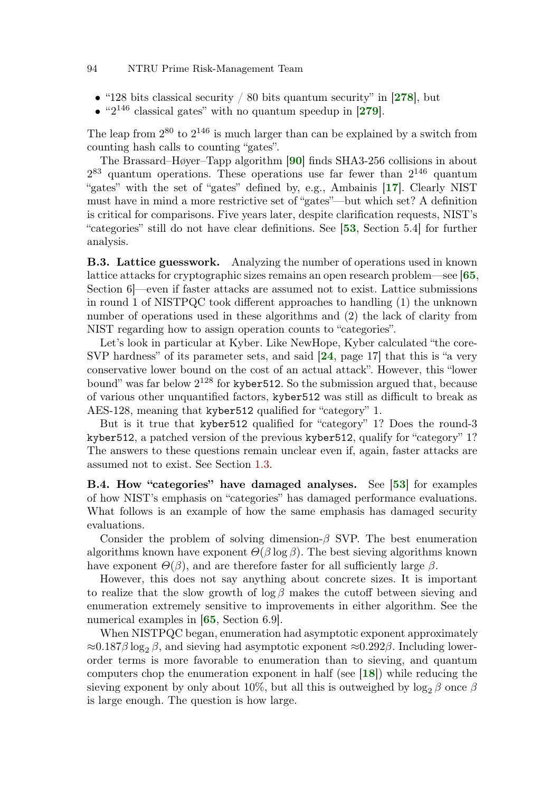- "128 bits classical security  $/80$  bits quantum security" in [[278](#page-73-5)], but
- <span id="page-93-1"></span><span id="page-93-0"></span> $\bullet$  "2<sup>146</sup> classical gates" with no quantum speedup in [[279](#page-73-2)].

The leap from  $2^{80}$  to  $2^{146}$  is much larger than can be explained by a switch from counting hash calls to counting "gates".

The Brassard–Høyer–Tapp algorithm [[90](#page-59-6)] finds SHA3-256 collisions in about  $2^{83}$  quantum operations. These operations use far fewer than  $2^{146}$  quantum "gates" with the set of "gates" defined by, e.g., Ambainis [[17](#page-53-2)]. Clearly NIST must have in mind a more restrictive set of "gates"—but which set? A definition is critical for comparisons. Five years later, despite clarification requests, NIST's "categories" still do not have clear definitions. See [[53](#page-56-4), Section 5.4] for further analysis.

B.3. Lattice guesswork. Analyzing the number of operations used in known lattice attacks for cryptographic sizes remains an open research problem—see [[65](#page-57-0), Section 6]—even if faster attacks are assumed not to exist. Lattice submissions in round 1 of NISTPQC took different approaches to handling (1) the unknown number of operations used in these algorithms and (2) the lack of clarity from NIST regarding how to assign operation counts to "categories".

Let's look in particular at Kyber. Like NewHope, Kyber calculated "the core-SVP hardness" of its parameter sets, and said [[24](#page-54-5), page 17] that this is "a very conservative lower bound on the cost of an actual attack". However, this "lower bound" was far below  $2^{128}$  for kyber512. So the submission argued that, because of various other unquantified factors, kyber512 was still as difficult to break as AES-128, meaning that kyber512 qualified for "category" 1.

But is it true that kyber512 qualified for "category" 1? Does the round-3 kyber512, a patched version of the previous kyber512, qualify for "category" 1? The answers to these questions remain unclear even if, again, faster attacks are assumed not to exist. See Section [1.3.](#page-4-2)

B.4. How "categories" have damaged analyses. See [[53](#page-56-4)] for examples of how NIST's emphasis on "categories" has damaged performance evaluations. What follows is an example of how the same emphasis has damaged security evaluations.

Consider the problem of solving dimension- $\beta$  SVP. The best enumeration algorithms known have exponent  $\Theta(\beta \log \beta)$ . The best sieving algorithms known have exponent  $\Theta(\beta)$ , and are therefore faster for all sufficiently large  $\beta$ .

However, this does not say anything about concrete sizes. It is important to realize that the slow growth of  $\log \beta$  makes the cutoff between sieving and enumeration extremely sensitive to improvements in either algorithm. See the numerical examples in [[65](#page-57-0), Section 6.9].

When NISTPQC began, enumeration had asymptotic exponent approximately  $\approx 0.187\beta \log_2 \beta$ , and sieving had asymptotic exponent  $\approx 0.292\beta$ . Including lowerorder terms is more favorable to enumeration than to sieving, and quantum computers chop the enumeration exponent in half (see [[18](#page-54-6)]) while reducing the sieving exponent by only about 10%, but all this is outweighed by  $\log_2 \beta$  once  $\beta$ is large enough. The question is how large.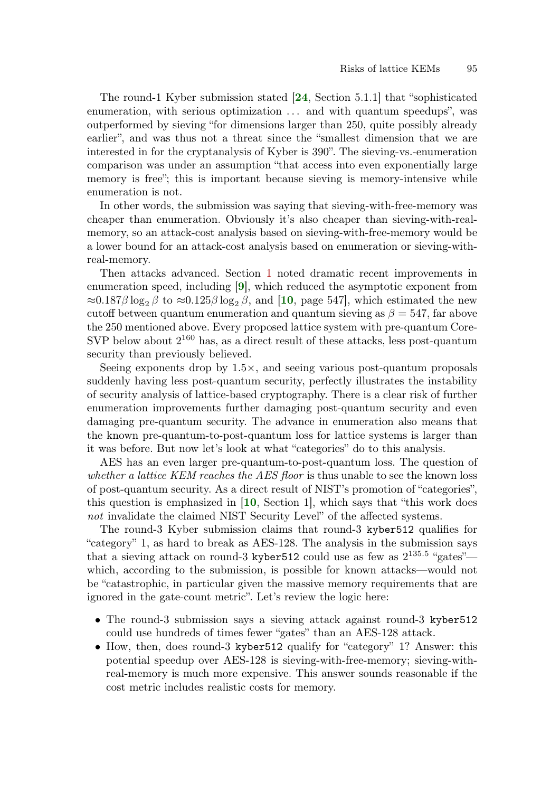The round-1 Kyber submission stated [[24](#page-54-5), Section 5.1.1] that "sophisticated enumeration, with serious optimization . . . and with quantum speedups", was outperformed by sieving "for dimensions larger than 250, quite possibly already earlier", and was thus not a threat since the "smallest dimension that we are interested in for the cryptanalysis of Kyber is 390". The sieving-vs.-enumeration comparison was under an assumption "that access into even exponentially large memory is free"; this is important because sieving is memory-intensive while enumeration is not.

In other words, the submission was saying that sieving-with-free-memory was cheaper than enumeration. Obviously it's also cheaper than sieving-with-realmemory, so an attack-cost analysis based on sieving-with-free-memory would be a lower bound for an attack-cost analysis based on enumeration or sieving-withreal-memory.

Then attacks advanced. Section [1](#page-0-0) noted dramatic recent improvements in enumeration speed, including [[9](#page-53-3)], which reduced the asymptotic exponent from  $\approx 0.187\beta \log_2 \beta$  to  $\approx 0.125\beta \log_2 \beta$ , and [[10](#page-53-4), page 547], which estimated the new cutoff between quantum enumeration and quantum sieving as  $\beta = 547$ , far above the 250 mentioned above. Every proposed lattice system with pre-quantum Core-SVP below about  $2^{160}$  has, as a direct result of these attacks, less post-quantum security than previously believed.

Seeing exponents drop by 1.5×, and seeing various post-quantum proposals suddenly having less post-quantum security, perfectly illustrates the instability of security analysis of lattice-based cryptography. There is a clear risk of further enumeration improvements further damaging post-quantum security and even damaging pre-quantum security. The advance in enumeration also means that the known pre-quantum-to-post-quantum loss for lattice systems is larger than it was before. But now let's look at what "categories" do to this analysis.

AES has an even larger pre-quantum-to-post-quantum loss. The question of whether a lattice KEM reaches the AES floor is thus unable to see the known loss of post-quantum security. As a direct result of NIST's promotion of "categories", this question is emphasized in [[10](#page-53-4), Section 1], which says that "this work does not invalidate the claimed NIST Security Level" of the affected systems.

The round-3 Kyber submission claims that round-3 kyber512 qualifies for "category" 1, as hard to break as AES-128. The analysis in the submission says that a sieving attack on round-3 kyber512 could use as few as  $2^{135.5}$  "gates"which, according to the submission, is possible for known attacks—would not be "catastrophic, in particular given the massive memory requirements that are ignored in the gate-count metric". Let's review the logic here:

- The round-3 submission says a sieving attack against round-3 kyber512 could use hundreds of times fewer "gates" than an AES-128 attack.
- How, then, does round-3 kyber 512 qualify for "category" 1? Answer: this potential speedup over AES-128 is sieving-with-free-memory; sieving-withreal-memory is much more expensive. This answer sounds reasonable if the cost metric includes realistic costs for memory.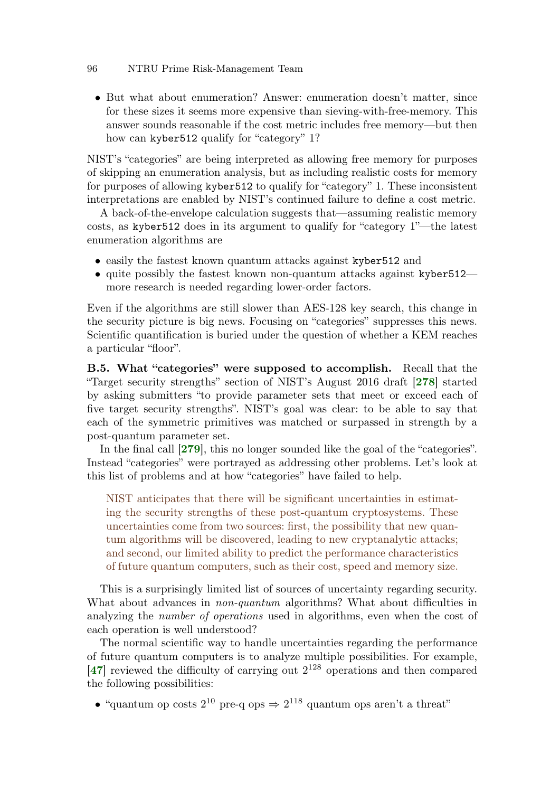• But what about enumeration? Answer: enumeration doesn't matter, since for these sizes it seems more expensive than sieving-with-free-memory. This answer sounds reasonable if the cost metric includes free memory—but then how can kyber512 qualify for "category" 1?

NIST's "categories" are being interpreted as allowing free memory for purposes of skipping an enumeration analysis, but as including realistic costs for memory for purposes of allowing kyber512 to qualify for "category" 1. These inconsistent interpretations are enabled by NIST's continued failure to define a cost metric.

A back-of-the-envelope calculation suggests that—assuming realistic memory costs, as kyber512 does in its argument to qualify for "category 1"—the latest enumeration algorithms are

- easily the fastest known quantum attacks against kyber 512 and
- quite possibly the fastest known non-quantum attacks against kyber 512 more research is needed regarding lower-order factors.

Even if the algorithms are still slower than AES-128 key search, this change in the security picture is big news. Focusing on "categories" suppresses this news. Scientific quantification is buried under the question of whether a KEM reaches a particular "floor".

<span id="page-95-0"></span>B.5. What "categories" were supposed to accomplish. Recall that the "Target security strengths" section of NIST's August 2016 draft [[278](#page-73-5)] started by asking submitters "to provide parameter sets that meet or exceed each of five target security strengths". NIST's goal was clear: to be able to say that each of the symmetric primitives was matched or surpassed in strength by a post-quantum parameter set.

In the final call [[279](#page-73-2)], this no longer sounded like the goal of the "categories". Instead "categories" were portrayed as addressing other problems. Let's look at this list of problems and at how "categories" have failed to help.

<span id="page-95-1"></span>NIST anticipates that there will be significant uncertainties in estimating the security strengths of these post-quantum cryptosystems. These uncertainties come from two sources: first, the possibility that new quantum algorithms will be discovered, leading to new cryptanalytic attacks; and second, our limited ability to predict the performance characteristics of future quantum computers, such as their cost, speed and memory size.

This is a surprisingly limited list of sources of uncertainty regarding security. What about advances in *non-quantum* algorithms? What about difficulties in analyzing the *number of operations* used in algorithms, even when the cost of each operation is well understood?

The normal scientific way to handle uncertainties regarding the performance of future quantum computers is to analyze multiple possibilities. For example,  $[47]$  $[47]$  $[47]$  reviewed the difficulty of carrying out  $2^{128}$  operations and then compared the following possibilities:

• "quantum op costs  $2^{10}$  pre-q ops  $\Rightarrow$   $2^{118}$  quantum ops aren't a threat"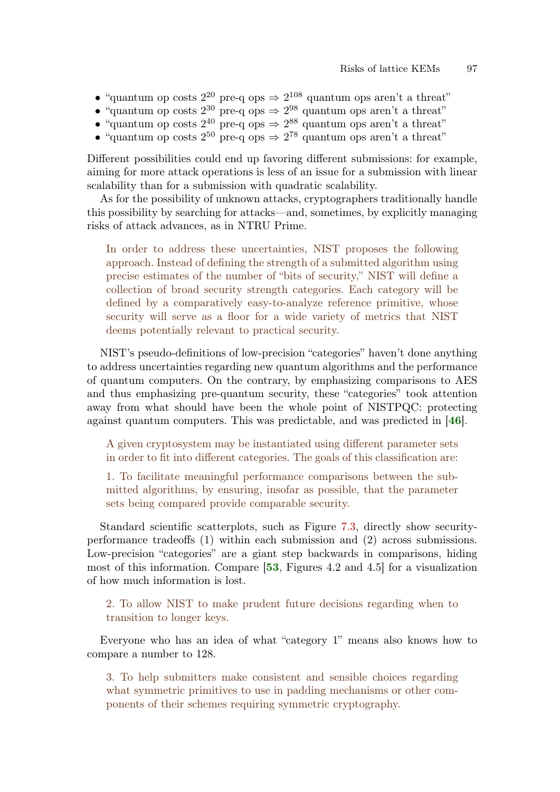- "quantum op costs  $2^{20}$  pre-q ops  $\Rightarrow$   $2^{108}$  quantum ops aren't a threat"
- "quantum op costs  $2^{30}$  pre-q ops  $\Rightarrow$   $2^{98}$  quantum ops aren't a threat"
- "quantum op costs  $2^{40}$  pre-q ops  $\Rightarrow$   $2^{88}$  quantum ops aren't a threat"
- "quantum op costs  $2^{50}$  pre-q ops  $\Rightarrow$   $2^{78}$  quantum ops aren't a threat"

Different possibilities could end up favoring different submissions: for example, aiming for more attack operations is less of an issue for a submission with linear scalability than for a submission with quadratic scalability.

As for the possibility of unknown attacks, cryptographers traditionally handle this possibility by searching for attacks—and, sometimes, by explicitly managing risks of attack advances, as in NTRU Prime.

In order to address these uncertainties, NIST proposes the following approach. Instead of defining the strength of a submitted algorithm using precise estimates of the number of "bits of security," NIST will define a collection of broad security strength categories. Each category will be defined by a comparatively easy-to-analyze reference primitive, whose security will serve as a floor for a wide variety of metrics that NIST deems potentially relevant to practical security.

NIST's pseudo-definitions of low-precision "categories" haven't done anything to address uncertainties regarding new quantum algorithms and the performance of quantum computers. On the contrary, by emphasizing comparisons to AES and thus emphasizing pre-quantum security, these "categories" took attention away from what should have been the whole point of NISTPQC: protecting against quantum computers. This was predictable, and was predicted in [[46](#page-56-2)].

A given cryptosystem may be instantiated using different parameter sets in order to fit into different categories. The goals of this classification are:

1. To facilitate meaningful performance comparisons between the submitted algorithms, by ensuring, insofar as possible, that the parameter sets being compared provide comparable security.

Standard scientific scatterplots, such as Figure [7.3,](#page-41-0) directly show securityperformance tradeoffs (1) within each submission and (2) across submissions. Low-precision "categories" are a giant step backwards in comparisons, hiding most of this information. Compare [[53](#page-56-4), Figures 4.2 and 4.5] for a visualization of how much information is lost.

2. To allow NIST to make prudent future decisions regarding when to transition to longer keys.

Everyone who has an idea of what "category 1" means also knows how to compare a number to 128.

3. To help submitters make consistent and sensible choices regarding what symmetric primitives to use in padding mechanisms or other components of their schemes requiring symmetric cryptography.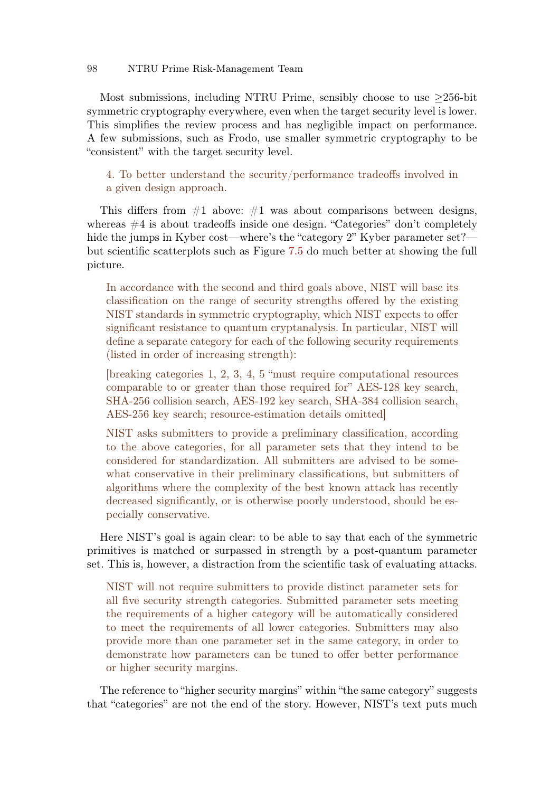Most submissions, including NTRU Prime, sensibly choose to use  $\geq$ 256-bit symmetric cryptography everywhere, even when the target security level is lower. This simplifies the review process and has negligible impact on performance. A few submissions, such as Frodo, use smaller symmetric cryptography to be "consistent" with the target security level.

4. To better understand the security/performance tradeoffs involved in a given design approach.

This differs from  $#1$  above:  $#1$  was about comparisons between designs, whereas  $\#4$  is about tradeoffs inside one design. "Categories" don't completely hide the jumps in Kyber cost—where's the "category 2" Kyber parameter set? but scientific scatterplots such as Figure [7.5](#page-42-0) do much better at showing the full picture.

In accordance with the second and third goals above, NIST will base its classification on the range of security strengths offered by the existing NIST standards in symmetric cryptography, which NIST expects to offer significant resistance to quantum cryptanalysis. In particular, NIST will define a separate category for each of the following security requirements (listed in order of increasing strength):

[breaking categories 1, 2, 3, 4, 5 "must require computational resources comparable to or greater than those required for" AES-128 key search, SHA-256 collision search, AES-192 key search, SHA-384 collision search, AES-256 key search; resource-estimation details omitted]

NIST asks submitters to provide a preliminary classification, according to the above categories, for all parameter sets that they intend to be considered for standardization. All submitters are advised to be somewhat conservative in their preliminary classifications, but submitters of algorithms where the complexity of the best known attack has recently decreased significantly, or is otherwise poorly understood, should be especially conservative.

Here NIST's goal is again clear: to be able to say that each of the symmetric primitives is matched or surpassed in strength by a post-quantum parameter set. This is, however, a distraction from the scientific task of evaluating attacks.

NIST will not require submitters to provide distinct parameter sets for all five security strength categories. Submitted parameter sets meeting the requirements of a higher category will be automatically considered to meet the requirements of all lower categories. Submitters may also provide more than one parameter set in the same category, in order to demonstrate how parameters can be tuned to offer better performance or higher security margins.

The reference to "higher security margins" within "the same category" suggests that "categories" are not the end of the story. However, NIST's text puts much